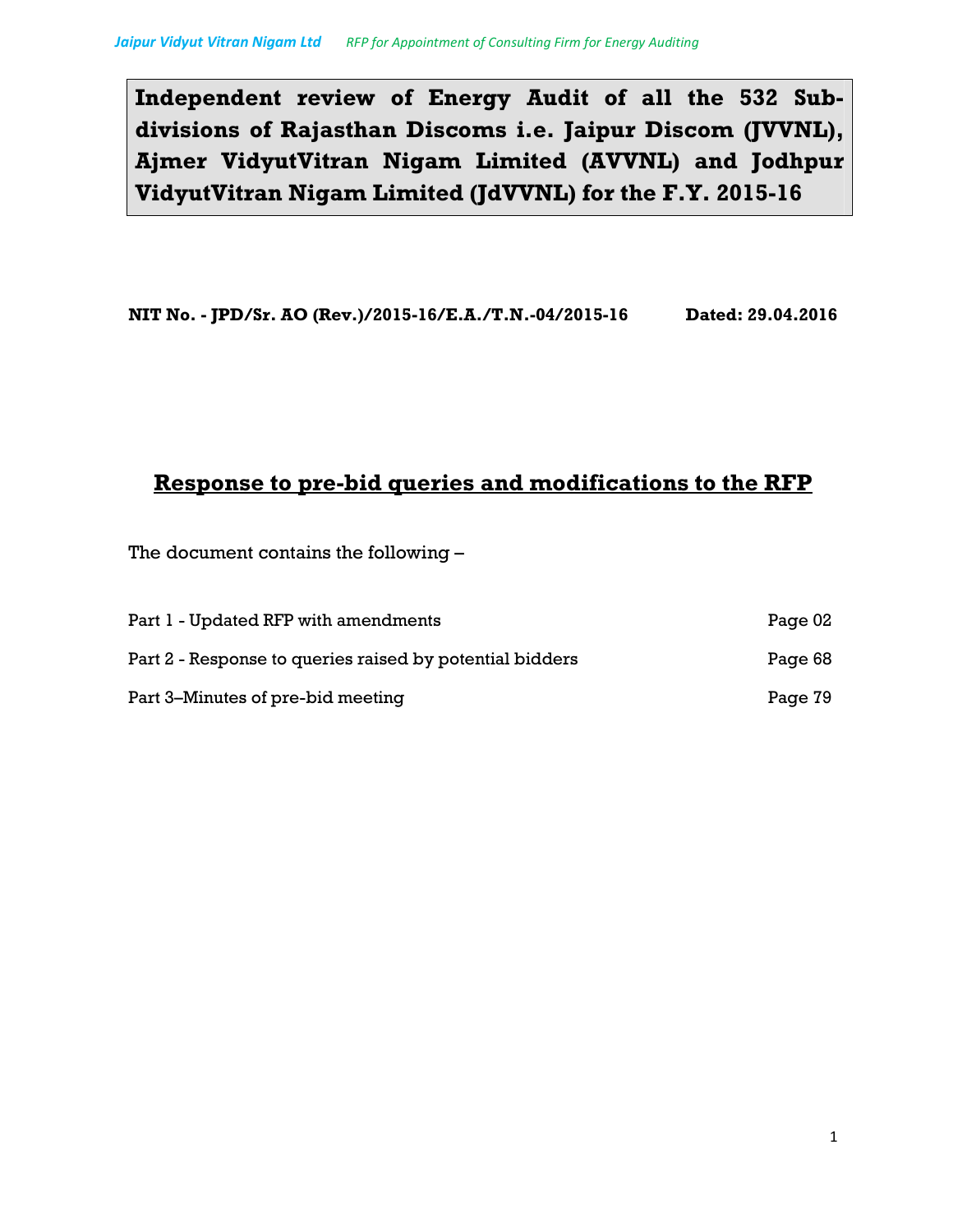**Independent review of Energy Audit of all the 532 Subdivisions of Rajasthan Discoms i.e. Jaipur Discom (JVVNL), Ajmer VidyutVitran Nigam Limited (AVVNL) and Jodhpur VidyutVitran Nigam Limited (JdVVNL) for the F.Y. 2015-16**

**NIT No. - JPD/Sr. AO (Rev.)/2015-16/E.A./T.N.-04/2015-16 Dated: 29.04.2016** 

# **Response to pre-bid queries and modifications to the RFP**

The document contains the following –

| Part 1 - Updated RFP with amendments                     | Page 02 |
|----------------------------------------------------------|---------|
| Part 2 - Response to queries raised by potential bidders | Page 68 |
| Part 3–Minutes of pre-bid meeting                        | Page 79 |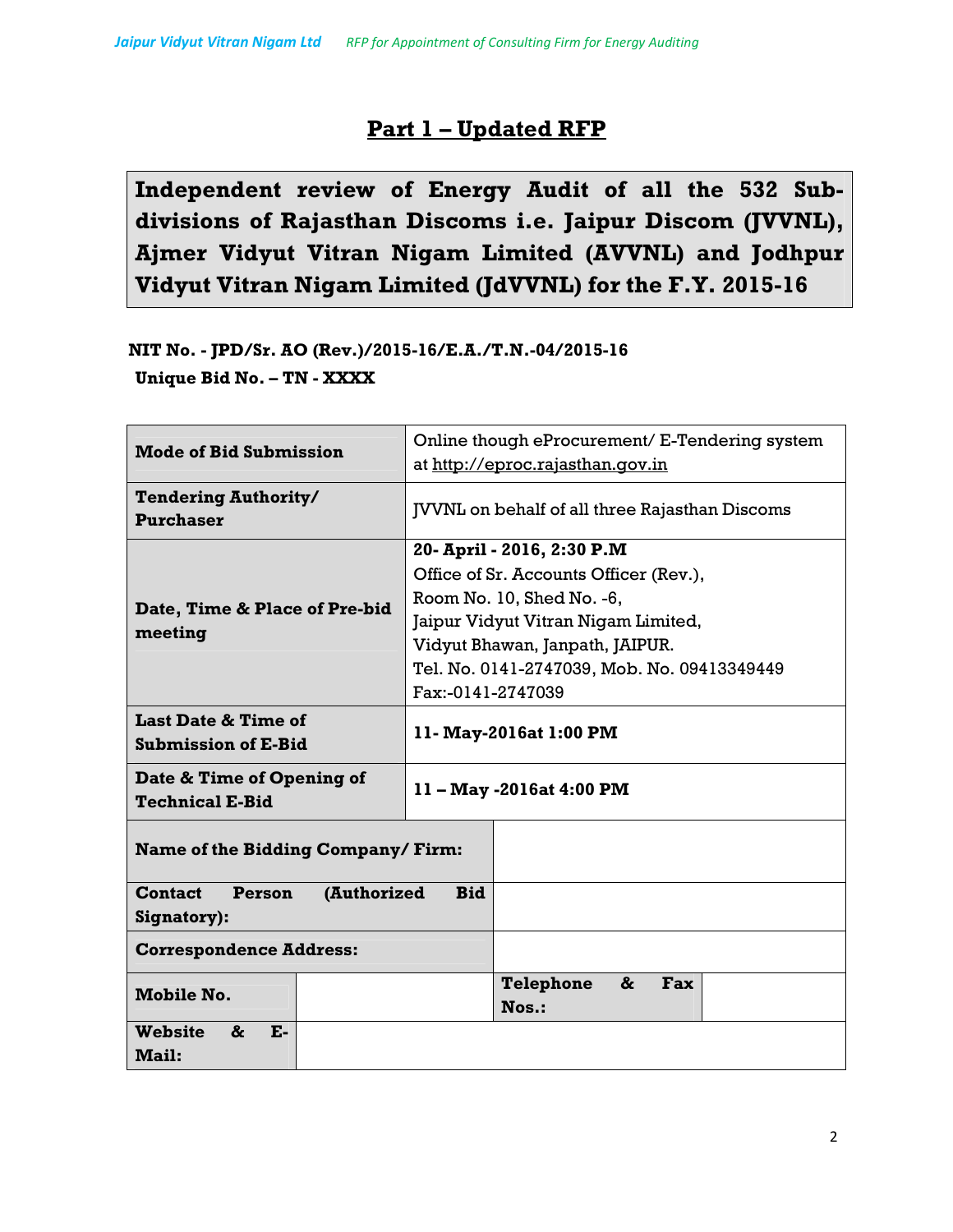# **Part 1 – Updated RFP**

**Independent review of Energy Audit of all the 532 Subdivisions of Rajasthan Discoms i.e. Jaipur Discom (JVVNL), Ajmer Vidyut Vitran Nigam Limited (AVVNL) and Jodhpur Vidyut Vitran Nigam Limited (JdVVNL) for the F.Y. 2015-16**

**NIT No. - JPD/Sr. AO (Rev.)/2015-16/E.A./T.N.-04/2015-16 Unique Bid No. – TN - XXXX** 

| <b>Mode of Bid Submission</b>                                        | Online though eProcurement/ E-Tendering system<br>at http://eproc.rajasthan.qov.in |  |
|----------------------------------------------------------------------|------------------------------------------------------------------------------------|--|
| <b>Tendering Authority/</b><br><b>Purchaser</b>                      | <b>JVVNL</b> on behalf of all three Rajasthan Discoms                              |  |
|                                                                      | 20- April - 2016, 2:30 P.M                                                         |  |
|                                                                      | Office of Sr. Accounts Officer (Rev.),                                             |  |
| Date, Time & Place of Pre-bid                                        | Room No. 10, Shed No. -6,                                                          |  |
| meeting                                                              | Jaipur Vidyut Vitran Nigam Limited,                                                |  |
|                                                                      | Vidyut Bhawan, Janpath, JAIPUR.                                                    |  |
|                                                                      | Tel. No. 0141-2747039, Mob. No. 09413349449                                        |  |
|                                                                      | Fax:-0141-2747039                                                                  |  |
| <b>Last Date &amp; Time of</b><br><b>Submission of E-Bid</b>         | 11- May-2016at 1:00 PM                                                             |  |
| Date & Time of Opening of<br><b>Technical E-Bid</b>                  | 11 - May -2016at 4:00 PM                                                           |  |
| Name of the Bidding Company/Firm:                                    |                                                                                    |  |
| <b>Contact</b><br>(Authorized<br><b>Bid</b><br>Person<br>Signatory): |                                                                                    |  |
| <b>Correspondence Address:</b>                                       |                                                                                    |  |
| <b>Mobile No.</b>                                                    | Telephone<br>&<br>Fax<br>$N$ os.:                                                  |  |
| <b>Website</b><br><b>E-</b><br>&<br><b>Mail:</b>                     |                                                                                    |  |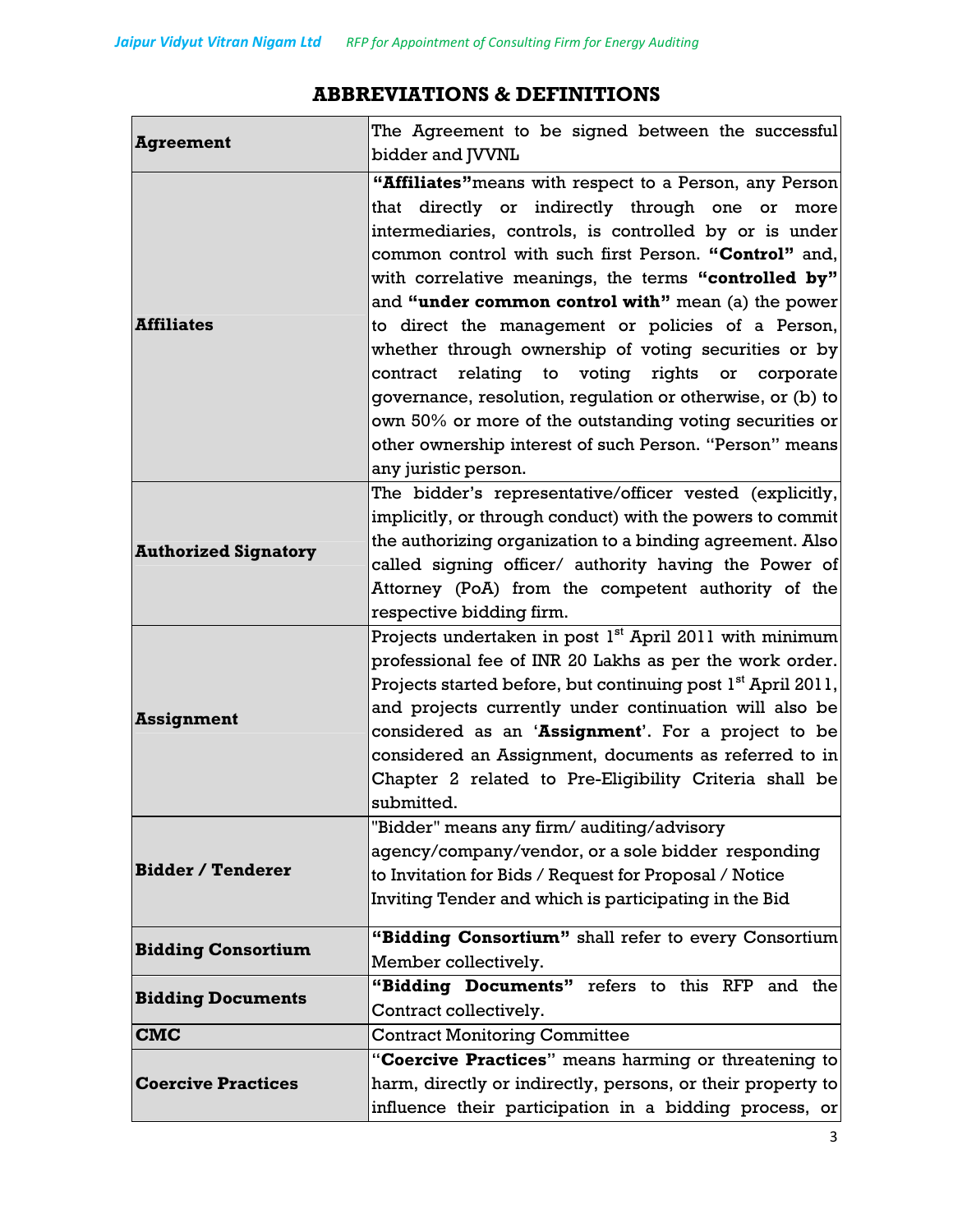## **Agreement** The Agreement to be signed between the successful bidder and JVVNL **Affiliates "Affiliates"**means with respect to a Person, any Person that directly or indirectly through one or more intermediaries, controls, is controlled by or is under common control with such first Person. **"Control"** and, with correlative meanings, the terms **"controlled by"** and **"under common control with"** mean (a) the power to direct the management or policies of a Person, whether through ownership of voting securities or by contract relating to voting rights or corporate governance, resolution, regulation or otherwise, or (b) to own 50% or more of the outstanding voting securities or other ownership interest of such Person. "Person" means any juristic person. **Authorized Signatory** The bidder's representative/officer vested (explicitly, implicitly, or through conduct) with the powers to commit the authorizing organization to a binding agreement. Also called signing officer/ authority having the Power of Attorney (PoA) from the competent authority of the respective bidding firm. **Assignment**  Projects undertaken in post  $1<sup>st</sup>$  April 2011 with minimum professional fee of INR 20 Lakhs as per the work order. Projects started before, but continuing post  $1<sup>st</sup>$  April 2011, and projects currently under continuation will also be considered as an '**Assignment**'. For a project to be considered an Assignment, documents as referred to in Chapter 2 related to Pre-Eligibility Criteria shall be

## **ABBREVIATIONS & DEFINITIONS**

| <b>Bidder / Tenderer</b>  | agency/company/vendor, or a sole bidder responding<br>to Invitation for Bids / Request for Proposal / Notice<br>Inviting Tender and which is participating in the Bid |  |  |
|---------------------------|-----------------------------------------------------------------------------------------------------------------------------------------------------------------------|--|--|
| <b>Bidding Consortium</b> | "Bidding Consortium" shall refer to every Consortium                                                                                                                  |  |  |
|                           | Member collectively.                                                                                                                                                  |  |  |
| <b>Bidding Documents</b>  | "Bidding Documents" refers to this RFP and the                                                                                                                        |  |  |
|                           | Contract collectively.                                                                                                                                                |  |  |
| <b>CMC</b>                | <b>Contract Monitoring Committee</b>                                                                                                                                  |  |  |
|                           | "Coercive Practices" means harming or threatening to                                                                                                                  |  |  |
| <b>Coercive Practices</b> | harm, directly or indirectly, persons, or their property to                                                                                                           |  |  |
|                           | influence their participation in a bidding process, or                                                                                                                |  |  |

"Bidder" means any firm/ auditing/advisory

submitted.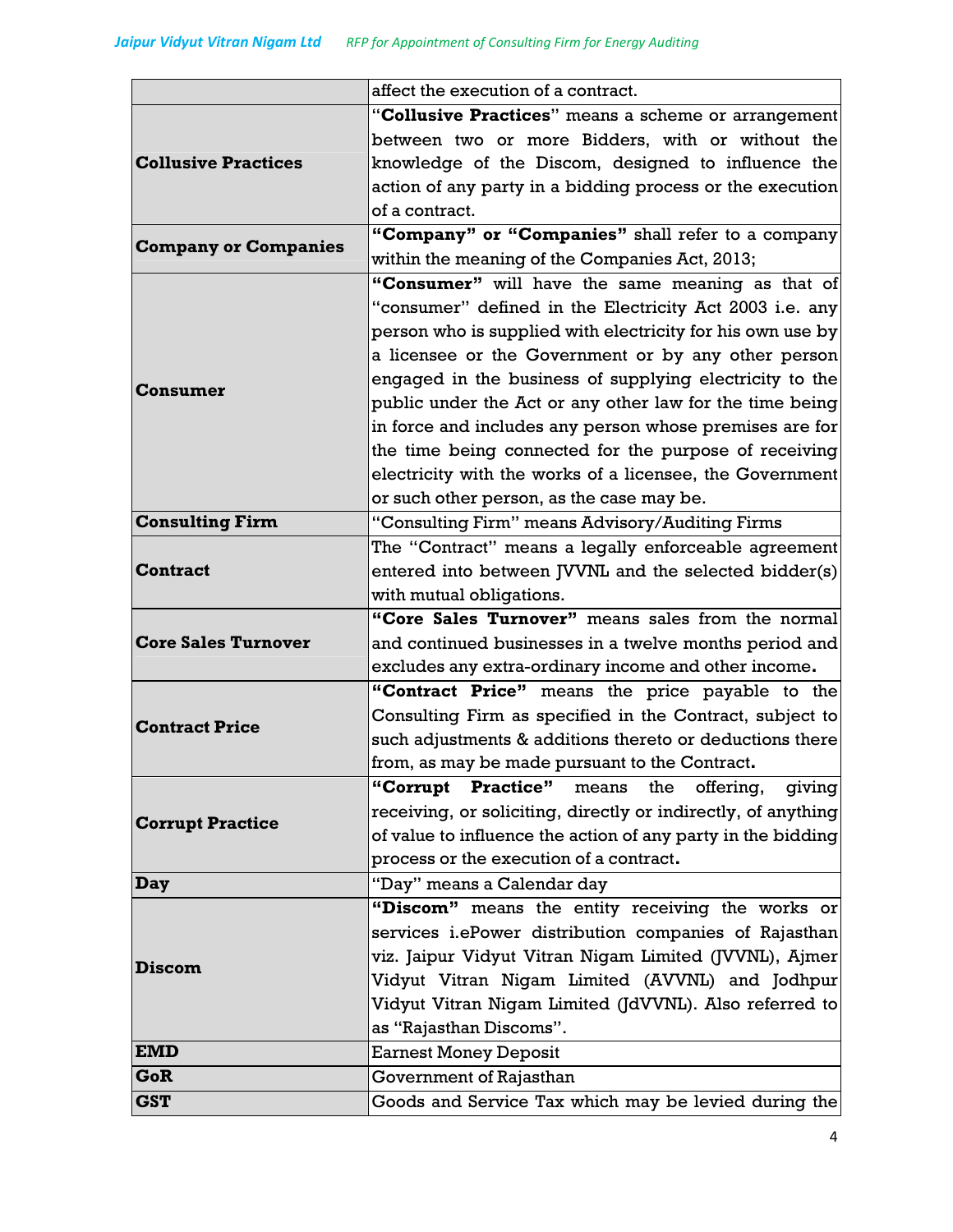|                             | affect the execution of a contract.                           |  |  |
|-----------------------------|---------------------------------------------------------------|--|--|
|                             | "Collusive Practices" means a scheme or arrangement           |  |  |
|                             | between two or more Bidders, with or without the              |  |  |
| <b>Collusive Practices</b>  | knowledge of the Discom, designed to influence the            |  |  |
|                             | action of any party in a bidding process or the execution     |  |  |
|                             | of a contract.                                                |  |  |
|                             | "Company" or "Companies" shall refer to a company             |  |  |
| <b>Company or Companies</b> | within the meaning of the Companies Act, 2013;                |  |  |
|                             | "Consumer" will have the same meaning as that of              |  |  |
|                             | "consumer" defined in the Electricity Act 2003 i.e. any       |  |  |
|                             | person who is supplied with electricity for his own use by    |  |  |
|                             | a licensee or the Government or by any other person           |  |  |
|                             | engaged in the business of supplying electricity to the       |  |  |
| Consumer                    | public under the Act or any other law for the time being      |  |  |
|                             | in force and includes any person whose premises are for       |  |  |
|                             | the time being connected for the purpose of receiving         |  |  |
|                             | electricity with the works of a licensee, the Government      |  |  |
|                             | or such other person, as the case may be.                     |  |  |
| <b>Consulting Firm</b>      | "Consulting Firm" means Advisory/Auditing Firms               |  |  |
|                             | The "Contract" means a legally enforceable agreement          |  |  |
| <b>Contract</b>             | entered into between JVVNL and the selected bidder(s)         |  |  |
|                             | with mutual obligations.                                      |  |  |
|                             | "Core Sales Turnover" means sales from the normal             |  |  |
| <b>Core Sales Turnover</b>  | and continued businesses in a twelve months period and        |  |  |
|                             | excludes any extra-ordinary income and other income.          |  |  |
|                             | "Contract Price" means the price payable to the               |  |  |
|                             | Consulting Firm as specified in the Contract, subject to      |  |  |
| <b>Contract Price</b>       | such adjustments & additions thereto or deductions there      |  |  |
|                             | from, as may be made pursuant to the Contract.                |  |  |
|                             | "Corrupt Practice" means the offering,<br>giving              |  |  |
| <b>Corrupt Practice</b>     | receiving, or soliciting, directly or indirectly, of anything |  |  |
|                             | of value to influence the action of any party in the bidding  |  |  |
|                             | process or the execution of a contract.                       |  |  |
| Day                         | "Day" means a Calendar day                                    |  |  |
|                             | "Discom" means the entity receiving the works or              |  |  |
|                             | services i.ePower distribution companies of Rajasthan         |  |  |
| <b>Discom</b>               | viz. Jaipur Vidyut Vitran Nigam Limited (JVVNL), Ajmer        |  |  |
|                             | Vidyut Vitran Nigam Limited (AVVNL) and Jodhpur               |  |  |
|                             | Vidyut Vitran Nigam Limited (JdVVNL). Also referred to        |  |  |
|                             | as "Rajasthan Discoms".                                       |  |  |
| <b>EMD</b>                  | <b>Earnest Money Deposit</b>                                  |  |  |
| GoR                         | Government of Rajasthan                                       |  |  |
| <b>GST</b>                  | Goods and Service Tax which may be levied during the          |  |  |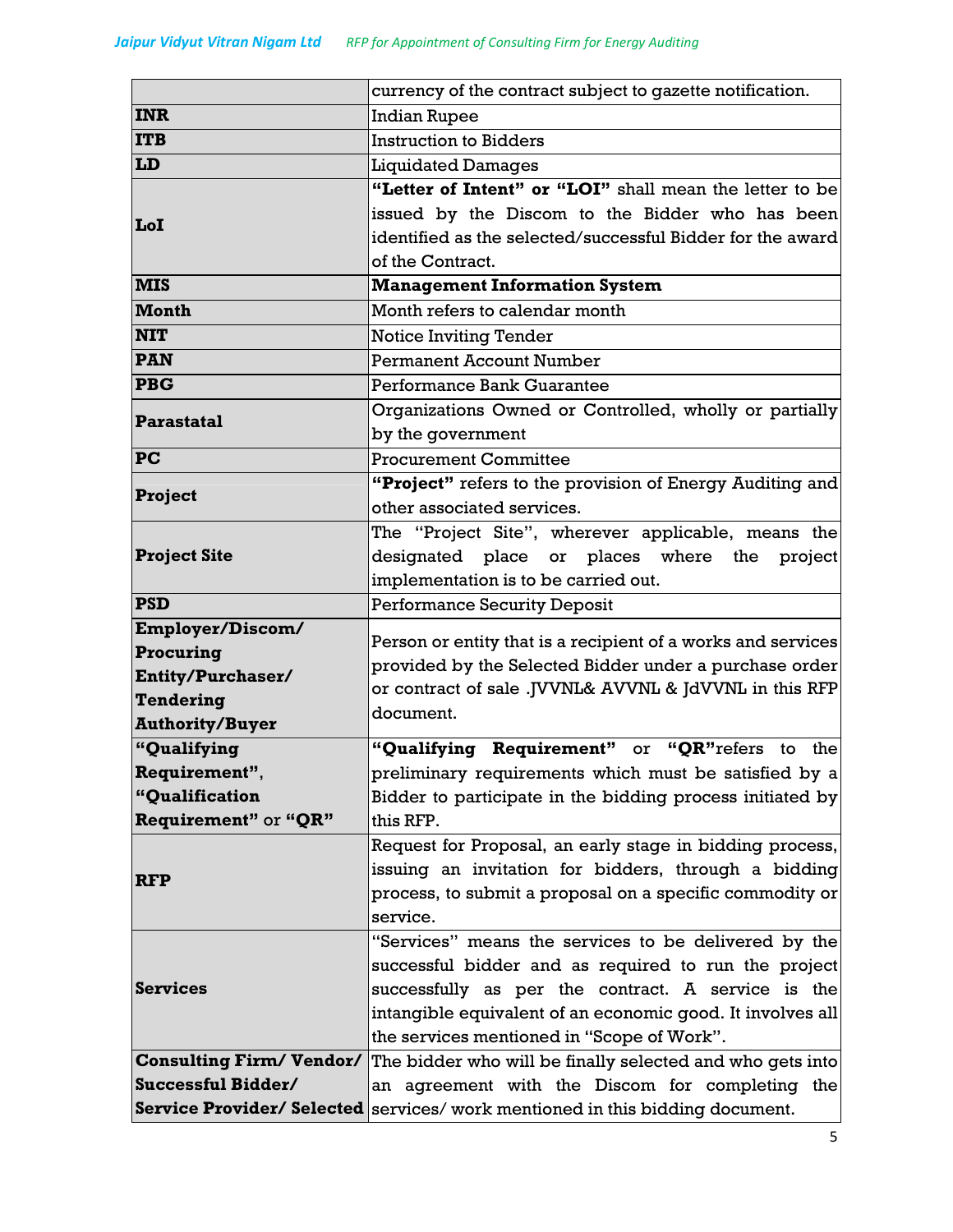|                                                      | currency of the contract subject to gazette notification.                     |  |
|------------------------------------------------------|-------------------------------------------------------------------------------|--|
| <b>INR</b>                                           | <b>Indian Rupee</b>                                                           |  |
| <b>ITB</b>                                           | <b>Instruction to Bidders</b>                                                 |  |
| LD                                                   | <b>Liquidated Damages</b>                                                     |  |
|                                                      | "Letter of Intent" or "LOI" shall mean the letter to be                       |  |
|                                                      | issued by the Discom to the Bidder who has been                               |  |
| LoI                                                  | identified as the selected/successful Bidder for the award                    |  |
|                                                      | of the Contract.                                                              |  |
| <b>MIS</b>                                           | <b>Management Information System</b>                                          |  |
| <b>Month</b>                                         | Month refers to calendar month                                                |  |
| <b>NIT</b>                                           | <b>Notice Inviting Tender</b>                                                 |  |
| <b>PAN</b>                                           | <b>Permanent Account Number</b>                                               |  |
| <b>PBG</b>                                           | Performance Bank Guarantee                                                    |  |
| Parastatal                                           | Organizations Owned or Controlled, wholly or partially                        |  |
|                                                      | by the government                                                             |  |
| <b>PC</b>                                            | <b>Procurement Committee</b>                                                  |  |
| Project                                              | "Project" refers to the provision of Energy Auditing and                      |  |
| other associated services.                           |                                                                               |  |
|                                                      | The "Project Site", wherever applicable, means the                            |  |
| <b>Project Site</b>                                  | designated place or places where the<br>project                               |  |
|                                                      | implementation is to be carried out.                                          |  |
| <b>PSD</b>                                           | <b>Performance Security Deposit</b>                                           |  |
| Employer/Discom/                                     | Person or entity that is a recipient of a works and services                  |  |
| Procuring                                            | provided by the Selected Bidder under a purchase order                        |  |
| Entity/Purchaser/                                    | or contract of sale .JVVNL& AVVNL & JdVVNL in this RFP                        |  |
| Tendering                                            | document.                                                                     |  |
| <b>Authority/Buyer</b>                               |                                                                               |  |
| "Qualifying                                          | "Qualifying Requirement" or "QR"refers to the                                 |  |
| Requirement",                                        | preliminary requirements which must be satisfied by a                         |  |
| "Qualification                                       | Bidder to participate in the bidding process initiated by                     |  |
| Requirement" or "QR"                                 | this RFP.                                                                     |  |
|                                                      | Request for Proposal, an early stage in bidding process,                      |  |
| <b>RFP</b>                                           | issuing an invitation for bidders, through a bidding                          |  |
|                                                      | process, to submit a proposal on a specific commodity or                      |  |
|                                                      | service.                                                                      |  |
|                                                      | "Services" means the services to be delivered by the                          |  |
|                                                      | successful bidder and as required to run the project                          |  |
| <b>Services</b>                                      | successfully as per the contract. A service is the                            |  |
|                                                      | intangible equivalent of an economic good. It involves all                    |  |
|                                                      | the services mentioned in "Scope of Work".                                    |  |
| <b>Consulting Firm/Vendor/</b><br>Successful Bidder/ | The bidder who will be finally selected and who gets into                     |  |
|                                                      | an agreement with the Discom for completing the                               |  |
|                                                      | Service Provider/ Selected services/ work mentioned in this bidding document. |  |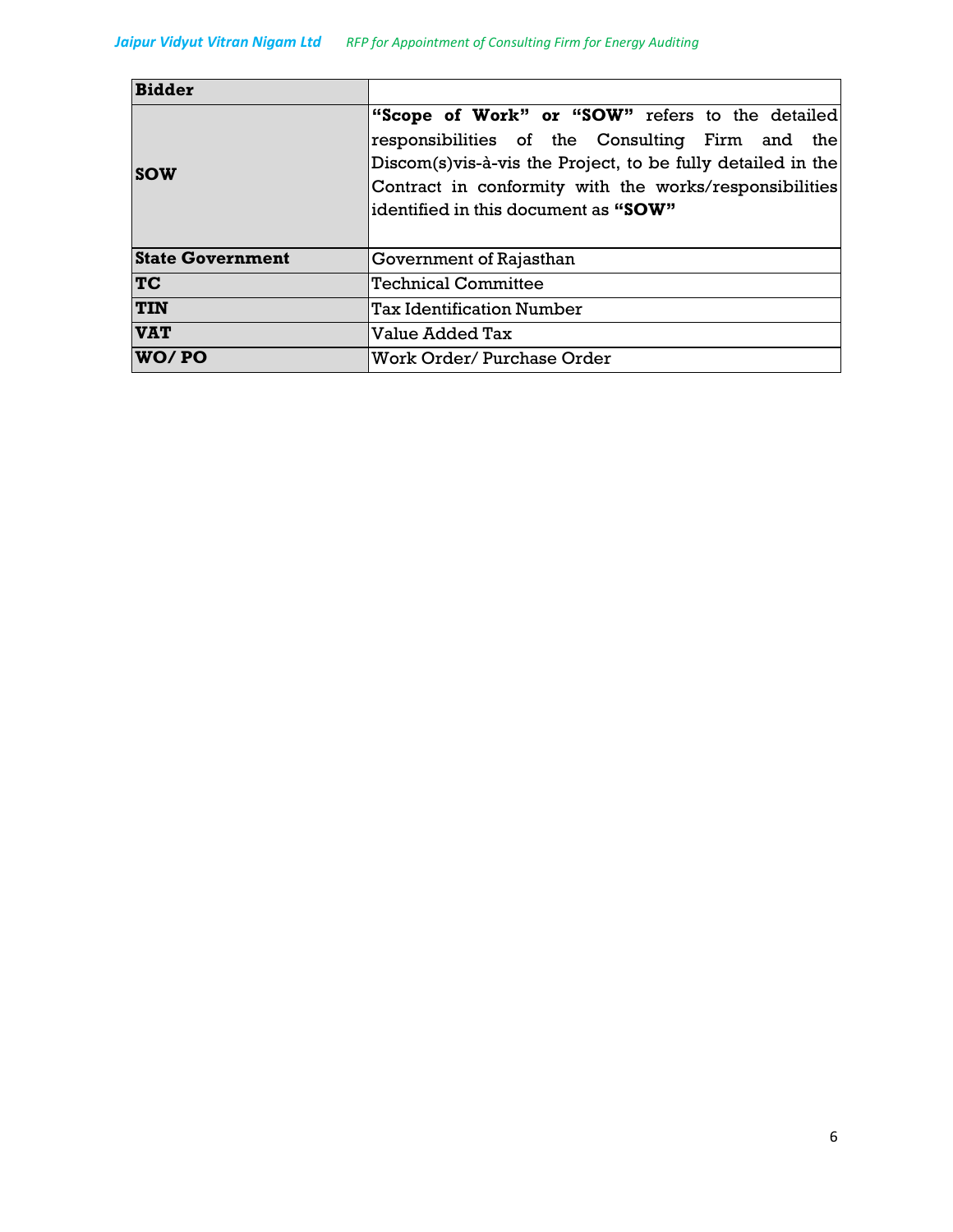| <b>Bidder</b>           |                                                              |  |
|-------------------------|--------------------------------------------------------------|--|
|                         | "Scope of Work" or "SOW" refers to the detailed              |  |
|                         | responsibilities of the Consulting Firm and the              |  |
| <b>SOW</b>              | Discom(s) vis-à-vis the Project, to be fully detailed in the |  |
|                         | Contract in conformity with the works/responsibilities       |  |
|                         | identified in this document as "SOW"                         |  |
|                         |                                                              |  |
| <b>State Government</b> | Government of Rajasthan                                      |  |
| <b>TC</b>               | <b>Technical Committee</b>                                   |  |
| <b>TIN</b>              | <b>Tax Identification Number</b>                             |  |
| <b>VAT</b>              | Value Added Tax                                              |  |
| WO/PO                   | Work Order/Purchase Order                                    |  |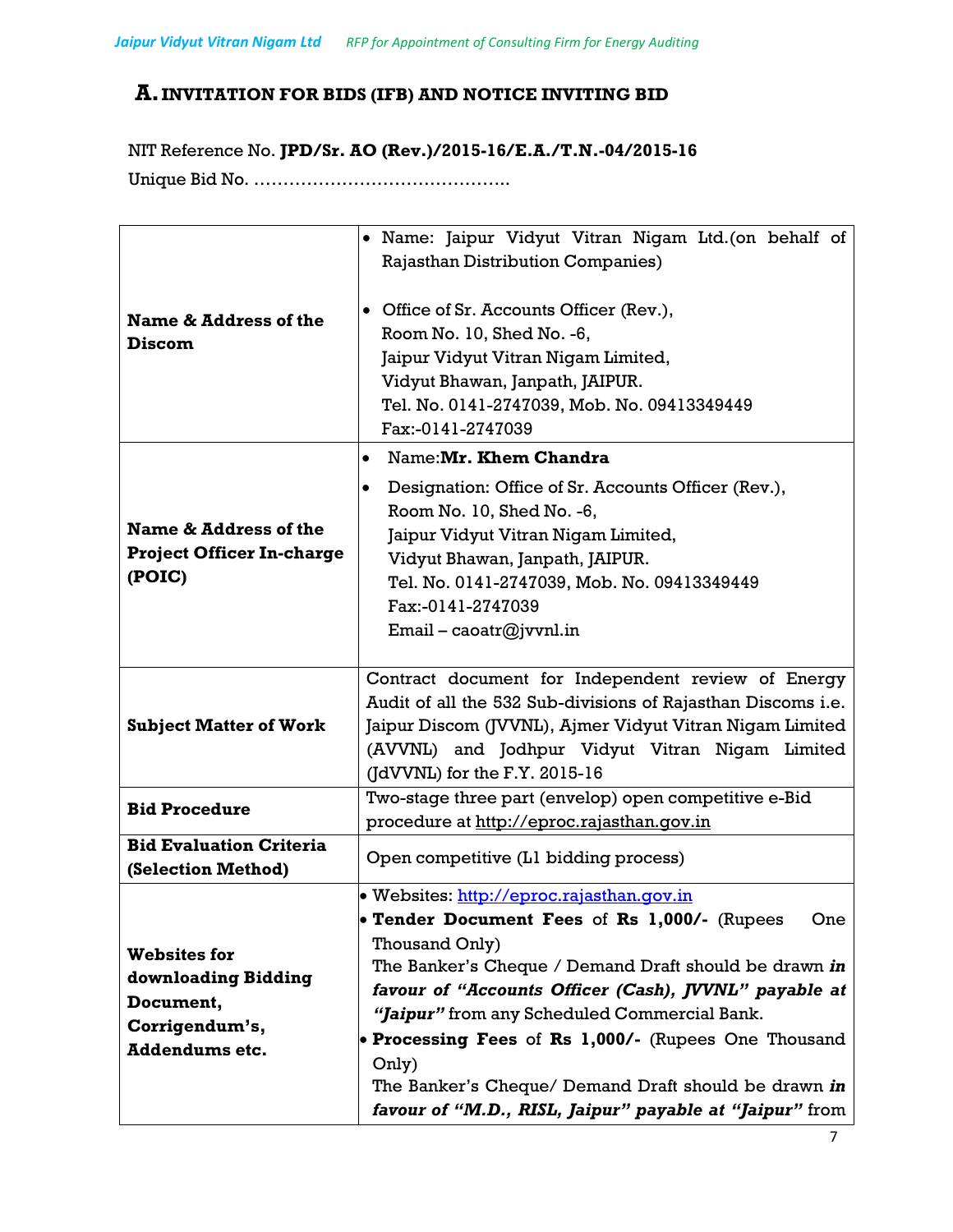# **A. INVITATION FOR BIDS (IFB) AND NOTICE INVITING BID**

NIT Reference No. **JPD/Sr. AO (Rev.)/2015-16/E.A./T.N.-04/2015-16** Unique Bid No. ……………………………………..

| Name & Address of the<br><b>Discom</b>                                                             | • Name: Jaipur Vidyut Vitran Nigam Ltd.(on behalf of<br><b>Rajasthan Distribution Companies)</b><br>• Office of Sr. Accounts Officer (Rev.),<br>Room No. 10, Shed No. -6,<br>Jaipur Vidyut Vitran Nigam Limited,<br>Vidyut Bhawan, Janpath, JAIPUR.<br>Tel. No. 0141-2747039, Mob. No. 09413349449<br>Fax:-0141-2747039                                                                                                                                                  |  |
|----------------------------------------------------------------------------------------------------|--------------------------------------------------------------------------------------------------------------------------------------------------------------------------------------------------------------------------------------------------------------------------------------------------------------------------------------------------------------------------------------------------------------------------------------------------------------------------|--|
|                                                                                                    | Name: Mr. Khem Chandra<br>$\bullet$                                                                                                                                                                                                                                                                                                                                                                                                                                      |  |
| Name & Address of the<br><b>Project Officer In-charge</b><br>(POIC)                                | Designation: Office of Sr. Accounts Officer (Rev.),<br>Room No. 10, Shed No. -6,<br>Jaipur Vidyut Vitran Nigam Limited,<br>Vidyut Bhawan, Janpath, JAIPUR.<br>Tel. No. 0141-2747039, Mob. No. 09413349449<br>Fax:-0141-2747039<br>Email – caoatr@jvvnl.in                                                                                                                                                                                                                |  |
| <b>Subject Matter of Work</b>                                                                      | Contract document for Independent review of Energy<br>Audit of all the 532 Sub-divisions of Rajasthan Discoms i.e.<br>Jaipur Discom (JVVNL), Ajmer Vidyut Vitran Nigam Limited<br>(AVVNL) and Jodhpur Vidyut Vitran Nigam Limited<br>$(JdVVNL)$ for the F.Y. 2015-16                                                                                                                                                                                                     |  |
| <b>Bid Procedure</b>                                                                               | Two-stage three part (envelop) open competitive e-Bid<br>procedure at http://eproc.rajasthan.qov.in                                                                                                                                                                                                                                                                                                                                                                      |  |
| <b>Bid Evaluation Criteria</b><br>(Selection Method)                                               | Open competitive (L1 bidding process)                                                                                                                                                                                                                                                                                                                                                                                                                                    |  |
| <b>Websites for</b><br>downloading Bidding<br>Document,<br>Corrigendum's,<br><b>Addendums etc.</b> | · Websites: http://eproc.rajasthan.gov.in<br>• Tender Document Fees of Rs 1,000/- (Rupees<br>One<br>Thousand Only)<br>The Banker's Cheque / Demand Draft should be drawn in<br>favour of "Accounts Officer (Cash), JVVNL" payable at<br>"Jaipur" from any Scheduled Commercial Bank.<br>• Processing Fees of Rs 1,000/- (Rupees One Thousand<br>Only)<br>The Banker's Cheque/ Demand Draft should be drawn in<br>favour of "M.D., RISL, Jaipur" payable at "Jaipur" from |  |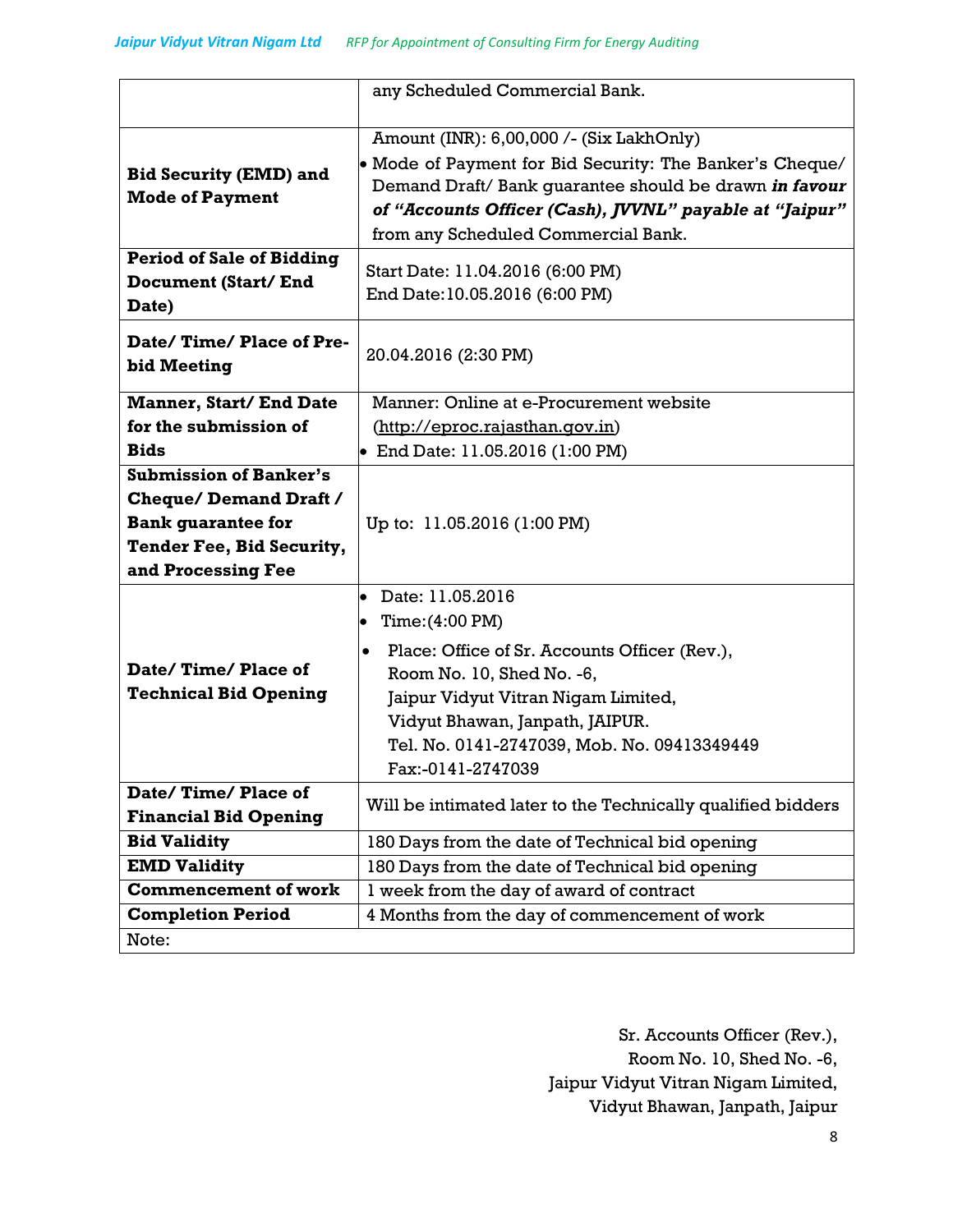|                                                                         | any Scheduled Commercial Bank.                                                                                                                                                                                                                                       |  |
|-------------------------------------------------------------------------|----------------------------------------------------------------------------------------------------------------------------------------------------------------------------------------------------------------------------------------------------------------------|--|
| <b>Bid Security (EMD) and</b><br><b>Mode of Payment</b>                 | Amount (INR): 6,00,000 /- (Six LakhOnly)<br>• Mode of Payment for Bid Security: The Banker's Cheque/<br>Demand Draft/ Bank guarantee should be drawn in favour<br>of "Accounts Officer (Cash), JVVNL" payable at "Jaipur"<br>from any Scheduled Commercial Bank.     |  |
| <b>Period of Sale of Bidding</b><br><b>Document (Start/End</b><br>Date) | Start Date: 11.04.2016 (6:00 PM)<br>End Date: 10.05.2016 (6:00 PM)                                                                                                                                                                                                   |  |
| Date/Time/Place of Pre-<br>bid Meeting                                  | 20.04.2016 (2:30 PM)                                                                                                                                                                                                                                                 |  |
| <b>Manner, Start/ End Date</b>                                          | Manner: Online at e-Procurement website                                                                                                                                                                                                                              |  |
| for the submission of                                                   | (http://eproc.rajasthan.qov.in)                                                                                                                                                                                                                                      |  |
| <b>Bids</b>                                                             | • End Date: $11.05.2016$ (1:00 PM)                                                                                                                                                                                                                                   |  |
| <b>Submission of Banker's</b>                                           |                                                                                                                                                                                                                                                                      |  |
| <b>Cheque/Demand Draft /</b>                                            |                                                                                                                                                                                                                                                                      |  |
| <b>Bank guarantee for</b>                                               | Up to: 11.05.2016 (1:00 PM)                                                                                                                                                                                                                                          |  |
| Tender Fee, Bid Security,                                               |                                                                                                                                                                                                                                                                      |  |
| and Processing Fee                                                      |                                                                                                                                                                                                                                                                      |  |
| Date/Time/Place of<br><b>Technical Bid Opening</b>                      | Date: 11.05.2016<br>$\bullet$<br>Time: (4:00 PM)<br>$\bullet$<br>Place: Office of Sr. Accounts Officer (Rev.),<br>Room No. 10, Shed No. -6,<br>Jaipur Vidyut Vitran Nigam Limited,<br>Vidyut Bhawan, Janpath, JAIPUR.<br>Tel. No. 0141-2747039, Mob. No. 09413349449 |  |
|                                                                         | Fax:-0141-2747039                                                                                                                                                                                                                                                    |  |
| Date/Time/Place of<br><b>Financial Bid Opening</b>                      | Will be intimated later to the Technically qualified bidders                                                                                                                                                                                                         |  |
| <b>Bid Validity</b>                                                     | 180 Days from the date of Technical bid opening                                                                                                                                                                                                                      |  |
| <b>EMD Validity</b>                                                     | 180 Days from the date of Technical bid opening                                                                                                                                                                                                                      |  |
| <b>Commencement of work</b>                                             | I week from the day of award of contract                                                                                                                                                                                                                             |  |
| <b>Completion Period</b>                                                | 4 Months from the day of commencement of work                                                                                                                                                                                                                        |  |
| Note:                                                                   |                                                                                                                                                                                                                                                                      |  |

Sr. Accounts Officer (Rev.), Room No. 10, Shed No. -6, Jaipur Vidyut Vitran Nigam Limited, Vidyut Bhawan, Janpath, Jaipur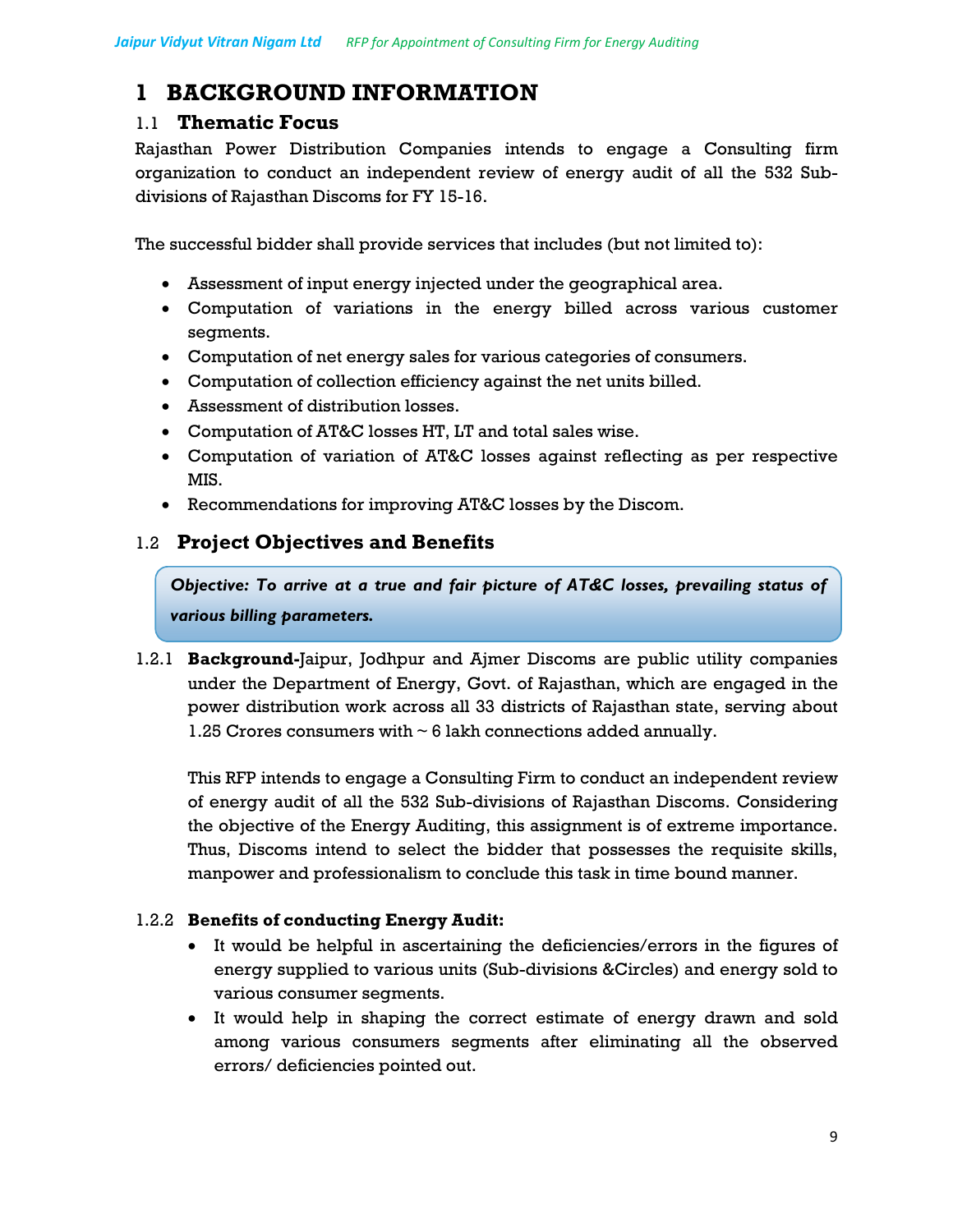# **1 BACKGROUND INFORMATION**

## 1.1 **Thematic Focus**

Rajasthan Power Distribution Companies intends to engage a Consulting firm organization to conduct an independent review of energy audit of all the 532 Subdivisions of Rajasthan Discoms for FY 15-16.

The successful bidder shall provide services that includes (but not limited to):

- Assessment of input energy injected under the geographical area.
- Computation of variations in the energy billed across various customer segments.
- Computation of net energy sales for various categories of consumers.
- Computation of collection efficiency against the net units billed.
- Assessment of distribution losses.
- Computation of AT&C losses HT, LT and total sales wise.
- Computation of variation of AT&C losses against reflecting as per respective MIS.
- Recommendations for improving AT&C losses by the Discom.

## 1.2 **Project Objectives and Benefits**

*Objective: To arrive at a true and fair picture of AT&C losses, prevailing status of various billing parameters.* 

1.2.1 **Background-**Jaipur, Jodhpur and Ajmer Discoms are public utility companies under the Department of Energy, Govt. of Rajasthan, which are engaged in the power distribution work across all 33 districts of Rajasthan state, serving about 1.25 Crores consumers with  $\sim$  6 lakh connections added annually.

This RFP intends to engage a Consulting Firm to conduct an independent review of energy audit of all the 532 Sub-divisions of Rajasthan Discoms. Considering the objective of the Energy Auditing, this assignment is of extreme importance. Thus, Discoms intend to select the bidder that possesses the requisite skills, manpower and professionalism to conclude this task in time bound manner.

## 1.2.2 **Benefits of conducting Energy Audit:**

- It would be helpful in ascertaining the deficiencies/errors in the figures of energy supplied to various units (Sub-divisions &Circles) and energy sold to various consumer segments.
- It would help in shaping the correct estimate of energy drawn and sold among various consumers segments after eliminating all the observed errors/ deficiencies pointed out.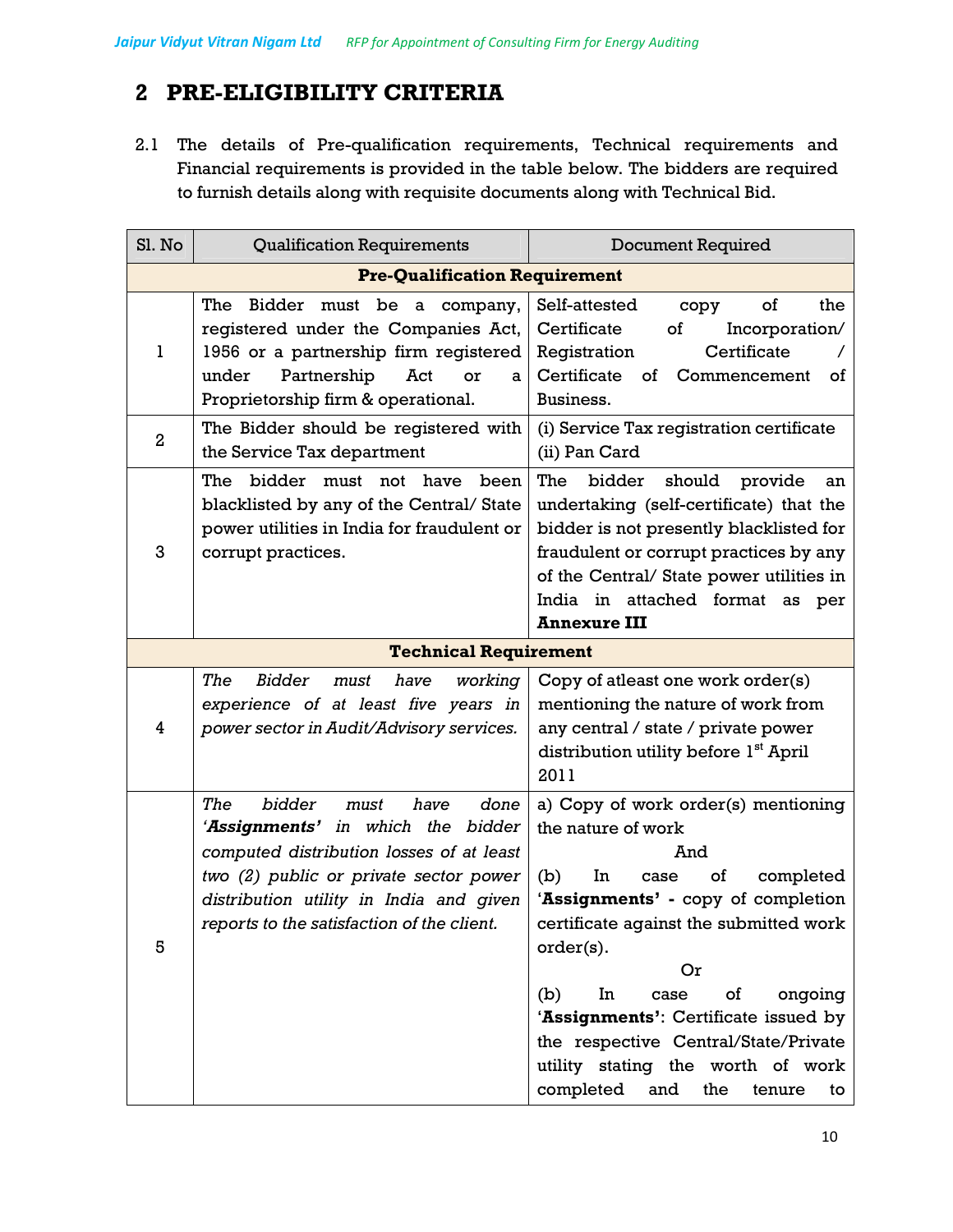# **2 PRE-ELIGIBILITY CRITERIA**

2.1 The details of Pre-qualification requirements, Technical requirements and Financial requirements is provided in the table below. The bidders are required to furnish details along with requisite documents along with Technical Bid.

| Sl. No         | <b>Qualification Requirements</b>                                                                                                                                                                                                                         | <b>Document Required</b>                                                                                                                                                                                                                                                                                                                                                                                             |
|----------------|-----------------------------------------------------------------------------------------------------------------------------------------------------------------------------------------------------------------------------------------------------------|----------------------------------------------------------------------------------------------------------------------------------------------------------------------------------------------------------------------------------------------------------------------------------------------------------------------------------------------------------------------------------------------------------------------|
|                | <b>Pre-Qualification Requirement</b>                                                                                                                                                                                                                      |                                                                                                                                                                                                                                                                                                                                                                                                                      |
| 1              | Bidder<br>The<br>must be a company,<br>registered under the Companies Act,<br>1956 or a partnership firm registered<br>Partnership<br>under<br>Act<br>or<br>a<br>Proprietorship firm & operational.                                                       | the<br>Self-attested<br>of<br>copy<br>Certificate<br>of<br>Incorporation/<br>Certificate<br>Registration<br>Certificate of<br>Commencement<br>οf<br>Business.                                                                                                                                                                                                                                                        |
| $\overline{2}$ | The Bidder should be registered with<br>the Service Tax department                                                                                                                                                                                        | (i) Service Tax registration certificate<br>(ii) Pan Card                                                                                                                                                                                                                                                                                                                                                            |
| 3              | bidder<br>have<br>The<br>must<br>not<br>been<br>blacklisted by any of the Central/State<br>power utilities in India for fraudulent or<br>corrupt practices.                                                                                               | The<br>bidder<br>should<br>provide<br>an<br>undertaking (self-certificate) that the<br>bidder is not presently blacklisted for<br>fraudulent or corrupt practices by any<br>of the Central/ State power utilities in<br>India in attached format as per<br><b>Annexure III</b>                                                                                                                                       |
|                | <b>Technical Requirement</b>                                                                                                                                                                                                                              |                                                                                                                                                                                                                                                                                                                                                                                                                      |
| 4              | The<br><b>Bidder</b><br>have<br>working<br>must<br>experience of at least five years in<br>power sector in Audit/Advisory services.                                                                                                                       | Copy of atleast one work order(s)<br>mentioning the nature of work from<br>any central / state / private power<br>distribution utility before 1 <sup>st</sup> April<br>2011                                                                                                                                                                                                                                          |
| 5              | bidder<br>The<br>have<br>done<br>must<br>'Assignments' in which the bidder<br>computed distribution losses of at least<br>two (2) public or private sector power<br>distribution utility in India and given<br>reports to the satisfaction of the client. | a) Copy of work order(s) mentioning<br>the nature of work<br>And<br>(b)<br>of<br>completed<br>In<br>case<br>'Assignments' - copy of completion<br>certificate against the submitted work<br>$order(s)$ .<br>Or<br>(b)<br>In<br>of<br>ongoing<br>case<br>'Assignments': Certificate issued by<br>the respective Central/State/Private<br>utility stating the worth of work<br>completed<br>and<br>the<br>tenure<br>to |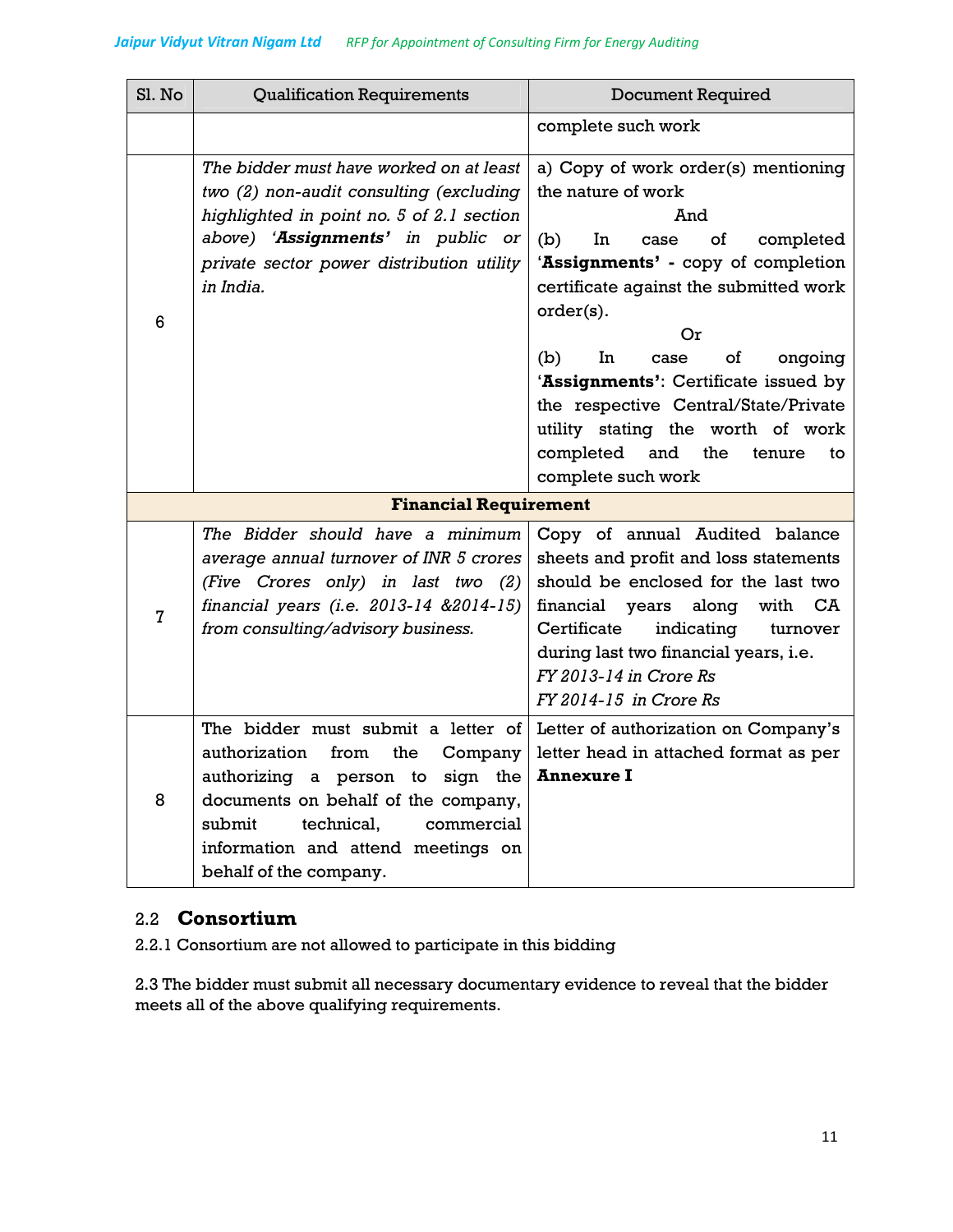| Sl. No                       | <b>Qualification Requirements</b>                                                                                                                                                                                                                                 | <b>Document Required</b>                                                                                                                                                                                                                                                                                                                                                                                                                |
|------------------------------|-------------------------------------------------------------------------------------------------------------------------------------------------------------------------------------------------------------------------------------------------------------------|-----------------------------------------------------------------------------------------------------------------------------------------------------------------------------------------------------------------------------------------------------------------------------------------------------------------------------------------------------------------------------------------------------------------------------------------|
|                              |                                                                                                                                                                                                                                                                   | complete such work                                                                                                                                                                                                                                                                                                                                                                                                                      |
| 6                            | The bidder must have worked on at least<br>two (2) non-audit consulting (excluding<br>highlighted in point no. 5 of 2.1 section<br>above) 'Assignments' in public or<br>private sector power distribution utility<br>in India.                                    | a) Copy of work order(s) mentioning<br>the nature of work<br>And<br>(b)<br>In<br>completed<br>case<br>of<br>'Assignments' - copy of completion<br>certificate against the submitted work<br>order(s).<br>Or<br>ongoing<br>(b)<br>In<br>case<br>of<br>'Assignments': Certificate issued by<br>the respective Central/State/Private<br>utility stating the worth of work<br>completed<br>and<br>the<br>tenure<br>to<br>complete such work |
| <b>Financial Requirement</b> |                                                                                                                                                                                                                                                                   |                                                                                                                                                                                                                                                                                                                                                                                                                                         |
| $\overline{7}$               | The Bidder should have a minimum<br>average annual turnover of INR 5 crores<br>(Five Crores only) in last two (2)<br>financial years (i.e. 2013-14 &2014-15)<br>from consulting/advisory business.                                                                | Copy of annual Audited balance<br>sheets and profit and loss statements<br>should be enclosed for the last two<br>financial years along<br>with<br>CA<br>Certificate<br>indicating<br>turnover<br>during last two financial years, i.e.<br>FY 2013-14 in Crore Rs<br>FY 2014-15 in Crore Rs                                                                                                                                             |
| 8                            | The bidder must submit a letter of<br>authorization<br>from<br>the<br>Company<br>authorizing a person to<br>sign the<br>documents on behalf of the company,<br>submit<br>technical.<br>commercial<br>information and attend meetings on<br>behalf of the company. | Letter of authorization on Company's<br>letter head in attached format as per<br><b>Annexure I</b>                                                                                                                                                                                                                                                                                                                                      |

## 2.2 **Consortium**

2.2.1 Consortium are not allowed to participate in this bidding

2.3 The bidder must submit all necessary documentary evidence to reveal that the bidder meets all of the above qualifying requirements.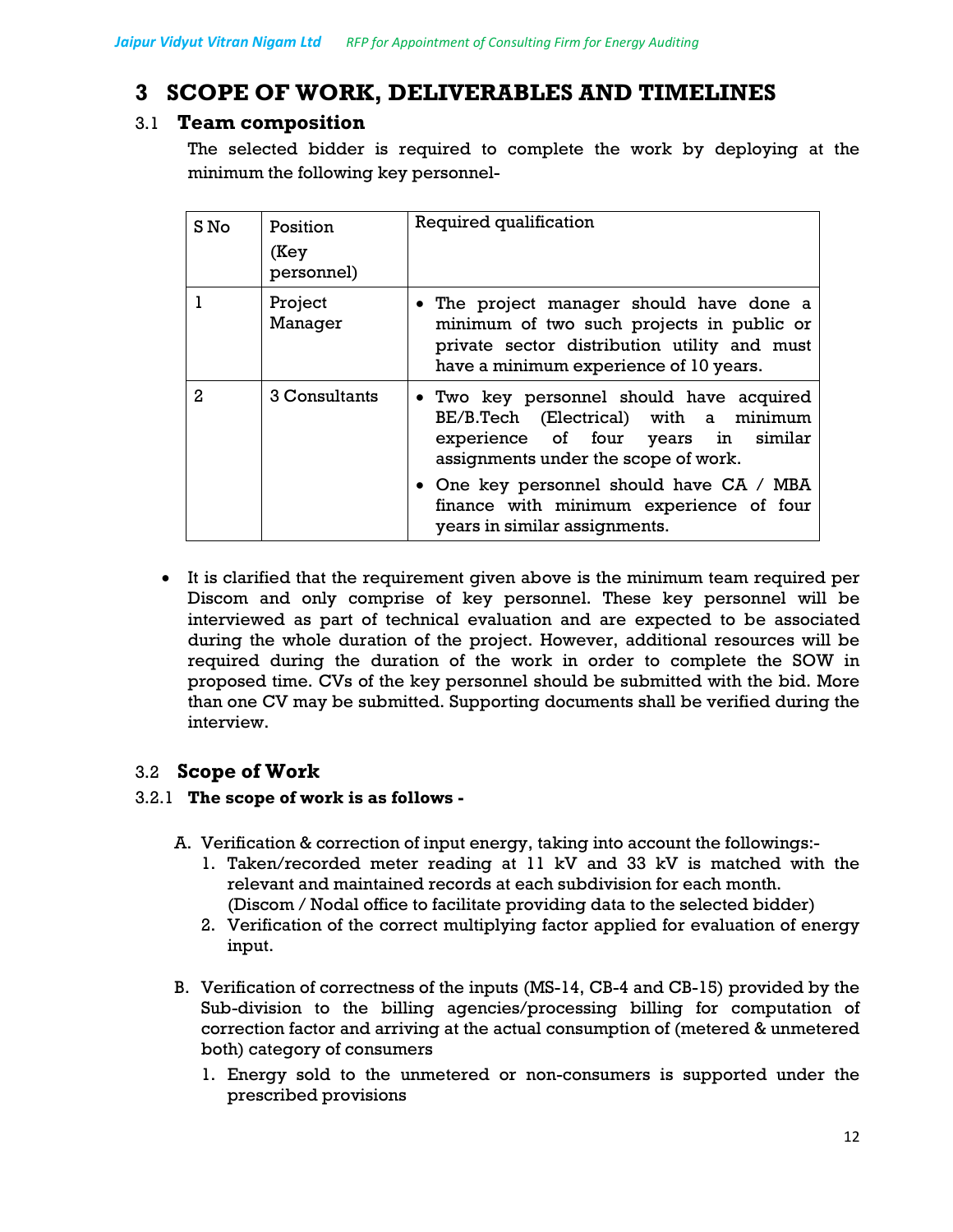# **3 SCOPE OF WORK, DELIVERABLES AND TIMELINES**

## 3.1 **Team composition**

The selected bidder is required to complete the work by deploying at the minimum the following key personnel-

| S No | Position<br>(Key<br>personnel) | Required qualification                                                                                                                                                          |
|------|--------------------------------|---------------------------------------------------------------------------------------------------------------------------------------------------------------------------------|
|      | Project<br>Manager             | • The project manager should have done a<br>minimum of two such projects in public or<br>private sector distribution utility and must<br>have a minimum experience of 10 years. |
| 2    | 3 Consultants                  | • Two key personnel should have acquired<br>BE/B.Tech (Electrical) with a minimum<br>experience of four years in similar<br>assignments under the scope of work.                |
|      |                                | • One key personnel should have CA / MBA<br>finance with minimum experience of four<br>years in similar assignments.                                                            |

• It is clarified that the requirement given above is the minimum team required per Discom and only comprise of key personnel. These key personnel will be interviewed as part of technical evaluation and are expected to be associated during the whole duration of the project. However, additional resources will be required during the duration of the work in order to complete the SOW in proposed time. CVs of the key personnel should be submitted with the bid. More than one CV may be submitted. Supporting documents shall be verified during the interview.

## 3.2 **Scope of Work**

#### 3.2.1 **The scope of work is as follows -**

- A. Verification & correction of input energy, taking into account the followings:-
	- 1. Taken/recorded meter reading at 11 kV and 33 kV is matched with the relevant and maintained records at each subdivision for each month. (Discom / Nodal office to facilitate providing data to the selected bidder)
	- 2. Verification of the correct multiplying factor applied for evaluation of energy input.
- B. Verification of correctness of the inputs (MS-14, CB-4 and CB-15) provided by the Sub-division to the billing agencies/processing billing for computation of correction factor and arriving at the actual consumption of (metered & unmetered both) category of consumers
	- 1. Energy sold to the unmetered or non-consumers is supported under the prescribed provisions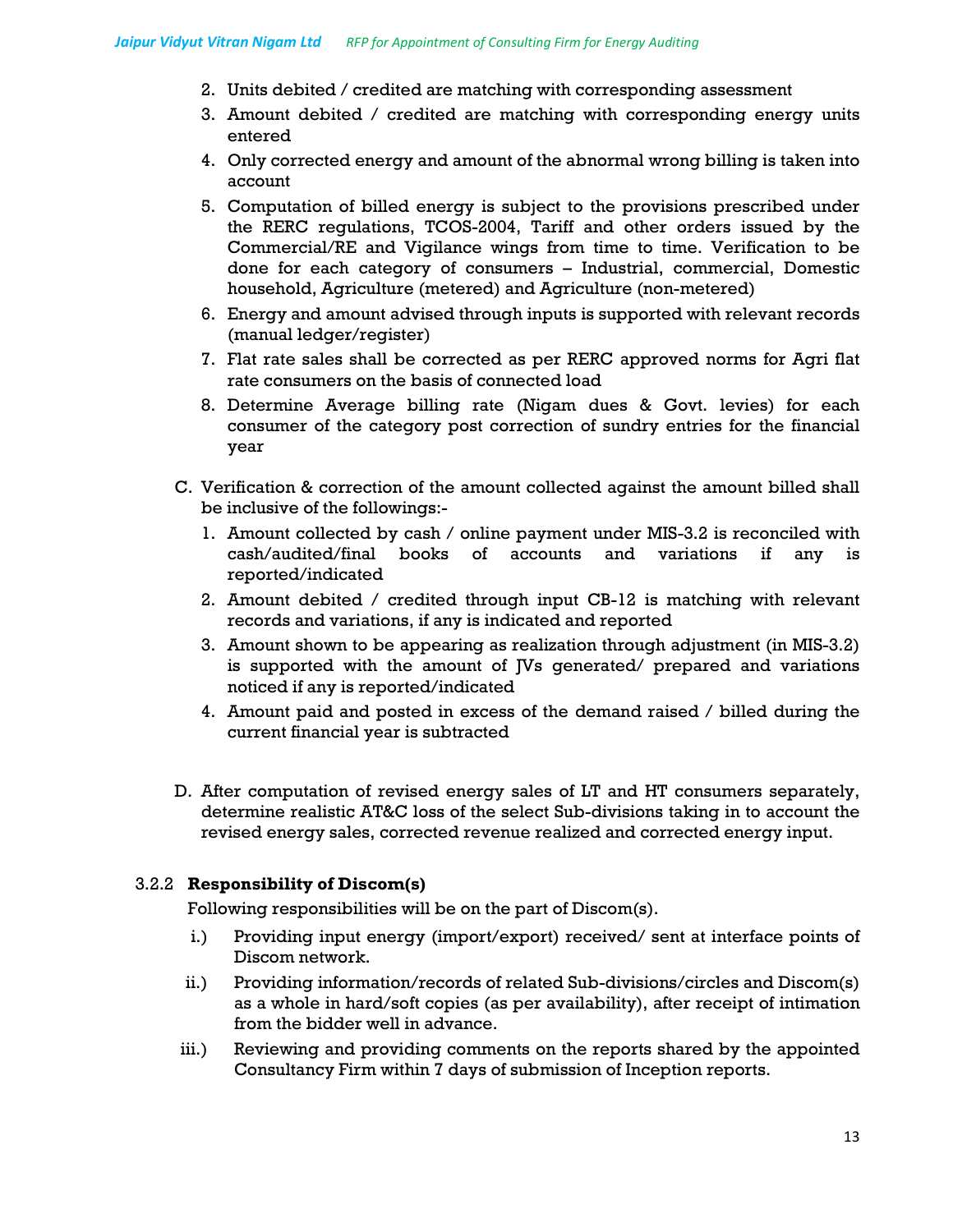- 2. Units debited / credited are matching with corresponding assessment
- 3. Amount debited / credited are matching with corresponding energy units entered
- 4. Only corrected energy and amount of the abnormal wrong billing is taken into account
- 5. Computation of billed energy is subject to the provisions prescribed under the RERC regulations, TCOS-2004, Tariff and other orders issued by the Commercial/RE and Vigilance wings from time to time. Verification to be done for each category of consumers – Industrial, commercial, Domestic household, Agriculture (metered) and Agriculture (non-metered)
- 6. Energy and amount advised through inputs is supported with relevant records (manual ledger/register)
- 7. Flat rate sales shall be corrected as per RERC approved norms for Agri flat rate consumers on the basis of connected load
- 8. Determine Average billing rate (Nigam dues & Govt. levies) for each consumer of the category post correction of sundry entries for the financial year
- C. Verification & correction of the amount collected against the amount billed shall be inclusive of the followings:-
	- 1. Amount collected by cash / online payment under MIS-3.2 is reconciled with cash/audited/final books of accounts and variations if any is reported/indicated
	- 2. Amount debited / credited through input CB-12 is matching with relevant records and variations, if any is indicated and reported
	- 3. Amount shown to be appearing as realization through adjustment (in MIS-3.2) is supported with the amount of JVs generated/ prepared and variations noticed if any is reported/indicated
	- 4. Amount paid and posted in excess of the demand raised / billed during the current financial year is subtracted
- D. After computation of revised energy sales of LT and HT consumers separately, determine realistic AT&C loss of the select Sub-divisions taking in to account the revised energy sales, corrected revenue realized and corrected energy input.

#### 3.2.2 **Responsibility of Discom(s)**

Following responsibilities will be on the part of Discom(s).

- i.) Providing input energy (import/export) received/ sent at interface points of Discom network.
- ii.) Providing information/records of related Sub-divisions/circles and Discom(s) as a whole in hard/soft copies (as per availability), after receipt of intimation from the bidder well in advance.
- iii.) Reviewing and providing comments on the reports shared by the appointed Consultancy Firm within 7 days of submission of Inception reports.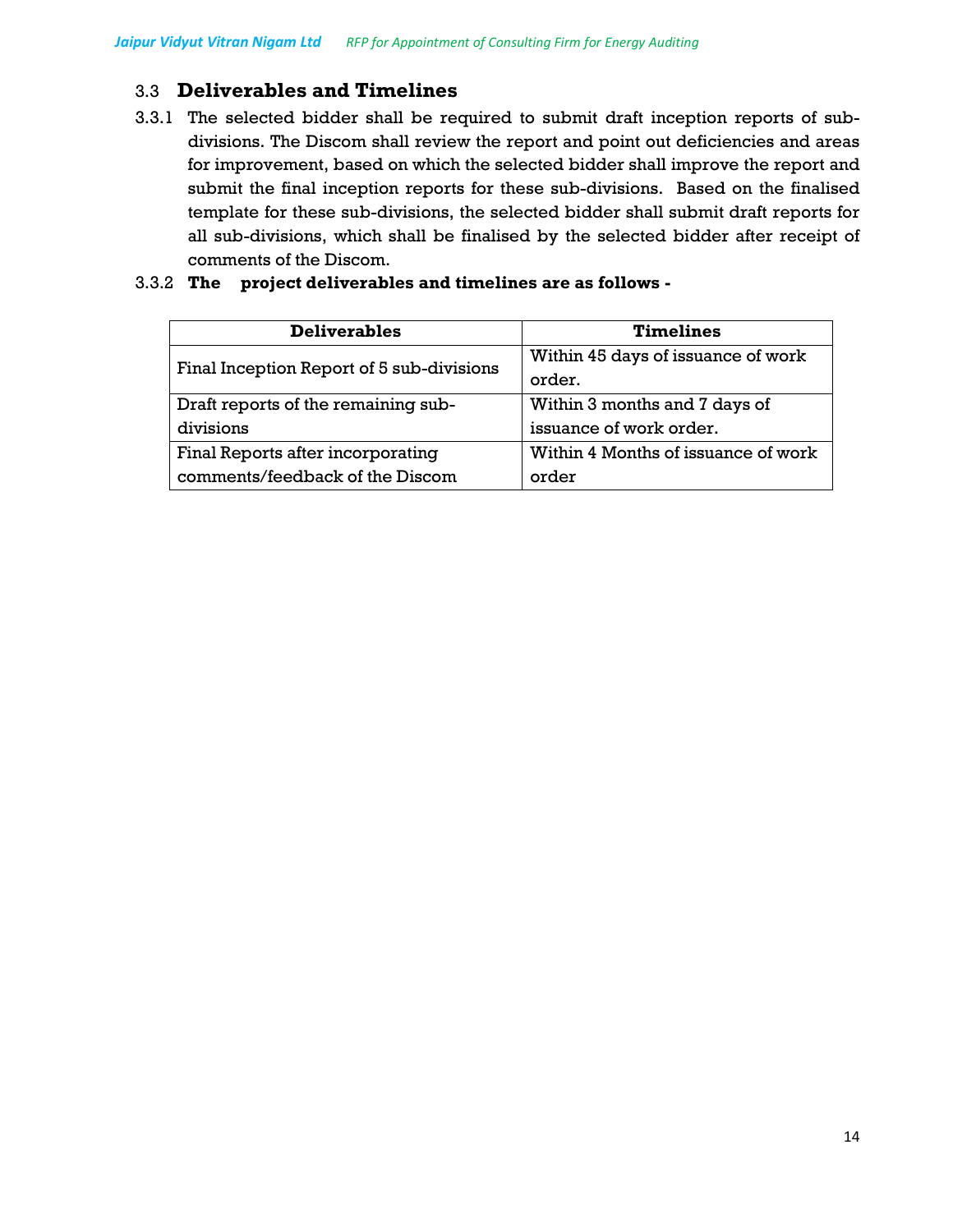## 3.3 **Deliverables and Timelines**

3.3.1 The selected bidder shall be required to submit draft inception reports of subdivisions. The Discom shall review the report and point out deficiencies and areas for improvement, based on which the selected bidder shall improve the report and submit the final inception reports for these sub-divisions. Based on the finalised template for these sub-divisions, the selected bidder shall submit draft reports for all sub-divisions, which shall be finalised by the selected bidder after receipt of comments of the Discom.

| <b>Deliverables</b>                       | <b>Timelines</b>                    |
|-------------------------------------------|-------------------------------------|
| Final Inception Report of 5 sub-divisions | Within 45 days of issuance of work  |
|                                           | order.                              |
| Draft reports of the remaining sub-       | Within 3 months and 7 days of       |
| divisions                                 | issuance of work order.             |
| Final Reports after incorporating         | Within 4 Months of issuance of work |
| comments/feedback of the Discom           | order                               |

#### 3.3.2 **The project deliverables and timelines are as follows -**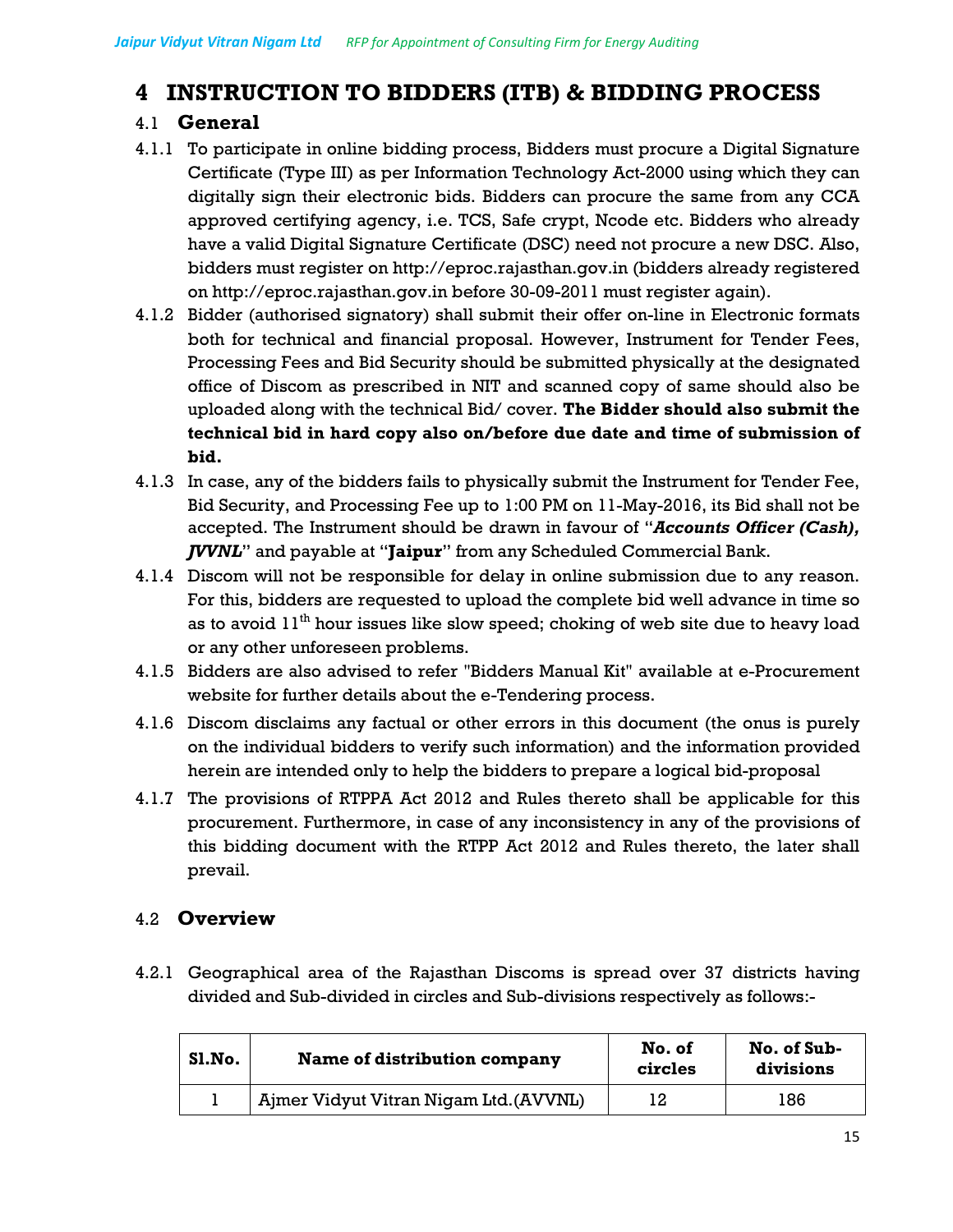# **4 INSTRUCTION TO BIDDERS (ITB) & BIDDING PROCESS**

# 4.1 **General**

- 4.1.1 To participate in online bidding process, Bidders must procure a Digital Signature Certificate (Type III) as per Information Technology Act-2000 using which they can digitally sign their electronic bids. Bidders can procure the same from any CCA approved certifying agency, i.e. TCS, Safe crypt, Ncode etc. Bidders who already have a valid Digital Signature Certificate (DSC) need not procure a new DSC. Also, bidders must register on http://eproc.rajasthan.gov.in (bidders already registered on http://eproc.rajasthan.gov.in before 30-09-2011 must register again).
- 4.1.2 Bidder (authorised signatory) shall submit their offer on-line in Electronic formats both for technical and financial proposal. However, Instrument for Tender Fees, Processing Fees and Bid Security should be submitted physically at the designated office of Discom as prescribed in NIT and scanned copy of same should also be uploaded along with the technical Bid/ cover. **The Bidder should also submit the technical bid in hard copy also on/before due date and time of submission of bid.**
- 4.1.3 In case, any of the bidders fails to physically submit the Instrument for Tender Fee, Bid Security, and Processing Fee up to 1:00 PM on 11-May-2016, its Bid shall not be accepted. The Instrument should be drawn in favour of "*Accounts Officer (Cash), JVVNL*" and payable at "**Jaipur**" from any Scheduled Commercial Bank.
- 4.1.4 Discom will not be responsible for delay in online submission due to any reason. For this, bidders are requested to upload the complete bid well advance in time so as to avoid  $11<sup>th</sup>$  hour issues like slow speed; choking of web site due to heavy load or any other unforeseen problems.
- 4.1.5 Bidders are also advised to refer "Bidders Manual Kit" available at e-Procurement website for further details about the e-Tendering process.
- 4.1.6 Discom disclaims any factual or other errors in this document (the onus is purely on the individual bidders to verify such information) and the information provided herein are intended only to help the bidders to prepare a logical bid-proposal
- 4.1.7 The provisions of RTPPA Act 2012 and Rules thereto shall be applicable for this procurement. Furthermore, in case of any inconsistency in any of the provisions of this bidding document with the RTPP Act 2012 and Rules thereto, the later shall prevail.

# 4.2 **Overview**

4.2.1 Geographical area of the Rajasthan Discoms is spread over 37 districts having divided and Sub-divided in circles and Sub-divisions respectively as follows:-

| Sl.No. | Name of distribution company           | No. of<br>circles | No. of Sub-<br>divisions |
|--------|----------------------------------------|-------------------|--------------------------|
|        | Ajmer Vidyut Vitran Nigam Ltd. (AVVNL) | 12                | 186                      |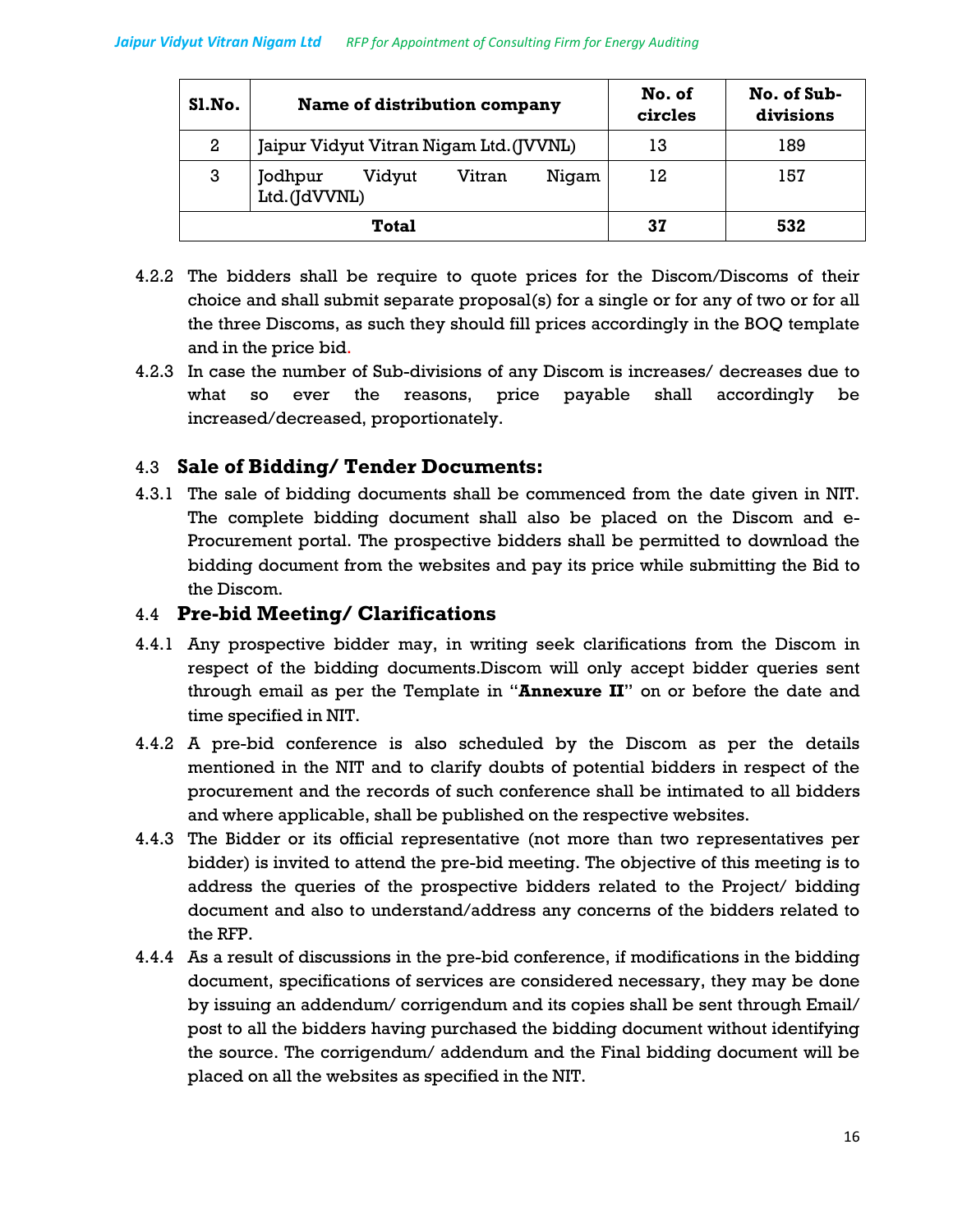| Sl.No.           | Name of distribution company                         | No. of<br>circles | No. of Sub-<br>divisions |
|------------------|------------------------------------------------------|-------------------|--------------------------|
| $\boldsymbol{2}$ | Jaipur Vidyut Vitran Nigam Ltd. (JVVNL)              | 13                | 189                      |
| 3                | Vitran<br>Jodhpur<br>Vidyut<br>Nigam<br>Ltd.(JdVVNL) | 12                | 157                      |
|                  | Total                                                | 37                | 532                      |

- 4.2.2 The bidders shall be require to quote prices for the Discom/Discoms of their choice and shall submit separate proposal(s) for a single or for any of two or for all the three Discoms, as such they should fill prices accordingly in the BOQ template and in the price bid.
- 4.2.3 In case the number of Sub-divisions of any Discom is increases/ decreases due to what so ever the reasons, price payable shall accordingly be increased/decreased, proportionately.

## 4.3 **Sale of Bidding/ Tender Documents:**

4.3.1 The sale of bidding documents shall be commenced from the date given in NIT. The complete bidding document shall also be placed on the Discom and e-Procurement portal. The prospective bidders shall be permitted to download the bidding document from the websites and pay its price while submitting the Bid to the Discom.

### 4.4 **Pre-bid Meeting/ Clarifications**

- 4.4.1 Any prospective bidder may, in writing seek clarifications from the Discom in respect of the bidding documents.Discom will only accept bidder queries sent through email as per the Template in "**Annexure II**" on or before the date and time specified in NIT.
- 4.4.2 A pre-bid conference is also scheduled by the Discom as per the details mentioned in the NIT and to clarify doubts of potential bidders in respect of the procurement and the records of such conference shall be intimated to all bidders and where applicable, shall be published on the respective websites.
- 4.4.3 The Bidder or its official representative (not more than two representatives per bidder) is invited to attend the pre-bid meeting. The objective of this meeting is to address the queries of the prospective bidders related to the Project/ bidding document and also to understand/address any concerns of the bidders related to the RFP.
- 4.4.4 As a result of discussions in the pre-bid conference, if modifications in the bidding document, specifications of services are considered necessary, they may be done by issuing an addendum/ corrigendum and its copies shall be sent through Email/ post to all the bidders having purchased the bidding document without identifying the source. The corrigendum/ addendum and the Final bidding document will be placed on all the websites as specified in the NIT.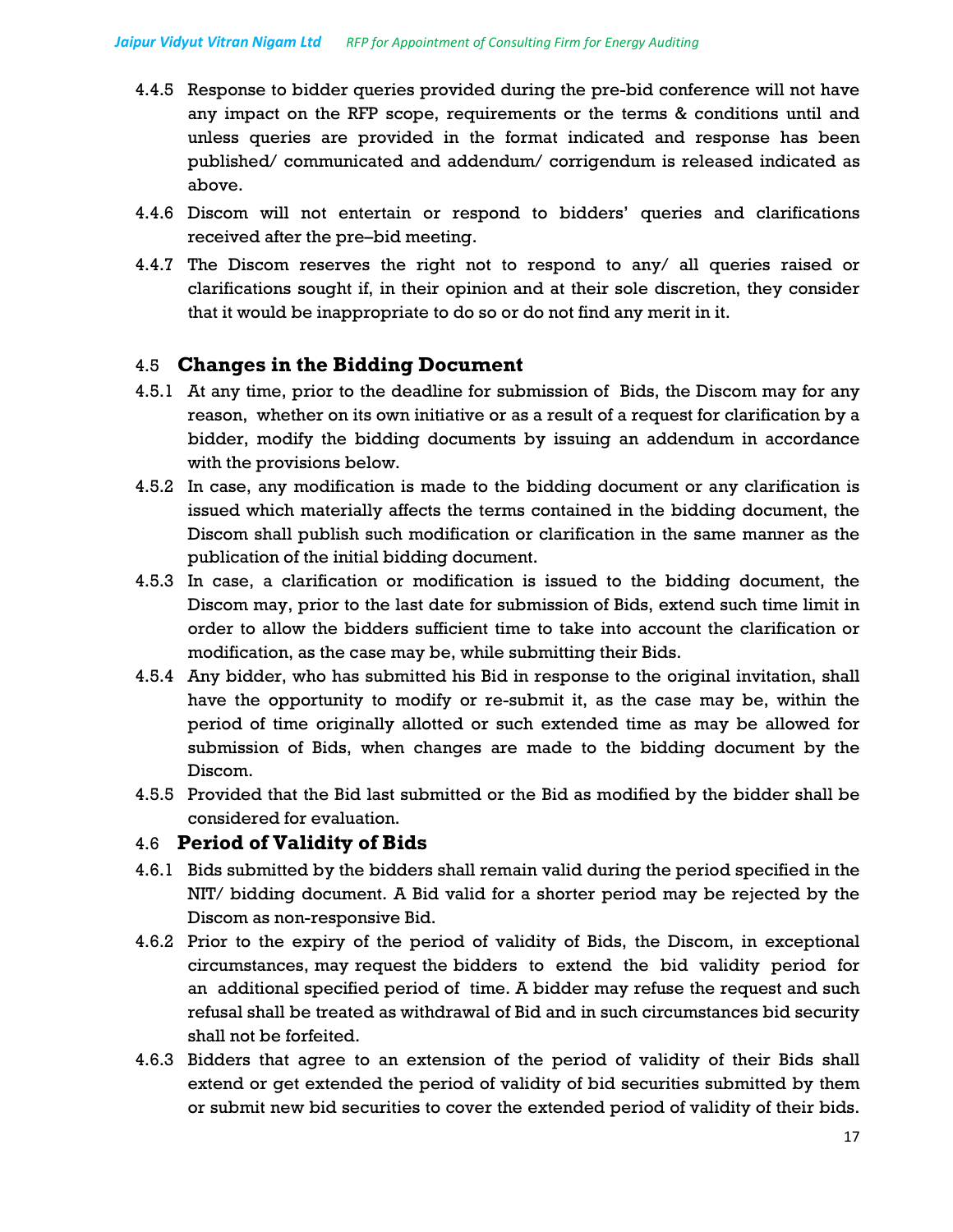- 4.4.5 Response to bidder queries provided during the pre-bid conference will not have any impact on the RFP scope, requirements or the terms & conditions until and unless queries are provided in the format indicated and response has been published/ communicated and addendum/ corrigendum is released indicated as above.
- 4.4.6 Discom will not entertain or respond to bidders' queries and clarifications received after the pre–bid meeting.
- 4.4.7 The Discom reserves the right not to respond to any/ all queries raised or clarifications sought if, in their opinion and at their sole discretion, they consider that it would be inappropriate to do so or do not find any merit in it.

## 4.5 **Changes in the Bidding Document**

- 4.5.1 At any time, prior to the deadline for submission of Bids, the Discom may for any reason, whether on its own initiative or as a result of a request for clarification by a bidder, modify the bidding documents by issuing an addendum in accordance with the provisions below.
- 4.5.2 In case, any modification is made to the bidding document or any clarification is issued which materially affects the terms contained in the bidding document, the Discom shall publish such modification or clarification in the same manner as the publication of the initial bidding document.
- 4.5.3 In case, a clarification or modification is issued to the bidding document, the Discom may, prior to the last date for submission of Bids, extend such time limit in order to allow the bidders sufficient time to take into account the clarification or modification, as the case may be, while submitting their Bids.
- 4.5.4 Any bidder, who has submitted his Bid in response to the original invitation, shall have the opportunity to modify or re-submit it, as the case may be, within the period of time originally allotted or such extended time as may be allowed for submission of Bids, when changes are made to the bidding document by the Discom.
- 4.5.5 Provided that the Bid last submitted or the Bid as modified by the bidder shall be considered for evaluation.

## 4.6 **Period of Validity of Bids**

- 4.6.1 Bids submitted by the bidders shall remain valid during the period specified in the NIT/ bidding document. A Bid valid for a shorter period may be rejected by the Discom as non-responsive Bid.
- 4.6.2 Prior to the expiry of the period of validity of Bids, the Discom, in exceptional circumstances, may request the bidders to extend the bid validity period for an additional specified period of time. A bidder may refuse the request and such refusal shall be treated as withdrawal of Bid and in such circumstances bid security shall not be forfeited.
- 4.6.3 Bidders that agree to an extension of the period of validity of their Bids shall extend or get extended the period of validity of bid securities submitted by them or submit new bid securities to cover the extended period of validity of their bids.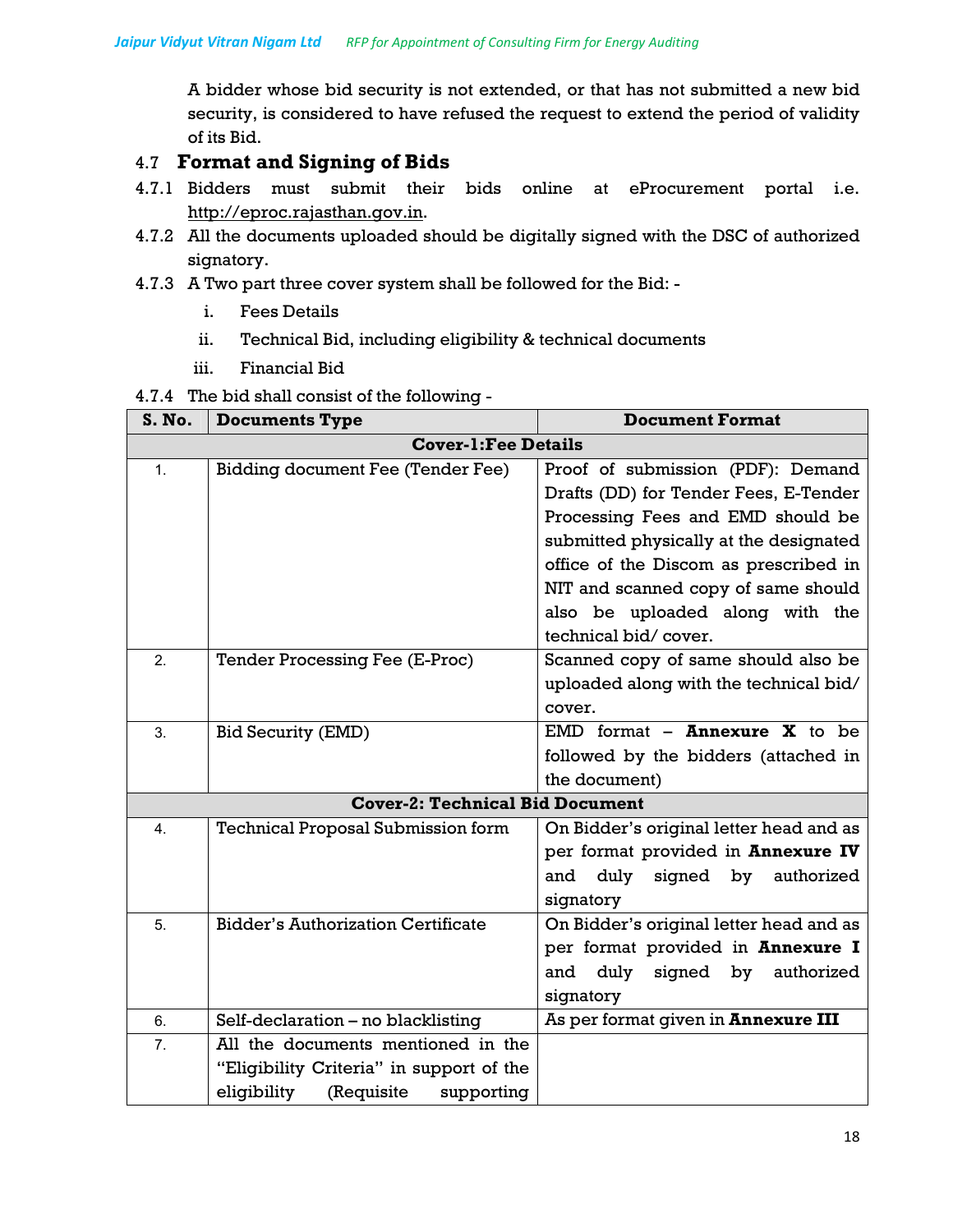A bidder whose bid security is not extended, or that has not submitted a new bid security, is considered to have refused the request to extend the period of validity of its Bid.

# 4.7 **Format and Signing of Bids**

- 4.7.1 Bidders must submit their bids online at eProcurement portal i.e. http://eproc.rajasthan.gov.in.
- 4.7.2 All the documents uploaded should be digitally signed with the DSC of authorized signatory.
- 4.7.3 A Two part three cover system shall be followed for the Bid:
	- i. Fees Details
	- ii. Technical Bid, including eligibility & technical documents
	- iii. Financial Bid

|  |  |  |  |  | 4.7.4 The bid shall consist of the following - |
|--|--|--|--|--|------------------------------------------------|
|--|--|--|--|--|------------------------------------------------|

| S. No.                                 | <b>Documents Type</b>                     | <b>Document Format</b>                                                       |  |
|----------------------------------------|-------------------------------------------|------------------------------------------------------------------------------|--|
|                                        | <b>Cover-1: Fee Details</b>               |                                                                              |  |
| $\mathbf{1}$ .                         | Bidding document Fee (Tender Fee)         | Proof of submission (PDF): Demand<br>Drafts (DD) for Tender Fees, E-Tender   |  |
|                                        |                                           | Processing Fees and EMD should be<br>submitted physically at the designated  |  |
|                                        |                                           | office of the Discom as prescribed in<br>NIT and scanned copy of same should |  |
|                                        |                                           | also be uploaded along with the                                              |  |
|                                        |                                           | technical bid/cover.                                                         |  |
| 2.                                     | <b>Tender Processing Fee (E-Proc)</b>     | Scanned copy of same should also be                                          |  |
|                                        |                                           | uploaded along with the technical bid/                                       |  |
|                                        |                                           | cover.                                                                       |  |
| 3.                                     | <b>Bid Security (EMD)</b>                 | EMD format $-$ <b>Annexure X</b> to be                                       |  |
|                                        |                                           | followed by the bidders (attached in                                         |  |
|                                        |                                           | the document)                                                                |  |
| <b>Cover-2: Technical Bid Document</b> |                                           |                                                                              |  |
| 4.                                     | <b>Technical Proposal Submission form</b> | On Bidder's original letter head and as                                      |  |
|                                        |                                           | per format provided in Annexure IV                                           |  |
|                                        |                                           | duly<br>signed by<br>and<br>authorized<br>signatory                          |  |
| 5.                                     | <b>Bidder's Authorization Certificate</b> | On Bidder's original letter head and as                                      |  |
|                                        |                                           | per format provided in Annexure I                                            |  |
|                                        |                                           | duly<br>signed by<br>authorized<br>and                                       |  |
|                                        |                                           | signatory                                                                    |  |
| 6.                                     | Self-declaration - no blacklisting        | As per format given in <b>Annexure III</b>                                   |  |
| 7.                                     | All the documents mentioned in the        |                                                                              |  |
|                                        | "Eligibility Criteria" in support of the  |                                                                              |  |
|                                        | eligibility<br>(Requisite<br>supporting   |                                                                              |  |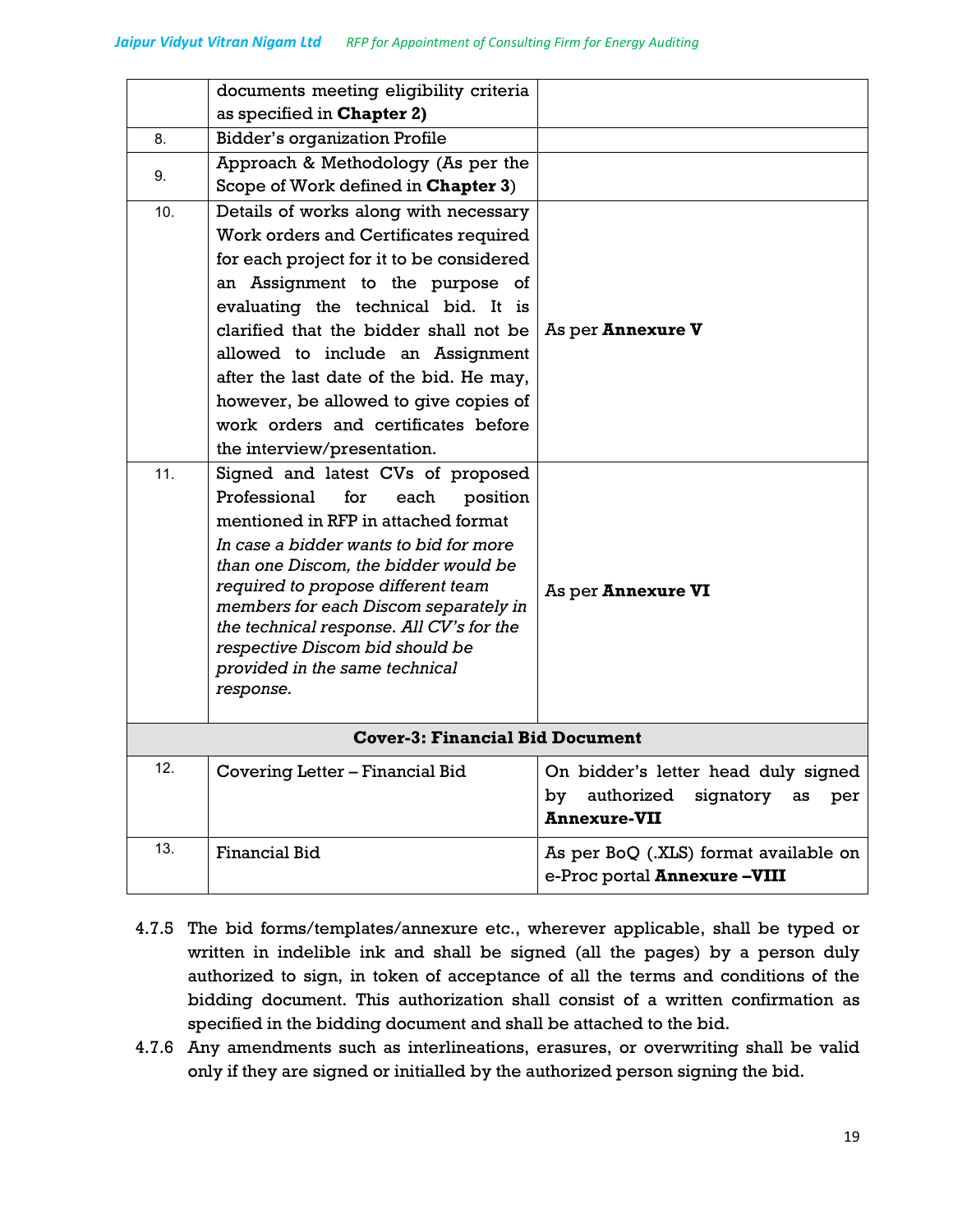|            | documents meeting eligibility criteria<br>as specified in Chapter 2)                                                                                                                                                                                                                                                                                                                                                                                                                                                                                                                                                                                                                                                                 |                                                                                                          |
|------------|--------------------------------------------------------------------------------------------------------------------------------------------------------------------------------------------------------------------------------------------------------------------------------------------------------------------------------------------------------------------------------------------------------------------------------------------------------------------------------------------------------------------------------------------------------------------------------------------------------------------------------------------------------------------------------------------------------------------------------------|----------------------------------------------------------------------------------------------------------|
| 8.         | <b>Bidder's organization Profile</b>                                                                                                                                                                                                                                                                                                                                                                                                                                                                                                                                                                                                                                                                                                 |                                                                                                          |
| 9.         | Approach & Methodology (As per the<br>Scope of Work defined in Chapter 3)                                                                                                                                                                                                                                                                                                                                                                                                                                                                                                                                                                                                                                                            |                                                                                                          |
| 10.<br>11. | Details of works along with necessary<br>Work orders and Certificates required<br>for each project for it to be considered<br>an Assignment to the purpose of<br>evaluating the technical bid. It is<br>clarified that the bidder shall not be<br>allowed to include an Assignment<br>after the last date of the bid. He may,<br>however, be allowed to give copies of<br>work orders and certificates before<br>the interview/presentation.<br>Signed and latest CVs of proposed<br>Professional<br>for<br>each<br>position<br>mentioned in RFP in attached format<br>In case a bidder wants to bid for more<br>than one Discom, the bidder would be<br>required to propose different team<br>members for each Discom separately in | As per <b>Annexure V</b><br>As per Annexure VI                                                           |
|            | the technical response. All CV's for the<br>respective Discom bid should be<br>provided in the same technical<br>response.                                                                                                                                                                                                                                                                                                                                                                                                                                                                                                                                                                                                           |                                                                                                          |
|            | <b>Cover-3: Financial Bid Document</b>                                                                                                                                                                                                                                                                                                                                                                                                                                                                                                                                                                                                                                                                                               |                                                                                                          |
| 12         | Covering Letter - Financial Bid                                                                                                                                                                                                                                                                                                                                                                                                                                                                                                                                                                                                                                                                                                      | On bidder's letter head duly signed<br>authorized<br>signatory<br>by<br>as<br>per<br><b>Annexure-VII</b> |
| 13.        | <b>Financial Bid</b>                                                                                                                                                                                                                                                                                                                                                                                                                                                                                                                                                                                                                                                                                                                 | As per BoQ (.XLS) format available on<br>e-Proc portal Annexure-VIII                                     |

- 4.7.5 The bid forms/templates/annexure etc., wherever applicable, shall be typed or written in indelible ink and shall be signed (all the pages) by a person duly authorized to sign, in token of acceptance of all the terms and conditions of the bidding document. This authorization shall consist of a written confirmation as specified in the bidding document and shall be attached to the bid.
- 4.7.6 Any amendments such as interlineations, erasures, or overwriting shall be valid only if they are signed or initialled by the authorized person signing the bid.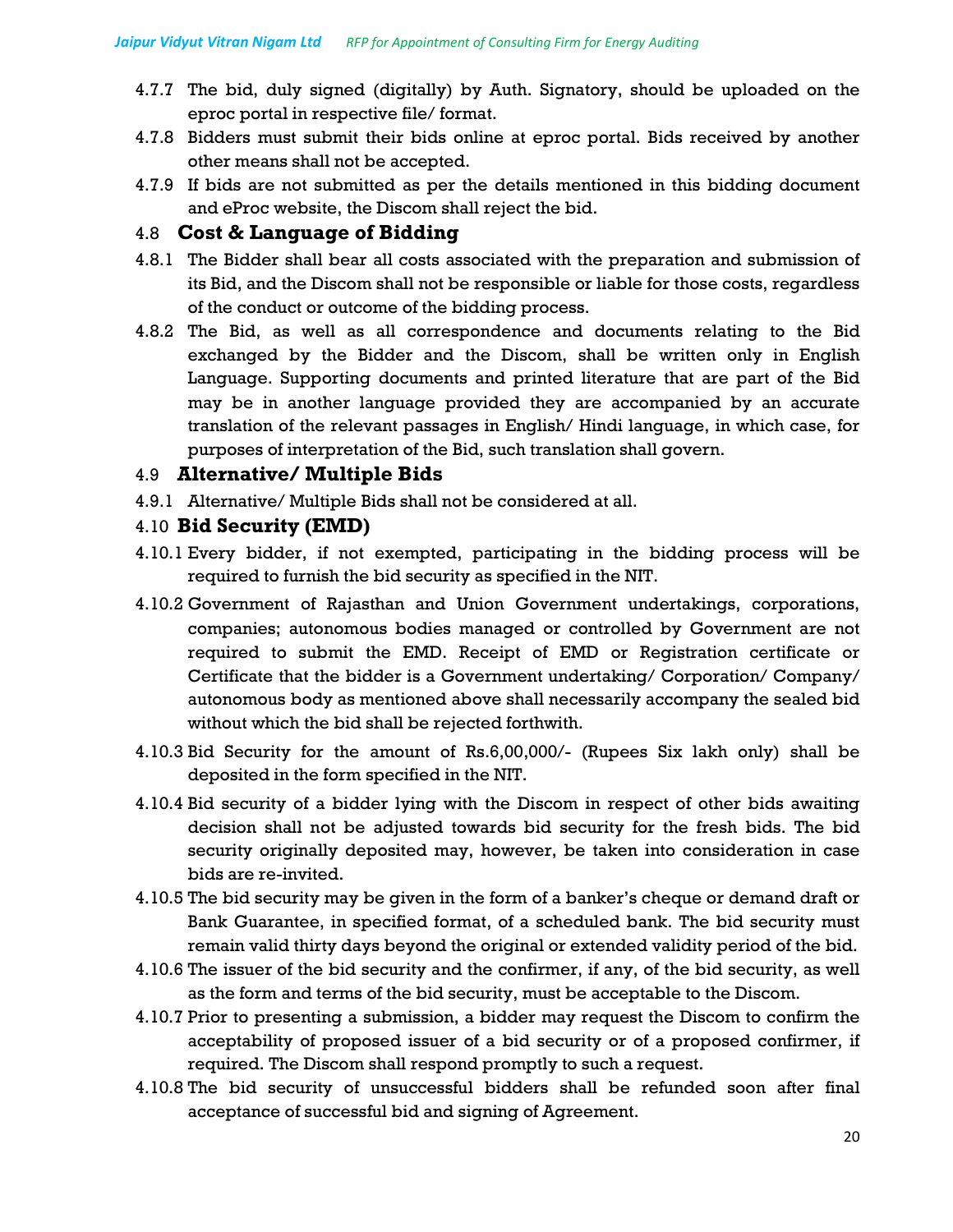- 4.7.7 The bid, duly signed (digitally) by Auth. Signatory, should be uploaded on the eproc portal in respective file/ format.
- 4.7.8 Bidders must submit their bids online at eproc portal. Bids received by another other means shall not be accepted.
- 4.7.9 If bids are not submitted as per the details mentioned in this bidding document and eProc website, the Discom shall reject the bid.

### 4.8 **Cost & Language of Bidding**

- 4.8.1 The Bidder shall bear all costs associated with the preparation and submission of its Bid, and the Discom shall not be responsible or liable for those costs, regardless of the conduct or outcome of the bidding process.
- 4.8.2 The Bid, as well as all correspondence and documents relating to the Bid exchanged by the Bidder and the Discom, shall be written only in English Language. Supporting documents and printed literature that are part of the Bid may be in another language provided they are accompanied by an accurate translation of the relevant passages in English/ Hindi language, in which case, for purposes of interpretation of the Bid, such translation shall govern.

## 4.9 **Alternative/ Multiple Bids**

4.9.1 Alternative/ Multiple Bids shall not be considered at all.

#### 4.10 **Bid Security (EMD)**

- 4.10.1 Every bidder, if not exempted, participating in the bidding process will be required to furnish the bid security as specified in the NIT.
- 4.10.2 Government of Rajasthan and Union Government undertakings, corporations, companies; autonomous bodies managed or controlled by Government are not required to submit the EMD. Receipt of EMD or Registration certificate or Certificate that the bidder is a Government undertaking/ Corporation/ Company/ autonomous body as mentioned above shall necessarily accompany the sealed bid without which the bid shall be rejected forthwith.
- 4.10.3 Bid Security for the amount of Rs.6,00,000/- (Rupees Six lakh only) shall be deposited in the form specified in the NIT.
- 4.10.4 Bid security of a bidder lying with the Discom in respect of other bids awaiting decision shall not be adjusted towards bid security for the fresh bids. The bid security originally deposited may, however, be taken into consideration in case bids are re-invited.
- 4.10.5 The bid security may be given in the form of a banker's cheque or demand draft or Bank Guarantee, in specified format, of a scheduled bank. The bid security must remain valid thirty days beyond the original or extended validity period of the bid.
- 4.10.6 The issuer of the bid security and the confirmer, if any, of the bid security, as well as the form and terms of the bid security, must be acceptable to the Discom.
- 4.10.7 Prior to presenting a submission, a bidder may request the Discom to confirm the acceptability of proposed issuer of a bid security or of a proposed confirmer, if required. The Discom shall respond promptly to such a request.
- 4.10.8 The bid security of unsuccessful bidders shall be refunded soon after final acceptance of successful bid and signing of Agreement.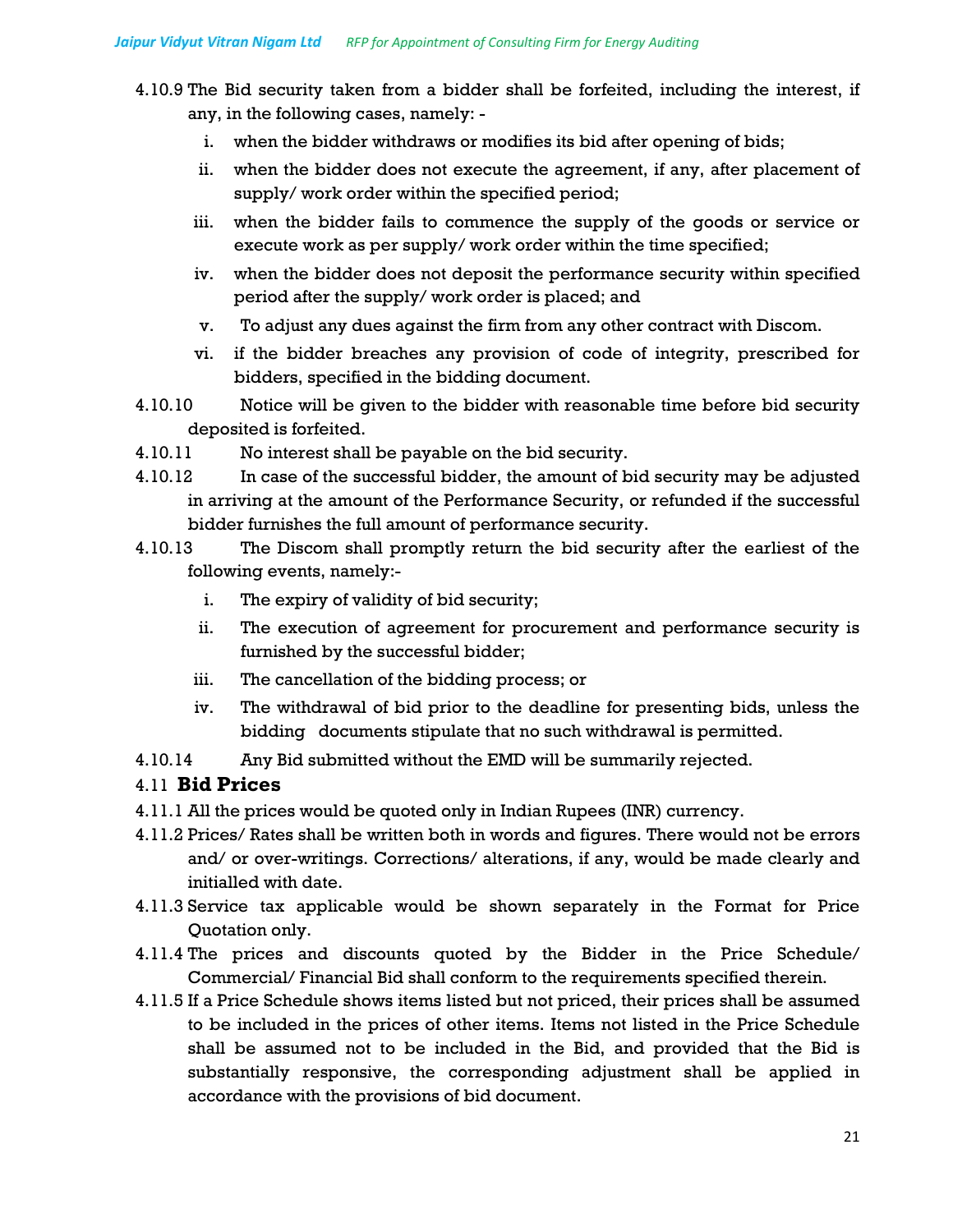- 4.10.9 The Bid security taken from a bidder shall be forfeited, including the interest, if any, in the following cases, namely:
	- i. when the bidder withdraws or modifies its bid after opening of bids;
	- ii. when the bidder does not execute the agreement, if any, after placement of supply/ work order within the specified period;
	- iii. when the bidder fails to commence the supply of the goods or service or execute work as per supply/ work order within the time specified;
	- iv. when the bidder does not deposit the performance security within specified period after the supply/ work order is placed; and
	- v. To adjust any dues against the firm from any other contract with Discom.
	- vi. if the bidder breaches any provision of code of integrity, prescribed for bidders, specified in the bidding document.
- 4.10.10 Notice will be given to the bidder with reasonable time before bid security deposited is forfeited.
- 4.10.11 No interest shall be payable on the bid security.
- 4.10.12 In case of the successful bidder, the amount of bid security may be adjusted in arriving at the amount of the Performance Security, or refunded if the successful bidder furnishes the full amount of performance security.
- 4.10.13 The Discom shall promptly return the bid security after the earliest of the following events, namely:
	- i. The expiry of validity of bid security;
	- ii. The execution of agreement for procurement and performance security is furnished by the successful bidder;
	- iii. The cancellation of the bidding process; or
	- iv. The withdrawal of bid prior to the deadline for presenting bids, unless the bidding documents stipulate that no such withdrawal is permitted.
- 4.10.14 Any Bid submitted without the EMD will be summarily rejected.

#### 4.11 **Bid Prices**

- 4.11.1 All the prices would be quoted only in Indian Rupees (INR) currency.
- 4.11.2 Prices/ Rates shall be written both in words and figures. There would not be errors and/ or over-writings. Corrections/ alterations, if any, would be made clearly and initialled with date.
- 4.11.3 Service tax applicable would be shown separately in the Format for Price Quotation only.
- 4.11.4 The prices and discounts quoted by the Bidder in the Price Schedule/ Commercial/ Financial Bid shall conform to the requirements specified therein.
- 4.11.5 If a Price Schedule shows items listed but not priced, their prices shall be assumed to be included in the prices of other items. Items not listed in the Price Schedule shall be assumed not to be included in the Bid, and provided that the Bid is substantially responsive, the corresponding adjustment shall be applied in accordance with the provisions of bid document.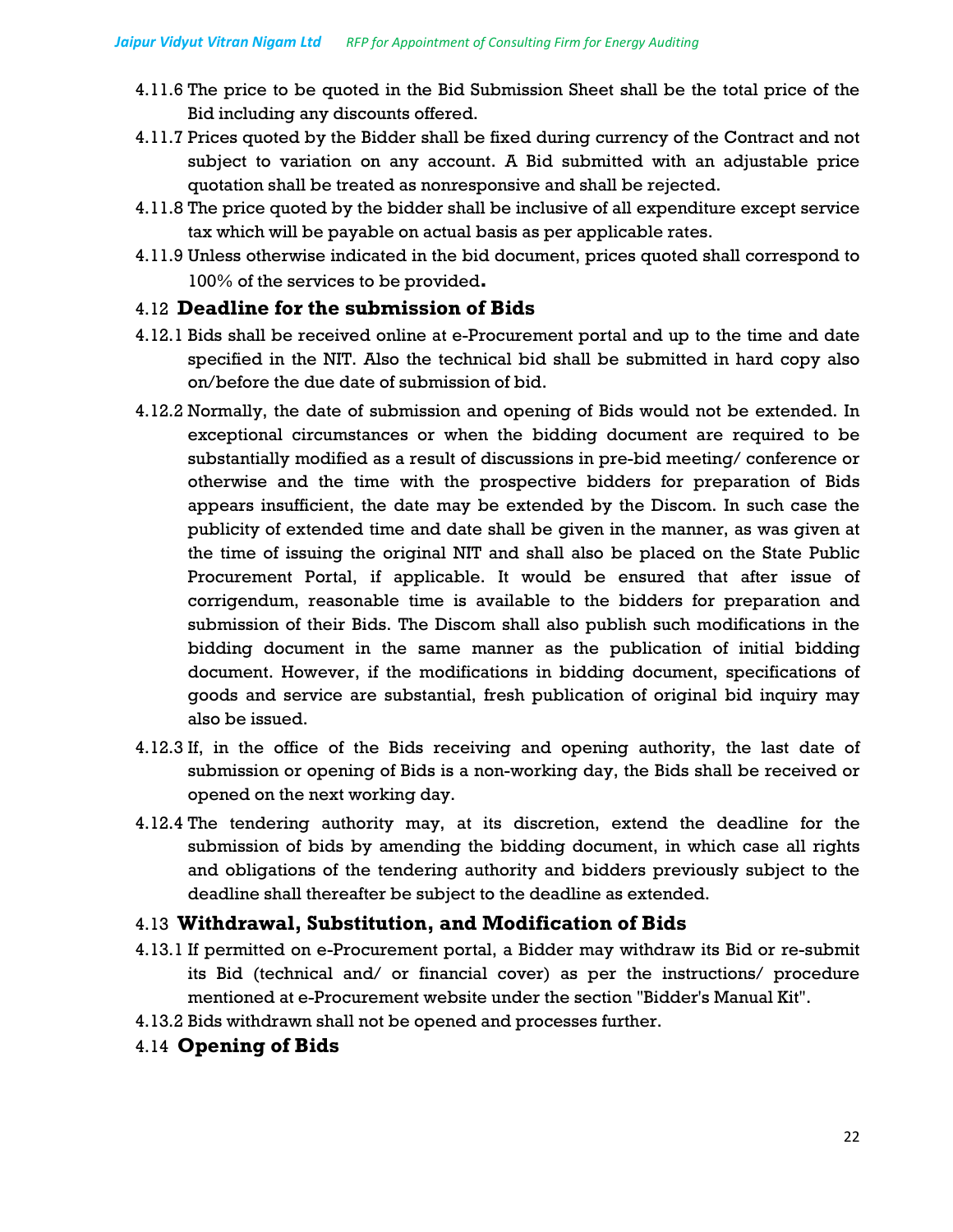- 4.11.6 The price to be quoted in the Bid Submission Sheet shall be the total price of the Bid including any discounts offered.
- 4.11.7 Prices quoted by the Bidder shall be fixed during currency of the Contract and not subject to variation on any account. A Bid submitted with an adjustable price quotation shall be treated as nonresponsive and shall be rejected.
- 4.11.8 The price quoted by the bidder shall be inclusive of all expenditure except service tax which will be payable on actual basis as per applicable rates.
- 4.11.9 Unless otherwise indicated in the bid document, prices quoted shall correspond to 100% of the services to be provided**.**

## 4.12 **Deadline for the submission of Bids**

- 4.12.1 Bids shall be received online at e-Procurement portal and up to the time and date specified in the NIT. Also the technical bid shall be submitted in hard copy also on/before the due date of submission of bid.
- 4.12.2 Normally, the date of submission and opening of Bids would not be extended. In exceptional circumstances or when the bidding document are required to be substantially modified as a result of discussions in pre-bid meeting/ conference or otherwise and the time with the prospective bidders for preparation of Bids appears insufficient, the date may be extended by the Discom. In such case the publicity of extended time and date shall be given in the manner, as was given at the time of issuing the original NIT and shall also be placed on the State Public Procurement Portal, if applicable. It would be ensured that after issue of corrigendum, reasonable time is available to the bidders for preparation and submission of their Bids. The Discom shall also publish such modifications in the bidding document in the same manner as the publication of initial bidding document. However, if the modifications in bidding document, specifications of goods and service are substantial, fresh publication of original bid inquiry may also be issued.
- 4.12.3 If, in the office of the Bids receiving and opening authority, the last date of submission or opening of Bids is a non-working day, the Bids shall be received or opened on the next working day.
- 4.12.4 The tendering authority may, at its discretion, extend the deadline for the submission of bids by amending the bidding document, in which case all rights and obligations of the tendering authority and bidders previously subject to the deadline shall thereafter be subject to the deadline as extended.

## 4.13 **Withdrawal, Substitution, and Modification of Bids**

- 4.13.1 If permitted on e-Procurement portal, a Bidder may withdraw its Bid or re-submit its Bid (technical and/ or financial cover) as per the instructions/ procedure mentioned at e-Procurement website under the section "Bidder's Manual Kit".
- 4.13.2 Bids withdrawn shall not be opened and processes further.
- 4.14 **Opening of Bids**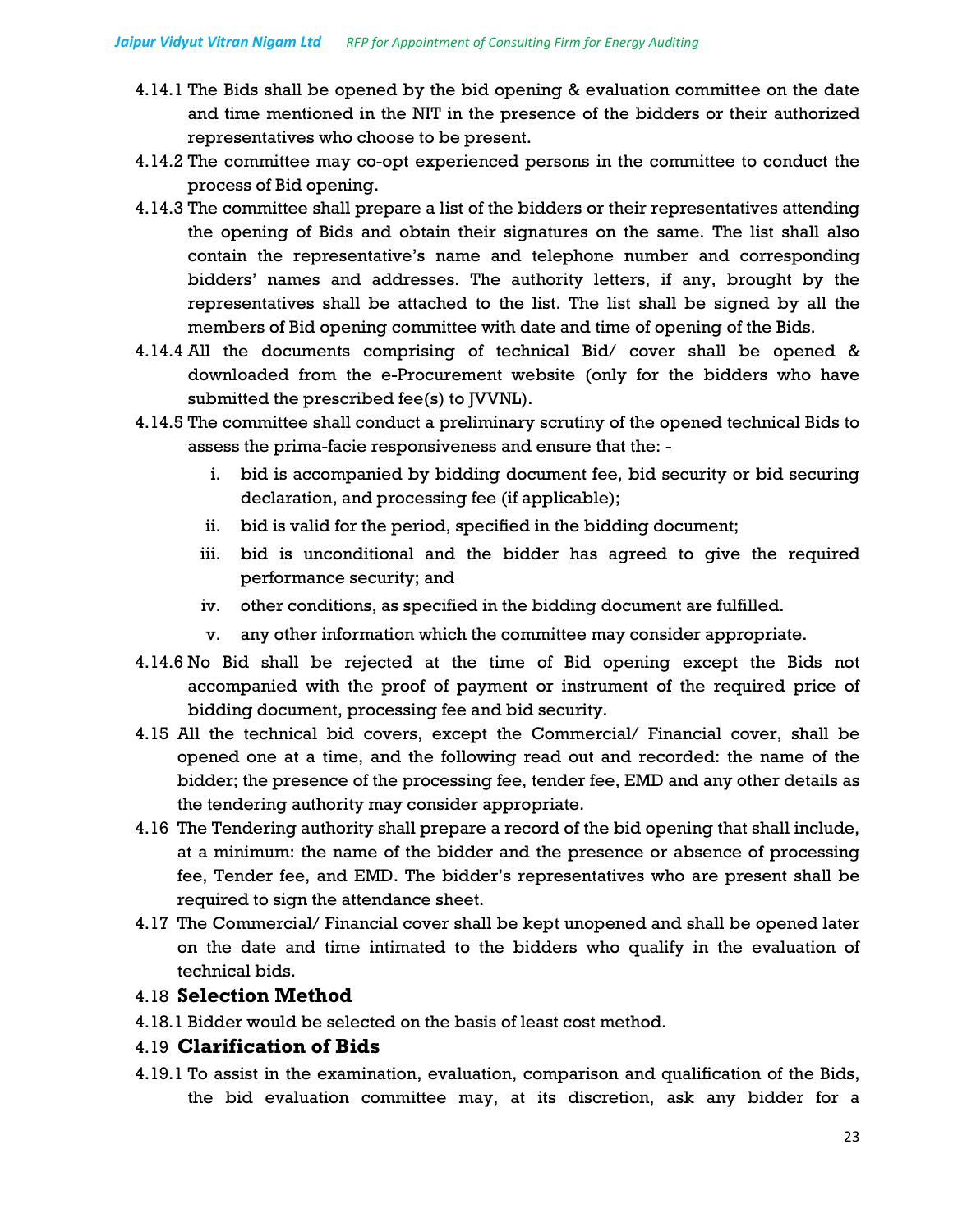- 4.14.1 The Bids shall be opened by the bid opening & evaluation committee on the date and time mentioned in the NIT in the presence of the bidders or their authorized representatives who choose to be present.
- 4.14.2 The committee may co-opt experienced persons in the committee to conduct the process of Bid opening.
- 4.14.3 The committee shall prepare a list of the bidders or their representatives attending the opening of Bids and obtain their signatures on the same. The list shall also contain the representative's name and telephone number and corresponding bidders' names and addresses. The authority letters, if any, brought by the representatives shall be attached to the list. The list shall be signed by all the members of Bid opening committee with date and time of opening of the Bids.
- 4.14.4 All the documents comprising of technical Bid/ cover shall be opened & downloaded from the e-Procurement website (only for the bidders who have submitted the prescribed fee(s) to JVVNL).
- 4.14.5 The committee shall conduct a preliminary scrutiny of the opened technical Bids to assess the prima-facie responsiveness and ensure that the:
	- i. bid is accompanied by bidding document fee, bid security or bid securing declaration, and processing fee (if applicable);
	- ii. bid is valid for the period, specified in the bidding document;
	- iii. bid is unconditional and the bidder has agreed to give the required performance security; and
	- iv. other conditions, as specified in the bidding document are fulfilled.
	- v. any other information which the committee may consider appropriate.
- 4.14.6 No Bid shall be rejected at the time of Bid opening except the Bids not accompanied with the proof of payment or instrument of the required price of bidding document, processing fee and bid security.
- 4.15 All the technical bid covers, except the Commercial/ Financial cover, shall be opened one at a time, and the following read out and recorded: the name of the bidder; the presence of the processing fee, tender fee, EMD and any other details as the tendering authority may consider appropriate.
- 4.16 The Tendering authority shall prepare a record of the bid opening that shall include, at a minimum: the name of the bidder and the presence or absence of processing fee, Tender fee, and EMD. The bidder's representatives who are present shall be required to sign the attendance sheet.
- 4.17 The Commercial/ Financial cover shall be kept unopened and shall be opened later on the date and time intimated to the bidders who qualify in the evaluation of technical bids.

## 4.18 **Selection Method**

4.18.1 Bidder would be selected on the basis of least cost method.

#### 4.19 **Clarification of Bids**

4.19.1 To assist in the examination, evaluation, comparison and qualification of the Bids, the bid evaluation committee may, at its discretion, ask any bidder for a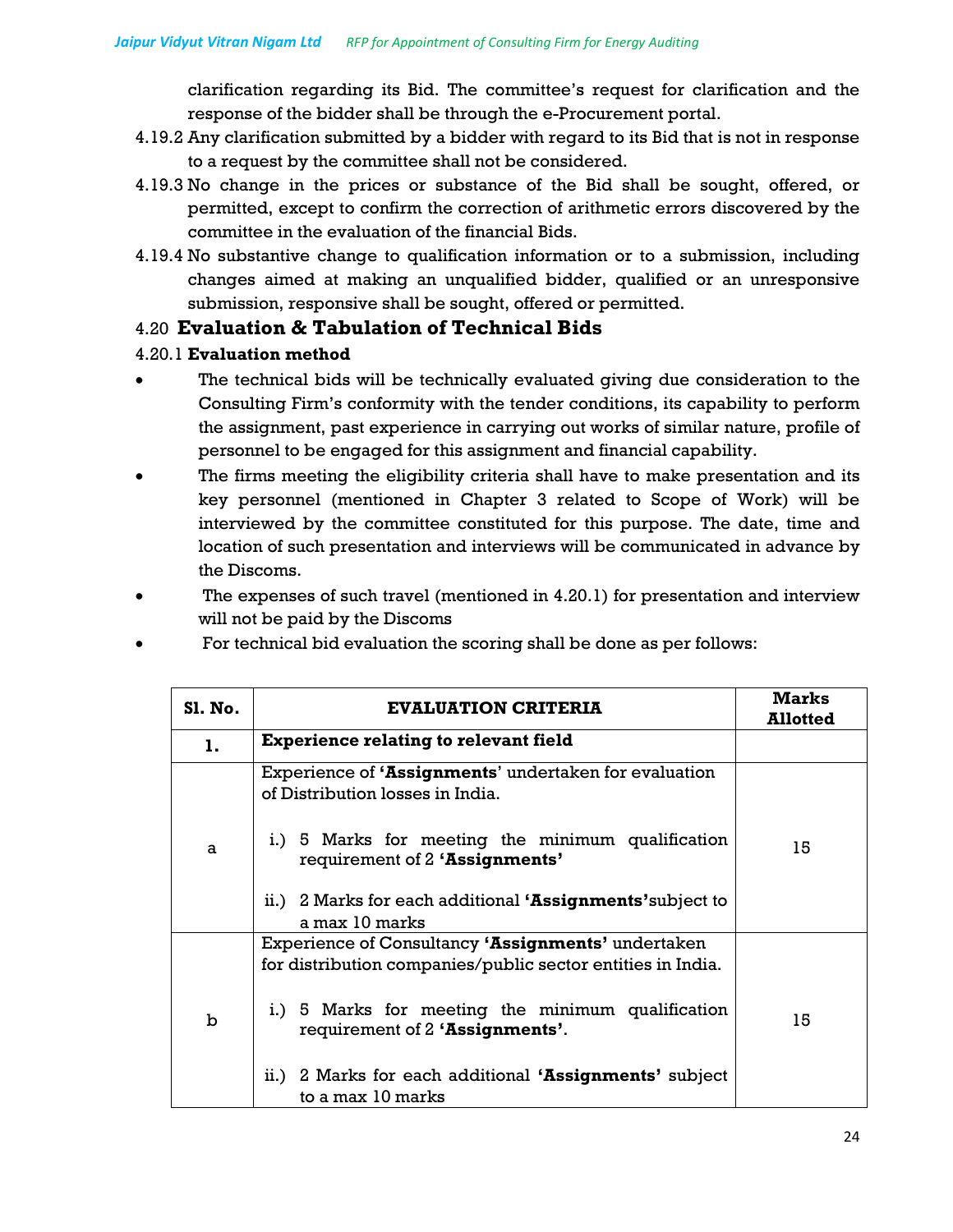clarification regarding its Bid. The committee's request for clarification and the response of the bidder shall be through the e-Procurement portal.

- 4.19.2 Any clarification submitted by a bidder with regard to its Bid that is not in response to a request by the committee shall not be considered.
- 4.19.3 No change in the prices or substance of the Bid shall be sought, offered, or permitted, except to confirm the correction of arithmetic errors discovered by the committee in the evaluation of the financial Bids.
- 4.19.4 No substantive change to qualification information or to a submission, including changes aimed at making an unqualified bidder, qualified or an unresponsive submission, responsive shall be sought, offered or permitted.

## 4.20 **Evaluation & Tabulation of Technical Bids**

#### 4.20.1 **Evaluation method**

- The technical bids will be technically evaluated giving due consideration to the Consulting Firm's conformity with the tender conditions, its capability to perform the assignment, past experience in carrying out works of similar nature, profile of personnel to be engaged for this assignment and financial capability.
- The firms meeting the eligibility criteria shall have to make presentation and its key personnel (mentioned in Chapter 3 related to Scope of Work) will be interviewed by the committee constituted for this purpose. The date, time and location of such presentation and interviews will be communicated in advance by the Discoms.
- The expenses of such travel (mentioned in 4.20.1) for presentation and interview will not be paid by the Discoms
- For technical bid evaluation the scoring shall be done as per follows:

| <b>S1. No.</b> | <b>EVALUATION CRITERIA</b>                                                                                        | Marks<br><b>Allotted</b> |
|----------------|-------------------------------------------------------------------------------------------------------------------|--------------------------|
| 1.             | <b>Experience relating to relevant field</b>                                                                      |                          |
|                | Experience of 'Assignments' undertaken for evaluation<br>of Distribution losses in India.                         |                          |
| a              | i.) 5 Marks for meeting the minimum qualification<br>requirement of 2 'Assignments'                               | 15                       |
|                | ii.) 2 Marks for each additional 'Assignments' subject to<br>a max 10 marks                                       |                          |
|                | Experience of Consultancy 'Assignments' undertaken<br>for distribution companies/public sector entities in India. |                          |
| $\mathbf b$    | i.) 5 Marks for meeting the minimum qualification<br>requirement of 2 'Assignments'.                              | 15                       |
|                | ii.) 2 Marks for each additional 'Assignments' subject<br>to a max 10 marks                                       |                          |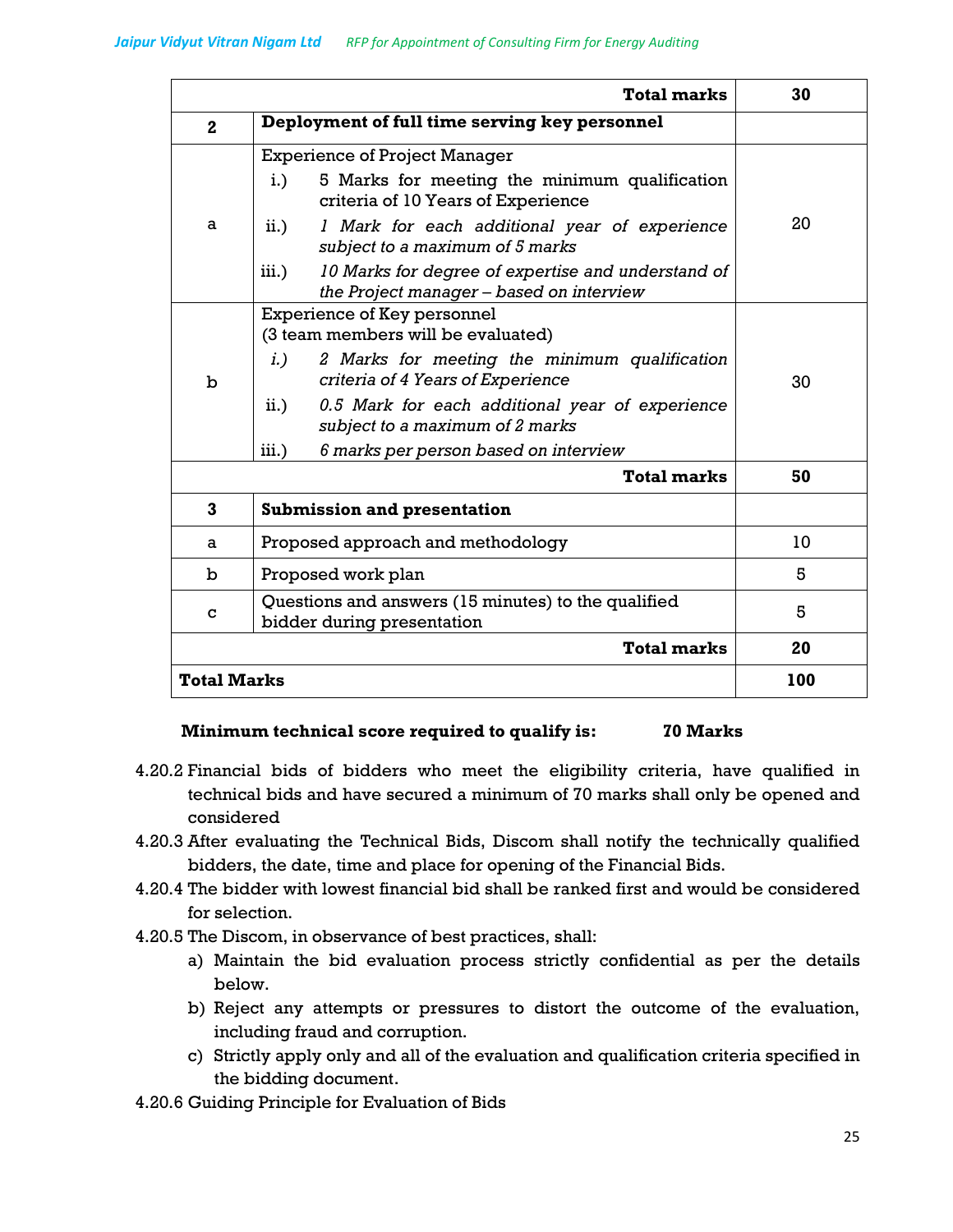|                    | Total marks                                                                                             | 30  |
|--------------------|---------------------------------------------------------------------------------------------------------|-----|
| $\mathbf{2}$       | Deployment of full time serving key personnel                                                           |     |
|                    | <b>Experience of Project Manager</b>                                                                    |     |
|                    | 5 Marks for meeting the minimum qualification<br>$i$ .<br>criteria of 10 Years of Experience            |     |
| a                  | $\mathbf{ii.}$ )<br>1 Mark for each additional year of experience<br>subject to a maximum of 5 marks    | 20  |
|                    | iii.)<br>10 Marks for degree of expertise and understand of<br>the Project manager - based on interview |     |
|                    | Experience of Key personnel                                                                             |     |
|                    | (3 team members will be evaluated)                                                                      |     |
|                    | 2 Marks for meeting the minimum qualification<br>$i.$ )                                                 |     |
| b                  | criteria of 4 Years of Experience                                                                       | 30  |
|                    | 0.5 Mark for each additional year of experience<br>$\mathbf{ii.}$ )<br>subject to a maximum of 2 marks  |     |
|                    | 6 marks per person based on interview<br>iii.)                                                          |     |
|                    | <b>Total marks</b>                                                                                      | 50  |
| $\mathbf{3}$       | <b>Submission and presentation</b>                                                                      |     |
| a                  | Proposed approach and methodology                                                                       | 10  |
| b                  | Proposed work plan                                                                                      | 5   |
| C                  | Questions and answers (15 minutes) to the qualified<br>bidder during presentation                       | 5   |
|                    | <b>Total marks</b>                                                                                      | 20  |
| <b>Total Marks</b> |                                                                                                         | 100 |

# **Minimum technical score required to qualify is: 70 Marks**

- 4.20.2 Financial bids of bidders who meet the eligibility criteria, have qualified in technical bids and have secured a minimum of 70 marks shall only be opened and considered
- 4.20.3 After evaluating the Technical Bids, Discom shall notify the technically qualified bidders, the date, time and place for opening of the Financial Bids.
- 4.20.4 The bidder with lowest financial bid shall be ranked first and would be considered for selection.
- 4.20.5 The Discom, in observance of best practices, shall:
	- a) Maintain the bid evaluation process strictly confidential as per the details below.
	- b) Reject any attempts or pressures to distort the outcome of the evaluation, including fraud and corruption.
	- c) Strictly apply only and all of the evaluation and qualification criteria specified in the bidding document.
- 4.20.6 Guiding Principle for Evaluation of Bids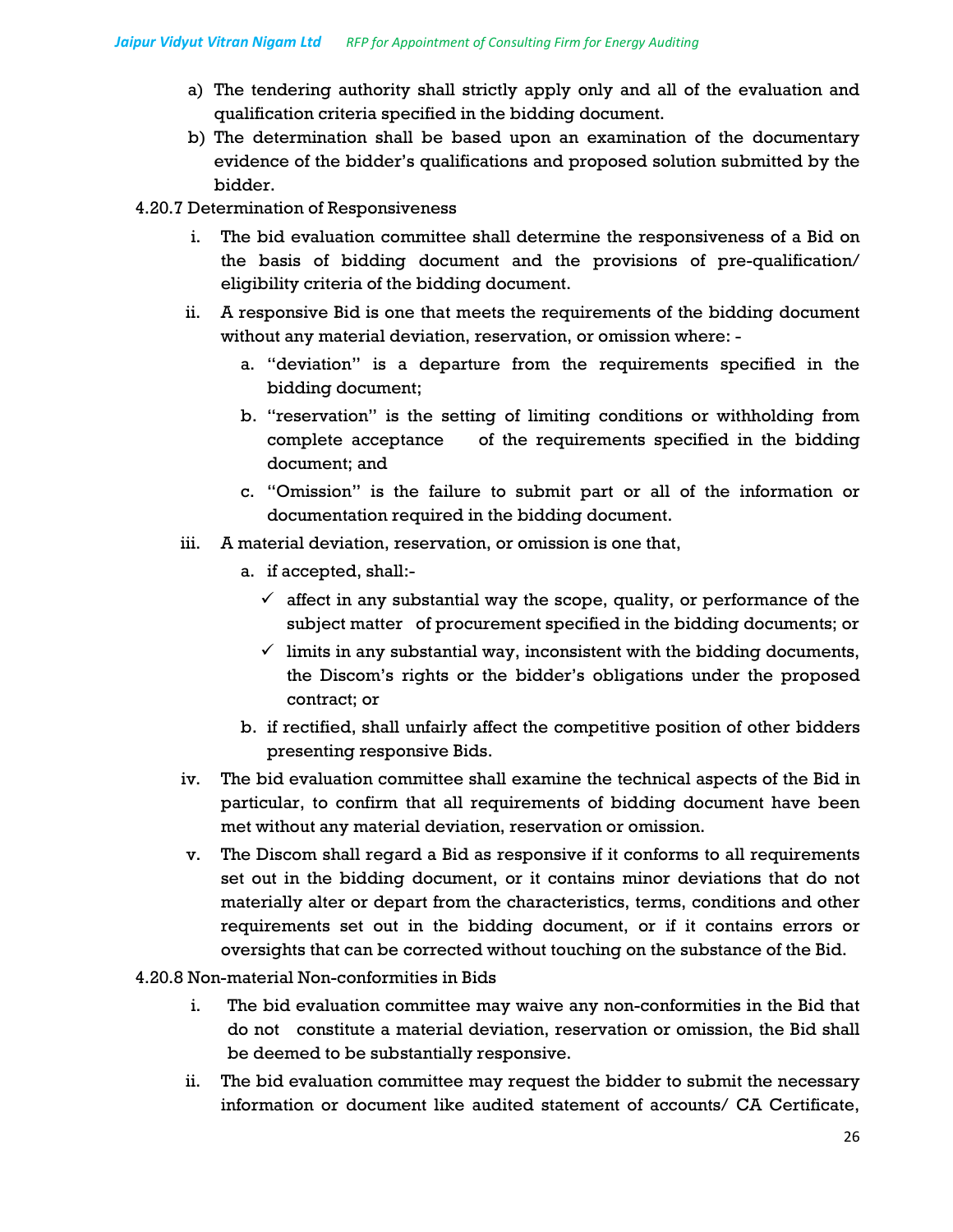- a) The tendering authority shall strictly apply only and all of the evaluation and qualification criteria specified in the bidding document.
- b) The determination shall be based upon an examination of the documentary evidence of the bidder's qualifications and proposed solution submitted by the bidder.
- 4.20.7 Determination of Responsiveness
	- i. The bid evaluation committee shall determine the responsiveness of a Bid on the basis of bidding document and the provisions of pre-qualification/ eligibility criteria of the bidding document.
	- ii. A responsive Bid is one that meets the requirements of the bidding document without any material deviation, reservation, or omission where:
		- a. "deviation" is a departure from the requirements specified in the bidding document;
		- b. "reservation" is the setting of limiting conditions or withholding from complete acceptance of the requirements specified in the bidding document; and
		- c. "Omission" is the failure to submit part or all of the information or documentation required in the bidding document.
	- iii. A material deviation, reservation, or omission is one that,
		- a. if accepted, shall:-
			- $\checkmark$  affect in any substantial way the scope, quality, or performance of the subject matter of procurement specified in the bidding documents; or
			- $\checkmark$  limits in any substantial way, inconsistent with the bidding documents, the Discom's rights or the bidder's obligations under the proposed contract; or
		- b. if rectified, shall unfairly affect the competitive position of other bidders presenting responsive Bids.
	- iv. The bid evaluation committee shall examine the technical aspects of the Bid in particular, to confirm that all requirements of bidding document have been met without any material deviation, reservation or omission.
	- v. The Discom shall regard a Bid as responsive if it conforms to all requirements set out in the bidding document, or it contains minor deviations that do not materially alter or depart from the characteristics, terms, conditions and other requirements set out in the bidding document, or if it contains errors or oversights that can be corrected without touching on the substance of the Bid.
- 4.20.8 Non-material Non-conformities in Bids
	- i. The bid evaluation committee may waive any non-conformities in the Bid that do not constitute a material deviation, reservation or omission, the Bid shall be deemed to be substantially responsive.
	- ii. The bid evaluation committee may request the bidder to submit the necessary information or document like audited statement of accounts/ CA Certificate,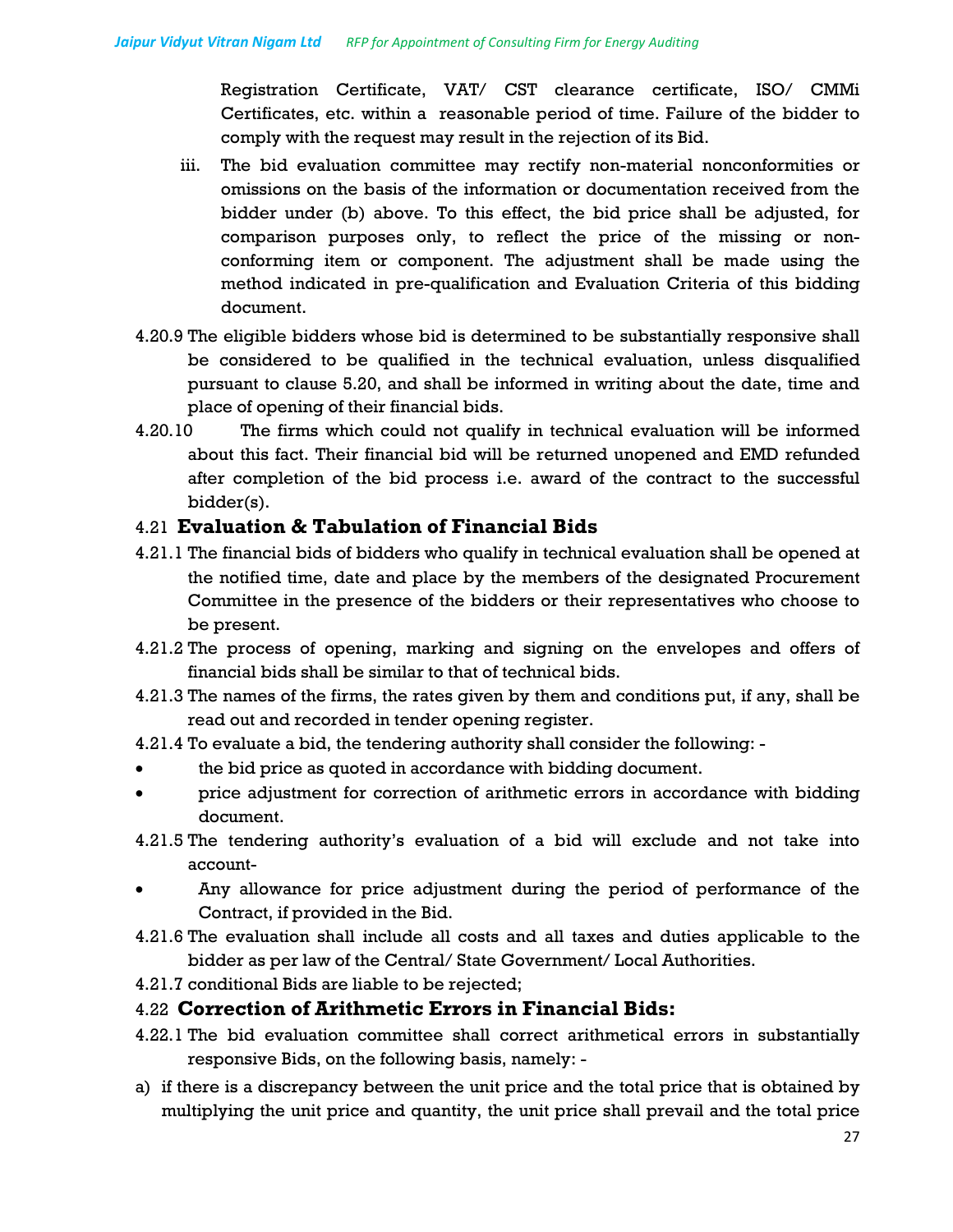Registration Certificate, VAT/ CST clearance certificate, ISO/ CMMi Certificates, etc. within a reasonable period of time. Failure of the bidder to comply with the request may result in the rejection of its Bid.

- iii. The bid evaluation committee may rectify non-material nonconformities or omissions on the basis of the information or documentation received from the bidder under (b) above. To this effect, the bid price shall be adjusted, for comparison purposes only, to reflect the price of the missing or nonconforming item or component. The adjustment shall be made using the method indicated in pre-qualification and Evaluation Criteria of this bidding document.
- 4.20.9 The eligible bidders whose bid is determined to be substantially responsive shall be considered to be qualified in the technical evaluation, unless disqualified pursuant to clause 5.20, and shall be informed in writing about the date, time and place of opening of their financial bids.
- 4.20.10 The firms which could not qualify in technical evaluation will be informed about this fact. Their financial bid will be returned unopened and EMD refunded after completion of the bid process i.e. award of the contract to the successful bidder(s).

## 4.21 **Evaluation & Tabulation of Financial Bids**

- 4.21.1 The financial bids of bidders who qualify in technical evaluation shall be opened at the notified time, date and place by the members of the designated Procurement Committee in the presence of the bidders or their representatives who choose to be present.
- 4.21.2 The process of opening, marking and signing on the envelopes and offers of financial bids shall be similar to that of technical bids.
- 4.21.3 The names of the firms, the rates given by them and conditions put, if any, shall be read out and recorded in tender opening register.
- 4.21.4 To evaluate a bid, the tendering authority shall consider the following: -
- the bid price as quoted in accordance with bidding document.
- price adjustment for correction of arithmetic errors in accordance with bidding document.
- 4.21.5 The tendering authority's evaluation of a bid will exclude and not take into account-
- Any allowance for price adjustment during the period of performance of the Contract, if provided in the Bid.
- 4.21.6 The evaluation shall include all costs and all taxes and duties applicable to the bidder as per law of the Central/ State Government/ Local Authorities.
- 4.21.7 conditional Bids are liable to be rejected;

## 4.22 **Correction of Arithmetic Errors in Financial Bids:**

- 4.22.1 The bid evaluation committee shall correct arithmetical errors in substantially responsive Bids, on the following basis, namely: -
- a) if there is a discrepancy between the unit price and the total price that is obtained by multiplying the unit price and quantity, the unit price shall prevail and the total price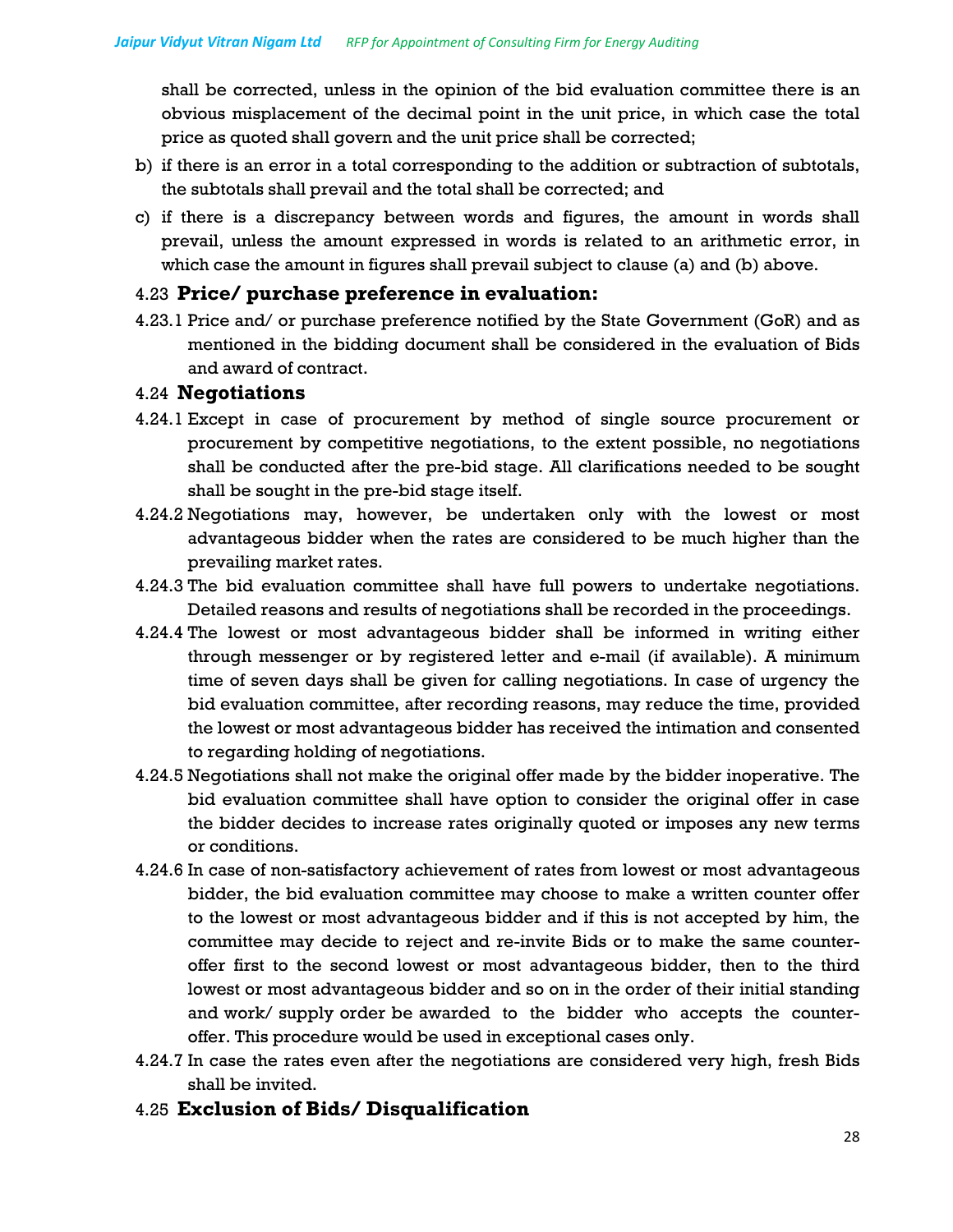shall be corrected, unless in the opinion of the bid evaluation committee there is an obvious misplacement of the decimal point in the unit price, in which case the total price as quoted shall govern and the unit price shall be corrected;

- b) if there is an error in a total corresponding to the addition or subtraction of subtotals, the subtotals shall prevail and the total shall be corrected; and
- c) if there is a discrepancy between words and figures, the amount in words shall prevail, unless the amount expressed in words is related to an arithmetic error, in which case the amount in figures shall prevail subject to clause (a) and (b) above.

## 4.23 **Price/ purchase preference in evaluation:**

4.23.1 Price and/ or purchase preference notified by the State Government (GoR) and as mentioned in the bidding document shall be considered in the evaluation of Bids and award of contract.

#### 4.24 **Negotiations**

- 4.24.1 Except in case of procurement by method of single source procurement or procurement by competitive negotiations, to the extent possible, no negotiations shall be conducted after the pre-bid stage. All clarifications needed to be sought shall be sought in the pre-bid stage itself.
- 4.24.2 Negotiations may, however, be undertaken only with the lowest or most advantageous bidder when the rates are considered to be much higher than the prevailing market rates.
- 4.24.3 The bid evaluation committee shall have full powers to undertake negotiations. Detailed reasons and results of negotiations shall be recorded in the proceedings.
- 4.24.4 The lowest or most advantageous bidder shall be informed in writing either through messenger or by registered letter and e-mail (if available). A minimum time of seven days shall be given for calling negotiations. In case of urgency the bid evaluation committee, after recording reasons, may reduce the time, provided the lowest or most advantageous bidder has received the intimation and consented to regarding holding of negotiations.
- 4.24.5 Negotiations shall not make the original offer made by the bidder inoperative. The bid evaluation committee shall have option to consider the original offer in case the bidder decides to increase rates originally quoted or imposes any new terms or conditions.
- 4.24.6 In case of non-satisfactory achievement of rates from lowest or most advantageous bidder, the bid evaluation committee may choose to make a written counter offer to the lowest or most advantageous bidder and if this is not accepted by him, the committee may decide to reject and re-invite Bids or to make the same counteroffer first to the second lowest or most advantageous bidder, then to the third lowest or most advantageous bidder and so on in the order of their initial standing and work/ supply order be awarded to the bidder who accepts the counteroffer. This procedure would be used in exceptional cases only.
- 4.24.7 In case the rates even after the negotiations are considered very high, fresh Bids shall be invited.
- 4.25 **Exclusion of Bids/ Disqualification**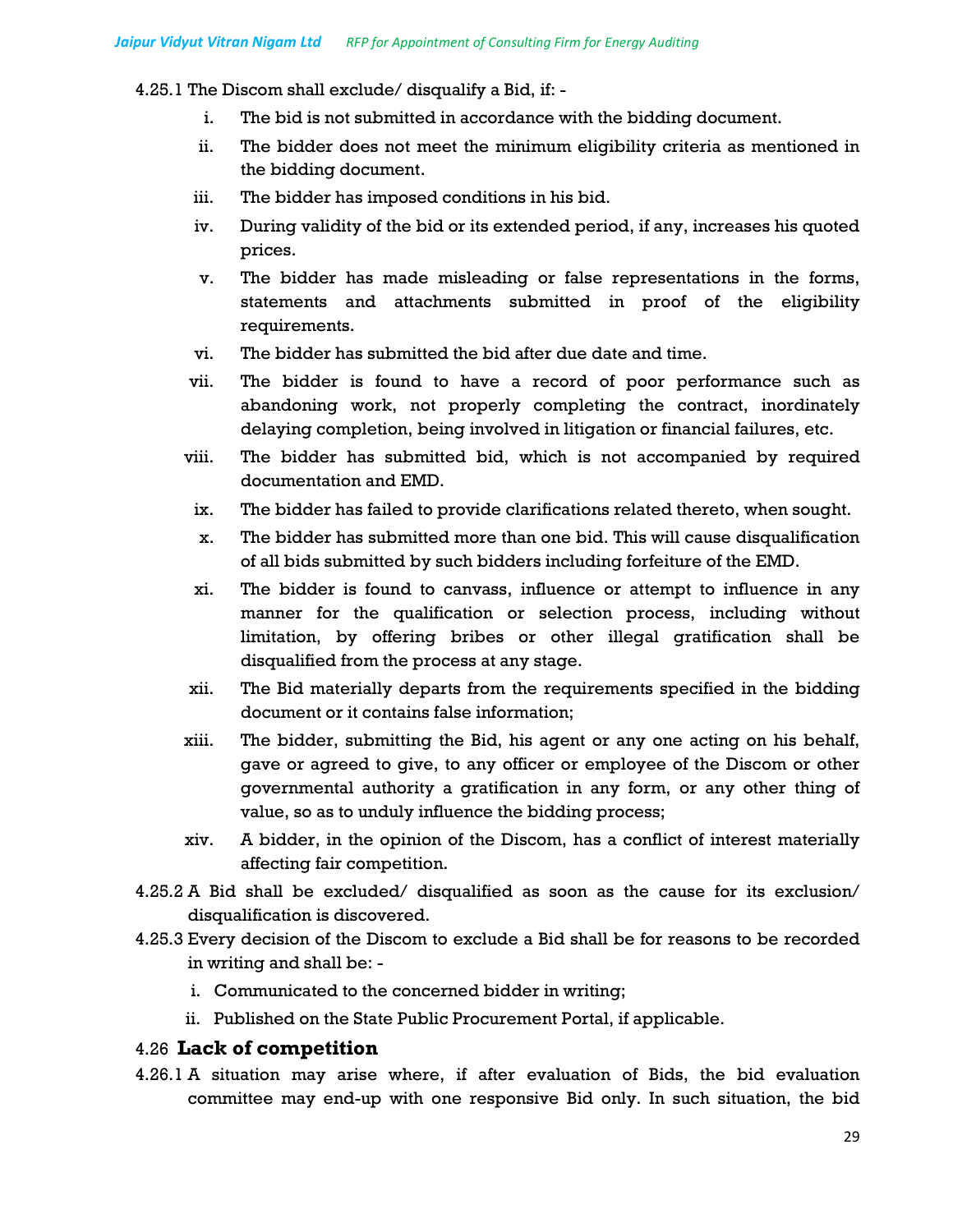4.25.1 The Discom shall exclude/ disqualify a Bid, if: -

- i. The bid is not submitted in accordance with the bidding document.
- ii. The bidder does not meet the minimum eligibility criteria as mentioned in the bidding document.
- iii. The bidder has imposed conditions in his bid.
- iv. During validity of the bid or its extended period, if any, increases his quoted prices.
- v. The bidder has made misleading or false representations in the forms, statements and attachments submitted in proof of the eligibility requirements.
- vi. The bidder has submitted the bid after due date and time.
- vii. The bidder is found to have a record of poor performance such as abandoning work, not properly completing the contract, inordinately delaying completion, being involved in litigation or financial failures, etc.
- viii. The bidder has submitted bid, which is not accompanied by required documentation and EMD.
- ix. The bidder has failed to provide clarifications related thereto, when sought.
- x. The bidder has submitted more than one bid. This will cause disqualification of all bids submitted by such bidders including forfeiture of the EMD.
- xi. The bidder is found to canvass, influence or attempt to influence in any manner for the qualification or selection process, including without limitation, by offering bribes or other illegal gratification shall be disqualified from the process at any stage.
- xii. The Bid materially departs from the requirements specified in the bidding document or it contains false information;
- xiii. The bidder, submitting the Bid, his agent or any one acting on his behalf, gave or agreed to give, to any officer or employee of the Discom or other governmental authority a gratification in any form, or any other thing of value, so as to unduly influence the bidding process;
- xiv. A bidder, in the opinion of the Discom, has a conflict of interest materially affecting fair competition.
- 4.25.2 A Bid shall be excluded/ disqualified as soon as the cause for its exclusion/ disqualification is discovered.
- 4.25.3 Every decision of the Discom to exclude a Bid shall be for reasons to be recorded in writing and shall be:
	- i. Communicated to the concerned bidder in writing;
	- ii. Published on the State Public Procurement Portal, if applicable.

#### 4.26 **Lack of competition**

4.26.1 A situation may arise where, if after evaluation of Bids, the bid evaluation committee may end-up with one responsive Bid only. In such situation, the bid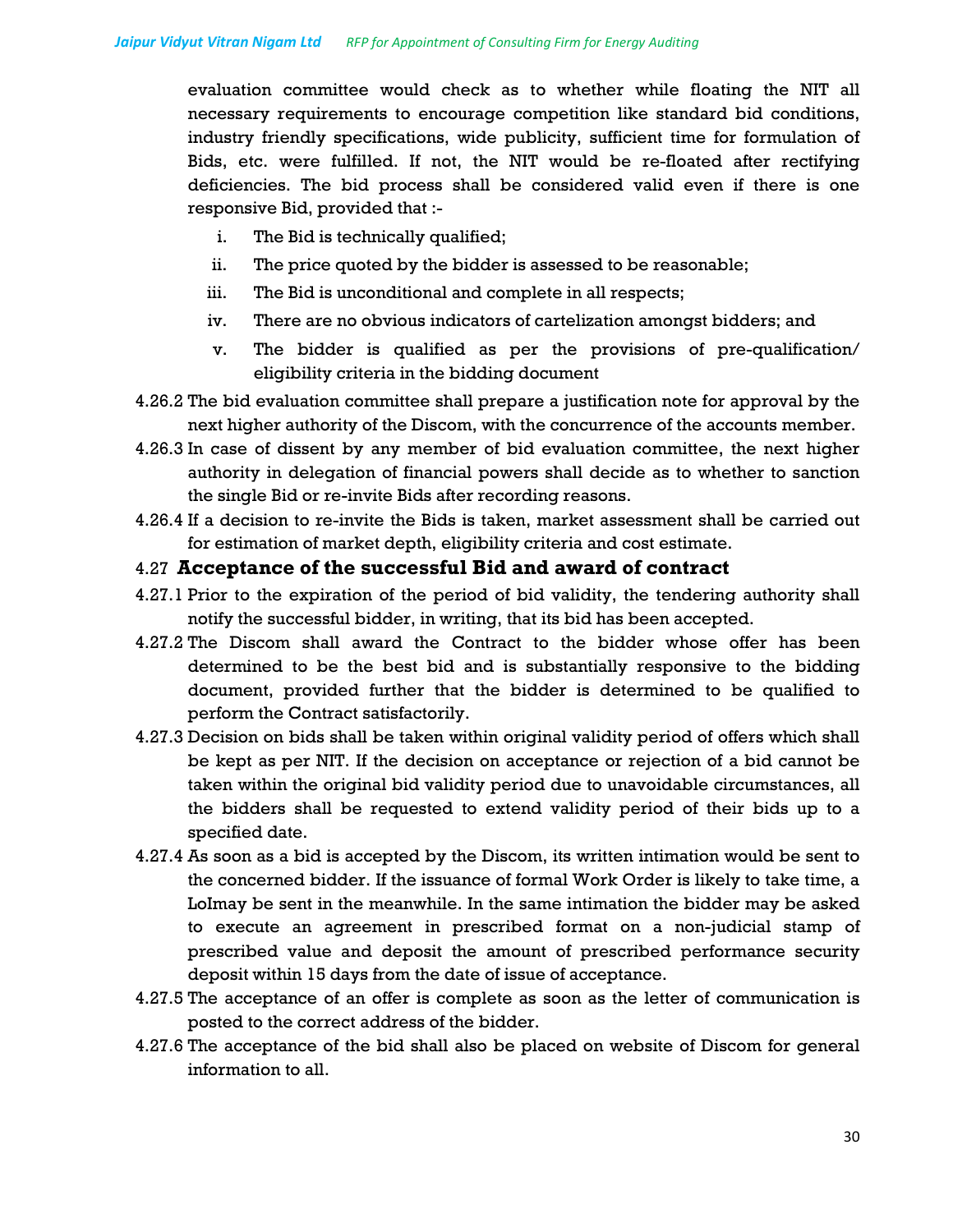evaluation committee would check as to whether while floating the NIT all necessary requirements to encourage competition like standard bid conditions, industry friendly specifications, wide publicity, sufficient time for formulation of Bids, etc. were fulfilled. If not, the NIT would be re-floated after rectifying deficiencies. The bid process shall be considered valid even if there is one responsive Bid, provided that :-

- i. The Bid is technically qualified;
- ii. The price quoted by the bidder is assessed to be reasonable;
- iii. The Bid is unconditional and complete in all respects;
- iv. There are no obvious indicators of cartelization amongst bidders; and
- v. The bidder is qualified as per the provisions of pre-qualification/ eligibility criteria in the bidding document
- 4.26.2 The bid evaluation committee shall prepare a justification note for approval by the next higher authority of the Discom, with the concurrence of the accounts member.
- 4.26.3 In case of dissent by any member of bid evaluation committee, the next higher authority in delegation of financial powers shall decide as to whether to sanction the single Bid or re-invite Bids after recording reasons.
- 4.26.4 If a decision to re-invite the Bids is taken, market assessment shall be carried out for estimation of market depth, eligibility criteria and cost estimate.

#### 4.27 **Acceptance of the successful Bid and award of contract**

- 4.27.1 Prior to the expiration of the period of bid validity, the tendering authority shall notify the successful bidder, in writing, that its bid has been accepted.
- 4.27.2 The Discom shall award the Contract to the bidder whose offer has been determined to be the best bid and is substantially responsive to the bidding document, provided further that the bidder is determined to be qualified to perform the Contract satisfactorily.
- 4.27.3 Decision on bids shall be taken within original validity period of offers which shall be kept as per NIT. If the decision on acceptance or rejection of a bid cannot be taken within the original bid validity period due to unavoidable circumstances, all the bidders shall be requested to extend validity period of their bids up to a specified date.
- 4.27.4 As soon as a bid is accepted by the Discom, its written intimation would be sent to the concerned bidder. If the issuance of formal Work Order is likely to take time, a LoImay be sent in the meanwhile. In the same intimation the bidder may be asked to execute an agreement in prescribed format on a non-judicial stamp of prescribed value and deposit the amount of prescribed performance security deposit within 15 days from the date of issue of acceptance.
- 4.27.5 The acceptance of an offer is complete as soon as the letter of communication is posted to the correct address of the bidder.
- 4.27.6 The acceptance of the bid shall also be placed on website of Discom for general information to all.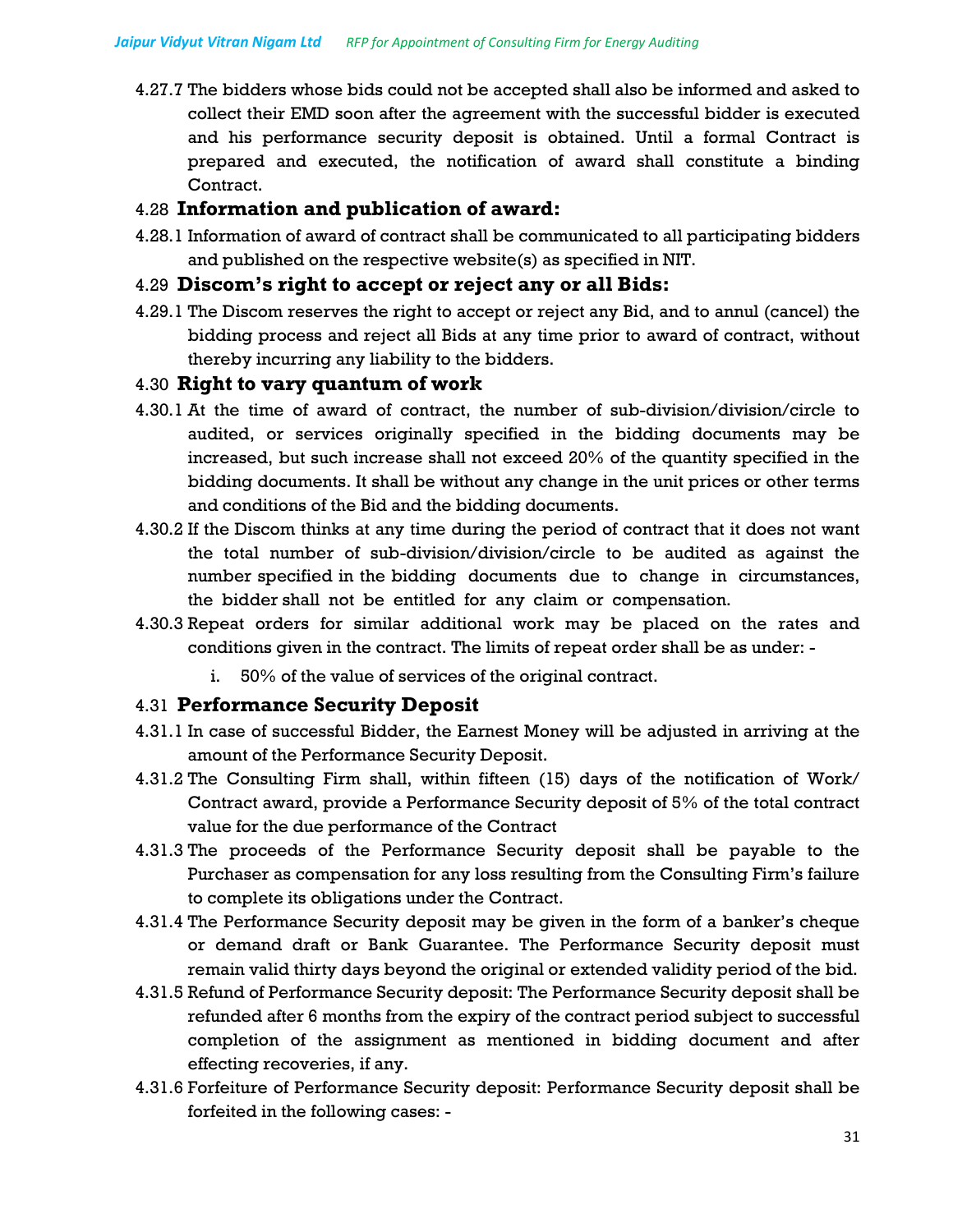4.27.7 The bidders whose bids could not be accepted shall also be informed and asked to collect their EMD soon after the agreement with the successful bidder is executed and his performance security deposit is obtained. Until a formal Contract is prepared and executed, the notification of award shall constitute a binding Contract.

## 4.28 **Information and publication of award:**

4.28.1 Information of award of contract shall be communicated to all participating bidders and published on the respective website(s) as specified in NIT.

## 4.29 **Discom's right to accept or reject any or all Bids:**

4.29.1 The Discom reserves the right to accept or reject any Bid, and to annul (cancel) the bidding process and reject all Bids at any time prior to award of contract, without thereby incurring any liability to the bidders.

## 4.30 **Right to vary quantum of work**

- 4.30.1 At the time of award of contract, the number of sub-division/division/circle to audited, or services originally specified in the bidding documents may be increased, but such increase shall not exceed 20% of the quantity specified in the bidding documents. It shall be without any change in the unit prices or other terms and conditions of the Bid and the bidding documents.
- 4.30.2 If the Discom thinks at any time during the period of contract that it does not want the total number of sub-division/division/circle to be audited as against the number specified in the bidding documents due to change in circumstances, the bidder shall not be entitled for any claim or compensation.
- 4.30.3 Repeat orders for similar additional work may be placed on the rates and conditions given in the contract. The limits of repeat order shall be as under:
	- i. 50% of the value of services of the original contract.

# 4.31 **Performance Security Deposit**

- 4.31.1 In case of successful Bidder, the Earnest Money will be adjusted in arriving at the amount of the Performance Security Deposit.
- 4.31.2 The Consulting Firm shall, within fifteen (15) days of the notification of Work/ Contract award, provide a Performance Security deposit of 5% of the total contract value for the due performance of the Contract
- 4.31.3 The proceeds of the Performance Security deposit shall be payable to the Purchaser as compensation for any loss resulting from the Consulting Firm's failure to complete its obligations under the Contract.
- 4.31.4 The Performance Security deposit may be given in the form of a banker's cheque or demand draft or Bank Guarantee. The Performance Security deposit must remain valid thirty days beyond the original or extended validity period of the bid.
- 4.31.5 Refund of Performance Security deposit: The Performance Security deposit shall be refunded after 6 months from the expiry of the contract period subject to successful completion of the assignment as mentioned in bidding document and after effecting recoveries, if any.
- 4.31.6 Forfeiture of Performance Security deposit: Performance Security deposit shall be forfeited in the following cases: -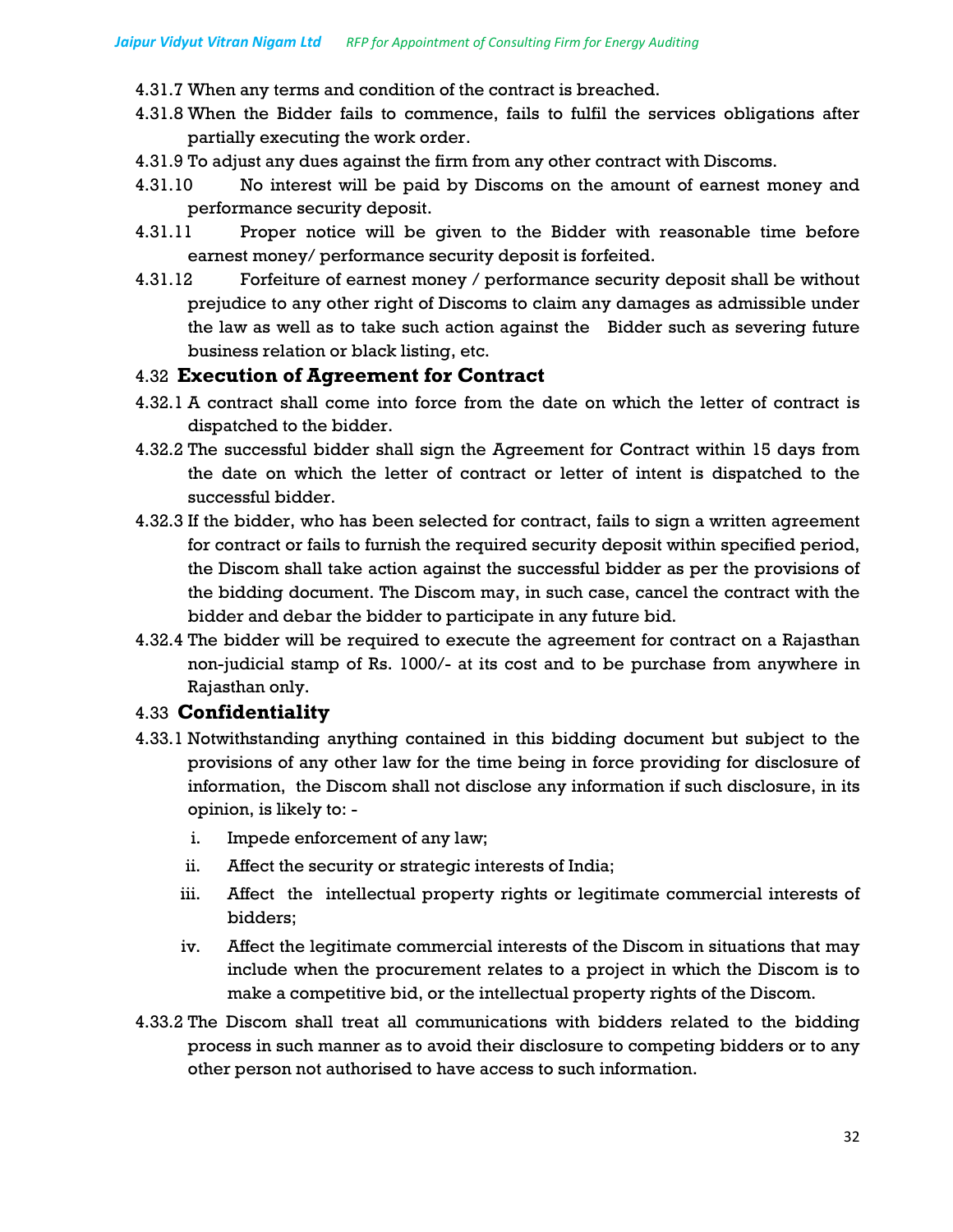4.31.7 When any terms and condition of the contract is breached.

- 4.31.8 When the Bidder fails to commence, fails to fulfil the services obligations after partially executing the work order.
- 4.31.9 To adjust any dues against the firm from any other contract with Discoms.
- 4.31.10 No interest will be paid by Discoms on the amount of earnest money and performance security deposit.
- 4.31.11 Proper notice will be given to the Bidder with reasonable time before earnest money/ performance security deposit is forfeited.
- 4.31.12 Forfeiture of earnest money / performance security deposit shall be without prejudice to any other right of Discoms to claim any damages as admissible under the law as well as to take such action against the Bidder such as severing future business relation or black listing, etc.

#### 4.32 **Execution of Agreement for Contract**

- 4.32.1 A contract shall come into force from the date on which the letter of contract is dispatched to the bidder.
- 4.32.2 The successful bidder shall sign the Agreement for Contract within 15 days from the date on which the letter of contract or letter of intent is dispatched to the successful bidder.
- 4.32.3 If the bidder, who has been selected for contract, fails to sign a written agreement for contract or fails to furnish the required security deposit within specified period, the Discom shall take action against the successful bidder as per the provisions of the bidding document. The Discom may, in such case, cancel the contract with the bidder and debar the bidder to participate in any future bid.
- 4.32.4 The bidder will be required to execute the agreement for contract on a Rajasthan non-judicial stamp of Rs. 1000/- at its cost and to be purchase from anywhere in Rajasthan only.

## 4.33 **Confidentiality**

- 4.33.1 Notwithstanding anything contained in this bidding document but subject to the provisions of any other law for the time being in force providing for disclosure of information, the Discom shall not disclose any information if such disclosure, in its opinion, is likely to:
	- i. Impede enforcement of any law;
	- ii. Affect the security or strategic interests of India;
	- iii. Affect the intellectual property rights or legitimate commercial interests of bidders;
	- iv. Affect the legitimate commercial interests of the Discom in situations that may include when the procurement relates to a project in which the Discom is to make a competitive bid, or the intellectual property rights of the Discom.
- 4.33.2 The Discom shall treat all communications with bidders related to the bidding process in such manner as to avoid their disclosure to competing bidders or to any other person not authorised to have access to such information.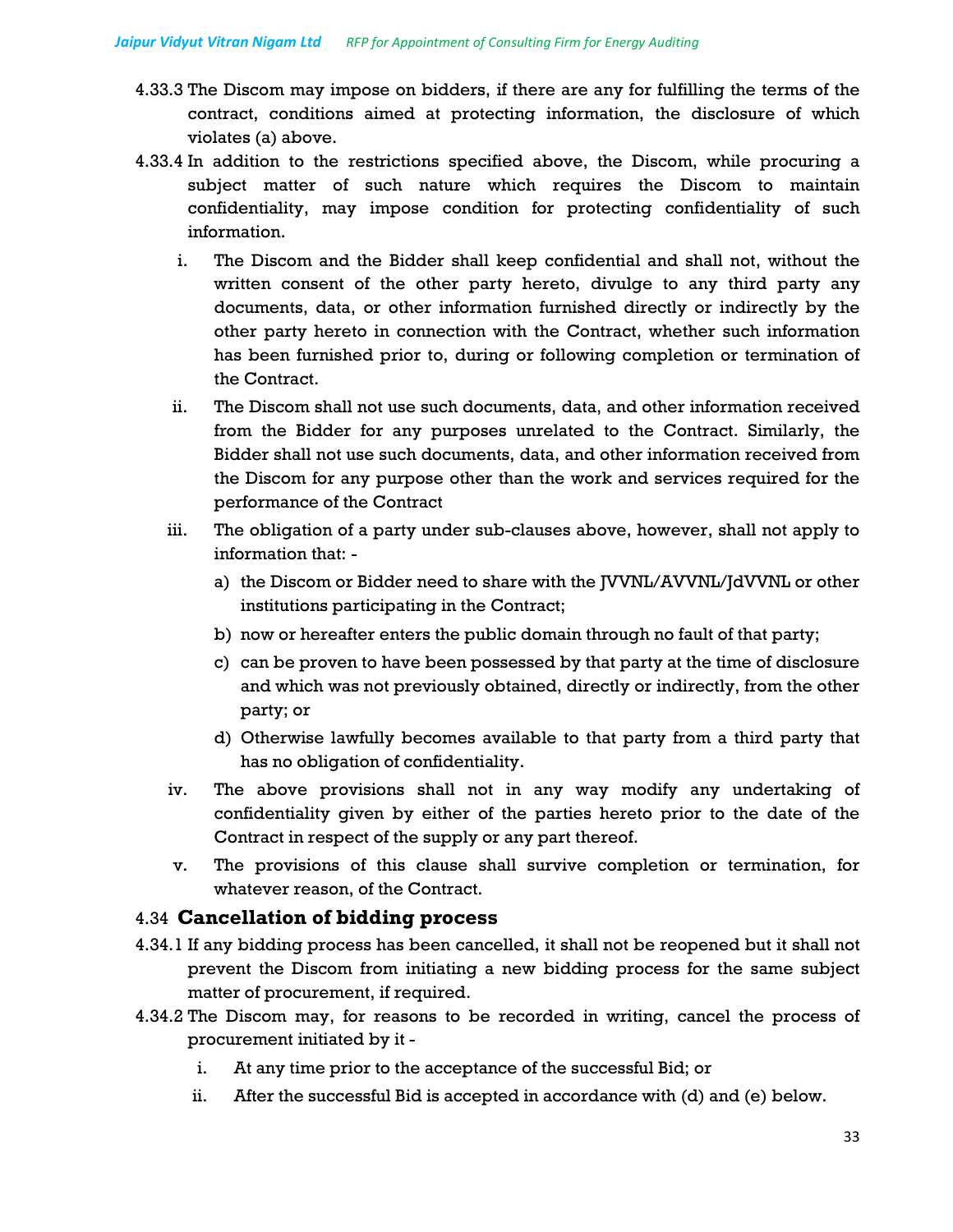- 4.33.3 The Discom may impose on bidders, if there are any for fulfilling the terms of the contract, conditions aimed at protecting information, the disclosure of which violates (a) above.
- 4.33.4 In addition to the restrictions specified above, the Discom, while procuring a subject matter of such nature which requires the Discom to maintain confidentiality, may impose condition for protecting confidentiality of such information.
	- i. The Discom and the Bidder shall keep confidential and shall not, without the written consent of the other party hereto, divulge to any third party any documents, data, or other information furnished directly or indirectly by the other party hereto in connection with the Contract, whether such information has been furnished prior to, during or following completion or termination of the Contract.
	- ii. The Discom shall not use such documents, data, and other information received from the Bidder for any purposes unrelated to the Contract. Similarly, the Bidder shall not use such documents, data, and other information received from the Discom for any purpose other than the work and services required for the performance of the Contract
	- iii. The obligation of a party under sub-clauses above, however, shall not apply to information that:
		- a) the Discom or Bidder need to share with the JVVNL/AVVNL/JdVVNL or other institutions participating in the Contract;
		- b) now or hereafter enters the public domain through no fault of that party;
		- c) can be proven to have been possessed by that party at the time of disclosure and which was not previously obtained, directly or indirectly, from the other party; or
		- d) Otherwise lawfully becomes available to that party from a third party that has no obligation of confidentiality.
	- iv. The above provisions shall not in any way modify any undertaking of confidentiality given by either of the parties hereto prior to the date of the Contract in respect of the supply or any part thereof.
	- v. The provisions of this clause shall survive completion or termination, for whatever reason, of the Contract.

#### 4.34 **Cancellation of bidding process**

- 4.34.1 If any bidding process has been cancelled, it shall not be reopened but it shall not prevent the Discom from initiating a new bidding process for the same subject matter of procurement, if required.
- 4.34.2 The Discom may, for reasons to be recorded in writing, cancel the process of procurement initiated by it
	- i. At any time prior to the acceptance of the successful Bid; or
	- ii. After the successful Bid is accepted in accordance with (d) and (e) below.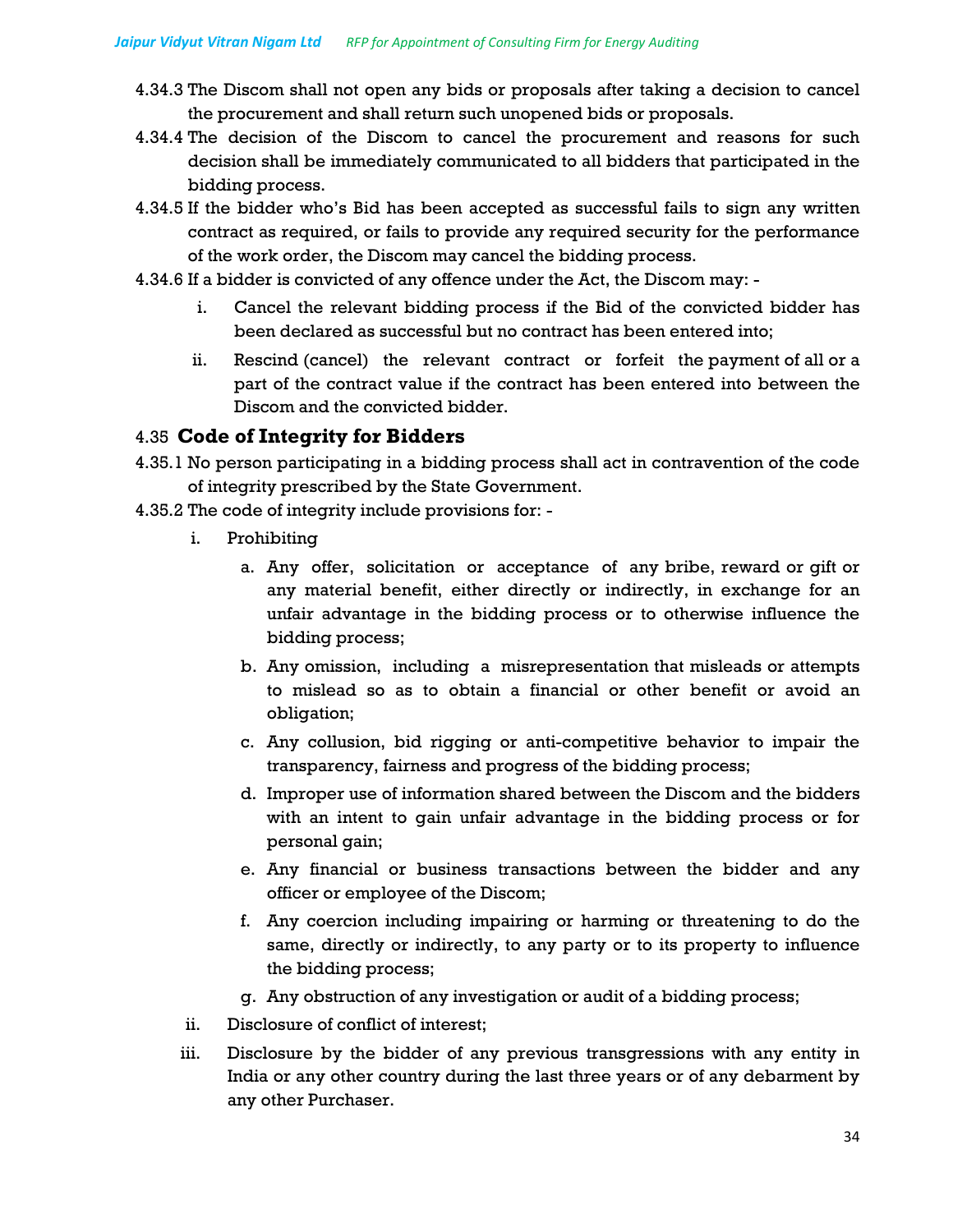- 4.34.3 The Discom shall not open any bids or proposals after taking a decision to cancel the procurement and shall return such unopened bids or proposals.
- 4.34.4 The decision of the Discom to cancel the procurement and reasons for such decision shall be immediately communicated to all bidders that participated in the bidding process.
- 4.34.5 If the bidder who's Bid has been accepted as successful fails to sign any written contract as required, or fails to provide any required security for the performance of the work order, the Discom may cancel the bidding process.
- 4.34.6 If a bidder is convicted of any offence under the Act, the Discom may:
	- i. Cancel the relevant bidding process if the Bid of the convicted bidder has been declared as successful but no contract has been entered into;
	- ii. Rescind (cancel) the relevant contract or forfeit the payment of all or a part of the contract value if the contract has been entered into between the Discom and the convicted bidder.

#### 4.35 **Code of Integrity for Bidders**

- 4.35.1 No person participating in a bidding process shall act in contravention of the code of integrity prescribed by the State Government.
- 4.35.2 The code of integrity include provisions for:
	- i. Prohibiting
		- a. Any offer, solicitation or acceptance of any bribe, reward or gift or any material benefit, either directly or indirectly, in exchange for an unfair advantage in the bidding process or to otherwise influence the bidding process;
		- b. Any omission, including a misrepresentation that misleads or attempts to mislead so as to obtain a financial or other benefit or avoid an obligation;
		- c. Any collusion, bid rigging or anti-competitive behavior to impair the transparency, fairness and progress of the bidding process;
		- d. Improper use of information shared between the Discom and the bidders with an intent to gain unfair advantage in the bidding process or for personal gain;
		- e. Any financial or business transactions between the bidder and any officer or employee of the Discom;
		- f. Any coercion including impairing or harming or threatening to do the same, directly or indirectly, to any party or to its property to influence the bidding process;
		- g. Any obstruction of any investigation or audit of a bidding process;
	- ii. Disclosure of conflict of interest;
	- iii. Disclosure by the bidder of any previous transgressions with any entity in India or any other country during the last three years or of any debarment by any other Purchaser.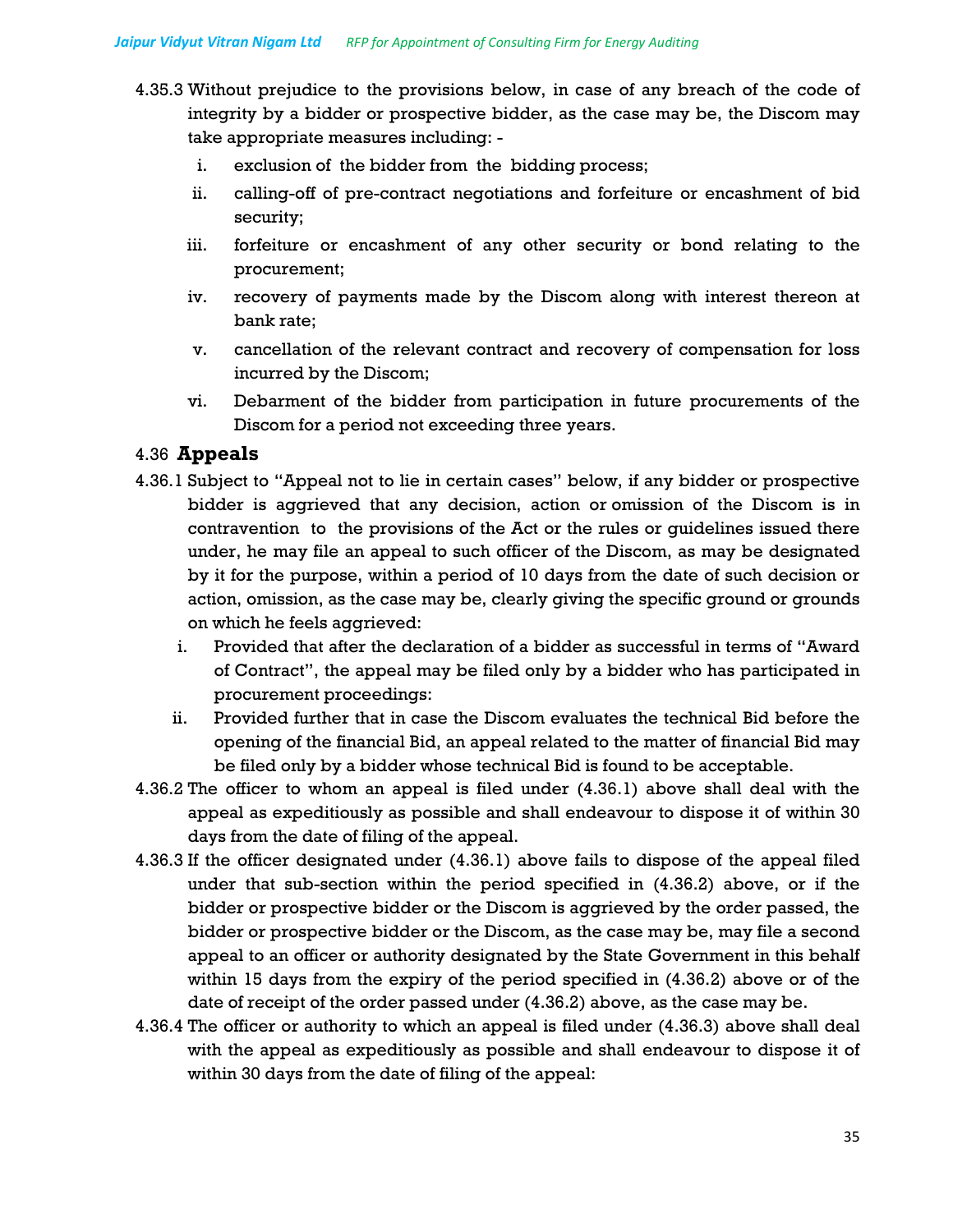- 4.35.3 Without prejudice to the provisions below, in case of any breach of the code of integrity by a bidder or prospective bidder, as the case may be, the Discom may take appropriate measures including:
	- i. exclusion of the bidder from the bidding process;
	- ii. calling-off of pre-contract negotiations and forfeiture or encashment of bid security;
	- iii. forfeiture or encashment of any other security or bond relating to the procurement;
	- iv. recovery of payments made by the Discom along with interest thereon at bank rate;
	- v. cancellation of the relevant contract and recovery of compensation for loss incurred by the Discom;
	- vi. Debarment of the bidder from participation in future procurements of the Discom for a period not exceeding three years.

## 4.36 **Appeals**

- 4.36.1 Subject to "Appeal not to lie in certain cases" below, if any bidder or prospective bidder is aggrieved that any decision, action or omission of the Discom is in contravention to the provisions of the Act or the rules or guidelines issued there under, he may file an appeal to such officer of the Discom, as may be designated by it for the purpose, within a period of 10 days from the date of such decision or action, omission, as the case may be, clearly giving the specific ground or grounds on which he feels aggrieved:
	- i. Provided that after the declaration of a bidder as successful in terms of "Award of Contract", the appeal may be filed only by a bidder who has participated in procurement proceedings:
	- ii. Provided further that in case the Discom evaluates the technical Bid before the opening of the financial Bid, an appeal related to the matter of financial Bid may be filed only by a bidder whose technical Bid is found to be acceptable.
- 4.36.2 The officer to whom an appeal is filed under (4.36.1) above shall deal with the appeal as expeditiously as possible and shall endeavour to dispose it of within 30 days from the date of filing of the appeal.
- 4.36.3 If the officer designated under (4.36.1) above fails to dispose of the appeal filed under that sub-section within the period specified in (4.36.2) above, or if the bidder or prospective bidder or the Discom is aggrieved by the order passed, the bidder or prospective bidder or the Discom, as the case may be, may file a second appeal to an officer or authority designated by the State Government in this behalf within 15 days from the expiry of the period specified in (4.36.2) above or of the date of receipt of the order passed under (4.36.2) above, as the case may be.
- 4.36.4 The officer or authority to which an appeal is filed under (4.36.3) above shall deal with the appeal as expeditiously as possible and shall endeavour to dispose it of within 30 days from the date of filing of the appeal: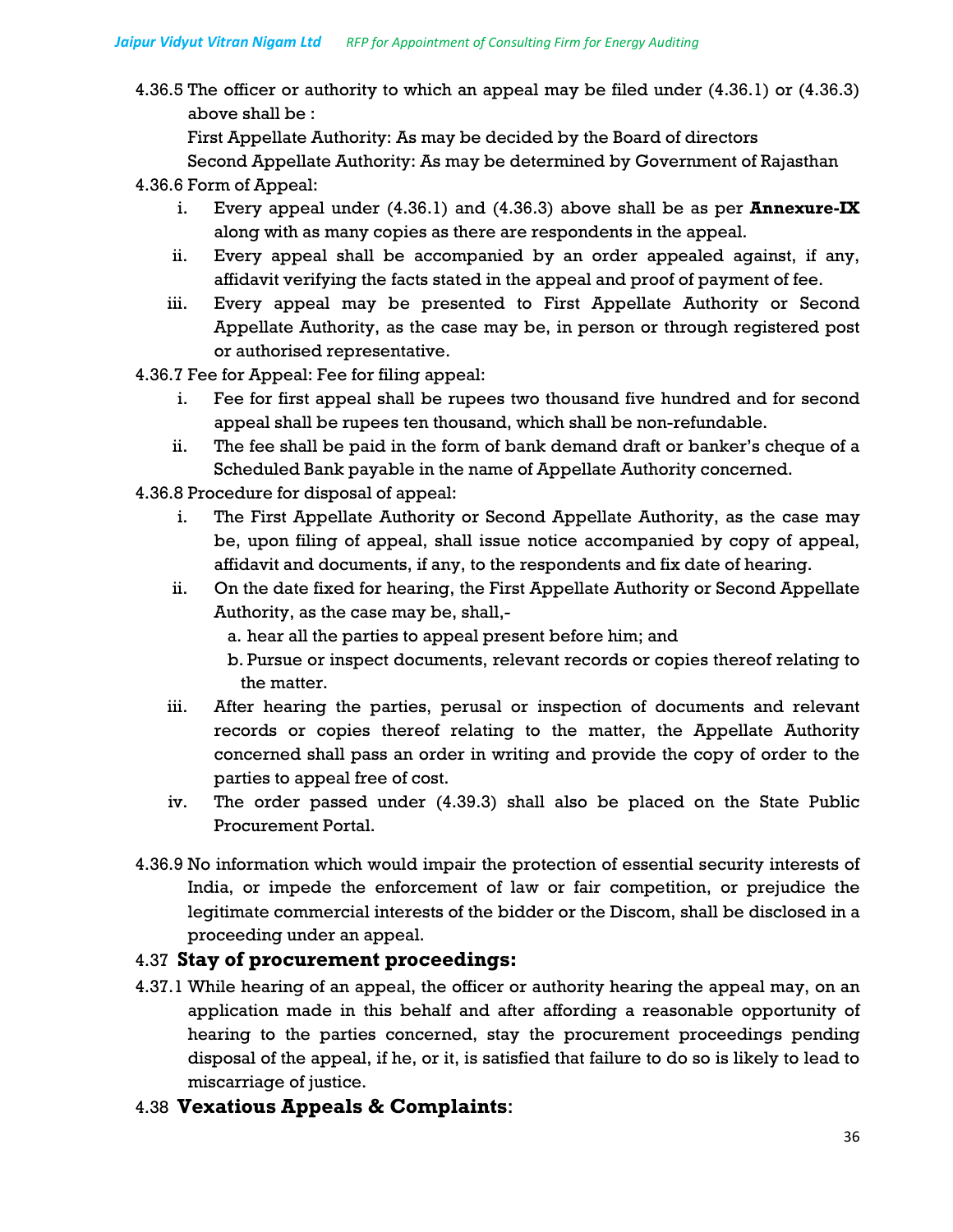4.36.5 The officer or authority to which an appeal may be filed under (4.36.1) or (4.36.3) above shall be :

First Appellate Authority: As may be decided by the Board of directors

Second Appellate Authority: As may be determined by Government of Rajasthan

## 4.36.6 Form of Appeal:

- i. Every appeal under (4.36.1) and (4.36.3) above shall be as per **Annexure-IX** along with as many copies as there are respondents in the appeal.
- ii. Every appeal shall be accompanied by an order appealed against, if any, affidavit verifying the facts stated in the appeal and proof of payment of fee.
- iii. Every appeal may be presented to First Appellate Authority or Second Appellate Authority, as the case may be, in person or through registered post or authorised representative.
- 4.36.7 Fee for Appeal: Fee for filing appeal:
	- i. Fee for first appeal shall be rupees two thousand five hundred and for second appeal shall be rupees ten thousand, which shall be non-refundable.
	- ii. The fee shall be paid in the form of bank demand draft or banker's cheque of a Scheduled Bank payable in the name of Appellate Authority concerned.
- 4.36.8 Procedure for disposal of appeal:
	- i. The First Appellate Authority or Second Appellate Authority, as the case may be, upon filing of appeal, shall issue notice accompanied by copy of appeal, affidavit and documents, if any, to the respondents and fix date of hearing.
	- ii. On the date fixed for hearing, the First Appellate Authority or Second Appellate Authority, as the case may be, shall,
		- a. hear all the parties to appeal present before him; and
		- b. Pursue or inspect documents, relevant records or copies thereof relating to the matter.
	- iii. After hearing the parties, perusal or inspection of documents and relevant records or copies thereof relating to the matter, the Appellate Authority concerned shall pass an order in writing and provide the copy of order to the parties to appeal free of cost.
	- iv. The order passed under (4.39.3) shall also be placed on the State Public Procurement Portal.
- 4.36.9 No information which would impair the protection of essential security interests of India, or impede the enforcement of law or fair competition, or prejudice the legitimate commercial interests of the bidder or the Discom, shall be disclosed in a proceeding under an appeal.

# 4.37 **Stay of procurement proceedings:**

- 4.37.1 While hearing of an appeal, the officer or authority hearing the appeal may, on an application made in this behalf and after affording a reasonable opportunity of hearing to the parties concerned, stay the procurement proceedings pending disposal of the appeal, if he, or it, is satisfied that failure to do so is likely to lead to miscarriage of justice.
- 4.38 **Vexatious Appeals & Complaints**: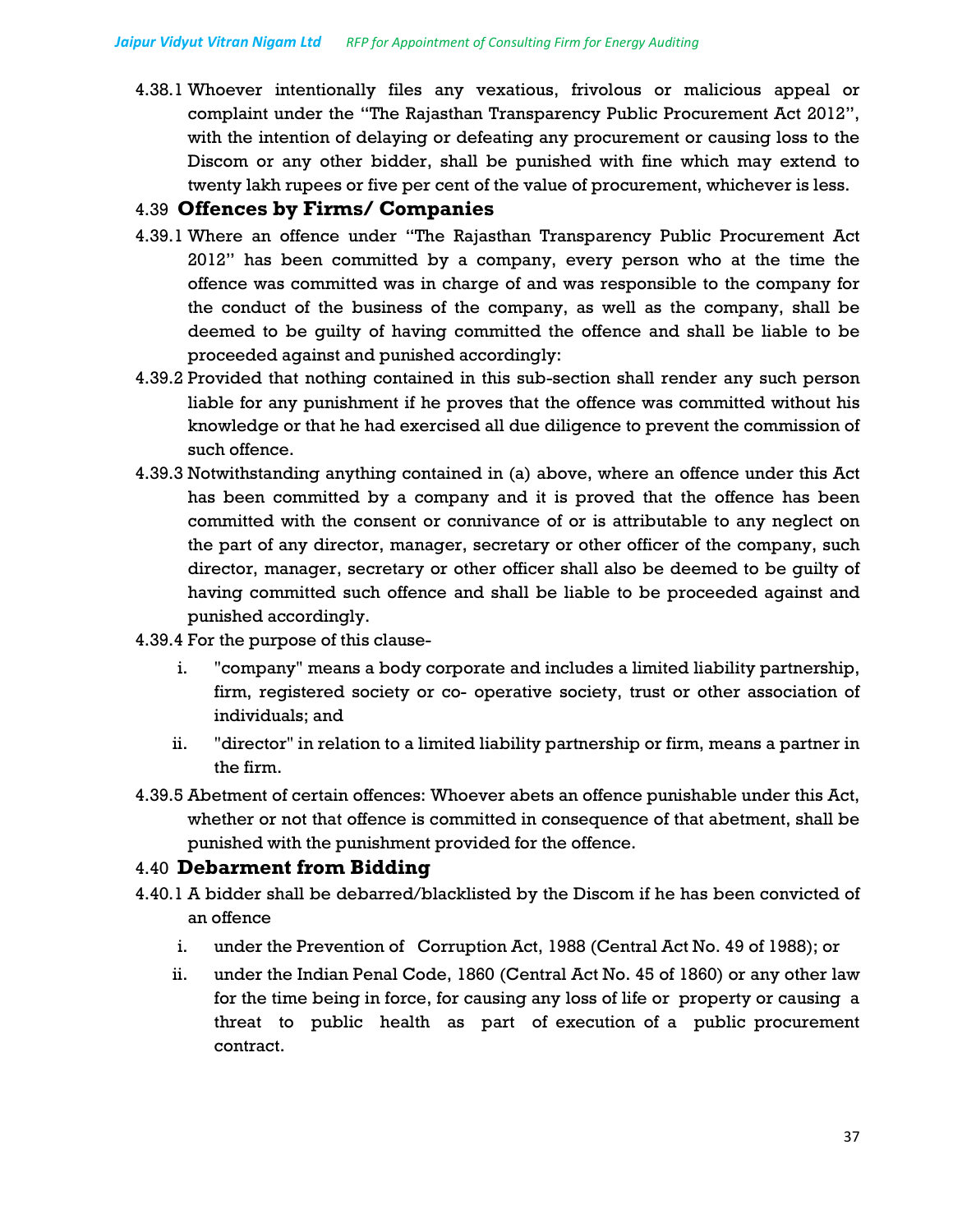4.38.1 Whoever intentionally files any vexatious, frivolous or malicious appeal or complaint under the "The Rajasthan Transparency Public Procurement Act 2012", with the intention of delaying or defeating any procurement or causing loss to the Discom or any other bidder, shall be punished with fine which may extend to twenty lakh rupees or five per cent of the value of procurement, whichever is less.

## 4.39 **Offences by Firms/ Companies**

- 4.39.1 Where an offence under "The Rajasthan Transparency Public Procurement Act 2012" has been committed by a company, every person who at the time the offence was committed was in charge of and was responsible to the company for the conduct of the business of the company, as well as the company, shall be deemed to be guilty of having committed the offence and shall be liable to be proceeded against and punished accordingly:
- 4.39.2 Provided that nothing contained in this sub-section shall render any such person liable for any punishment if he proves that the offence was committed without his knowledge or that he had exercised all due diligence to prevent the commission of such offence.
- 4.39.3 Notwithstanding anything contained in (a) above, where an offence under this Act has been committed by a company and it is proved that the offence has been committed with the consent or connivance of or is attributable to any neglect on the part of any director, manager, secretary or other officer of the company, such director, manager, secretary or other officer shall also be deemed to be guilty of having committed such offence and shall be liable to be proceeded against and punished accordingly.
- 4.39.4 For the purpose of this clause
	- i. "company" means a body corporate and includes a limited liability partnership, firm, registered society or co- operative society, trust or other association of individuals; and
	- ii. "director" in relation to a limited liability partnership or firm, means a partner in the firm.
- 4.39.5 Abetment of certain offences: Whoever abets an offence punishable under this Act, whether or not that offence is committed in consequence of that abetment, shall be punished with the punishment provided for the offence.

## 4.40 **Debarment from Bidding**

- 4.40.1 A bidder shall be debarred/blacklisted by the Discom if he has been convicted of an offence
	- i. under the Prevention of Corruption Act, 1988 (Central Act No. 49 of 1988); or
	- ii. under the Indian Penal Code, 1860 (Central Act No. 45 of 1860) or any other law for the time being in force, for causing any loss of life or property or causing a threat to public health as part of execution of a public procurement contract.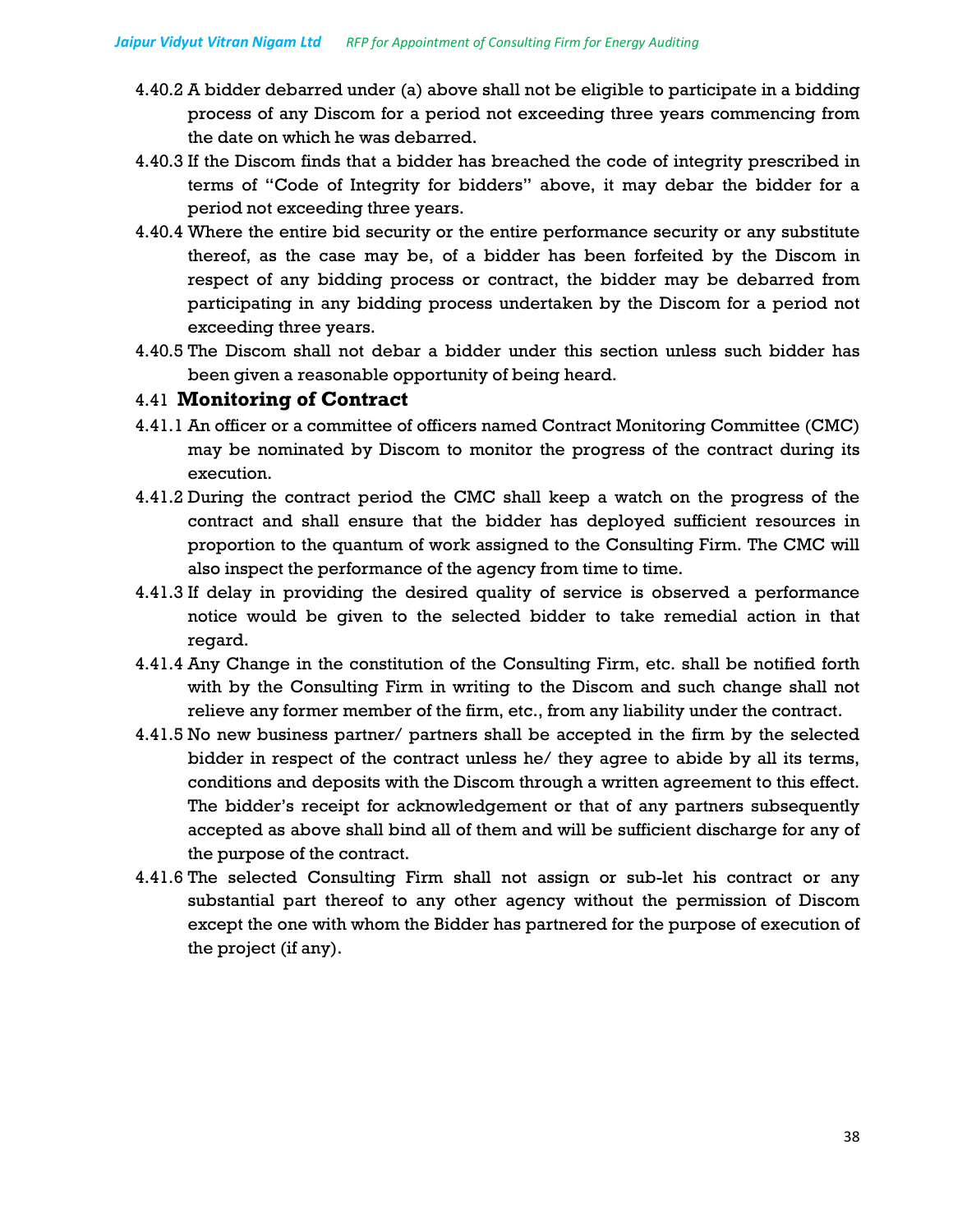- 4.40.2 A bidder debarred under (a) above shall not be eligible to participate in a bidding process of any Discom for a period not exceeding three years commencing from the date on which he was debarred.
- 4.40.3 If the Discom finds that a bidder has breached the code of integrity prescribed in terms of "Code of Integrity for bidders" above, it may debar the bidder for a period not exceeding three years.
- 4.40.4 Where the entire bid security or the entire performance security or any substitute thereof, as the case may be, of a bidder has been forfeited by the Discom in respect of any bidding process or contract, the bidder may be debarred from participating in any bidding process undertaken by the Discom for a period not exceeding three years.
- 4.40.5 The Discom shall not debar a bidder under this section unless such bidder has been given a reasonable opportunity of being heard.

### 4.41 **Monitoring of Contract**

- 4.41.1 An officer or a committee of officers named Contract Monitoring Committee (CMC) may be nominated by Discom to monitor the progress of the contract during its execution.
- 4.41.2 During the contract period the CMC shall keep a watch on the progress of the contract and shall ensure that the bidder has deployed sufficient resources in proportion to the quantum of work assigned to the Consulting Firm. The CMC will also inspect the performance of the agency from time to time.
- 4.41.3 If delay in providing the desired quality of service is observed a performance notice would be given to the selected bidder to take remedial action in that regard.
- 4.41.4 Any Change in the constitution of the Consulting Firm, etc. shall be notified forth with by the Consulting Firm in writing to the Discom and such change shall not relieve any former member of the firm, etc., from any liability under the contract.
- 4.41.5 No new business partner/ partners shall be accepted in the firm by the selected bidder in respect of the contract unless he/ they agree to abide by all its terms, conditions and deposits with the Discom through a written agreement to this effect. The bidder's receipt for acknowledgement or that of any partners subsequently accepted as above shall bind all of them and will be sufficient discharge for any of the purpose of the contract.
- 4.41.6 The selected Consulting Firm shall not assign or sub-let his contract or any substantial part thereof to any other agency without the permission of Discom except the one with whom the Bidder has partnered for the purpose of execution of the project (if any).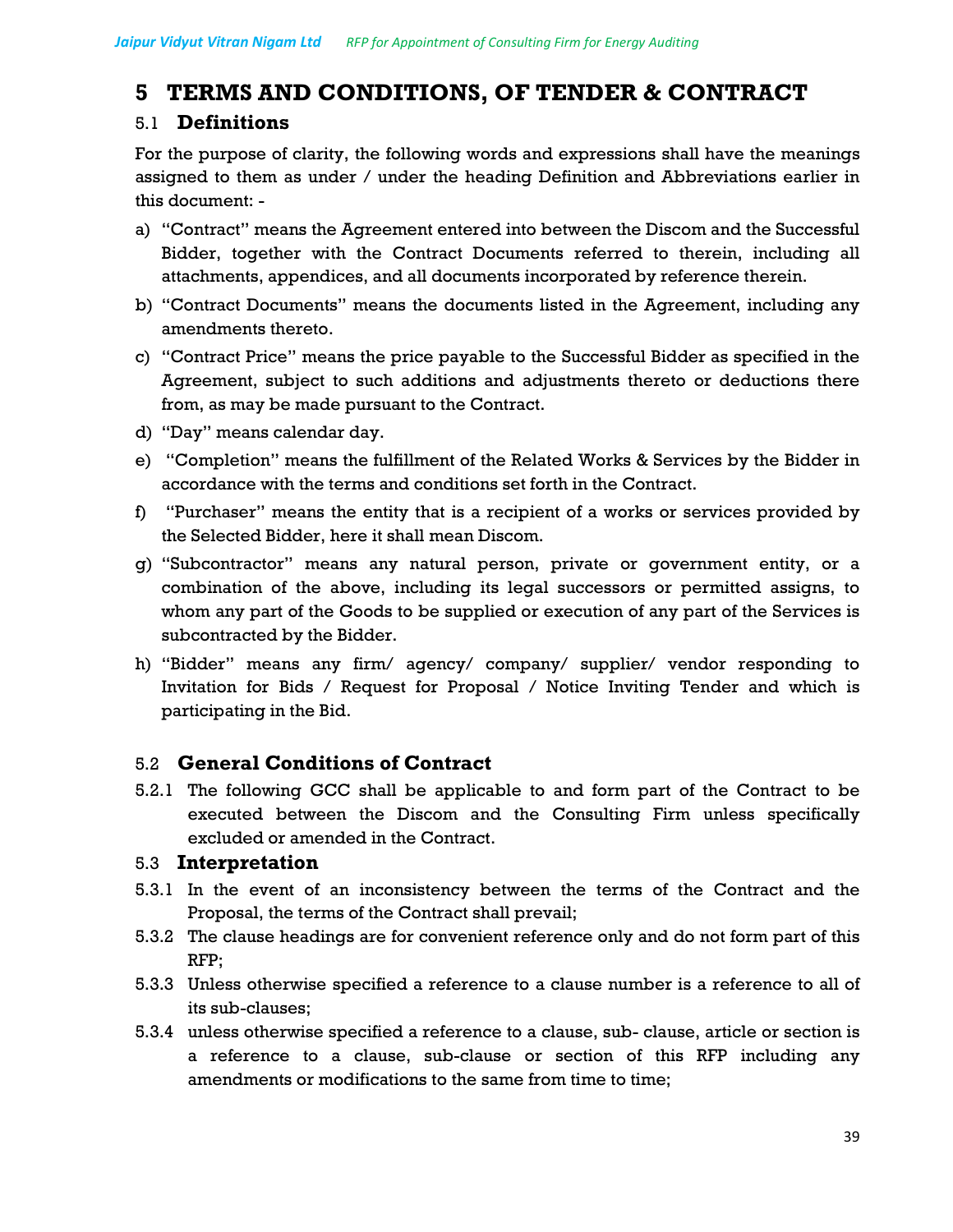## **5 TERMS AND CONDITIONS, OF TENDER & CONTRACT**

## 5.1 **Definitions**

For the purpose of clarity, the following words and expressions shall have the meanings assigned to them as under / under the heading Definition and Abbreviations earlier in this document: -

- a) "Contract" means the Agreement entered into between the Discom and the Successful Bidder, together with the Contract Documents referred to therein, including all attachments, appendices, and all documents incorporated by reference therein.
- b) "Contract Documents" means the documents listed in the Agreement, including any amendments thereto.
- c) "Contract Price" means the price payable to the Successful Bidder as specified in the Agreement, subject to such additions and adjustments thereto or deductions there from, as may be made pursuant to the Contract.
- d) "Day" means calendar day.
- e) "Completion" means the fulfillment of the Related Works & Services by the Bidder in accordance with the terms and conditions set forth in the Contract.
- f) "Purchaser" means the entity that is a recipient of a works or services provided by the Selected Bidder, here it shall mean Discom.
- g) "Subcontractor" means any natural person, private or government entity, or a combination of the above, including its legal successors or permitted assigns, to whom any part of the Goods to be supplied or execution of any part of the Services is subcontracted by the Bidder.
- h) "Bidder" means any firm/ agency/ company/ supplier/ vendor responding to Invitation for Bids / Request for Proposal / Notice Inviting Tender and which is participating in the Bid.

## 5.2 **General Conditions of Contract**

5.2.1 The following GCC shall be applicable to and form part of the Contract to be executed between the Discom and the Consulting Firm unless specifically excluded or amended in the Contract.

## 5.3 **Interpretation**

- 5.3.1 In the event of an inconsistency between the terms of the Contract and the Proposal, the terms of the Contract shall prevail;
- 5.3.2 The clause headings are for convenient reference only and do not form part of this RFP;
- 5.3.3 Unless otherwise specified a reference to a clause number is a reference to all of its sub-clauses;
- 5.3.4 unless otherwise specified a reference to a clause, sub- clause, article or section is a reference to a clause, sub-clause or section of this RFP including any amendments or modifications to the same from time to time;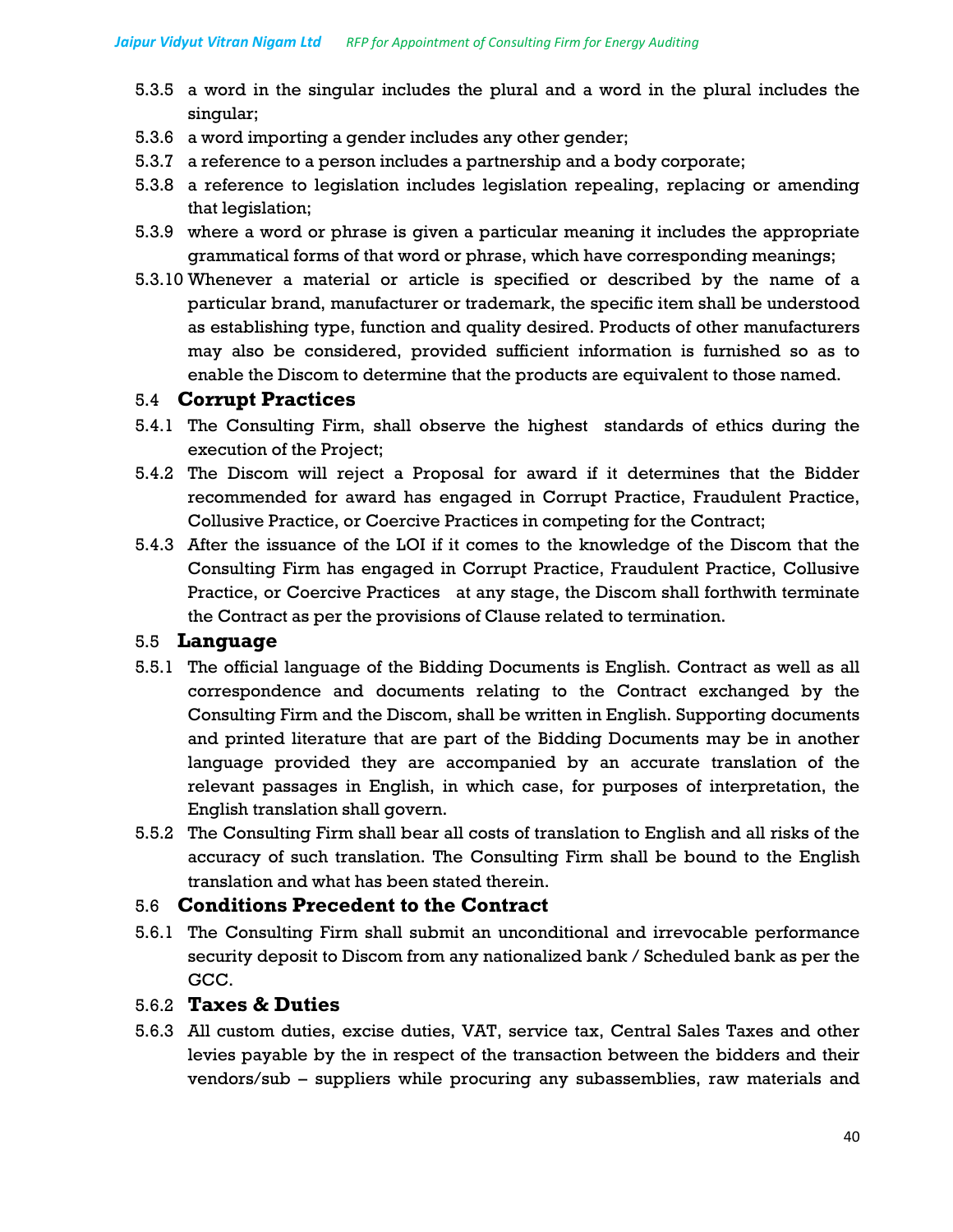- 5.3.5 a word in the singular includes the plural and a word in the plural includes the singular;
- 5.3.6 a word importing a gender includes any other gender;
- 5.3.7 a reference to a person includes a partnership and a body corporate;
- 5.3.8 a reference to legislation includes legislation repealing, replacing or amending that legislation;
- 5.3.9 where a word or phrase is given a particular meaning it includes the appropriate grammatical forms of that word or phrase, which have corresponding meanings;
- 5.3.10 Whenever a material or article is specified or described by the name of a particular brand, manufacturer or trademark, the specific item shall be understood as establishing type, function and quality desired. Products of other manufacturers may also be considered, provided sufficient information is furnished so as to enable the Discom to determine that the products are equivalent to those named.

### 5.4 **Corrupt Practices**

- 5.4.1 The Consulting Firm, shall observe the highest standards of ethics during the execution of the Project;
- 5.4.2 The Discom will reject a Proposal for award if it determines that the Bidder recommended for award has engaged in Corrupt Practice, Fraudulent Practice, Collusive Practice, or Coercive Practices in competing for the Contract;
- 5.4.3 After the issuance of the LOI if it comes to the knowledge of the Discom that the Consulting Firm has engaged in Corrupt Practice, Fraudulent Practice, Collusive Practice, or Coercive Practices at any stage, the Discom shall forthwith terminate the Contract as per the provisions of Clause related to termination.

### 5.5 **Language**

- 5.5.1 The official language of the Bidding Documents is English. Contract as well as all correspondence and documents relating to the Contract exchanged by the Consulting Firm and the Discom, shall be written in English. Supporting documents and printed literature that are part of the Bidding Documents may be in another language provided they are accompanied by an accurate translation of the relevant passages in English, in which case, for purposes of interpretation, the English translation shall govern.
- 5.5.2 The Consulting Firm shall bear all costs of translation to English and all risks of the accuracy of such translation. The Consulting Firm shall be bound to the English translation and what has been stated therein.

### 5.6 **Conditions Precedent to the Contract**

5.6.1 The Consulting Firm shall submit an unconditional and irrevocable performance security deposit to Discom from any nationalized bank / Scheduled bank as per the GCC.

### 5.6.2 **Taxes & Duties**

5.6.3 All custom duties, excise duties, VAT, service tax, Central Sales Taxes and other levies payable by the in respect of the transaction between the bidders and their vendors/sub – suppliers while procuring any subassemblies, raw materials and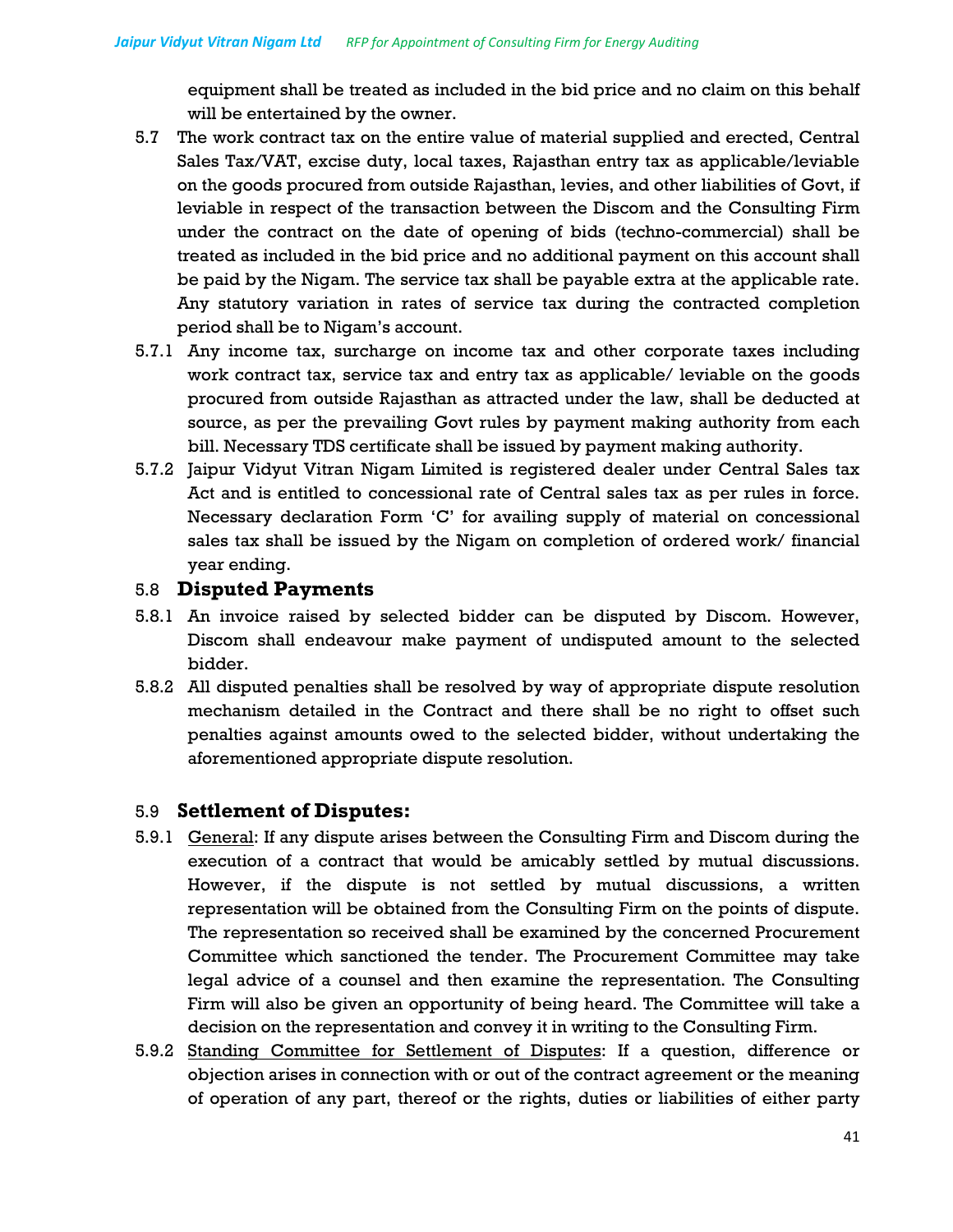equipment shall be treated as included in the bid price and no claim on this behalf will be entertained by the owner.

- 5.7 The work contract tax on the entire value of material supplied and erected, Central Sales Tax/VAT, excise duty, local taxes, Rajasthan entry tax as applicable/leviable on the goods procured from outside Rajasthan, levies, and other liabilities of Govt, if leviable in respect of the transaction between the Discom and the Consulting Firm under the contract on the date of opening of bids (techno-commercial) shall be treated as included in the bid price and no additional payment on this account shall be paid by the Nigam. The service tax shall be payable extra at the applicable rate. Any statutory variation in rates of service tax during the contracted completion period shall be to Nigam's account.
- 5.7.1 Any income tax, surcharge on income tax and other corporate taxes including work contract tax, service tax and entry tax as applicable/ leviable on the goods procured from outside Rajasthan as attracted under the law, shall be deducted at source, as per the prevailing Govt rules by payment making authority from each bill. Necessary TDS certificate shall be issued by payment making authority.
- 5.7.2 Jaipur Vidyut Vitran Nigam Limited is registered dealer under Central Sales tax Act and is entitled to concessional rate of Central sales tax as per rules in force. Necessary declaration Form 'C' for availing supply of material on concessional sales tax shall be issued by the Nigam on completion of ordered work/ financial year ending.

### 5.8 **Disputed Payments**

- 5.8.1 An invoice raised by selected bidder can be disputed by Discom. However, Discom shall endeavour make payment of undisputed amount to the selected bidder.
- 5.8.2 All disputed penalties shall be resolved by way of appropriate dispute resolution mechanism detailed in the Contract and there shall be no right to offset such penalties against amounts owed to the selected bidder, without undertaking the aforementioned appropriate dispute resolution.

### 5.9 **Settlement of Disputes:**

- 5.9.1 General: If any dispute arises between the Consulting Firm and Discom during the execution of a contract that would be amicably settled by mutual discussions. However, if the dispute is not settled by mutual discussions, a written representation will be obtained from the Consulting Firm on the points of dispute. The representation so received shall be examined by the concerned Procurement Committee which sanctioned the tender. The Procurement Committee may take legal advice of a counsel and then examine the representation. The Consulting Firm will also be given an opportunity of being heard. The Committee will take a decision on the representation and convey it in writing to the Consulting Firm.
- 5.9.2 Standing Committee for Settlement of Disputes: If a question, difference or objection arises in connection with or out of the contract agreement or the meaning of operation of any part, thereof or the rights, duties or liabilities of either party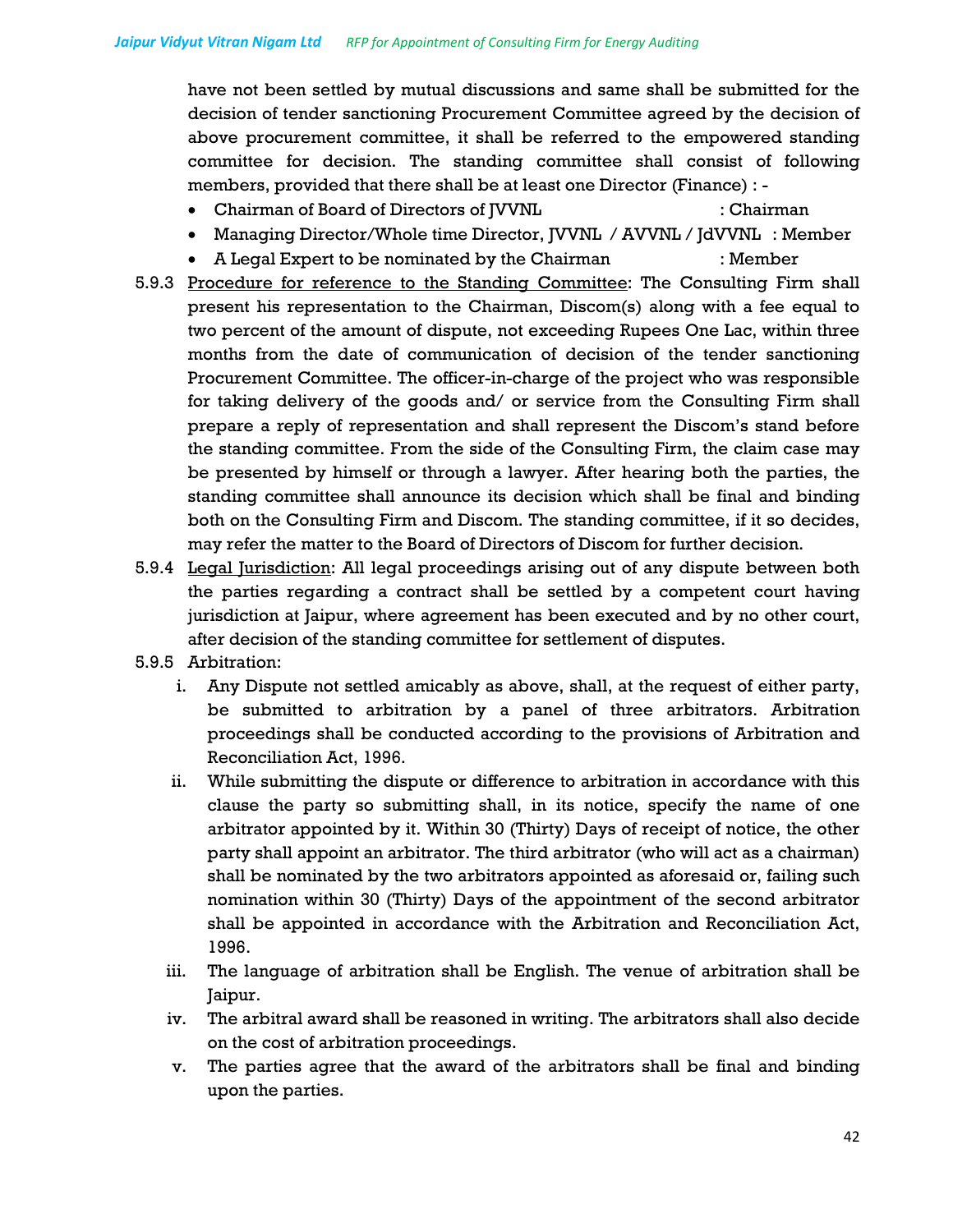have not been settled by mutual discussions and same shall be submitted for the decision of tender sanctioning Procurement Committee agreed by the decision of above procurement committee, it shall be referred to the empowered standing committee for decision. The standing committee shall consist of following members, provided that there shall be at least one Director (Finance) : -

- Chairman of Board of Directors of JVVNL : Chairman
	-
- Managing Director/Whole time Director, JVVNL / AVVNL / JdVVNL : Member
- A Legal Expert to be nominated by the Chairman : Member
- 5.9.3 Procedure for reference to the Standing Committee: The Consulting Firm shall present his representation to the Chairman, Discom(s) along with a fee equal to two percent of the amount of dispute, not exceeding Rupees One Lac, within three months from the date of communication of decision of the tender sanctioning Procurement Committee. The officer-in-charge of the project who was responsible for taking delivery of the goods and/ or service from the Consulting Firm shall prepare a reply of representation and shall represent the Discom's stand before the standing committee. From the side of the Consulting Firm, the claim case may be presented by himself or through a lawyer. After hearing both the parties, the standing committee shall announce its decision which shall be final and binding both on the Consulting Firm and Discom. The standing committee, if it so decides, may refer the matter to the Board of Directors of Discom for further decision.
- 5.9.4 Legal Jurisdiction: All legal proceedings arising out of any dispute between both the parties regarding a contract shall be settled by a competent court having jurisdiction at Jaipur, where agreement has been executed and by no other court, after decision of the standing committee for settlement of disputes.
- 5.9.5 Arbitration:
	- i. Any Dispute not settled amicably as above, shall, at the request of either party, be submitted to arbitration by a panel of three arbitrators. Arbitration proceedings shall be conducted according to the provisions of Arbitration and Reconciliation Act, 1996.
	- ii. While submitting the dispute or difference to arbitration in accordance with this clause the party so submitting shall, in its notice, specify the name of one arbitrator appointed by it. Within 30 (Thirty) Days of receipt of notice, the other party shall appoint an arbitrator. The third arbitrator (who will act as a chairman) shall be nominated by the two arbitrators appointed as aforesaid or, failing such nomination within 30 (Thirty) Days of the appointment of the second arbitrator shall be appointed in accordance with the Arbitration and Reconciliation Act, 1996.
	- iii. The language of arbitration shall be English. The venue of arbitration shall be Jaipur.
	- iv. The arbitral award shall be reasoned in writing. The arbitrators shall also decide on the cost of arbitration proceedings.
	- v. The parties agree that the award of the arbitrators shall be final and binding upon the parties.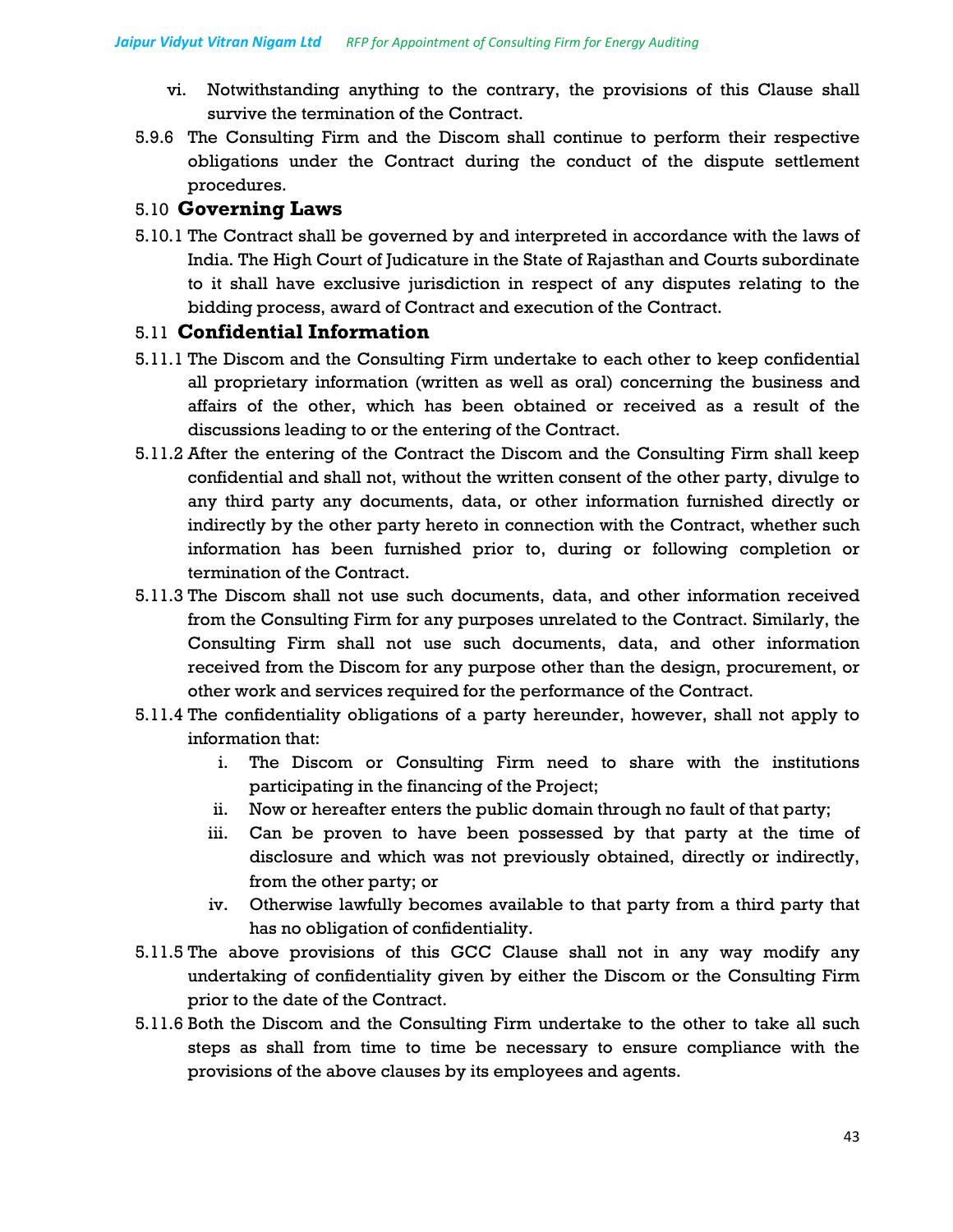- vi. Notwithstanding anything to the contrary, the provisions of this Clause shall survive the termination of the Contract.
- 5.9.6 The Consulting Firm and the Discom shall continue to perform their respective obligations under the Contract during the conduct of the dispute settlement procedures.

## 5.10 **Governing Laws**

5.10.1 The Contract shall be governed by and interpreted in accordance with the laws of India. The High Court of Judicature in the State of Rajasthan and Courts subordinate to it shall have exclusive jurisdiction in respect of any disputes relating to the bidding process, award of Contract and execution of the Contract.

## 5.11 **Confidential Information**

- 5.11.1 The Discom and the Consulting Firm undertake to each other to keep confidential all proprietary information (written as well as oral) concerning the business and affairs of the other, which has been obtained or received as a result of the discussions leading to or the entering of the Contract.
- 5.11.2 After the entering of the Contract the Discom and the Consulting Firm shall keep confidential and shall not, without the written consent of the other party, divulge to any third party any documents, data, or other information furnished directly or indirectly by the other party hereto in connection with the Contract, whether such information has been furnished prior to, during or following completion or termination of the Contract.
- 5.11.3 The Discom shall not use such documents, data, and other information received from the Consulting Firm for any purposes unrelated to the Contract. Similarly, the Consulting Firm shall not use such documents, data, and other information received from the Discom for any purpose other than the design, procurement, or other work and services required for the performance of the Contract.
- 5.11.4 The confidentiality obligations of a party hereunder, however, shall not apply to information that:
	- i. The Discom or Consulting Firm need to share with the institutions participating in the financing of the Project;
	- ii. Now or hereafter enters the public domain through no fault of that party;
	- iii. Can be proven to have been possessed by that party at the time of disclosure and which was not previously obtained, directly or indirectly, from the other party; or
	- iv. Otherwise lawfully becomes available to that party from a third party that has no obligation of confidentiality.
- 5.11.5 The above provisions of this GCC Clause shall not in any way modify any undertaking of confidentiality given by either the Discom or the Consulting Firm prior to the date of the Contract.
- 5.11.6 Both the Discom and the Consulting Firm undertake to the other to take all such steps as shall from time to time be necessary to ensure compliance with the provisions of the above clauses by its employees and agents.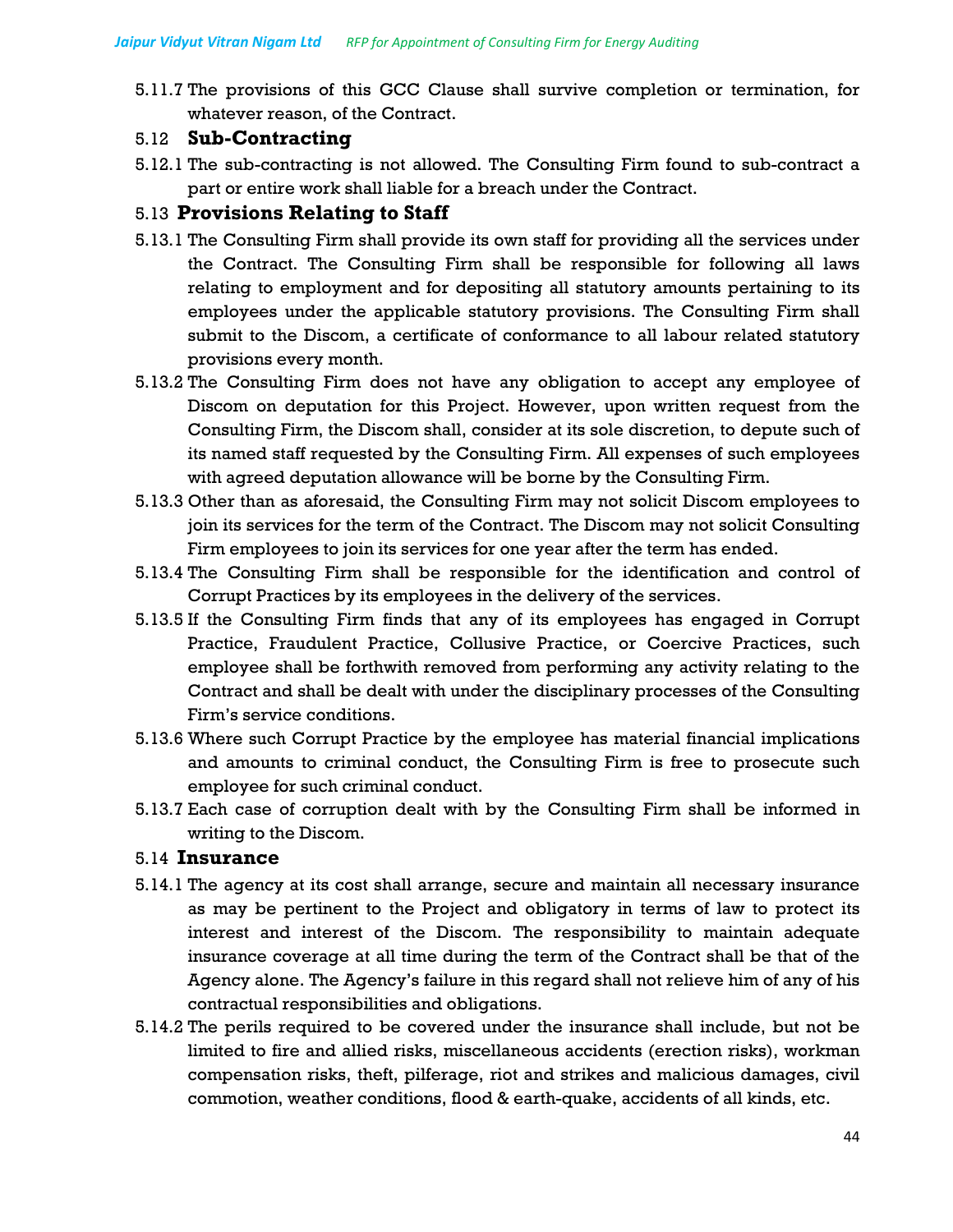5.11.7 The provisions of this GCC Clause shall survive completion or termination, for whatever reason, of the Contract.

### 5.12 **Sub-Contracting**

5.12.1 The sub-contracting is not allowed. The Consulting Firm found to sub-contract a part or entire work shall liable for a breach under the Contract.

## 5.13 **Provisions Relating to Staff**

- 5.13.1 The Consulting Firm shall provide its own staff for providing all the services under the Contract. The Consulting Firm shall be responsible for following all laws relating to employment and for depositing all statutory amounts pertaining to its employees under the applicable statutory provisions. The Consulting Firm shall submit to the Discom, a certificate of conformance to all labour related statutory provisions every month.
- 5.13.2 The Consulting Firm does not have any obligation to accept any employee of Discom on deputation for this Project. However, upon written request from the Consulting Firm, the Discom shall, consider at its sole discretion, to depute such of its named staff requested by the Consulting Firm. All expenses of such employees with agreed deputation allowance will be borne by the Consulting Firm.
- 5.13.3 Other than as aforesaid, the Consulting Firm may not solicit Discom employees to join its services for the term of the Contract. The Discom may not solicit Consulting Firm employees to join its services for one year after the term has ended.
- 5.13.4 The Consulting Firm shall be responsible for the identification and control of Corrupt Practices by its employees in the delivery of the services.
- 5.13.5 If the Consulting Firm finds that any of its employees has engaged in Corrupt Practice, Fraudulent Practice, Collusive Practice, or Coercive Practices, such employee shall be forthwith removed from performing any activity relating to the Contract and shall be dealt with under the disciplinary processes of the Consulting Firm's service conditions.
- 5.13.6 Where such Corrupt Practice by the employee has material financial implications and amounts to criminal conduct, the Consulting Firm is free to prosecute such employee for such criminal conduct.
- 5.13.7 Each case of corruption dealt with by the Consulting Firm shall be informed in writing to the Discom.

## 5.14 **Insurance**

- 5.14.1 The agency at its cost shall arrange, secure and maintain all necessary insurance as may be pertinent to the Project and obligatory in terms of law to protect its interest and interest of the Discom. The responsibility to maintain adequate insurance coverage at all time during the term of the Contract shall be that of the Agency alone. The Agency's failure in this regard shall not relieve him of any of his contractual responsibilities and obligations.
- 5.14.2 The perils required to be covered under the insurance shall include, but not be limited to fire and allied risks, miscellaneous accidents (erection risks), workman compensation risks, theft, pilferage, riot and strikes and malicious damages, civil commotion, weather conditions, flood & earth-quake, accidents of all kinds, etc.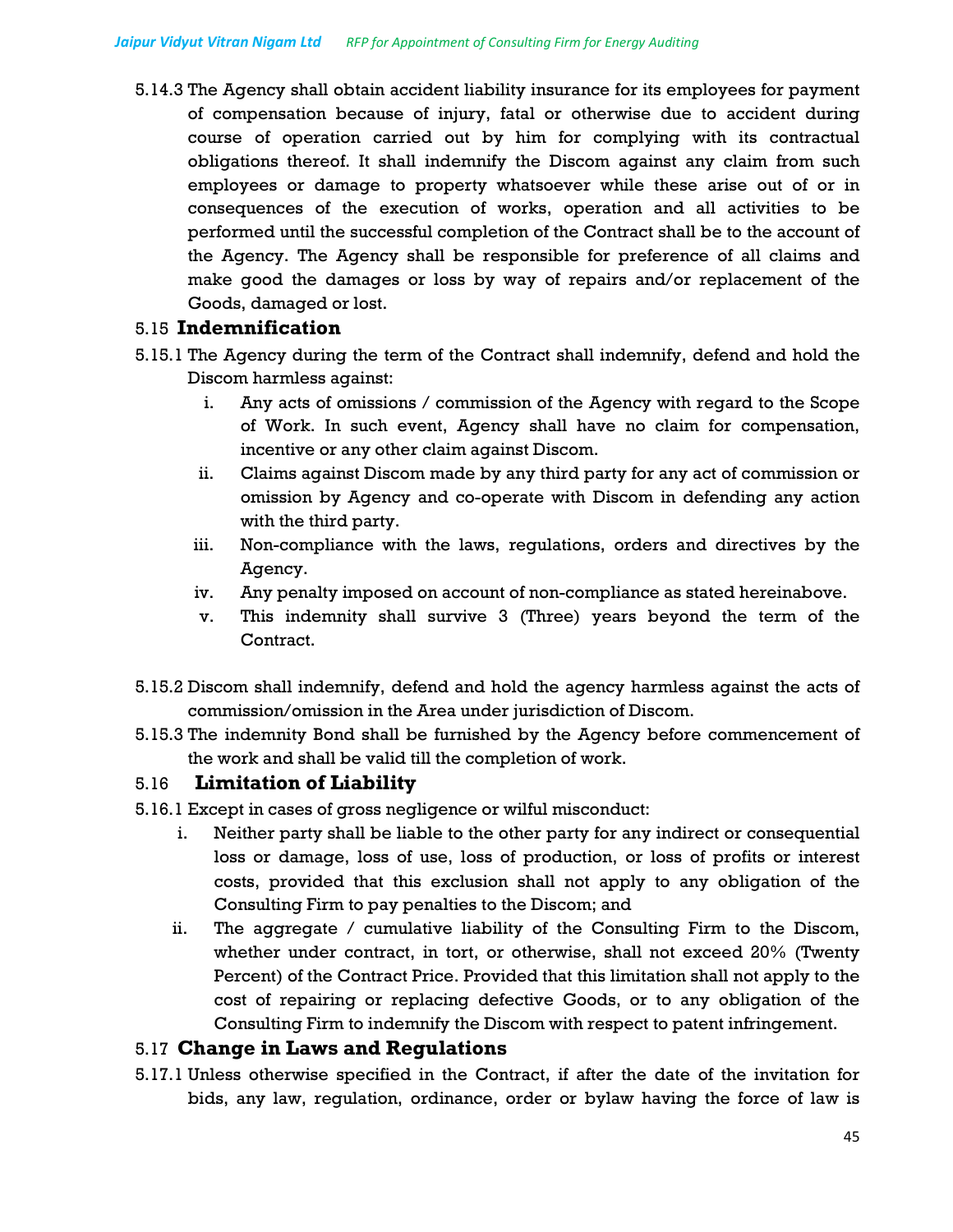5.14.3 The Agency shall obtain accident liability insurance for its employees for payment of compensation because of injury, fatal or otherwise due to accident during course of operation carried out by him for complying with its contractual obligations thereof. It shall indemnify the Discom against any claim from such employees or damage to property whatsoever while these arise out of or in consequences of the execution of works, operation and all activities to be performed until the successful completion of the Contract shall be to the account of the Agency. The Agency shall be responsible for preference of all claims and make good the damages or loss by way of repairs and/or replacement of the Goods, damaged or lost.

### 5.15 **Indemnification**

- 5.15.1 The Agency during the term of the Contract shall indemnify, defend and hold the Discom harmless against:
	- i. Any acts of omissions / commission of the Agency with regard to the Scope of Work. In such event, Agency shall have no claim for compensation, incentive or any other claim against Discom.
	- ii. Claims against Discom made by any third party for any act of commission or omission by Agency and co-operate with Discom in defending any action with the third party.
	- iii. Non-compliance with the laws, regulations, orders and directives by the Agency.
	- iv. Any penalty imposed on account of non-compliance as stated hereinabove.
	- v. This indemnity shall survive 3 (Three) years beyond the term of the Contract.
- 5.15.2 Discom shall indemnify, defend and hold the agency harmless against the acts of commission/omission in the Area under jurisdiction of Discom.
- 5.15.3 The indemnity Bond shall be furnished by the Agency before commencement of the work and shall be valid till the completion of work.

## 5.16 **Limitation of Liability**

- 5.16.1 Except in cases of gross negligence or wilful misconduct:
	- i. Neither party shall be liable to the other party for any indirect or consequential loss or damage, loss of use, loss of production, or loss of profits or interest costs, provided that this exclusion shall not apply to any obligation of the Consulting Firm to pay penalties to the Discom; and
	- ii. The aggregate / cumulative liability of the Consulting Firm to the Discom, whether under contract, in tort, or otherwise, shall not exceed 20% (Twenty Percent) of the Contract Price. Provided that this limitation shall not apply to the cost of repairing or replacing defective Goods, or to any obligation of the Consulting Firm to indemnify the Discom with respect to patent infringement.

### 5.17 **Change in Laws and Regulations**

5.17.1 Unless otherwise specified in the Contract, if after the date of the invitation for bids, any law, regulation, ordinance, order or bylaw having the force of law is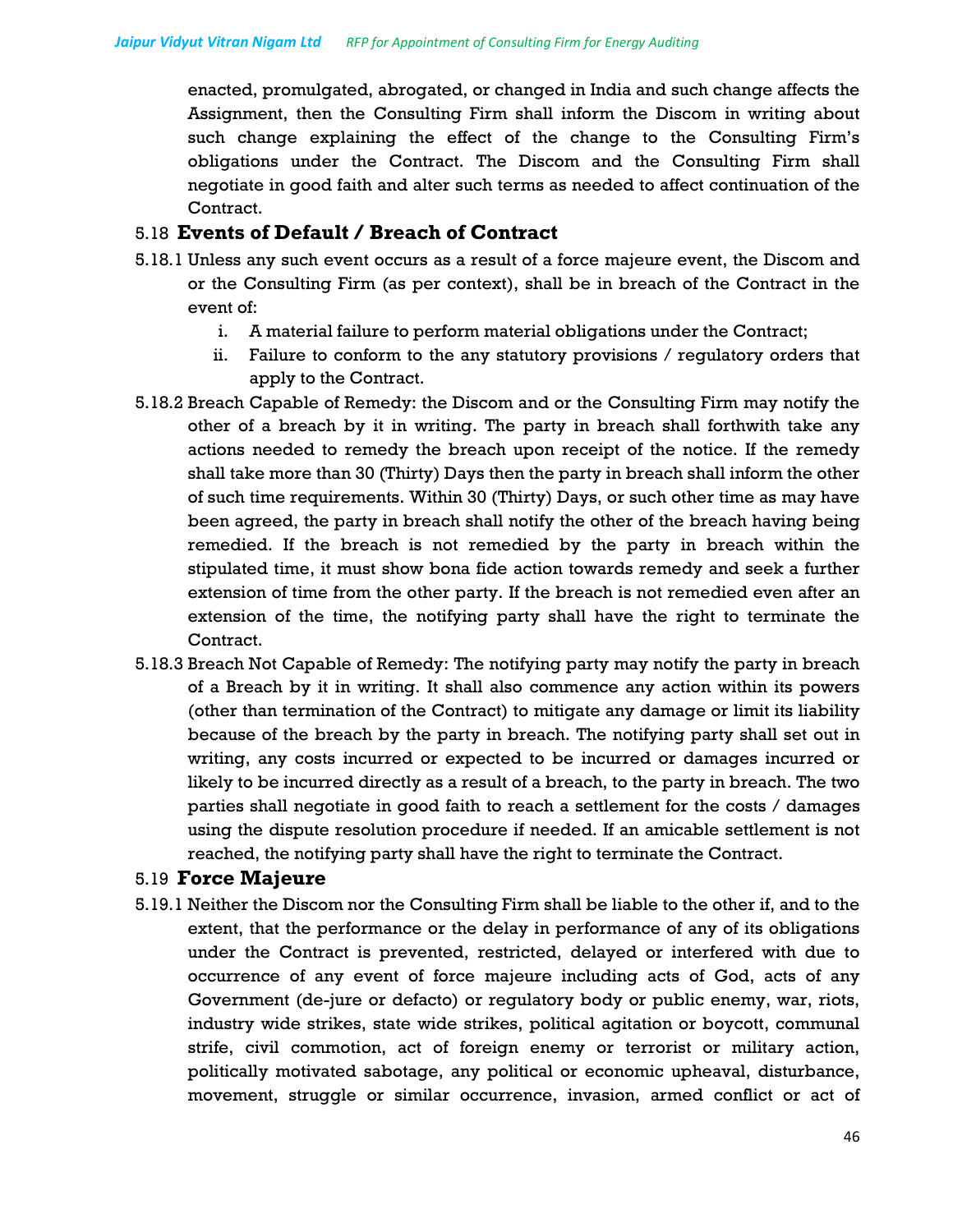enacted, promulgated, abrogated, or changed in India and such change affects the Assignment, then the Consulting Firm shall inform the Discom in writing about such change explaining the effect of the change to the Consulting Firm's obligations under the Contract. The Discom and the Consulting Firm shall negotiate in good faith and alter such terms as needed to affect continuation of the Contract.

### 5.18 **Events of Default / Breach of Contract**

- 5.18.1 Unless any such event occurs as a result of a force majeure event, the Discom and or the Consulting Firm (as per context), shall be in breach of the Contract in the event of:
	- i. A material failure to perform material obligations under the Contract;
	- ii. Failure to conform to the any statutory provisions / regulatory orders that apply to the Contract.
- 5.18.2 Breach Capable of Remedy: the Discom and or the Consulting Firm may notify the other of a breach by it in writing. The party in breach shall forthwith take any actions needed to remedy the breach upon receipt of the notice. If the remedy shall take more than 30 (Thirty) Days then the party in breach shall inform the other of such time requirements. Within 30 (Thirty) Days, or such other time as may have been agreed, the party in breach shall notify the other of the breach having being remedied. If the breach is not remedied by the party in breach within the stipulated time, it must show bona fide action towards remedy and seek a further extension of time from the other party. If the breach is not remedied even after an extension of the time, the notifying party shall have the right to terminate the Contract.
- 5.18.3 Breach Not Capable of Remedy: The notifying party may notify the party in breach of a Breach by it in writing. It shall also commence any action within its powers (other than termination of the Contract) to mitigate any damage or limit its liability because of the breach by the party in breach. The notifying party shall set out in writing, any costs incurred or expected to be incurred or damages incurred or likely to be incurred directly as a result of a breach, to the party in breach. The two parties shall negotiate in good faith to reach a settlement for the costs / damages using the dispute resolution procedure if needed. If an amicable settlement is not reached, the notifying party shall have the right to terminate the Contract.

### 5.19 **Force Majeure**

5.19.1 Neither the Discom nor the Consulting Firm shall be liable to the other if, and to the extent, that the performance or the delay in performance of any of its obligations under the Contract is prevented, restricted, delayed or interfered with due to occurrence of any event of force majeure including acts of God, acts of any Government (de-jure or defacto) or regulatory body or public enemy, war, riots, industry wide strikes, state wide strikes, political agitation or boycott, communal strife, civil commotion, act of foreign enemy or terrorist or military action, politically motivated sabotage, any political or economic upheaval, disturbance, movement, struggle or similar occurrence, invasion, armed conflict or act of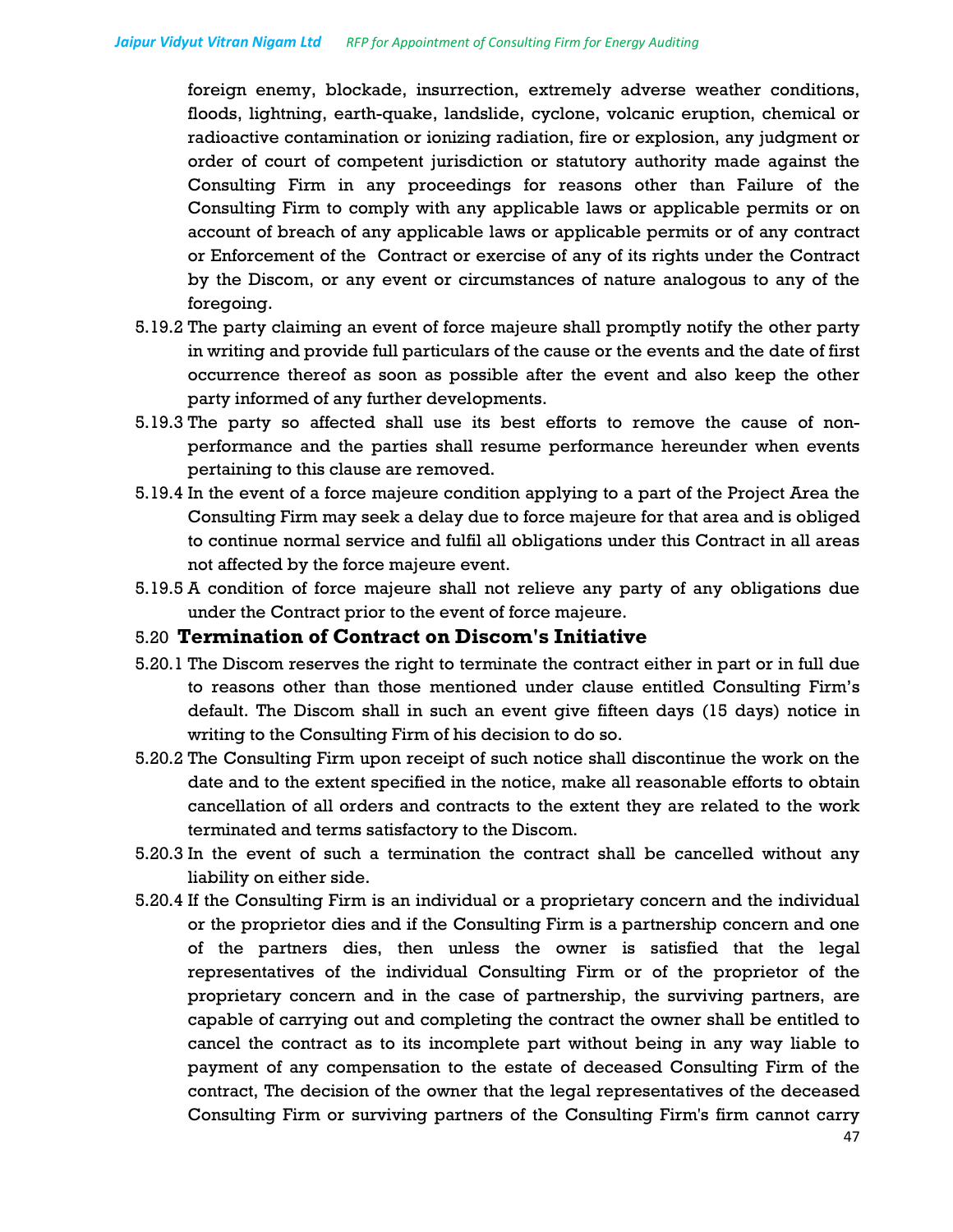foreign enemy, blockade, insurrection, extremely adverse weather conditions, floods, lightning, earth-quake, landslide, cyclone, volcanic eruption, chemical or radioactive contamination or ionizing radiation, fire or explosion, any judgment or order of court of competent jurisdiction or statutory authority made against the Consulting Firm in any proceedings for reasons other than Failure of the Consulting Firm to comply with any applicable laws or applicable permits or on account of breach of any applicable laws or applicable permits or of any contract or Enforcement of the Contract or exercise of any of its rights under the Contract by the Discom, or any event or circumstances of nature analogous to any of the foregoing.

- 5.19.2 The party claiming an event of force majeure shall promptly notify the other party in writing and provide full particulars of the cause or the events and the date of first occurrence thereof as soon as possible after the event and also keep the other party informed of any further developments.
- 5.19.3 The party so affected shall use its best efforts to remove the cause of nonperformance and the parties shall resume performance hereunder when events pertaining to this clause are removed.
- 5.19.4 In the event of a force majeure condition applying to a part of the Project Area the Consulting Firm may seek a delay due to force majeure for that area and is obliged to continue normal service and fulfil all obligations under this Contract in all areas not affected by the force majeure event.
- 5.19.5 A condition of force majeure shall not relieve any party of any obligations due under the Contract prior to the event of force majeure.

### 5.20 **Termination of Contract on Discom's Initiative**

- 5.20.1 The Discom reserves the right to terminate the contract either in part or in full due to reasons other than those mentioned under clause entitled Consulting Firm's default. The Discom shall in such an event give fifteen days (15 days) notice in writing to the Consulting Firm of his decision to do so.
- 5.20.2 The Consulting Firm upon receipt of such notice shall discontinue the work on the date and to the extent specified in the notice, make all reasonable efforts to obtain cancellation of all orders and contracts to the extent they are related to the work terminated and terms satisfactory to the Discom.
- 5.20.3 In the event of such a termination the contract shall be cancelled without any liability on either side.
- 5.20.4 If the Consulting Firm is an individual or a proprietary concern and the individual or the proprietor dies and if the Consulting Firm is a partnership concern and one of the partners dies, then unless the owner is satisfied that the legal representatives of the individual Consulting Firm or of the proprietor of the proprietary concern and in the case of partnership, the surviving partners, are capable of carrying out and completing the contract the owner shall be entitled to cancel the contract as to its incomplete part without being in any way liable to payment of any compensation to the estate of deceased Consulting Firm of the contract, The decision of the owner that the legal representatives of the deceased Consulting Firm or surviving partners of the Consulting Firm's firm cannot carry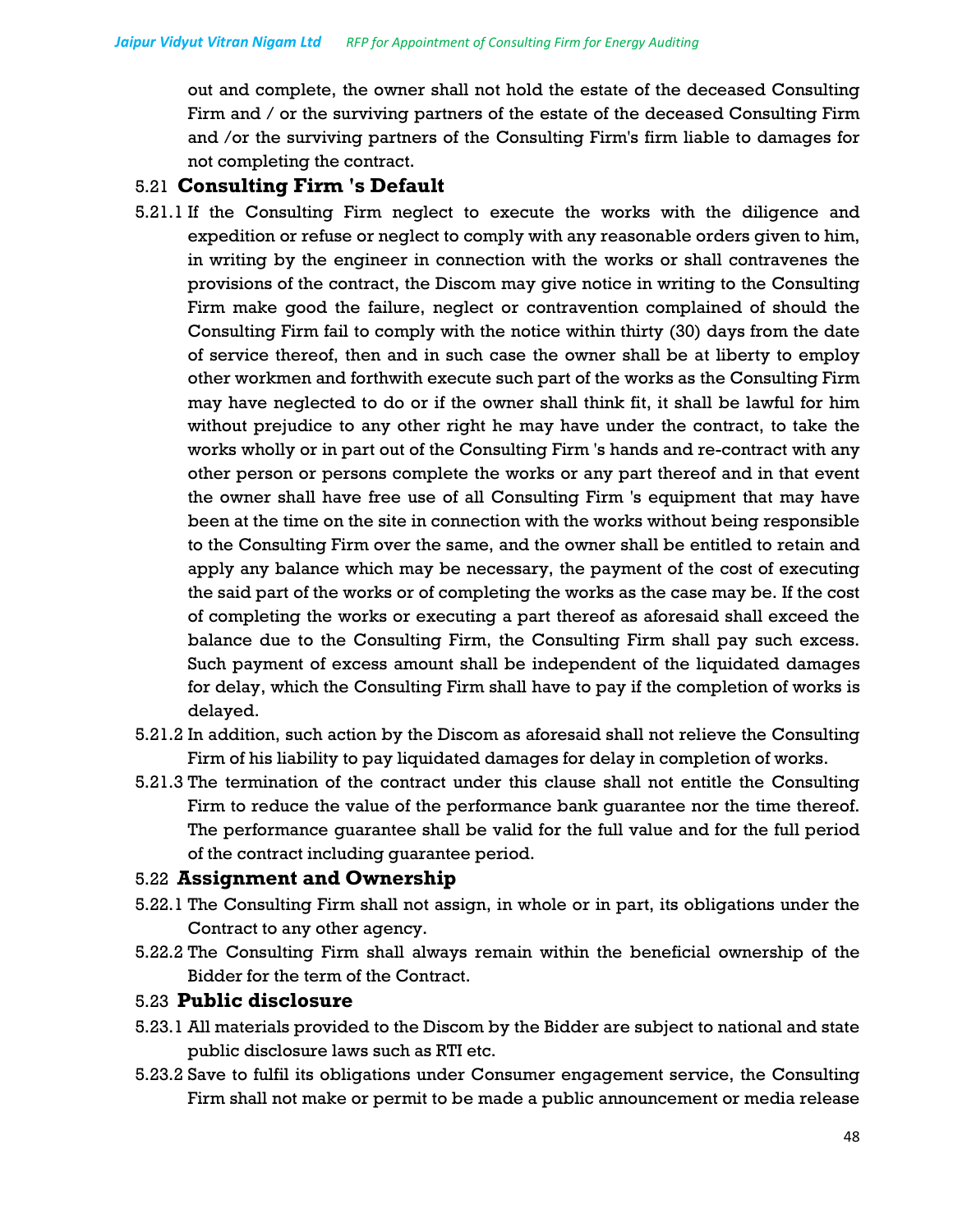out and complete, the owner shall not hold the estate of the deceased Consulting Firm and / or the surviving partners of the estate of the deceased Consulting Firm and /or the surviving partners of the Consulting Firm's firm liable to damages for not completing the contract.

## 5.21 **Consulting Firm 's Default**

- 5.21.1 If the Consulting Firm neglect to execute the works with the diligence and expedition or refuse or neglect to comply with any reasonable orders given to him, in writing by the engineer in connection with the works or shall contravenes the provisions of the contract, the Discom may give notice in writing to the Consulting Firm make good the failure, neglect or contravention complained of should the Consulting Firm fail to comply with the notice within thirty (30) days from the date of service thereof, then and in such case the owner shall be at liberty to employ other workmen and forthwith execute such part of the works as the Consulting Firm may have neglected to do or if the owner shall think fit, it shall be lawful for him without prejudice to any other right he may have under the contract, to take the works wholly or in part out of the Consulting Firm 's hands and re-contract with any other person or persons complete the works or any part thereof and in that event the owner shall have free use of all Consulting Firm 's equipment that may have been at the time on the site in connection with the works without being responsible to the Consulting Firm over the same, and the owner shall be entitled to retain and apply any balance which may be necessary, the payment of the cost of executing the said part of the works or of completing the works as the case may be. If the cost of completing the works or executing a part thereof as aforesaid shall exceed the balance due to the Consulting Firm, the Consulting Firm shall pay such excess. Such payment of excess amount shall be independent of the liquidated damages for delay, which the Consulting Firm shall have to pay if the completion of works is delayed.
- 5.21.2 In addition, such action by the Discom as aforesaid shall not relieve the Consulting Firm of his liability to pay liquidated damages for delay in completion of works.
- 5.21.3 The termination of the contract under this clause shall not entitle the Consulting Firm to reduce the value of the performance bank guarantee nor the time thereof. The performance guarantee shall be valid for the full value and for the full period of the contract including guarantee period.

## 5.22 **Assignment and Ownership**

- 5.22.1 The Consulting Firm shall not assign, in whole or in part, its obligations under the Contract to any other agency.
- 5.22.2 The Consulting Firm shall always remain within the beneficial ownership of the Bidder for the term of the Contract.

## 5.23 **Public disclosure**

- 5.23.1 All materials provided to the Discom by the Bidder are subject to national and state public disclosure laws such as RTI etc.
- 5.23.2 Save to fulfil its obligations under Consumer engagement service, the Consulting Firm shall not make or permit to be made a public announcement or media release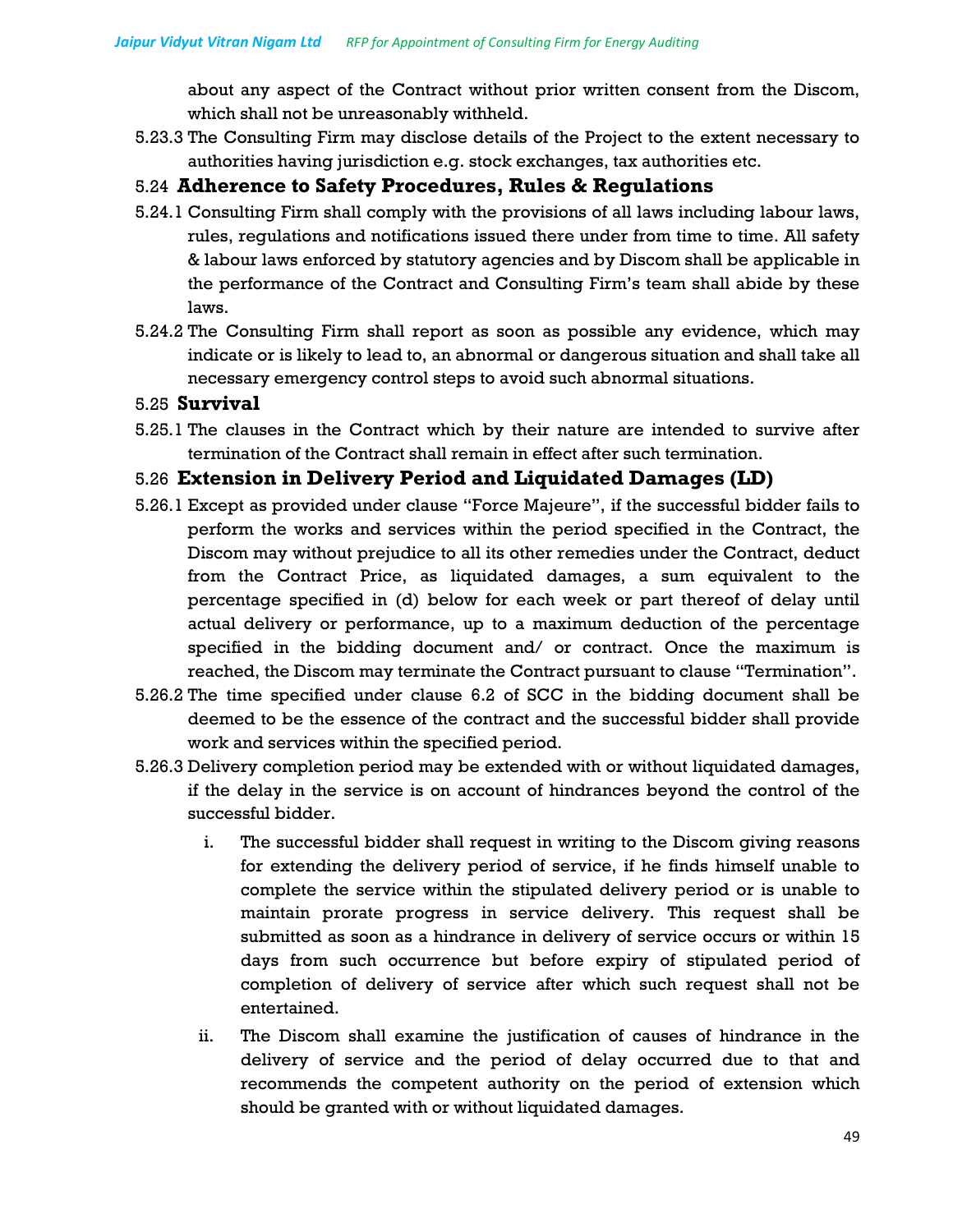about any aspect of the Contract without prior written consent from the Discom, which shall not be unreasonably withheld.

5.23.3 The Consulting Firm may disclose details of the Project to the extent necessary to authorities having jurisdiction e.g. stock exchanges, tax authorities etc.

### 5.24 **Adherence to Safety Procedures, Rules & Regulations**

- 5.24.1 Consulting Firm shall comply with the provisions of all laws including labour laws, rules, regulations and notifications issued there under from time to time. All safety & labour laws enforced by statutory agencies and by Discom shall be applicable in the performance of the Contract and Consulting Firm's team shall abide by these laws.
- 5.24.2 The Consulting Firm shall report as soon as possible any evidence, which may indicate or is likely to lead to, an abnormal or dangerous situation and shall take all necessary emergency control steps to avoid such abnormal situations.

### 5.25 **Survival**

5.25.1 The clauses in the Contract which by their nature are intended to survive after termination of the Contract shall remain in effect after such termination.

### 5.26 **Extension in Delivery Period and Liquidated Damages (LD)**

- 5.26.1 Except as provided under clause "Force Majeure", if the successful bidder fails to perform the works and services within the period specified in the Contract, the Discom may without prejudice to all its other remedies under the Contract, deduct from the Contract Price, as liquidated damages, a sum equivalent to the percentage specified in (d) below for each week or part thereof of delay until actual delivery or performance, up to a maximum deduction of the percentage specified in the bidding document and/ or contract. Once the maximum is reached, the Discom may terminate the Contract pursuant to clause "Termination".
- 5.26.2 The time specified under clause 6.2 of SCC in the bidding document shall be deemed to be the essence of the contract and the successful bidder shall provide work and services within the specified period.
- 5.26.3 Delivery completion period may be extended with or without liquidated damages, if the delay in the service is on account of hindrances beyond the control of the successful bidder.
	- i. The successful bidder shall request in writing to the Discom giving reasons for extending the delivery period of service, if he finds himself unable to complete the service within the stipulated delivery period or is unable to maintain prorate progress in service delivery. This request shall be submitted as soon as a hindrance in delivery of service occurs or within 15 days from such occurrence but before expiry of stipulated period of completion of delivery of service after which such request shall not be entertained.
	- ii. The Discom shall examine the justification of causes of hindrance in the delivery of service and the period of delay occurred due to that and recommends the competent authority on the period of extension which should be granted with or without liquidated damages.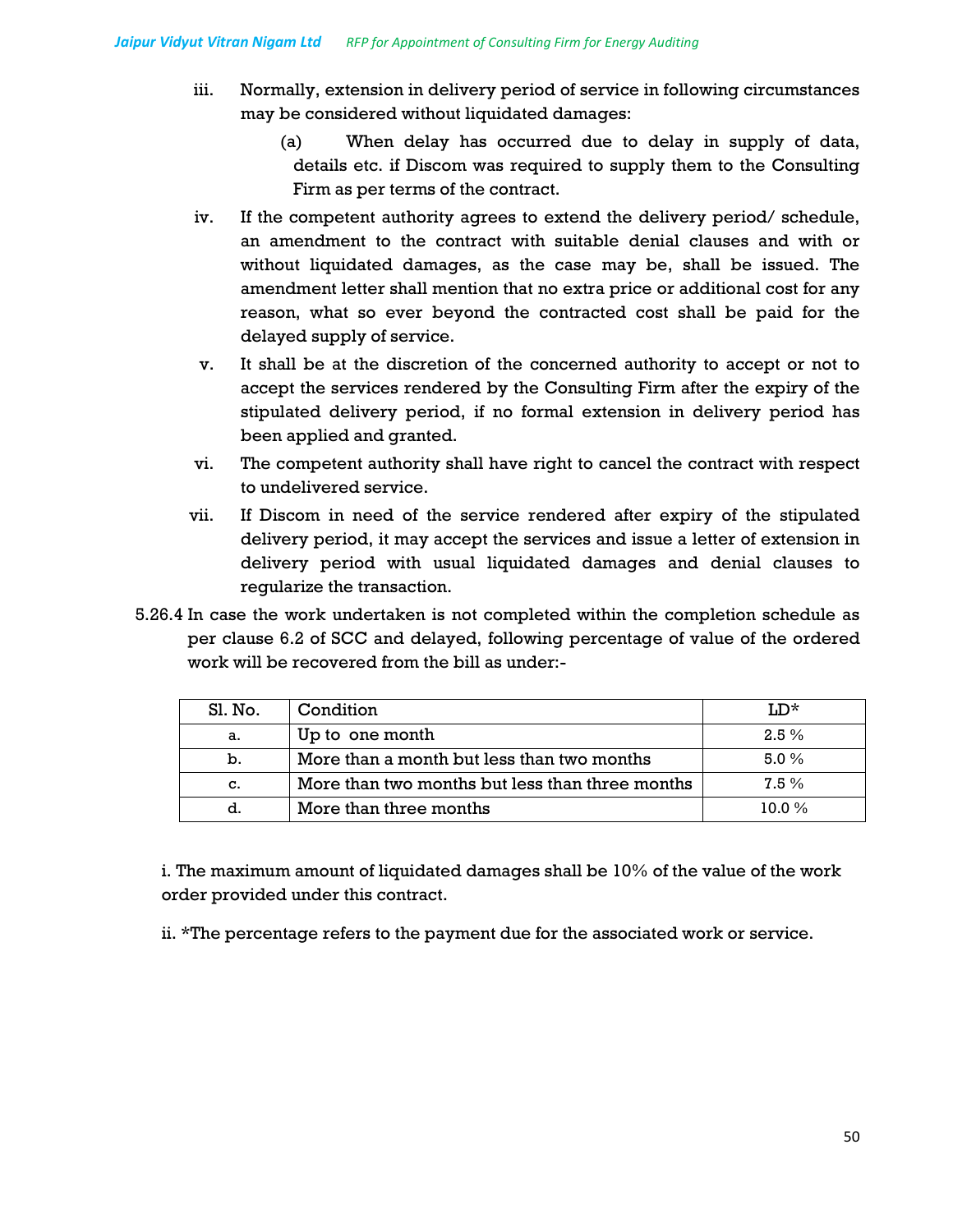- iii. Normally, extension in delivery period of service in following circumstances may be considered without liquidated damages:
	- (a) When delay has occurred due to delay in supply of data, details etc. if Discom was required to supply them to the Consulting Firm as per terms of the contract.
- iv. If the competent authority agrees to extend the delivery period/ schedule, an amendment to the contract with suitable denial clauses and with or without liquidated damages, as the case may be, shall be issued. The amendment letter shall mention that no extra price or additional cost for any reason, what so ever beyond the contracted cost shall be paid for the delayed supply of service.
- v. It shall be at the discretion of the concerned authority to accept or not to accept the services rendered by the Consulting Firm after the expiry of the stipulated delivery period, if no formal extension in delivery period has been applied and granted.
- vi. The competent authority shall have right to cancel the contract with respect to undelivered service.
- vii. If Discom in need of the service rendered after expiry of the stipulated delivery period, it may accept the services and issue a letter of extension in delivery period with usual liquidated damages and denial clauses to regularize the transaction.
- 5.26.4 In case the work undertaken is not completed within the completion schedule as per clause 6.2 of SCC and delayed, following percentage of value of the ordered work will be recovered from the bill as under:-

| Sl. No. | Condition                                       | ™.n*     |
|---------|-------------------------------------------------|----------|
| а.      | Up to one month                                 | $2.5\%$  |
| b.      | More than a month but less than two months      | $5.0\%$  |
| C.      | More than two months but less than three months | $7.5\%$  |
| d.      | More than three months                          | $10.0\%$ |

i. The maximum amount of liquidated damages shall be 10% of the value of the work order provided under this contract.

ii. \*The percentage refers to the payment due for the associated work or service.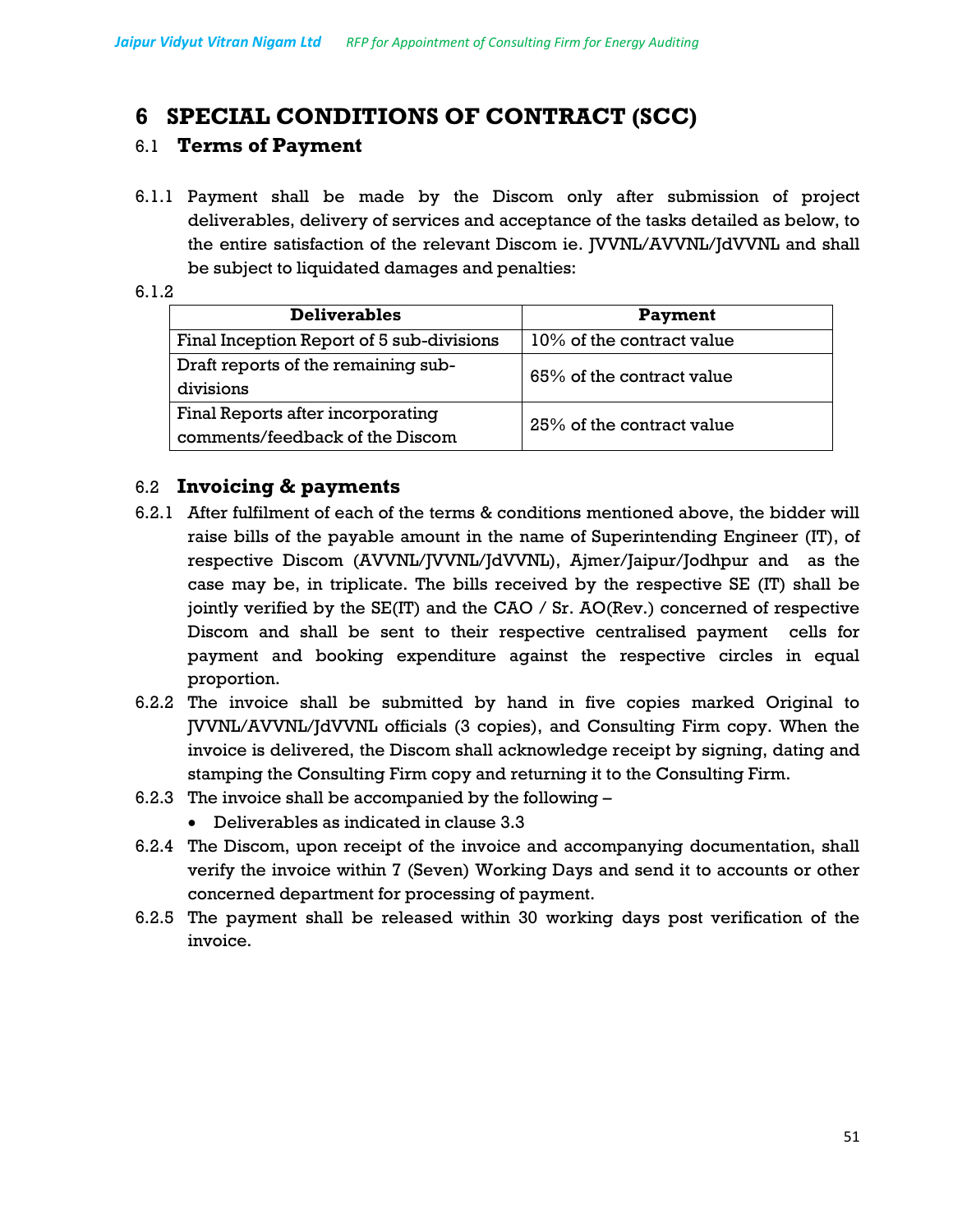## **6 SPECIAL CONDITIONS OF CONTRACT (SCC)**

## 6.1 **Terms of Payment**

6.1.1 Payment shall be made by the Discom only after submission of project deliverables, delivery of services and acceptance of the tasks detailed as below, to the entire satisfaction of the relevant Discom ie. JVVNL/AVVNL/JdVVNL and shall be subject to liquidated damages and penalties:

| <b>Deliverables</b>                       | Payment                   |  |
|-------------------------------------------|---------------------------|--|
| Final Inception Report of 5 sub-divisions | 10% of the contract value |  |
| Draft reports of the remaining sub-       | 65% of the contract value |  |
| divisions                                 |                           |  |
| Final Reports after incorporating         | 25% of the contract value |  |
| comments/feedback of the Discom           |                           |  |
|                                           |                           |  |

## 6.2 **Invoicing & payments**

- 6.2.1 After fulfilment of each of the terms & conditions mentioned above, the bidder will raise bills of the payable amount in the name of Superintending Engineer (IT), of respective Discom (AVVNL/JVVNL/JdVVNL), Ajmer/Jaipur/Jodhpur and as the case may be, in triplicate. The bills received by the respective SE (IT) shall be jointly verified by the SE(IT) and the CAO / Sr. AO(Rev.) concerned of respective Discom and shall be sent to their respective centralised payment cells for payment and booking expenditure against the respective circles in equal proportion.
- 6.2.2 The invoice shall be submitted by hand in five copies marked Original to JVVNL/AVVNL/JdVVNL officials (3 copies), and Consulting Firm copy. When the invoice is delivered, the Discom shall acknowledge receipt by signing, dating and stamping the Consulting Firm copy and returning it to the Consulting Firm.
- 6.2.3 The invoice shall be accompanied by the following
	- Deliverables as indicated in clause 3.3
- 6.2.4 The Discom, upon receipt of the invoice and accompanying documentation, shall verify the invoice within 7 (Seven) Working Days and send it to accounts or other concerned department for processing of payment.
- 6.2.5 The payment shall be released within 30 working days post verification of the invoice.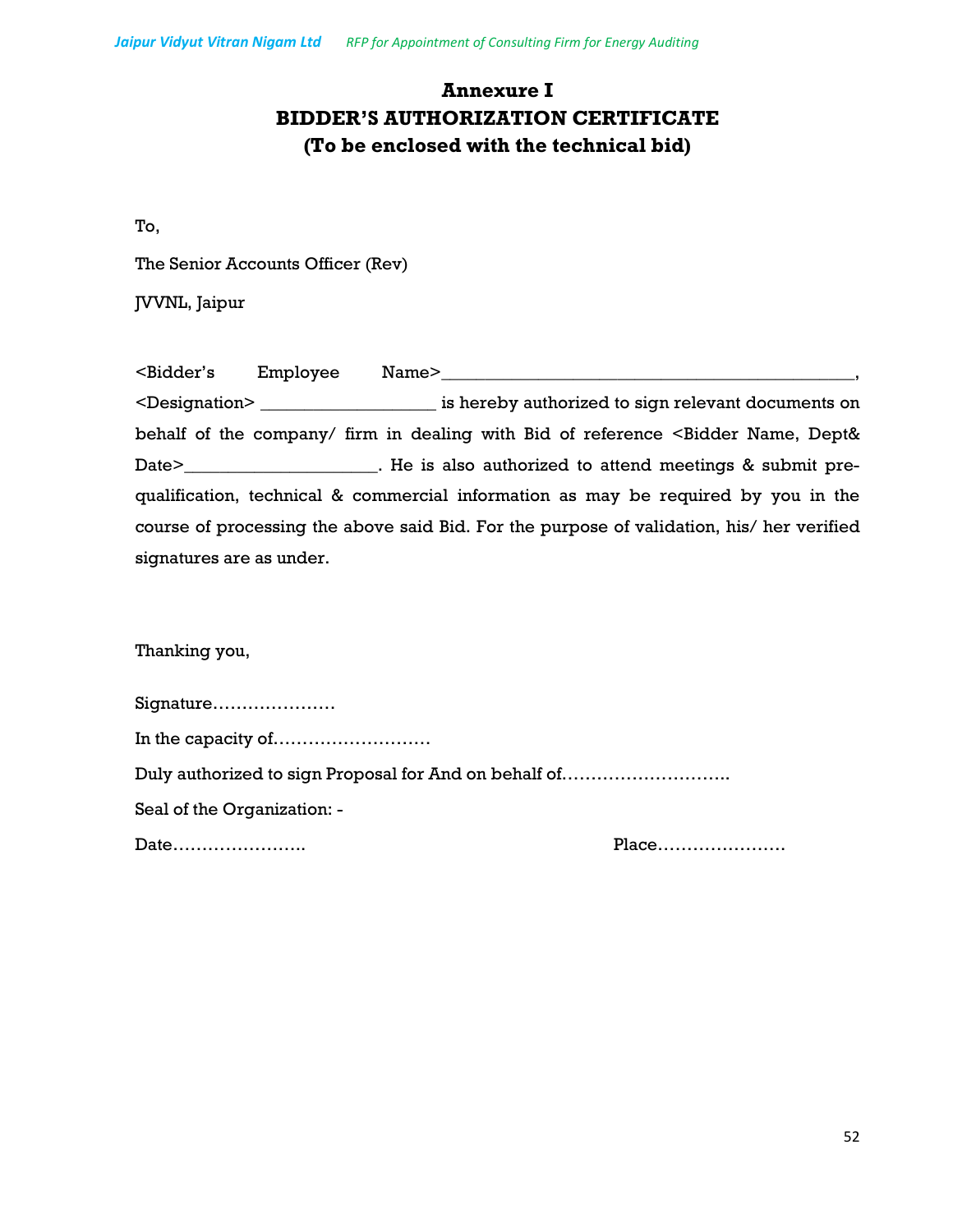## **Annexure I BIDDER'S AUTHORIZATION CERTIFICATE (To be enclosed with the technical bid)**

To,

The Senior Accounts Officer (Rev)

JVVNL, Jaipur

| <bidder's< th=""><th>Employee</th><th>Name&gt;</th></bidder's<> | Employee | Name>                                                                                     |
|-----------------------------------------------------------------|----------|-------------------------------------------------------------------------------------------|
|                                                                 |          | <designation> is hereby authorized to sign relevant documents on</designation>            |
|                                                                 |          | behalf of the company/ firm in dealing with Bid of reference < Bidder Name, Dept&         |
|                                                                 |          |                                                                                           |
|                                                                 |          | qualification, technical & commercial information as may be required by you in the        |
|                                                                 |          | course of processing the above said Bid. For the purpose of validation, his/ her verified |
| signatures are as under.                                        |          |                                                                                           |

Thanking you,

| Signature                                             |       |
|-------------------------------------------------------|-------|
|                                                       |       |
| Duly authorized to sign Proposal for And on behalf of |       |
| Seal of the Organization: -                           |       |
| Date                                                  | Place |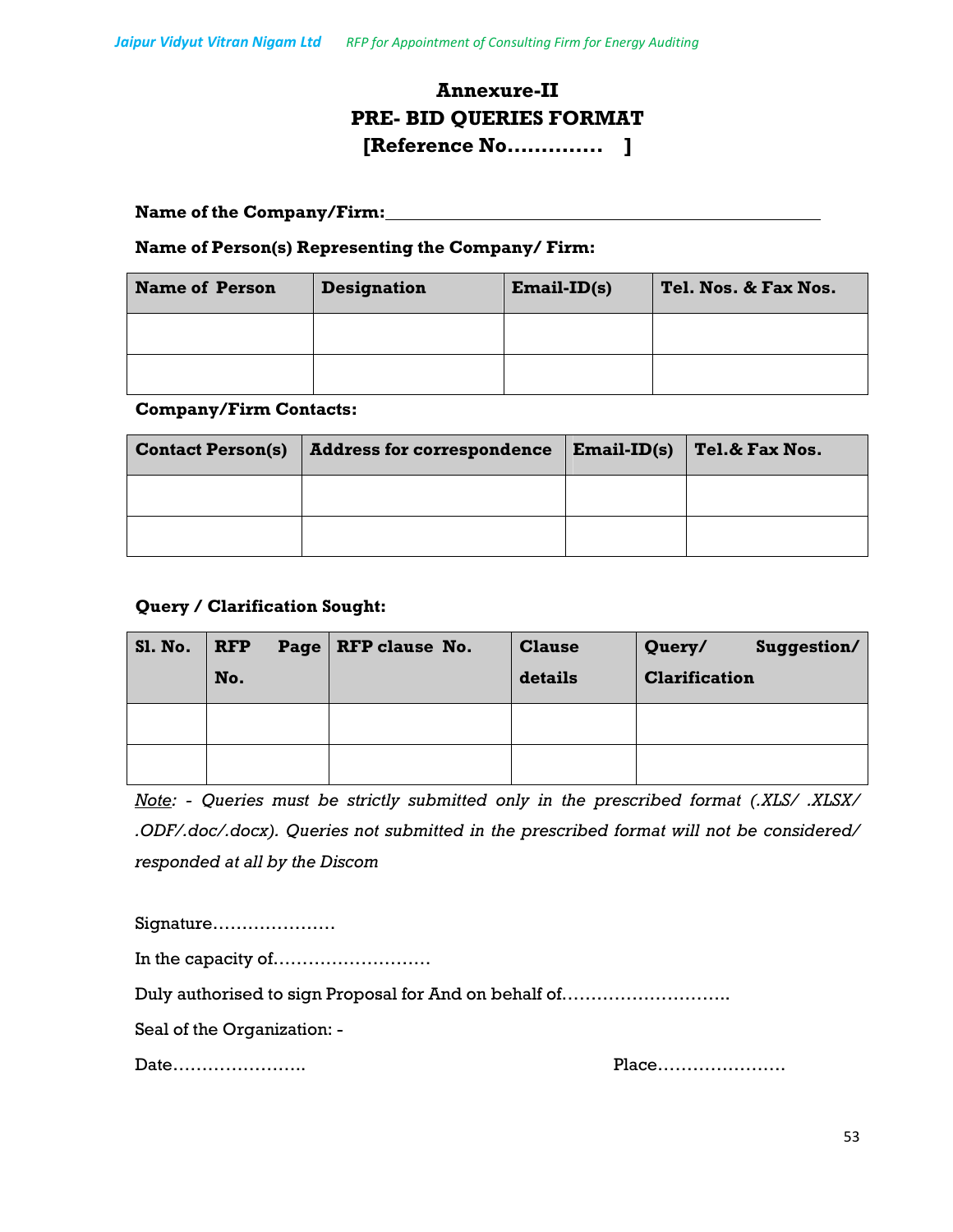## **Annexure-II PRE- BID QUERIES FORMAT [Reference No………….. ]**

#### **Name of the Company/Firm:**

#### **Name of Person(s) Representing the Company/ Firm:**

| <b>Name of Person</b> | <b>Designation</b> | $Email-ID(s)$ | Tel. Nos. & Fax Nos. |
|-----------------------|--------------------|---------------|----------------------|
|                       |                    |               |                      |
|                       |                    |               |                      |

#### **Company/Firm Contacts:**

| <b>Contact Person(s)</b> | <b>Address for correspondence</b> | $Email-ID(s)$ | <b>Tel.&amp; Fax Nos.</b> |
|--------------------------|-----------------------------------|---------------|---------------------------|
|                          |                                   |               |                           |
|                          |                                   |               |                           |

### **Query / Clarification Sought:**

| <b>Sl. No.</b> | <b>RFP</b> | Page   RFP clause No. | <b>Clause</b> | Query/<br>Suggestion/ |
|----------------|------------|-----------------------|---------------|-----------------------|
|                | No.        |                       | details       | <b>Clarification</b>  |
|                |            |                       |               |                       |
|                |            |                       |               |                       |

*Note: - Queries must be strictly submitted only in the prescribed format (.XLS/ .XLSX/ .ODF/.doc/.docx). Queries not submitted in the prescribed format will not be considered/ responded at all by the Discom* 

Signature………………… In the capacity of……………………… Duly authorised to sign Proposal for And on behalf of……………………….. Seal of the Organization: -

Date………………….. Place………………….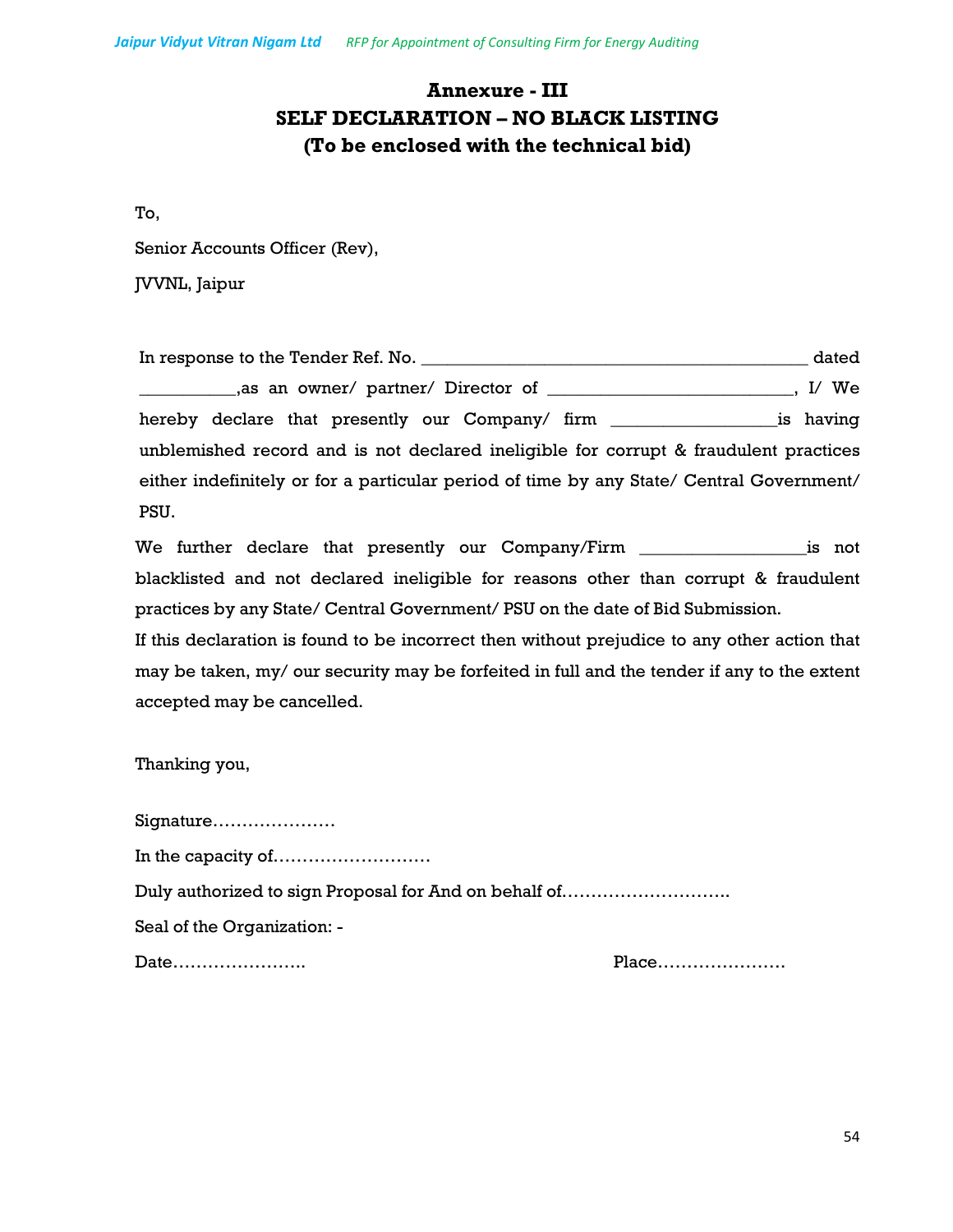## **Annexure - III SELF DECLARATION – NO BLACK LISTING (To be enclosed with the technical bid)**

To,

Senior Accounts Officer (Rev),

JVVNL, Jaipur

| In response to the Tender Ref. No.                                                       | dated   |
|------------------------------------------------------------------------------------------|---------|
|                                                                                          | , I/ We |
|                                                                                          |         |
| unblemished record and is not declared ineligible for corrupt & fraudulent practices     |         |
| either indefinitely or for a particular period of time by any State/ Central Government/ |         |
| PSU.                                                                                     |         |

We further declare that presently our Company/Firm \_\_\_\_\_\_\_\_\_\_\_\_\_\_\_\_\_\_\_\_\_\_\_is not blacklisted and not declared ineligible for reasons other than corrupt & fraudulent practices by any State/ Central Government/ PSU on the date of Bid Submission.

If this declaration is found to be incorrect then without prejudice to any other action that may be taken, my/ our security may be forfeited in full and the tender if any to the extent accepted may be cancelled.

Thanking you,

| Signature                                             |  |
|-------------------------------------------------------|--|
|                                                       |  |
| Duly authorized to sign Proposal for And on behalf of |  |
| Seal of the Organization: -                           |  |
| Date                                                  |  |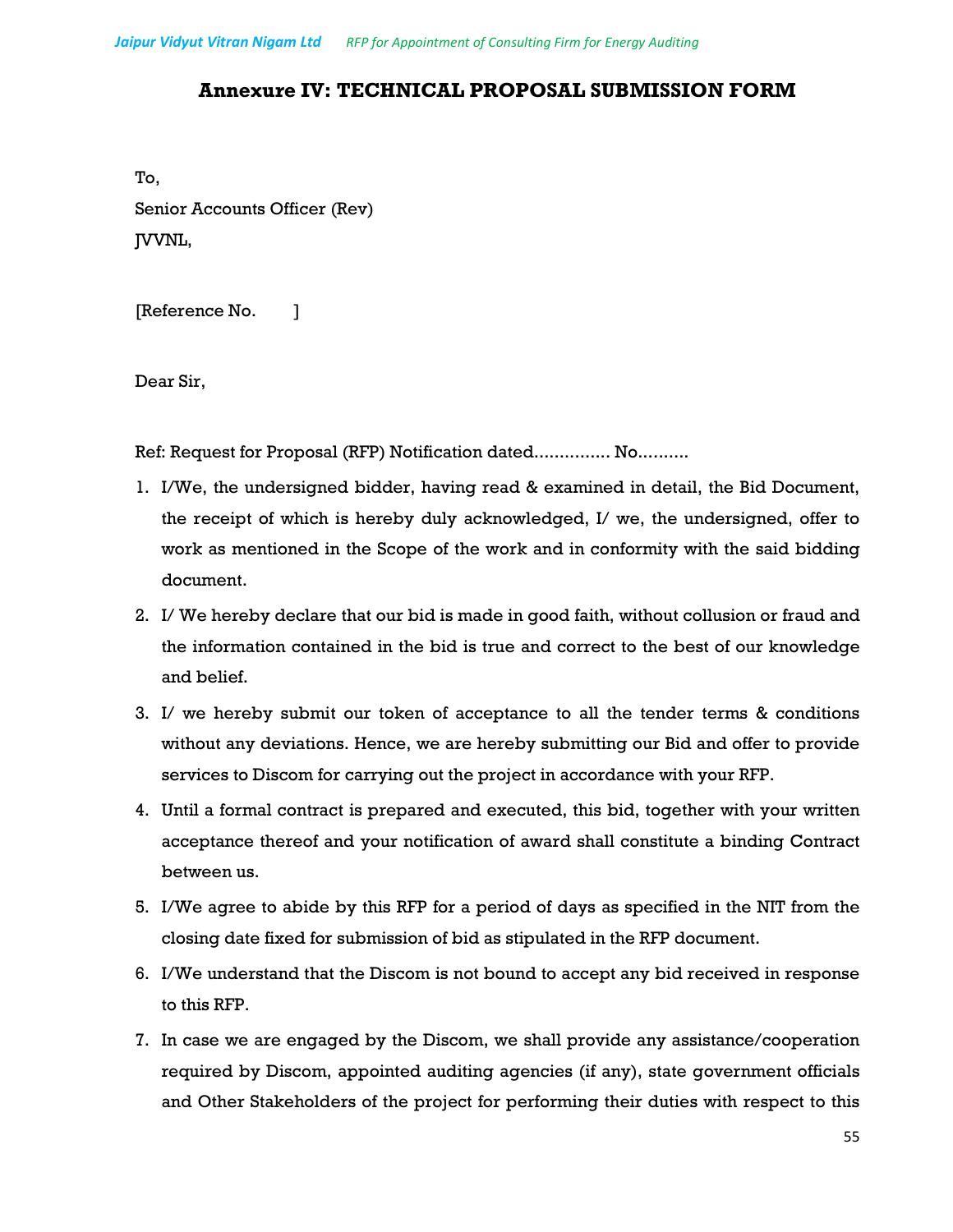## **Annexure IV: TECHNICAL PROPOSAL SUBMISSION FORM**

To, Senior Accounts Officer (Rev) JVVNL,

[Reference No. ]

Dear Sir,

Ref: Request for Proposal (RFP) Notification dated............... No..........

- 1. I/We, the undersigned bidder, having read & examined in detail, the Bid Document, the receipt of which is hereby duly acknowledged, I/ we, the undersigned, offer to work as mentioned in the Scope of the work and in conformity with the said bidding document.
- 2. I/ We hereby declare that our bid is made in good faith, without collusion or fraud and the information contained in the bid is true and correct to the best of our knowledge and belief.
- 3. I/ we hereby submit our token of acceptance to all the tender terms & conditions without any deviations. Hence, we are hereby submitting our Bid and offer to provide services to Discom for carrying out the project in accordance with your RFP.
- 4. Until a formal contract is prepared and executed, this bid, together with your written acceptance thereof and your notification of award shall constitute a binding Contract between us.
- 5. I/We agree to abide by this RFP for a period of days as specified in the NIT from the closing date fixed for submission of bid as stipulated in the RFP document.
- 6. I/We understand that the Discom is not bound to accept any bid received in response to this RFP.
- 7. In case we are engaged by the Discom, we shall provide any assistance/cooperation required by Discom, appointed auditing agencies (if any), state government officials and Other Stakeholders of the project for performing their duties with respect to this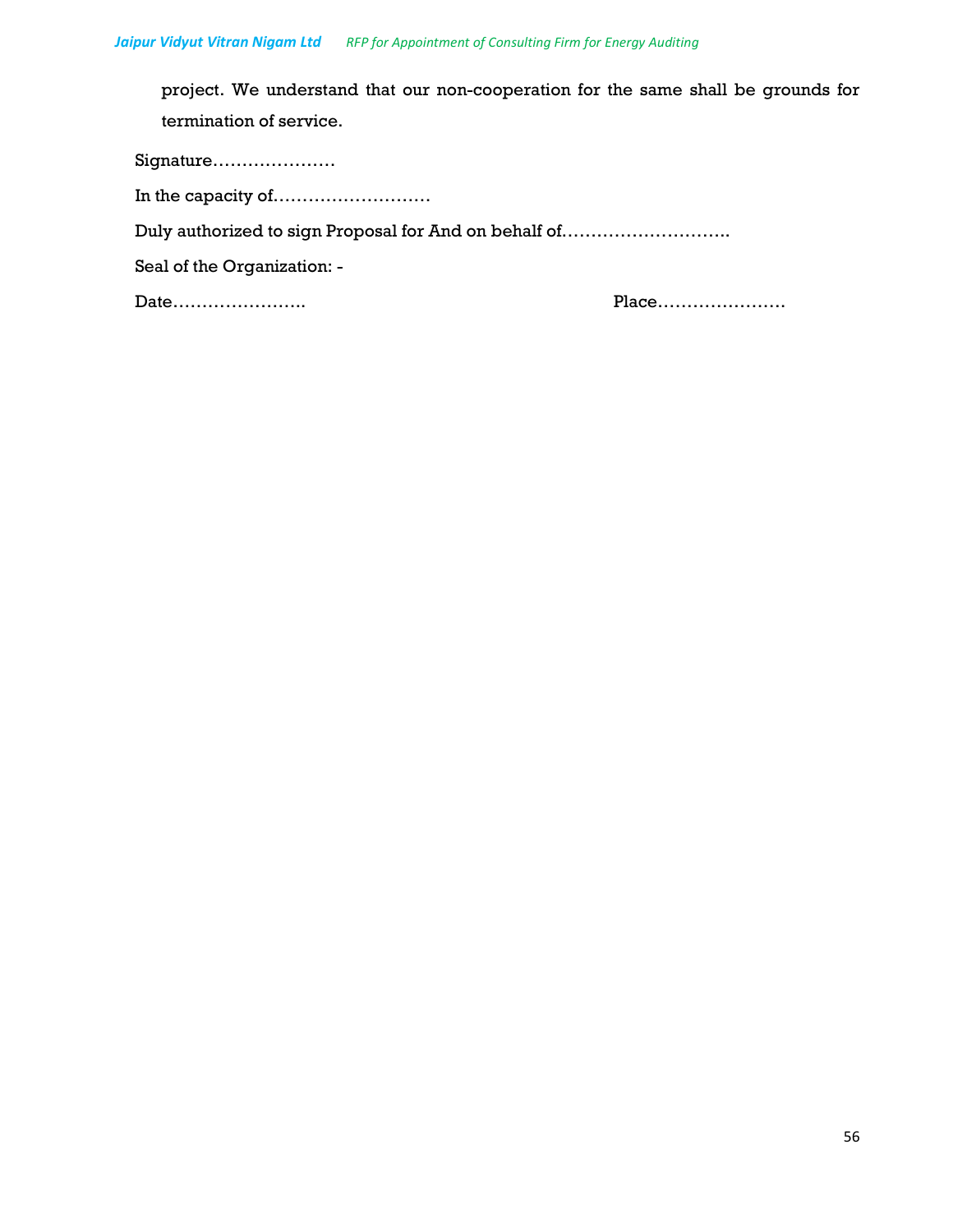project. We understand that our non-cooperation for the same shall be grounds for termination of service.

Signature…………………

In the capacity of………………………

Duly authorized to sign Proposal for And on behalf of………………………..

Seal of the Organization: -

Date………………….. Place………………….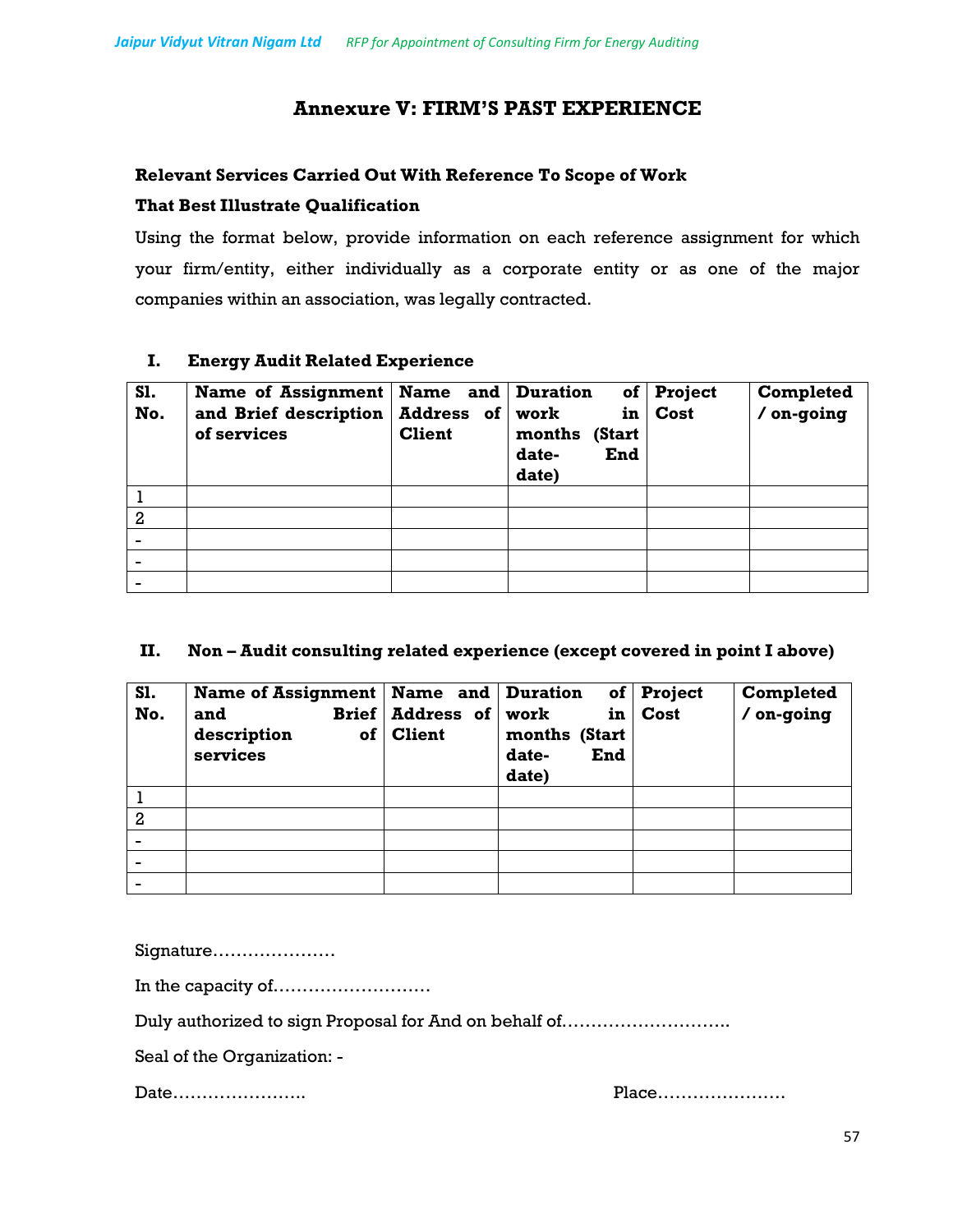## **Annexure V: FIRM'S PAST EXPERIENCE**

### **Relevant Services Carried Out With Reference To Scope of Work**

### **That Best Illustrate Qualification**

Using the format below, provide information on each reference assignment for which your firm/entity, either individually as a corporate entity or as one of the major companies within an association, was legally contracted.

### **I. Energy Audit Related Experience**

| <b>S1.</b><br>No. | Name of Assignment<br>and Brief description<br>of services | Name and Duration<br>Address of work<br><b>Client</b> | months<br>(Start<br>date-<br>End<br>date) | of Project<br>in Cost | Completed<br>/ on-going |
|-------------------|------------------------------------------------------------|-------------------------------------------------------|-------------------------------------------|-----------------------|-------------------------|
|                   |                                                            |                                                       |                                           |                       |                         |
| $\overline{2}$    |                                                            |                                                       |                                           |                       |                         |
|                   |                                                            |                                                       |                                           |                       |                         |
|                   |                                                            |                                                       |                                           |                       |                         |
|                   |                                                            |                                                       |                                           |                       |                         |

### **II. Non – Audit consulting related experience (except covered in point I above)**

| S1.<br>No.     | Name of Assignment   Name and   Duration<br>and<br>description<br>of<br>services | Brief   Address of   work<br><b>Client</b> | of <sub>l</sub><br>in<br>months (Start<br>date-<br>End<br>date) | <b>Project</b><br>Cost | Completed<br>/ on-going |
|----------------|----------------------------------------------------------------------------------|--------------------------------------------|-----------------------------------------------------------------|------------------------|-------------------------|
|                |                                                                                  |                                            |                                                                 |                        |                         |
| $\overline{2}$ |                                                                                  |                                            |                                                                 |                        |                         |
|                |                                                                                  |                                            |                                                                 |                        |                         |
|                |                                                                                  |                                            |                                                                 |                        |                         |
|                |                                                                                  |                                            |                                                                 |                        |                         |

Signature…………………

In the capacity of………………………

Duly authorized to sign Proposal for And on behalf of………………………..

Seal of the Organization: -

Date………………….. Place………………….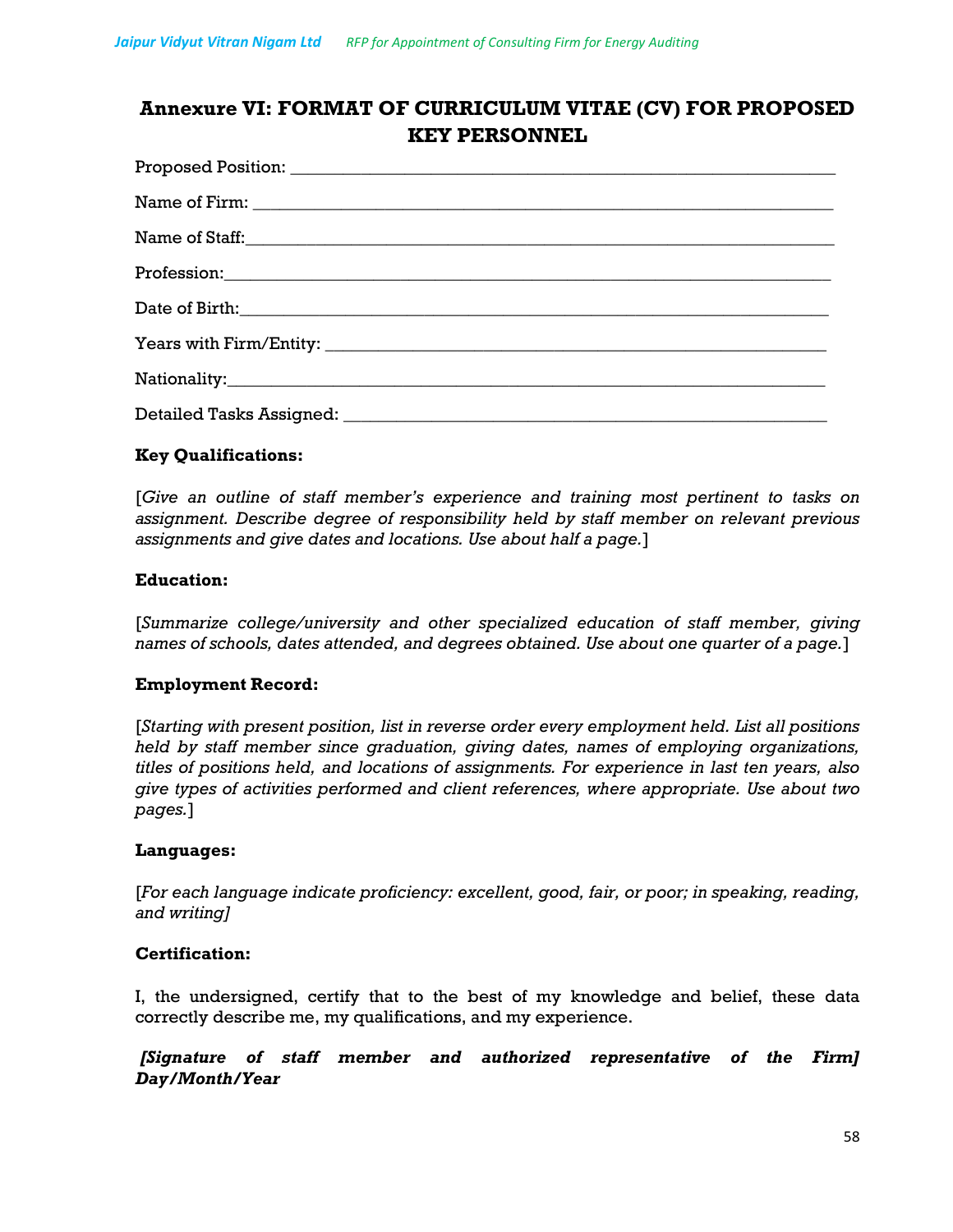## **Annexure VI: FORMAT OF CURRICULUM VITAE (CV) FOR PROPOSED KEY PERSONNEL**

| Name of Staff: |
|----------------|
|                |
|                |
|                |
|                |
|                |

### **Key Qualifications:**

[*Give an outline of staff member's experience and training most pertinent to tasks on assignment. Describe degree of responsibility held by staff member on relevant previous assignments and give dates and locations. Use about half a page.*]

### **Education:**

[*Summarize college/university and other specialized education of staff member, giving names of schools, dates attended, and degrees obtained. Use about one quarter of a page.*]

### **Employment Record:**

[*Starting with present position, list in reverse order every employment held. List all positions held by staff member since graduation, giving dates, names of employing organizations, titles of positions held, and locations of assignments. For experience in last ten years, also give types of activities performed and client references, where appropriate. Use about two pages.*]

### **Languages:**

[*For each language indicate proficiency: excellent, good, fair, or poor; in speaking, reading, and writing]*

### **Certification:**

I, the undersigned, certify that to the best of my knowledge and belief, these data correctly describe me, my qualifications, and my experience.

### *[Signature of staff member and authorized representative of the Firm] Day/Month/Year*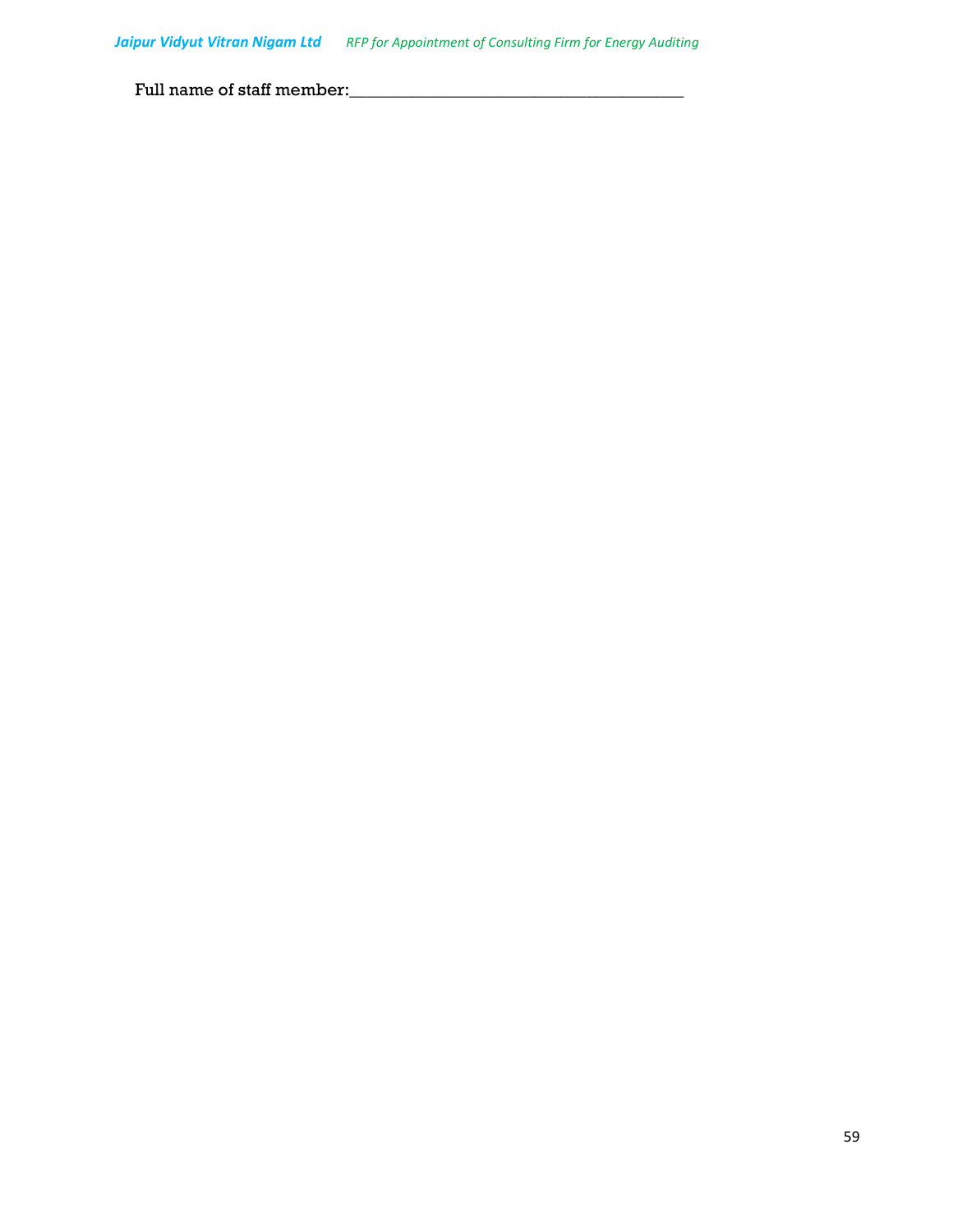Full name of staff member:\_\_\_\_\_\_\_\_\_\_\_\_\_\_\_\_\_\_\_\_\_\_\_\_\_\_\_\_\_\_\_\_\_\_\_\_\_\_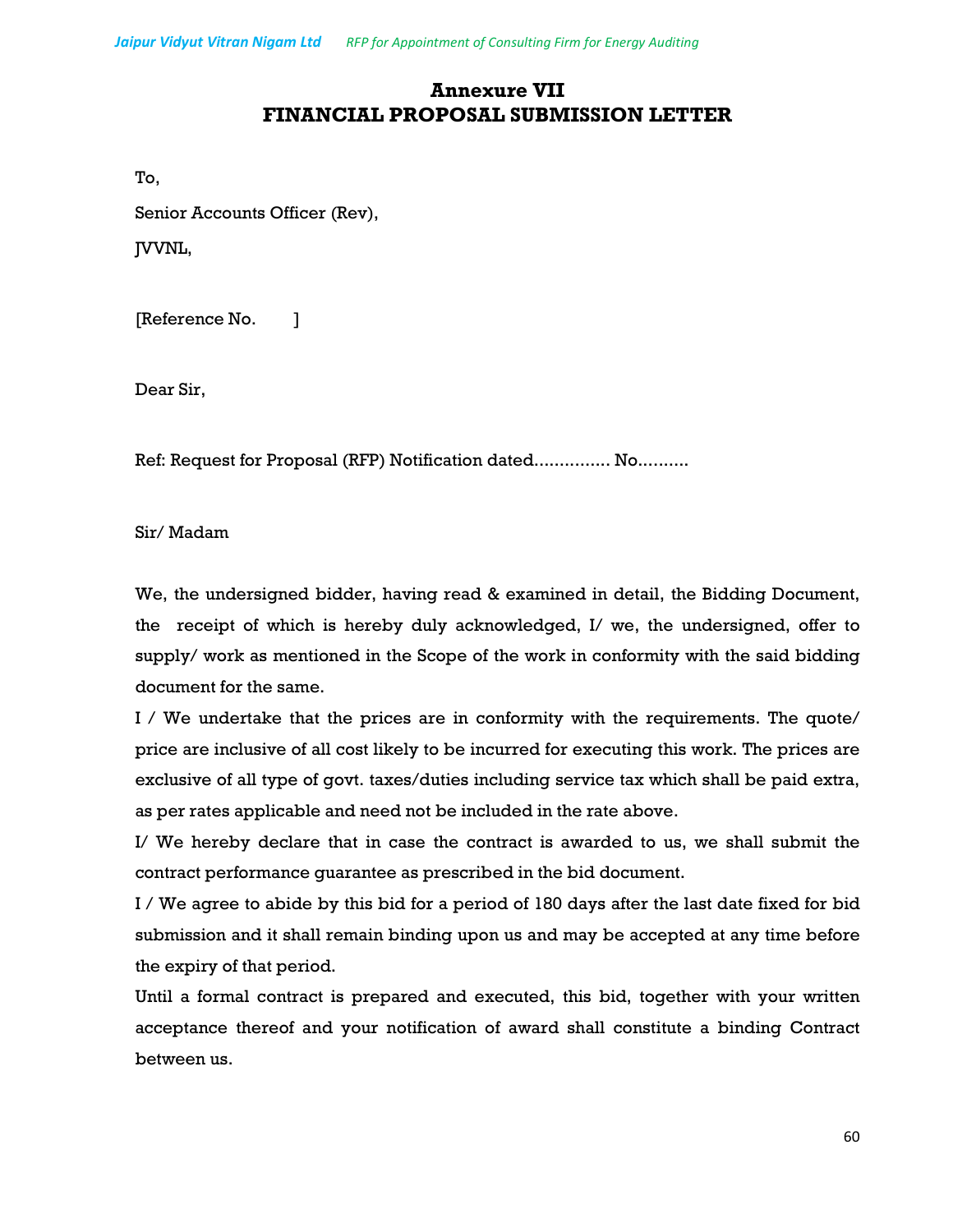## **Annexure VII FINANCIAL PROPOSAL SUBMISSION LETTER**

To,

Senior Accounts Officer (Rev),

JVVNL,

[Reference No. ]

Dear Sir,

Ref: Request for Proposal (RFP) Notification dated............... No..........

Sir/ Madam

We, the undersigned bidder, having read & examined in detail, the Bidding Document, the receipt of which is hereby duly acknowledged, I/ we, the undersigned, offer to supply/ work as mentioned in the Scope of the work in conformity with the said bidding document for the same.

I / We undertake that the prices are in conformity with the requirements. The quote/ price are inclusive of all cost likely to be incurred for executing this work. The prices are exclusive of all type of govt. taxes/duties including service tax which shall be paid extra, as per rates applicable and need not be included in the rate above.

I/ We hereby declare that in case the contract is awarded to us, we shall submit the contract performance guarantee as prescribed in the bid document.

I / We agree to abide by this bid for a period of 180 days after the last date fixed for bid submission and it shall remain binding upon us and may be accepted at any time before the expiry of that period.

Until a formal contract is prepared and executed, this bid, together with your written acceptance thereof and your notification of award shall constitute a binding Contract between us.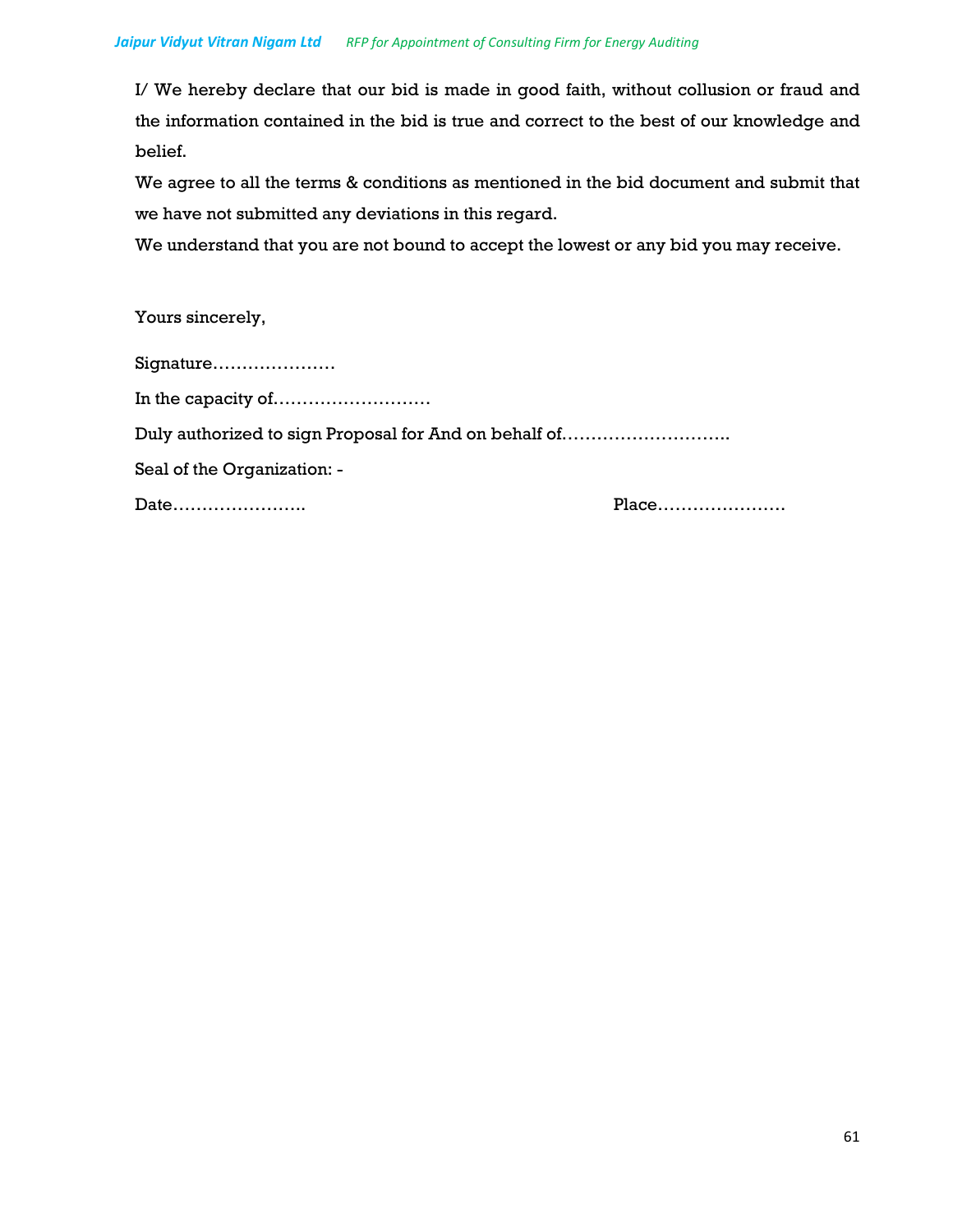I/ We hereby declare that our bid is made in good faith, without collusion or fraud and the information contained in the bid is true and correct to the best of our knowledge and belief.

We agree to all the terms & conditions as mentioned in the bid document and submit that we have not submitted any deviations in this regard.

We understand that you are not bound to accept the lowest or any bid you may receive.

Yours sincerely,

| Signature                                             |  |
|-------------------------------------------------------|--|
|                                                       |  |
| Duly authorized to sign Proposal for And on behalf of |  |
| Seal of the Organization: -                           |  |
| Date                                                  |  |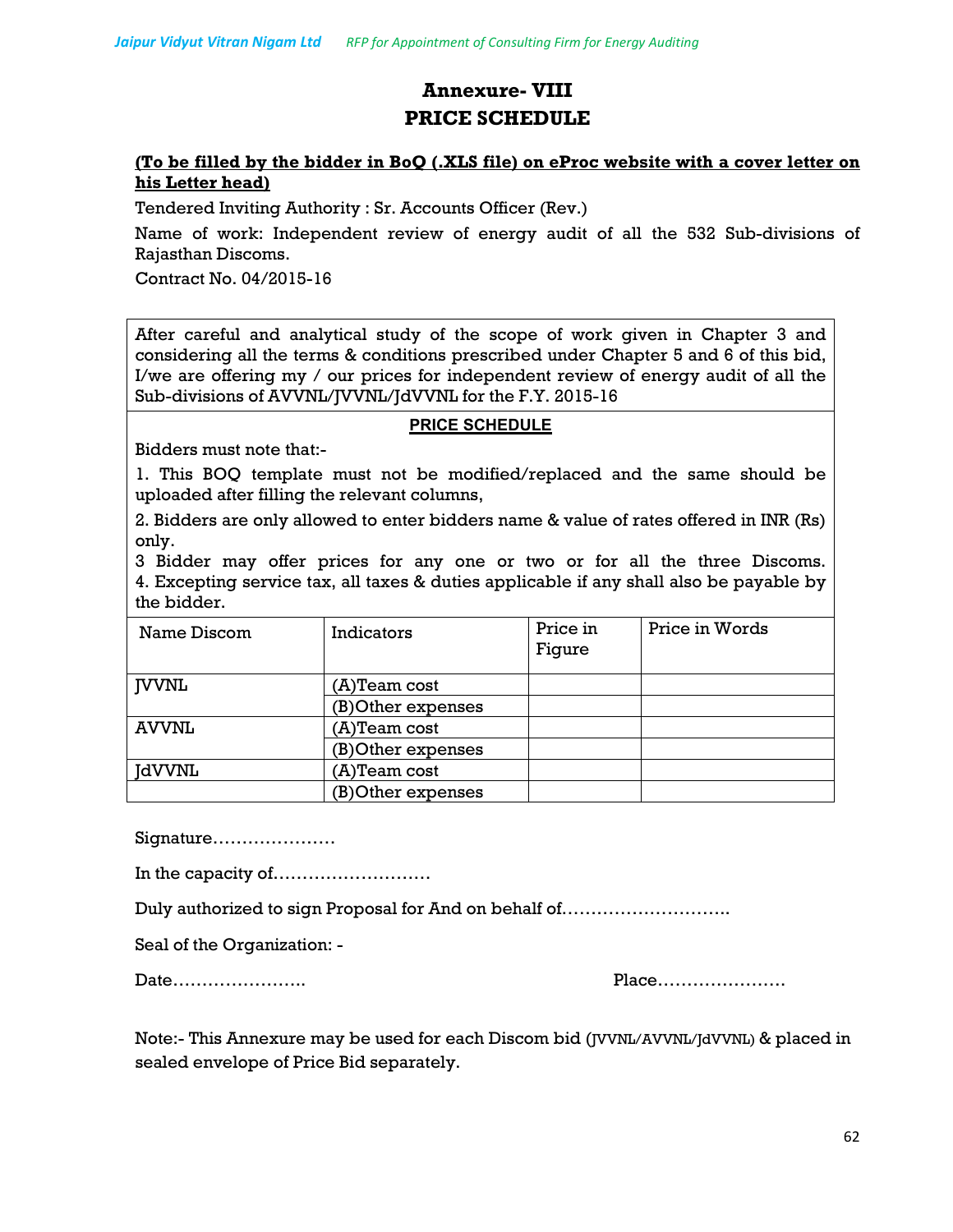## **Annexure- VIII PRICE SCHEDULE**

### **(To be filled by the bidder in BoQ (.XLS file) on eProc website with a cover letter on his Letter head)**

Tendered Inviting Authority : Sr. Accounts Officer (Rev.)

Name of work: Independent review of energy audit of all the 532 Sub-divisions of Rajasthan Discoms.

Contract No. 04/2015-16

After careful and analytical study of the scope of work given in Chapter 3 and considering all the terms & conditions prescribed under Chapter 5 and 6 of this bid, I/we are offering my / our prices for independent review of energy audit of all the Sub-divisions of AVVNL/JVVNL/JdVVNL for the F.Y. 2015-16

### **PRICE SCHEDULE**

Bidders must note that:-

1. This BOQ template must not be modified/replaced and the same should be uploaded after filling the relevant columns,

2. Bidders are only allowed to enter bidders name & value of rates offered in INR (Rs) only.

3 Bidder may offer prices for any one or two or for all the three Discoms. 4. Excepting service tax, all taxes & duties applicable if any shall also be payable by the bidder.

| Name Discom  | Indicators         | Price in<br>Figure | Price in Words |
|--------------|--------------------|--------------------|----------------|
| <b>IVVNL</b> | (A)Team cost       |                    |                |
|              | (B)Other expenses  |                    |                |
| <b>AVVNL</b> | (A)Team cost       |                    |                |
|              | (B) Other expenses |                    |                |
| JdVVNL       | $(A)$ Team cost    |                    |                |
|              | (B) Other expenses |                    |                |

Signature…………………

In the capacity of………………………

Duly authorized to sign Proposal for And on behalf of………………………..

Seal of the Organization: -

Date………………….. Place………………….

Note:- This Annexure may be used for each Discom bid (JVVNL/AVVNL/JdVVNL) & placed in sealed envelope of Price Bid separately.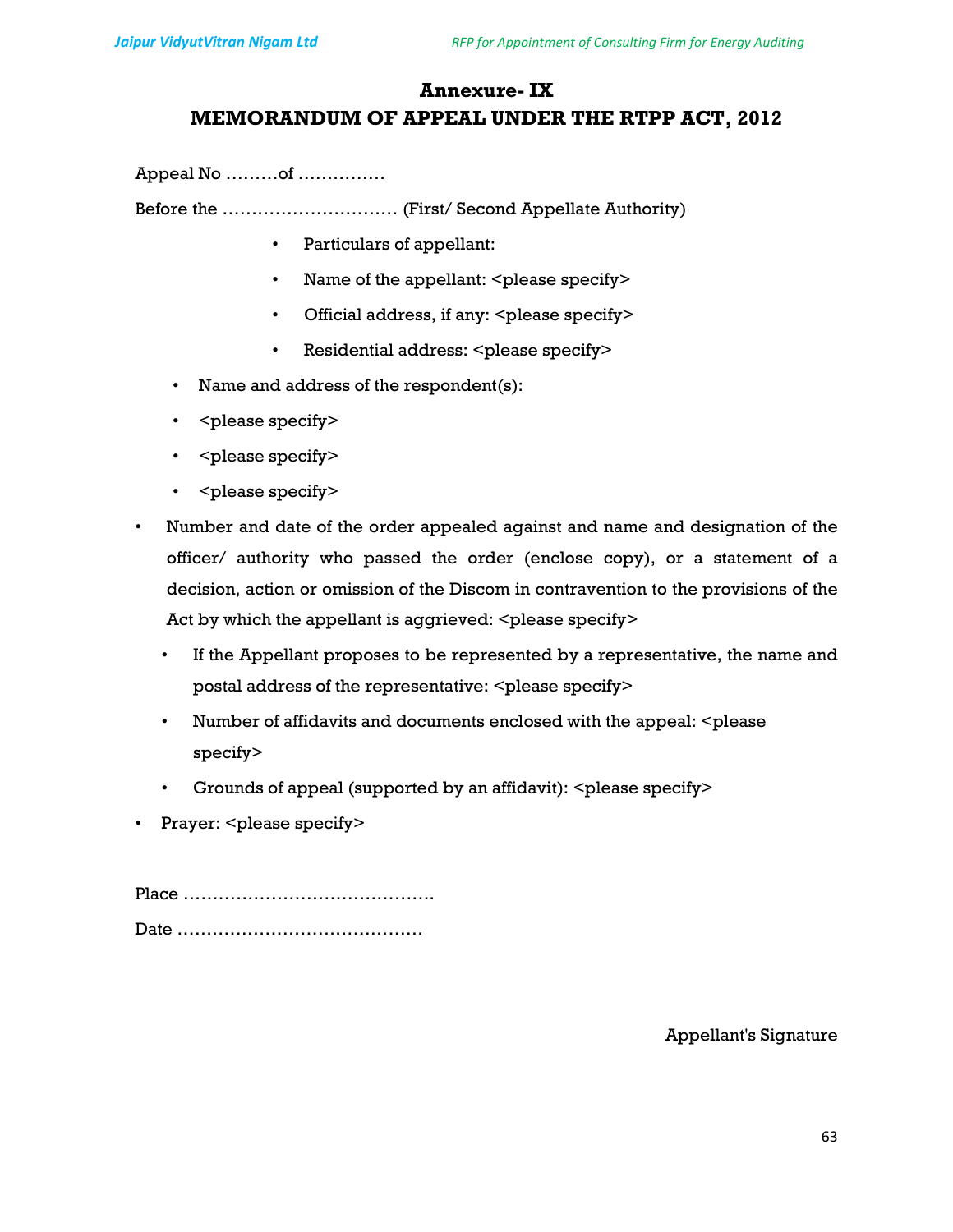## **Annexure- IX MEMORANDUM OF APPEAL UNDER THE RTPP ACT, 2012**

Appeal No ………of ……………

Before the ………………………… (First/ Second Appellate Authority)

- Particulars of appellant:
- Name of the appellant: <please specify>
- Official address, if any: <please specify>
- Residential address: <please specify>
- Name and address of the respondent(s):
- < please specify>
- < please specify>
- < please specify>
- Number and date of the order appealed against and name and designation of the officer/ authority who passed the order (enclose copy), or a statement of a decision, action or omission of the Discom in contravention to the provisions of the Act by which the appellant is aggrieved: <please specify>
	- If the Appellant proposes to be represented by a representative, the name and postal address of the representative: <please specify>
	- Number of affidavits and documents enclosed with the appeal:  $\leq$  please specify>
	- Grounds of appeal (supported by an affidavit): <please specify>
- Prayer: <please specify>

Place ……………………………………. Date ……………………………………

Appellant's Signature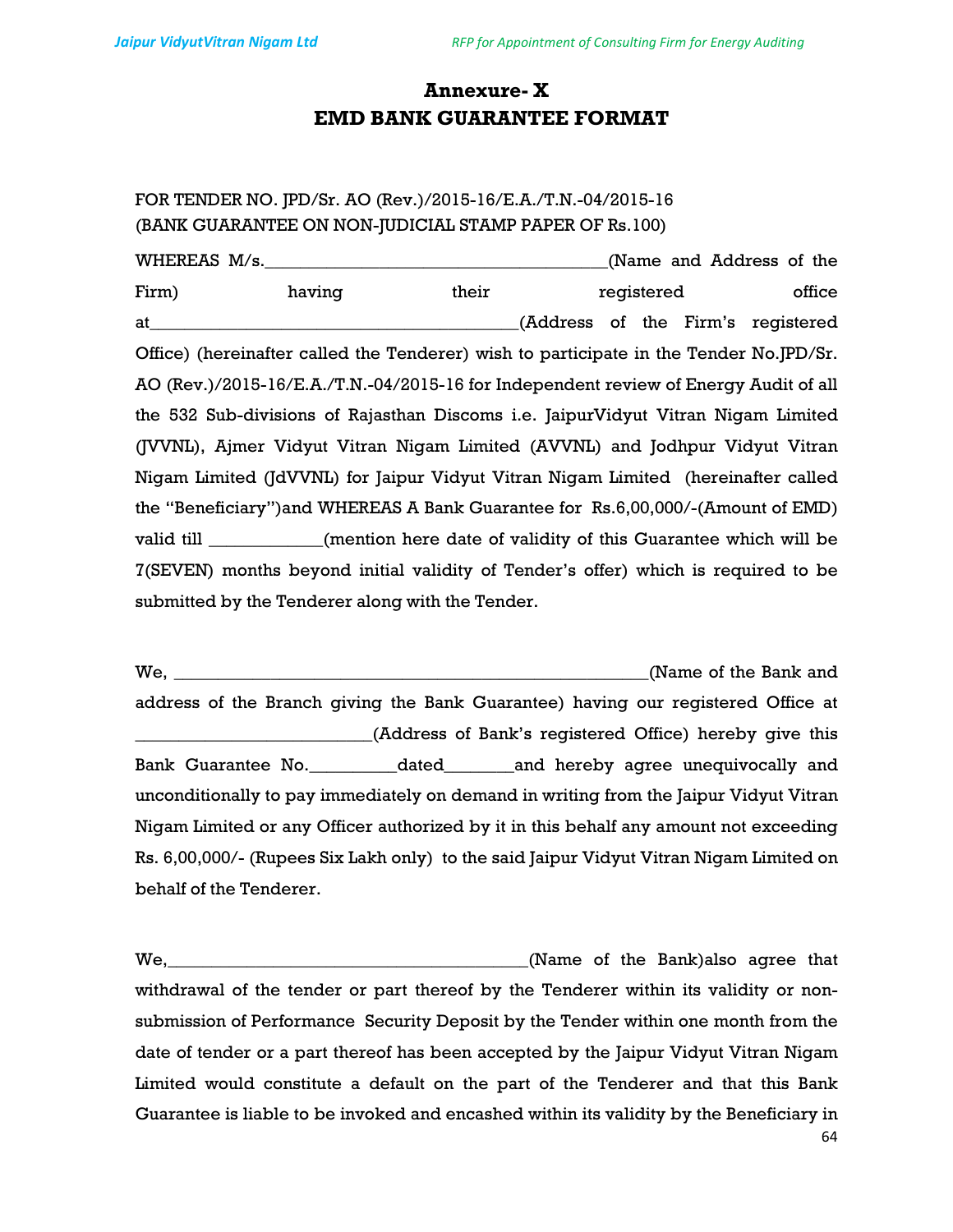## **Annexure- X EMD BANK GUARANTEE FORMAT**

## FOR TENDER NO. JPD/Sr. AO (Rev.)/2015-16/E.A./T.N.-04/2015-16 (BANK GUARANTEE ON NON-JUDICIAL STAMP PAPER OF Rs.100)

WHEREAS M/s.\_\_\_\_\_\_\_\_\_\_\_\_\_\_\_\_\_\_\_\_\_\_\_\_\_\_\_\_\_\_\_\_\_\_\_\_\_\_\_(Name and Address of the Firm) having their registered office at\_\_\_\_\_\_\_\_\_\_\_\_\_\_\_\_\_\_\_\_\_\_\_\_\_\_\_\_\_\_\_\_\_\_\_\_\_\_\_\_\_\_(Address of the Firm's registered Office) (hereinafter called the Tenderer) wish to participate in the Tender No.JPD/Sr. AO (Rev.)/2015-16/E.A./T.N.-04/2015-16 for Independent review of Energy Audit of all the 532 Sub-divisions of Rajasthan Discoms i.e. JaipurVidyut Vitran Nigam Limited (JVVNL), Ajmer Vidyut Vitran Nigam Limited (AVVNL) and Jodhpur Vidyut Vitran Nigam Limited (JdVVNL) for Jaipur Vidyut Vitran Nigam Limited (hereinafter called the "Beneficiary")and WHEREAS A Bank Guarantee for Rs.6,00,000/-(Amount of EMD) valid till \_\_\_\_\_\_\_\_\_\_\_\_\_(mention here date of validity of this Guarantee which will be 7(SEVEN) months beyond initial validity of Tender's offer) which is required to be submitted by the Tenderer along with the Tender.

We, which is a set of the Bank and  $\alpha$  (Name of the Bank and address of the Branch giving the Bank Guarantee) having our registered Office at \_\_\_\_\_\_\_\_\_\_\_\_\_\_\_\_\_\_\_\_\_\_\_\_\_\_\_(Address of Bank's registered Office) hereby give this Bank Guarantee No.\_\_\_\_\_\_\_\_\_\_dated\_\_\_\_\_\_\_\_and hereby agree unequivocally and unconditionally to pay immediately on demand in writing from the Jaipur Vidyut Vitran Nigam Limited or any Officer authorized by it in this behalf any amount not exceeding Rs. 6,00,000/- (Rupees Six Lakh only) to the said Jaipur Vidyut Vitran Nigam Limited on behalf of the Tenderer.

We, We, we have a set of the Bank)also agree that withdrawal of the tender or part thereof by the Tenderer within its validity or nonsubmission of Performance Security Deposit by the Tender within one month from the date of tender or a part thereof has been accepted by the Jaipur Vidyut Vitran Nigam Limited would constitute a default on the part of the Tenderer and that this Bank Guarantee is liable to be invoked and encashed within its validity by the Beneficiary in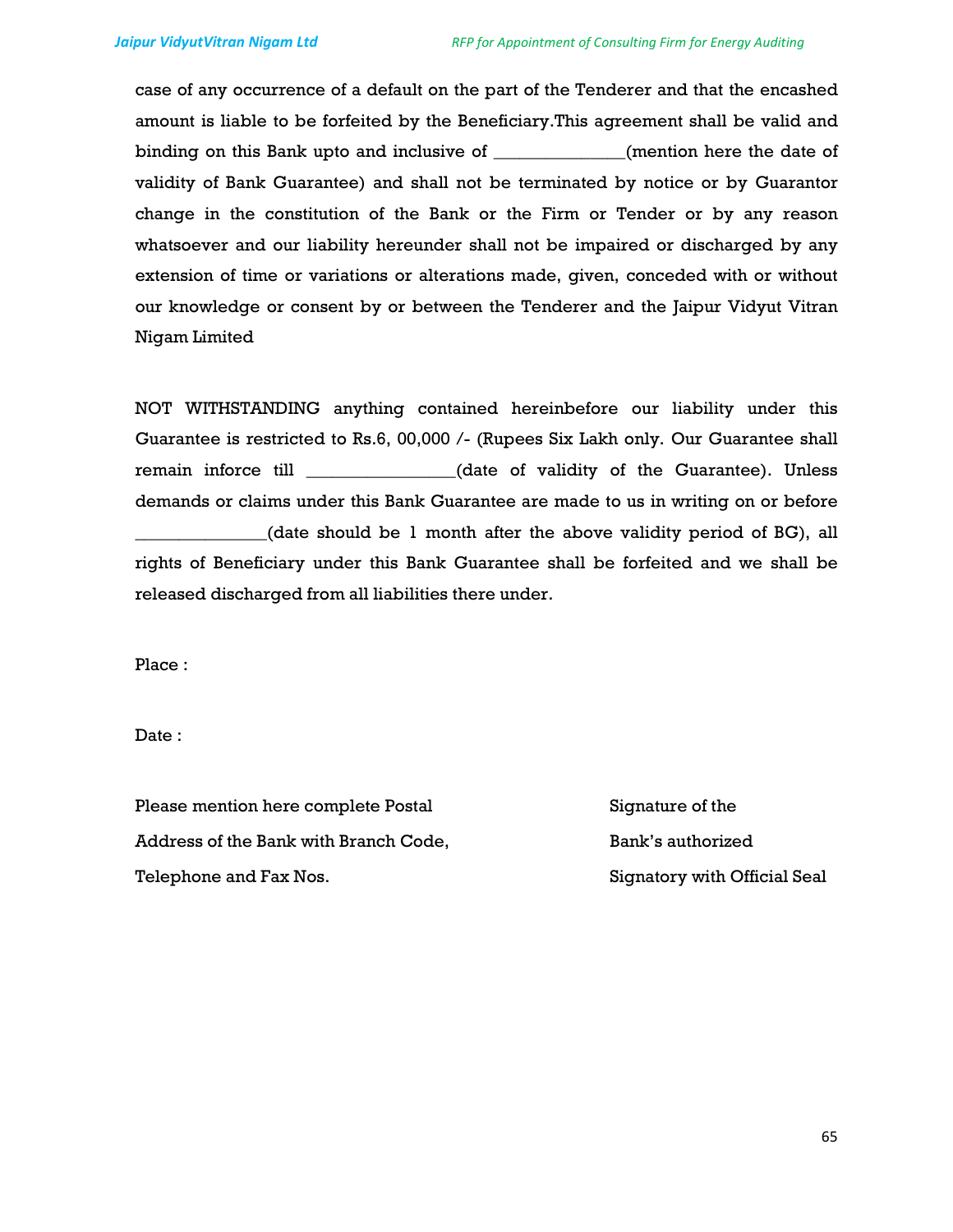case of any occurrence of a default on the part of the Tenderer and that the encashed amount is liable to be forfeited by the Beneficiary.This agreement shall be valid and binding on this Bank upto and inclusive of \_\_\_\_\_\_\_\_\_\_\_\_\_\_\_(mention here the date of validity of Bank Guarantee) and shall not be terminated by notice or by Guarantor change in the constitution of the Bank or the Firm or Tender or by any reason whatsoever and our liability hereunder shall not be impaired or discharged by any extension of time or variations or alterations made, given, conceded with or without our knowledge or consent by or between the Tenderer and the Jaipur Vidyut Vitran Nigam Limited

NOT WITHSTANDING anything contained hereinbefore our liability under this Guarantee is restricted to Rs.6, 00,000 /- (Rupees Six Lakh only. Our Guarantee shall remain inforce till \_\_\_\_\_\_\_\_\_\_\_\_\_\_\_\_\_(date of validity of the Guarantee). Unless demands or claims under this Bank Guarantee are made to us in writing on or before \_\_\_\_\_\_\_\_\_\_\_\_\_\_\_(date should be 1 month after the above validity period of BG), all rights of Beneficiary under this Bank Guarantee shall be forfeited and we shall be released discharged from all liabilities there under.

Place :

Date :

Please mention here complete Postal Signature of the Address of the Bank with Branch Code, Bank's authorized Telephone and Fax Nos. The South of Signatory with Official Seal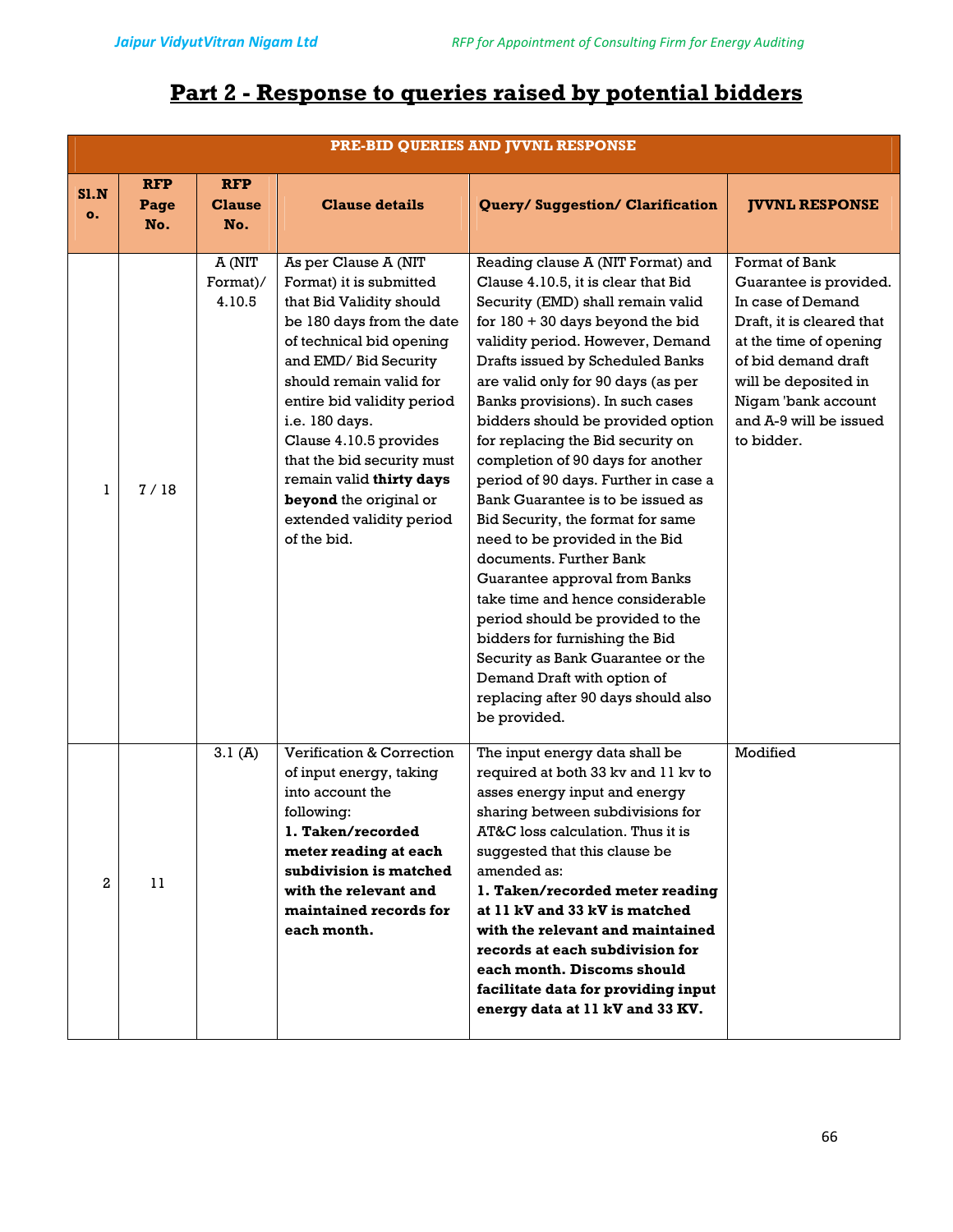# **Part 2 - Response to queries raised by potential bidders**

|            | PRE-BID QUERIES AND JVVNL RESPONSE |                                    |                                                                                                                                                                                                                                                                                                                                                                                                   |                                                                                                                                                                                                                                                                                                                                                                                                                                                                                                                                                                                                                                                                                                                                                                                                                                                                           |                                                                                                                                                                                                                                    |
|------------|------------------------------------|------------------------------------|---------------------------------------------------------------------------------------------------------------------------------------------------------------------------------------------------------------------------------------------------------------------------------------------------------------------------------------------------------------------------------------------------|---------------------------------------------------------------------------------------------------------------------------------------------------------------------------------------------------------------------------------------------------------------------------------------------------------------------------------------------------------------------------------------------------------------------------------------------------------------------------------------------------------------------------------------------------------------------------------------------------------------------------------------------------------------------------------------------------------------------------------------------------------------------------------------------------------------------------------------------------------------------------|------------------------------------------------------------------------------------------------------------------------------------------------------------------------------------------------------------------------------------|
| S1.N<br>о. | <b>RFP</b><br>Page<br>No.          | <b>RFP</b><br><b>Clause</b><br>No. | <b>Clause details</b>                                                                                                                                                                                                                                                                                                                                                                             | Query/Suggestion/Clarification                                                                                                                                                                                                                                                                                                                                                                                                                                                                                                                                                                                                                                                                                                                                                                                                                                            | <b>JVVNL RESPONSE</b>                                                                                                                                                                                                              |
| 1          | 7/18                               | A (NIT<br>Format)/<br>4.10.5       | As per Clause A (NIT<br>Format) it is submitted<br>that Bid Validity should<br>be 180 days from the date<br>of technical bid opening<br>and EMD/ Bid Security<br>should remain valid for<br>entire bid validity period<br>i.e. 180 days.<br>Clause 4.10.5 provides<br>that the bid security must<br>remain valid thirty days<br>beyond the original or<br>extended validity period<br>of the bid. | Reading clause A (NIT Format) and<br>Clause 4.10.5, it is clear that Bid<br>Security (EMD) shall remain valid<br>for $180 + 30$ days beyond the bid<br>validity period. However, Demand<br>Drafts issued by Scheduled Banks<br>are valid only for 90 days (as per<br>Banks provisions). In such cases<br>bidders should be provided option<br>for replacing the Bid security on<br>completion of 90 days for another<br>period of 90 days. Further in case a<br>Bank Guarantee is to be issued as<br>Bid Security, the format for same<br>need to be provided in the Bid<br>documents. Further Bank<br>Guarantee approval from Banks<br>take time and hence considerable<br>period should be provided to the<br>bidders for furnishing the Bid<br>Security as Bank Guarantee or the<br>Demand Draft with option of<br>replacing after 90 days should also<br>be provided. | Format of Bank<br>Guarantee is provided.<br>In case of Demand<br>Draft, it is cleared that<br>at the time of opening<br>of bid demand draft<br>will be deposited in<br>Nigam 'bank account<br>and A-9 will be issued<br>to bidder. |
| 2          | 11                                 | 3.1(A)                             | Verification & Correction<br>of input energy, taking<br>into account the<br>following:<br>1. Taken/recorded<br>meter reading at each<br>subdivision is matched<br>with the relevant and<br>maintained records for<br>each month.                                                                                                                                                                  | The input energy data shall be<br>required at both 33 kv and 11 kv to<br>asses energy input and energy<br>sharing between subdivisions for<br>AT&C loss calculation. Thus it is<br>suggested that this clause be<br>amended as:<br>1. Taken/recorded meter reading<br>at 11 kV and 33 kV is matched<br>with the relevant and maintained<br>records at each subdivision for<br>each month. Discoms should<br>facilitate data for providing input<br>energy data at 11 kV and 33 KV.                                                                                                                                                                                                                                                                                                                                                                                        | Modified                                                                                                                                                                                                                           |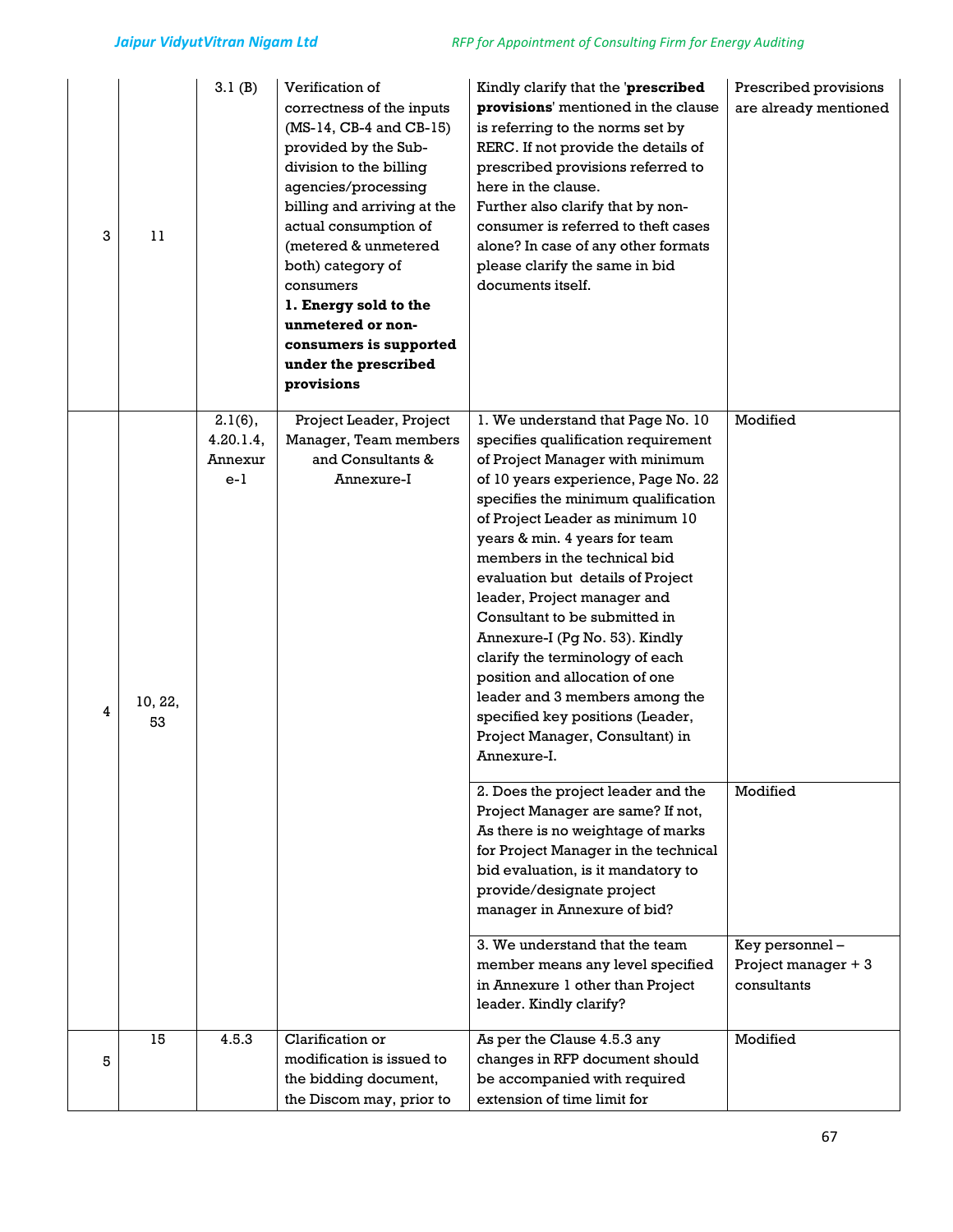| 3 | 11            | 3.1(B)                                      | Verification of<br>correctness of the inputs<br>$(MS-14, CB-4 and CB-15)$<br>provided by the Sub-<br>division to the billing<br>agencies/processing<br>billing and arriving at the<br>actual consumption of<br>(metered & unmetered<br>both) category of<br>consumers<br>1. Energy sold to the<br>unmetered or non-<br>consumers is supported<br>under the prescribed<br>provisions | Kindly clarify that the 'prescribed<br>provisions' mentioned in the clause<br>is referring to the norms set by<br>RERC. If not provide the details of<br>prescribed provisions referred to<br>here in the clause.<br>Further also clarify that by non-<br>consumer is referred to theft cases<br>alone? In case of any other formats<br>please clarify the same in bid<br>documents itself.                                                                                                                                                                                                                                                                                                                                                                                                                                                                                                                                                                                                                                      | Prescribed provisions<br>are already mentioned                               |
|---|---------------|---------------------------------------------|-------------------------------------------------------------------------------------------------------------------------------------------------------------------------------------------------------------------------------------------------------------------------------------------------------------------------------------------------------------------------------------|----------------------------------------------------------------------------------------------------------------------------------------------------------------------------------------------------------------------------------------------------------------------------------------------------------------------------------------------------------------------------------------------------------------------------------------------------------------------------------------------------------------------------------------------------------------------------------------------------------------------------------------------------------------------------------------------------------------------------------------------------------------------------------------------------------------------------------------------------------------------------------------------------------------------------------------------------------------------------------------------------------------------------------|------------------------------------------------------------------------------|
| 4 | 10, 22,<br>53 | $2.1(6)$ ,<br>4.20.1.4,<br>Annexur<br>$e-1$ | Project Leader, Project<br>Manager, Team members<br>and Consultants &<br>Annexure-I                                                                                                                                                                                                                                                                                                 | 1. We understand that Page No. 10<br>specifies qualification requirement<br>of Project Manager with minimum<br>of 10 years experience, Page No. 22<br>specifies the minimum qualification<br>of Project Leader as minimum 10<br>years & min. 4 years for team<br>members in the technical bid<br>evaluation but details of Project<br>leader, Project manager and<br>Consultant to be submitted in<br>Annexure-I (Pg No. 53). Kindly<br>clarify the terminology of each<br>position and allocation of one<br>leader and 3 members among the<br>specified key positions (Leader,<br>Project Manager, Consultant) in<br>Annexure-I.<br>2. Does the project leader and the<br>Project Manager are same? If not,<br>As there is no weightage of marks<br>for Project Manager in the technical<br>bid evaluation, is it mandatory to<br>provide/designate project<br>manager in Annexure of bid?<br>3. We understand that the team<br>member means any level specified<br>in Annexure 1 other than Project<br>leader. Kindly clarify? | Modified<br>Modified<br>Key personnel-<br>Project manager + 3<br>consultants |
| 5 | 15            | 4.5.3                                       | Clarification or<br>modification is issued to<br>the bidding document,<br>the Discom may, prior to                                                                                                                                                                                                                                                                                  | As per the Clause 4.5.3 any<br>changes in RFP document should<br>be accompanied with required<br>extension of time limit for                                                                                                                                                                                                                                                                                                                                                                                                                                                                                                                                                                                                                                                                                                                                                                                                                                                                                                     | Modified                                                                     |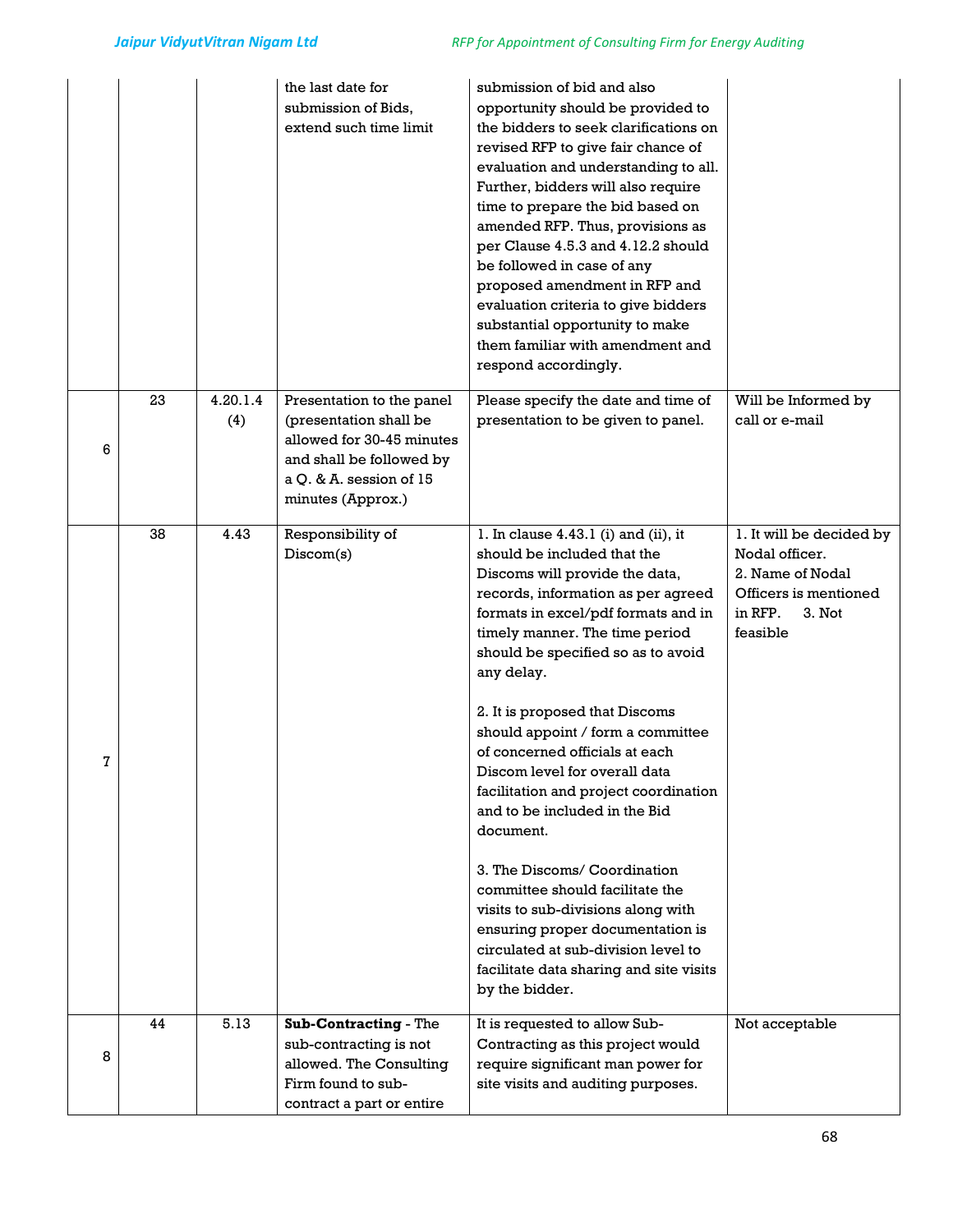|   |    |                 | the last date for<br>submission of Bids.<br>extend such time limit                                                                                           | submission of bid and also<br>opportunity should be provided to<br>the bidders to seek clarifications on<br>revised RFP to give fair chance of<br>evaluation and understanding to all.<br>Further, bidders will also require<br>time to prepare the bid based on<br>amended RFP. Thus, provisions as<br>per Clause 4.5.3 and 4.12.2 should<br>be followed in case of any<br>proposed amendment in RFP and<br>evaluation criteria to give bidders<br>substantial opportunity to make<br>them familiar with amendment and<br>respond accordingly.                                                                                                                                                                                                              |                                                                                                                          |
|---|----|-----------------|--------------------------------------------------------------------------------------------------------------------------------------------------------------|--------------------------------------------------------------------------------------------------------------------------------------------------------------------------------------------------------------------------------------------------------------------------------------------------------------------------------------------------------------------------------------------------------------------------------------------------------------------------------------------------------------------------------------------------------------------------------------------------------------------------------------------------------------------------------------------------------------------------------------------------------------|--------------------------------------------------------------------------------------------------------------------------|
| 6 | 23 | 4.20.1.4<br>(4) | Presentation to the panel<br>(presentation shall be<br>allowed for 30-45 minutes<br>and shall be followed by<br>a Q. & A. session of 15<br>minutes (Approx.) | Please specify the date and time of<br>presentation to be given to panel.                                                                                                                                                                                                                                                                                                                                                                                                                                                                                                                                                                                                                                                                                    | Will be Informed by<br>call or e-mail                                                                                    |
| 7 | 38 | 4.43            | Responsibility of<br>Discom(s)                                                                                                                               | 1. In clause $4.43.1$ (i) and (ii), it<br>should be included that the<br>Discoms will provide the data,<br>records, information as per agreed<br>formats in excel/pdf formats and in<br>timely manner. The time period<br>should be specified so as to avoid<br>any delay.<br>2. It is proposed that Discoms<br>should appoint / form a committee<br>of concerned officials at each<br>Discom level for overall data<br>facilitation and project coordination<br>and to be included in the Bid<br>document.<br>3. The Discoms/ Coordination<br>committee should facilitate the<br>visits to sub-divisions along with<br>ensuring proper documentation is<br>circulated at sub-division level to<br>facilitate data sharing and site visits<br>by the bidder. | 1. It will be decided by<br>Nodal officer.<br>2. Name of Nodal<br>Officers is mentioned<br>in RFP.<br>3. Not<br>feasible |
| 8 | 44 | 5.13            | Sub-Contracting - The<br>sub-contracting is not<br>allowed. The Consulting<br>Firm found to sub-<br>contract a part or entire                                | It is requested to allow Sub-<br>Contracting as this project would<br>require significant man power for<br>site visits and auditing purposes.                                                                                                                                                                                                                                                                                                                                                                                                                                                                                                                                                                                                                | Not acceptable                                                                                                           |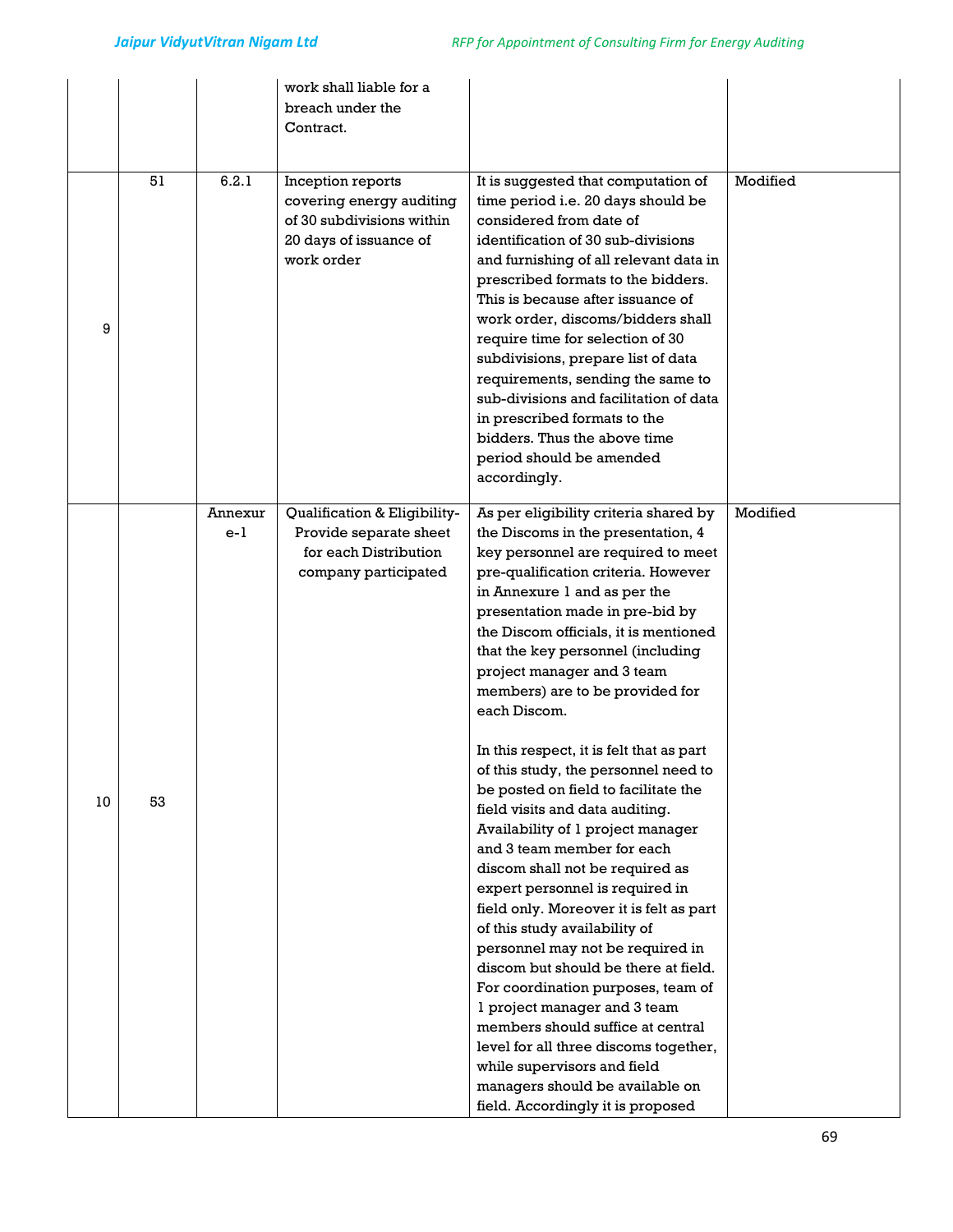| 9  | 51 | 6.2.1            | work shall liable for a<br>breach under the<br>Contract.<br>Inception reports<br>covering energy auditing<br>of 30 subdivisions within<br>20 days of issuance of<br>work order | It is suggested that computation of<br>time period i.e. 20 days should be<br>considered from date of<br>identification of 30 sub-divisions<br>and furnishing of all relevant data in<br>prescribed formats to the bidders.<br>This is because after issuance of<br>work order, discoms/bidders shall<br>require time for selection of 30<br>subdivisions, prepare list of data<br>requirements, sending the same to                                                                                                                                                                                                                                                                                                     | Modified |
|----|----|------------------|--------------------------------------------------------------------------------------------------------------------------------------------------------------------------------|-------------------------------------------------------------------------------------------------------------------------------------------------------------------------------------------------------------------------------------------------------------------------------------------------------------------------------------------------------------------------------------------------------------------------------------------------------------------------------------------------------------------------------------------------------------------------------------------------------------------------------------------------------------------------------------------------------------------------|----------|
|    |    |                  |                                                                                                                                                                                | sub-divisions and facilitation of data<br>in prescribed formats to the<br>bidders. Thus the above time<br>period should be amended<br>accordingly.                                                                                                                                                                                                                                                                                                                                                                                                                                                                                                                                                                      |          |
|    |    | Annexur<br>$e-1$ | Qualification & Eligibility-<br>Provide separate sheet<br>for each Distribution<br>company participated                                                                        | As per eligibility criteria shared by<br>the Discoms in the presentation, 4<br>key personnel are required to meet<br>pre-qualification criteria. However<br>in Annexure 1 and as per the<br>presentation made in pre-bid by<br>the Discom officials, it is mentioned<br>that the key personnel (including<br>project manager and 3 team<br>members) are to be provided for<br>each Discom.                                                                                                                                                                                                                                                                                                                              | Modified |
| 10 | 53 |                  |                                                                                                                                                                                | In this respect, it is felt that as part<br>of this study, the personnel need to<br>be posted on field to facilitate the<br>field visits and data auditing.<br>Availability of 1 project manager<br>and 3 team member for each<br>discom shall not be required as<br>expert personnel is required in<br>field only. Moreover it is felt as part<br>of this study availability of<br>personnel may not be required in<br>discom but should be there at field.<br>For coordination purposes, team of<br>1 project manager and 3 team<br>members should suffice at central<br>level for all three discoms together,<br>while supervisors and field<br>managers should be available on<br>field. Accordingly it is proposed |          |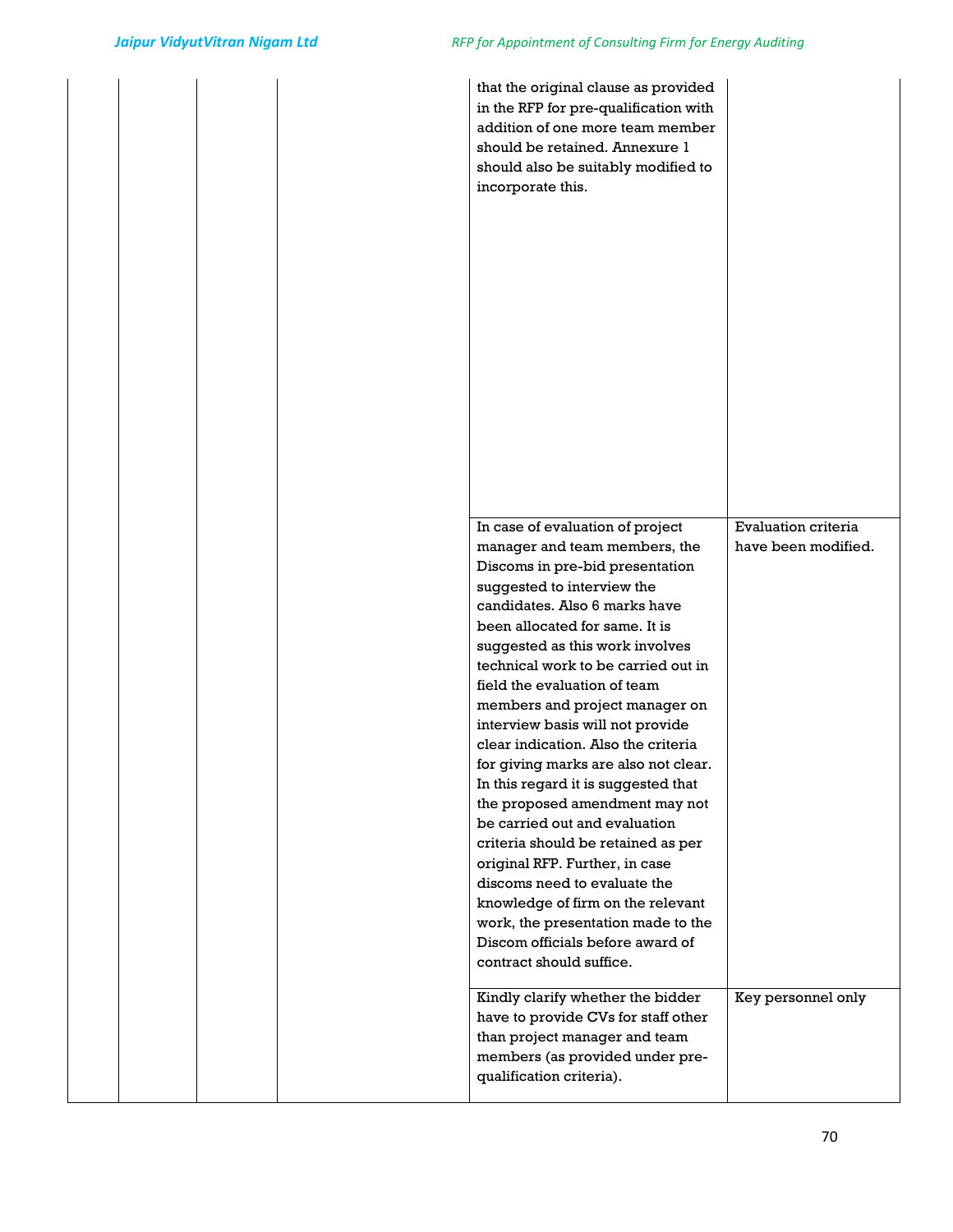| that the original clause as provided<br>in the RFP for pre-qualification with<br>addition of one more team member<br>should be retained. Annexure 1<br>should also be suitably modified to<br>incorporate this.                                                                                                                                                                                                                                                                                                                                                                                                                                                                                                                                                                                                                   |                                            |
|-----------------------------------------------------------------------------------------------------------------------------------------------------------------------------------------------------------------------------------------------------------------------------------------------------------------------------------------------------------------------------------------------------------------------------------------------------------------------------------------------------------------------------------------------------------------------------------------------------------------------------------------------------------------------------------------------------------------------------------------------------------------------------------------------------------------------------------|--------------------------------------------|
| In case of evaluation of project<br>manager and team members, the<br>Discoms in pre-bid presentation<br>suggested to interview the<br>candidates. Also 6 marks have<br>been allocated for same. It is<br>suggested as this work involves<br>technical work to be carried out in<br>field the evaluation of team<br>members and project manager on<br>interview basis will not provide<br>clear indication. Also the criteria<br>for giving marks are also not clear.<br>In this regard it is suggested that<br>the proposed amendment may not<br>be carried out and evaluation<br>criteria should be retained as per<br>original RFP. Further, in case<br>discoms need to evaluate the<br>knowledge of firm on the relevant<br>work, the presentation made to the<br>Discom officials before award of<br>contract should suffice. | Evaluation criteria<br>have been modified. |
| Kindly clarify whether the bidder<br>have to provide CVs for staff other<br>than project manager and team<br>members (as provided under pre-<br>qualification criteria).                                                                                                                                                                                                                                                                                                                                                                                                                                                                                                                                                                                                                                                          | Key personnel only                         |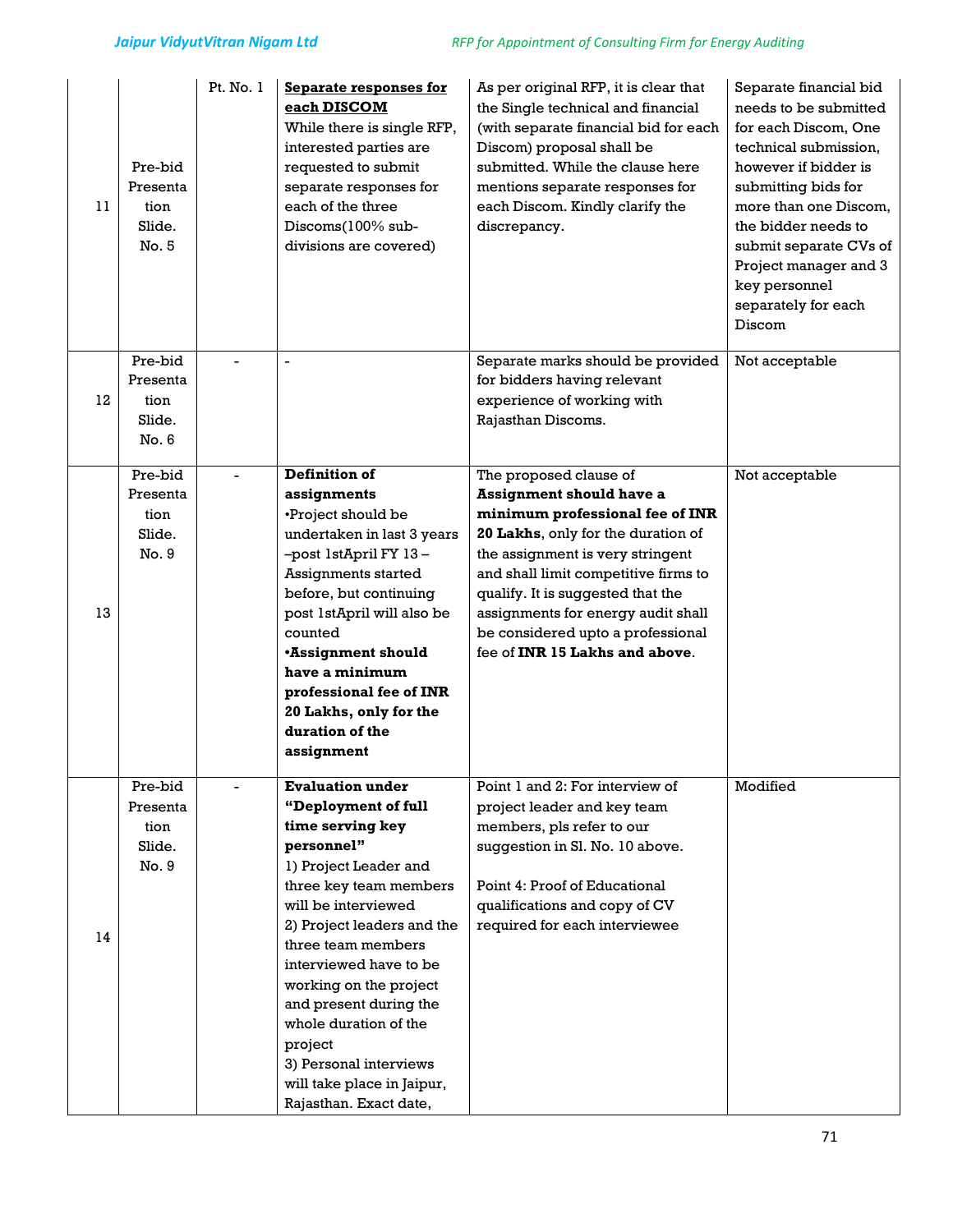| 11 | Pre-bid<br>Presenta<br>tion<br>Slide.<br>No. 5 | Pt. No. 1 | <b>Separate responses for</b><br>each DISCOM<br>While there is single RFP,<br>interested parties are<br>requested to submit<br>separate responses for<br>each of the three<br>Discoms(100% sub-<br>divisions are covered)                                                                                                                                                                                          | As per original RFP, it is clear that<br>the Single technical and financial<br>(with separate financial bid for each<br>Discom) proposal shall be<br>submitted. While the clause here<br>mentions separate responses for<br>each Discom. Kindly clarify the<br>discrepancy.                                                                                      | Separate financial bid<br>needs to be submitted<br>for each Discom. One<br>technical submission,<br>however if bidder is<br>submitting bids for<br>more than one Discom,<br>the bidder needs to<br>submit separate CVs of<br>Project manager and 3<br>key personnel<br>separately for each<br>Discom |
|----|------------------------------------------------|-----------|--------------------------------------------------------------------------------------------------------------------------------------------------------------------------------------------------------------------------------------------------------------------------------------------------------------------------------------------------------------------------------------------------------------------|------------------------------------------------------------------------------------------------------------------------------------------------------------------------------------------------------------------------------------------------------------------------------------------------------------------------------------------------------------------|------------------------------------------------------------------------------------------------------------------------------------------------------------------------------------------------------------------------------------------------------------------------------------------------------|
| 12 | Pre-bid<br>Presenta<br>tion<br>Slide.<br>No. 6 |           | $\blacksquare$                                                                                                                                                                                                                                                                                                                                                                                                     | Separate marks should be provided<br>for bidders having relevant<br>experience of working with<br>Rajasthan Discoms.                                                                                                                                                                                                                                             | Not acceptable                                                                                                                                                                                                                                                                                       |
| 13 | Pre-bid<br>Presenta<br>tion<br>Slide.<br>No. 9 |           | <b>Definition of</b><br>assignments<br>•Project should be<br>undertaken in last 3 years<br>-post 1stApril FY 13-<br>Assignments started<br>before, but continuing<br>post 1stApril will also be<br>counted<br><b>*Assignment should</b><br>have a minimum<br>professional fee of INR<br>20 Lakhs, only for the<br>duration of the<br>assignment                                                                    | The proposed clause of<br><b>Assignment should have a</b><br>minimum professional fee of INR<br>20 Lakhs, only for the duration of<br>the assignment is very stringent<br>and shall limit competitive firms to<br>qualify. It is suggested that the<br>assignments for energy audit shall<br>be considered upto a professional<br>fee of INR 15 Lakhs and above. | Not acceptable                                                                                                                                                                                                                                                                                       |
| 14 | Pre-bid<br>Presenta<br>tion<br>Slide.<br>No. 9 |           | <b>Evaluation under</b><br>"Deployment of full<br>time serving key<br>personnel"<br>1) Project Leader and<br>three key team members<br>will be interviewed<br>2) Project leaders and the<br>three team members<br>interviewed have to be<br>working on the project<br>and present during the<br>whole duration of the<br>project<br>3) Personal interviews<br>will take place in Jaipur,<br>Rajasthan. Exact date, | Point 1 and 2: For interview of<br>project leader and key team<br>members, pls refer to our<br>suggestion in Sl. No. 10 above.<br>Point 4: Proof of Educational<br>qualifications and copy of CV<br>required for each interviewee                                                                                                                                | Modified                                                                                                                                                                                                                                                                                             |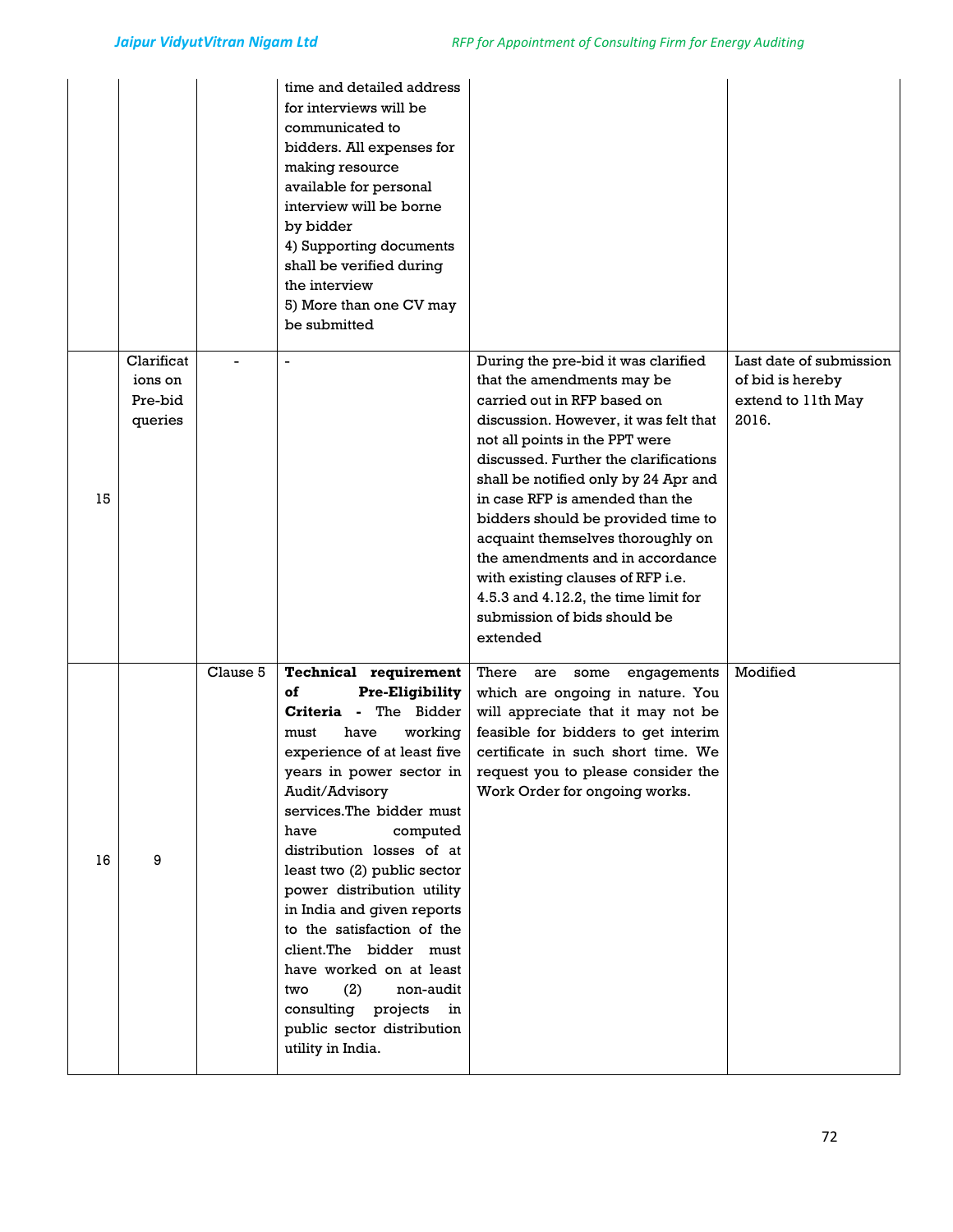|    |            |          | time and detailed address<br>for interviews will be<br>communicated to<br>bidders. All expenses for<br>making resource<br>available for personal<br>interview will be borne<br>by bidder<br>4) Supporting documents<br>shall be verified during<br>the interview<br>5) More than one CV may<br>be submitted |                                                                           |                         |
|----|------------|----------|-------------------------------------------------------------------------------------------------------------------------------------------------------------------------------------------------------------------------------------------------------------------------------------------------------------|---------------------------------------------------------------------------|-------------------------|
|    | Clarificat |          | $\blacksquare$                                                                                                                                                                                                                                                                                              | During the pre-bid it was clarified                                       | Last date of submission |
|    | ions on    |          |                                                                                                                                                                                                                                                                                                             | that the amendments may be                                                | of bid is hereby        |
|    | Pre-bid    |          |                                                                                                                                                                                                                                                                                                             | carried out in RFP based on                                               | extend to 11th May      |
|    | queries    |          |                                                                                                                                                                                                                                                                                                             | discussion. However, it was felt that                                     | 2016.                   |
|    |            |          |                                                                                                                                                                                                                                                                                                             | not all points in the PPT were<br>discussed. Further the clarifications   |                         |
|    |            |          |                                                                                                                                                                                                                                                                                                             | shall be notified only by 24 Apr and                                      |                         |
| 15 |            |          |                                                                                                                                                                                                                                                                                                             | in case RFP is amended than the                                           |                         |
|    |            |          |                                                                                                                                                                                                                                                                                                             | bidders should be provided time to                                        |                         |
|    |            |          |                                                                                                                                                                                                                                                                                                             | acquaint themselves thoroughly on                                         |                         |
|    |            |          |                                                                                                                                                                                                                                                                                                             | the amendments and in accordance                                          |                         |
|    |            |          |                                                                                                                                                                                                                                                                                                             | with existing clauses of RFP i.e.                                         |                         |
|    |            |          |                                                                                                                                                                                                                                                                                                             | 4.5.3 and 4.12.2, the time limit for<br>submission of bids should be      |                         |
|    |            |          |                                                                                                                                                                                                                                                                                                             | extended                                                                  |                         |
|    |            |          |                                                                                                                                                                                                                                                                                                             |                                                                           |                         |
|    |            | Clause 5 | Technical requirement                                                                                                                                                                                                                                                                                       | There are<br>some<br>engagements                                          | Modified                |
|    |            |          | of<br><b>Pre-Eligibility</b>                                                                                                                                                                                                                                                                                | which are ongoing in nature. You                                          |                         |
|    |            |          | The Bidder<br>Criteria -                                                                                                                                                                                                                                                                                    | will appreciate that it may not be                                        |                         |
|    |            |          | have<br>must<br>working<br>experience of at least five                                                                                                                                                                                                                                                      | feasible for bidders to get interim<br>certificate in such short time. We |                         |
|    |            |          | years in power sector in                                                                                                                                                                                                                                                                                    | request you to please consider the                                        |                         |
|    |            |          | Audit/Advisory                                                                                                                                                                                                                                                                                              | Work Order for ongoing works.                                             |                         |
|    |            |          | services. The bidder must                                                                                                                                                                                                                                                                                   |                                                                           |                         |
|    |            |          | computed<br>have                                                                                                                                                                                                                                                                                            |                                                                           |                         |
| 16 | 9          |          | distribution losses of at                                                                                                                                                                                                                                                                                   |                                                                           |                         |
|    |            |          | least two (2) public sector                                                                                                                                                                                                                                                                                 |                                                                           |                         |
|    |            |          | power distribution utility<br>in India and given reports                                                                                                                                                                                                                                                    |                                                                           |                         |
|    |            |          | to the satisfaction of the                                                                                                                                                                                                                                                                                  |                                                                           |                         |
|    |            |          | client.The bidder must                                                                                                                                                                                                                                                                                      |                                                                           |                         |
|    |            |          | have worked on at least                                                                                                                                                                                                                                                                                     |                                                                           |                         |
|    |            |          | (2)<br>non-audit<br>two                                                                                                                                                                                                                                                                                     |                                                                           |                         |
|    |            |          | consulting projects in                                                                                                                                                                                                                                                                                      |                                                                           |                         |
|    |            |          | public sector distribution                                                                                                                                                                                                                                                                                  |                                                                           |                         |
|    |            |          | utility in India.                                                                                                                                                                                                                                                                                           |                                                                           |                         |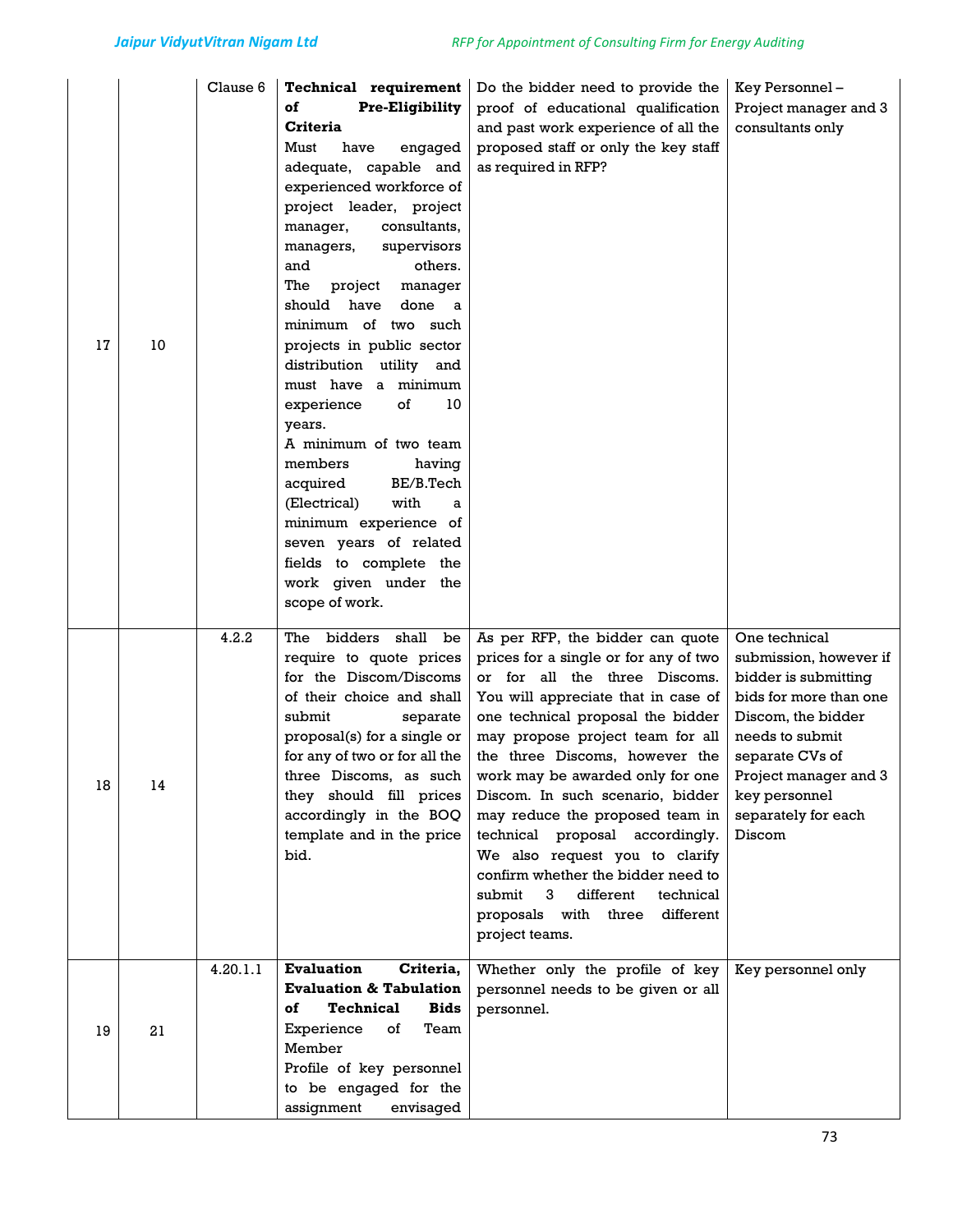| 17 | 10 | Clause 6 | Technical requirement<br>of<br><b>Pre-Eligibility</b><br><b>Criteria</b><br>Must<br>have<br>engaged<br>adequate, capable and<br>experienced workforce of<br>project leader, project<br>consultants,<br>manager,<br>supervisors<br>managers,<br>and<br>others.<br>The<br>project<br>manager<br>should have<br>done<br>- a<br>minimum of two such<br>projects in public sector<br>distribution utility and<br>must have a minimum<br>experience<br>of<br>10<br>years.<br>A minimum of two team<br>members<br>having<br>BE/B.Tech<br>acquired<br>with<br>(Electrical)<br>a<br>minimum experience of<br>seven years of related<br>fields to complete the<br>work given under the<br>scope of work. | Do the bidder need to provide the<br>proof of educational qualification<br>and past work experience of all the<br>proposed staff or only the key staff<br>as required in RFP?                                                                                                                                                                                                                                                                                                                                                                                                      | Key Personnel-<br>Project manager and 3<br>consultants only                                                                                                                                                                      |
|----|----|----------|------------------------------------------------------------------------------------------------------------------------------------------------------------------------------------------------------------------------------------------------------------------------------------------------------------------------------------------------------------------------------------------------------------------------------------------------------------------------------------------------------------------------------------------------------------------------------------------------------------------------------------------------------------------------------------------------|------------------------------------------------------------------------------------------------------------------------------------------------------------------------------------------------------------------------------------------------------------------------------------------------------------------------------------------------------------------------------------------------------------------------------------------------------------------------------------------------------------------------------------------------------------------------------------|----------------------------------------------------------------------------------------------------------------------------------------------------------------------------------------------------------------------------------|
| 18 | 14 | 4.2.2    | The bidders shall be<br>require to quote prices<br>for the Discom/Discoms<br>of their choice and shall<br>submit<br>separate<br>proposal(s) for a single or<br>for any of two or for all the<br>three Discoms, as such<br>they should fill prices<br>accordingly in the BOQ<br>template and in the price<br>bid.                                                                                                                                                                                                                                                                                                                                                                               | As per RFP, the bidder can quote<br>prices for a single or for any of two<br>or for all the three Discoms.<br>You will appreciate that in case of<br>one technical proposal the bidder<br>may propose project team for all<br>the three Discoms, however the<br>work may be awarded only for one<br>Discom. In such scenario, bidder<br>may reduce the proposed team in<br>technical proposal accordingly.<br>We also request you to clarify<br>confirm whether the bidder need to<br>different<br>submit<br>3<br>technical<br>different<br>proposals with three<br>project teams. | One technical<br>submission, however if<br>bidder is submitting<br>bids for more than one<br>Discom, the bidder<br>needs to submit<br>separate CVs of<br>Project manager and 3<br>key personnel<br>separately for each<br>Discom |
| 19 | 21 | 4.20.1.1 | Evaluation<br>Criteria,<br><b>Evaluation &amp; Tabulation</b><br><b>Technical</b><br><b>Bids</b><br>of<br>Experience<br>of<br>Team<br>Member<br>Profile of key personnel<br>to be engaged for the<br>assignment<br>envisaged                                                                                                                                                                                                                                                                                                                                                                                                                                                                   | Whether only the profile of key<br>personnel needs to be given or all<br>personnel.                                                                                                                                                                                                                                                                                                                                                                                                                                                                                                | Key personnel only                                                                                                                                                                                                               |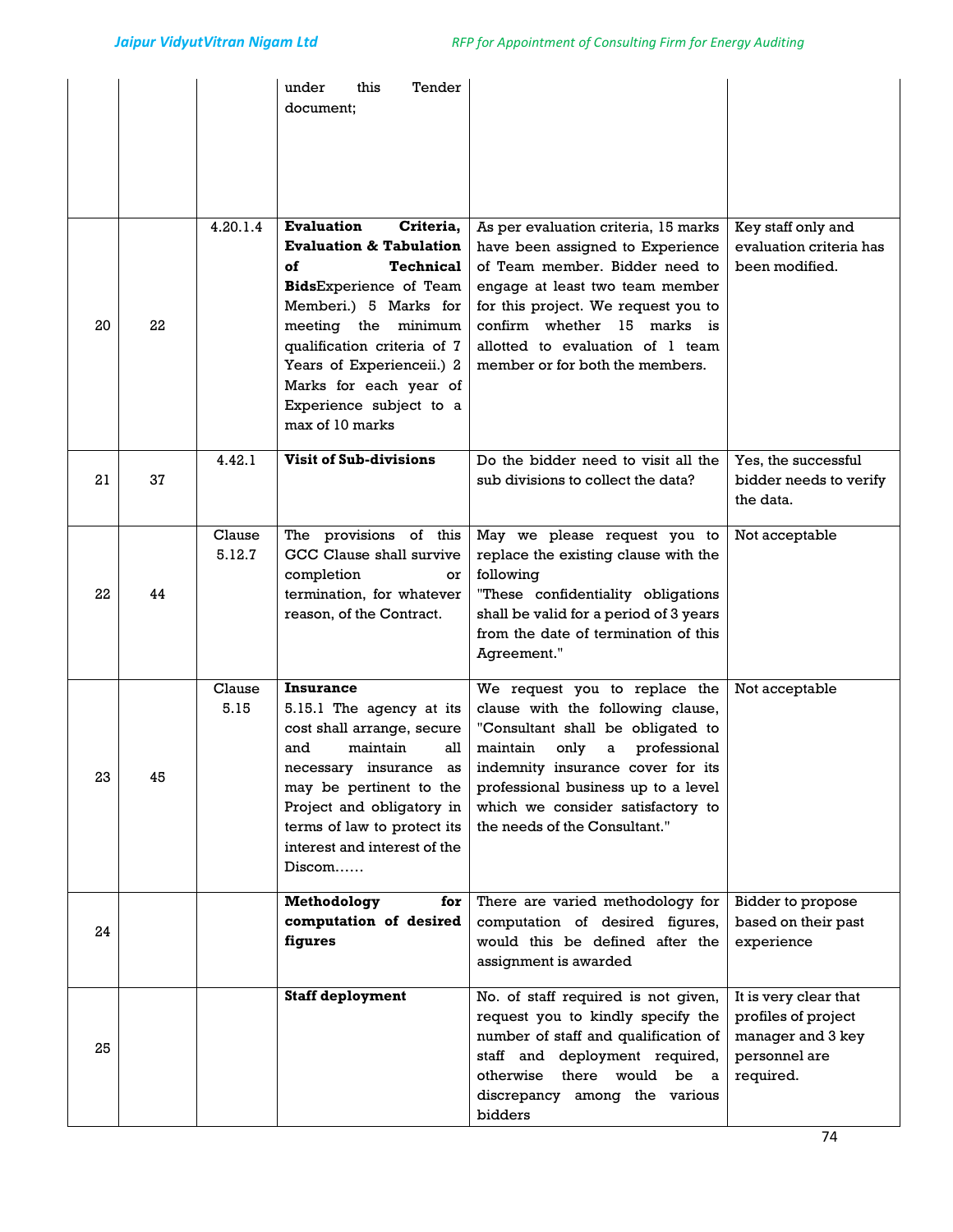|    |    |                  | this<br>Tender<br>under<br>document;                                                                                                                                                                                                                                                                         |                                                                                                                                                                                                                                                                                                                           |                                                                                                 |
|----|----|------------------|--------------------------------------------------------------------------------------------------------------------------------------------------------------------------------------------------------------------------------------------------------------------------------------------------------------|---------------------------------------------------------------------------------------------------------------------------------------------------------------------------------------------------------------------------------------------------------------------------------------------------------------------------|-------------------------------------------------------------------------------------------------|
| 20 | 22 | 4.20.1.4         | <b>Evaluation</b><br>Criteria,<br><b>Evaluation &amp; Tabulation</b><br>of<br><b>Technical</b><br>BidsExperience of Team<br>Memberi.) 5 Marks for<br>meeting the minimum<br>qualification criteria of 7<br>Years of Experienceii.) 2<br>Marks for each year of<br>Experience subject to a<br>max of 10 marks | As per evaluation criteria, 15 marks<br>have been assigned to Experience<br>of Team member. Bidder need to<br>engage at least two team member<br>for this project. We request you to<br>confirm whether 15 marks is<br>allotted to evaluation of 1 team<br>member or for both the members.                                | Key staff only and<br>evaluation criteria has<br>been modified.                                 |
| 21 | 37 | 4.42.1           | <b>Visit of Sub-divisions</b>                                                                                                                                                                                                                                                                                | Do the bidder need to visit all the<br>sub divisions to collect the data?                                                                                                                                                                                                                                                 | Yes, the successful<br>bidder needs to verify<br>the data.                                      |
| 22 | 44 | Clause<br>5.12.7 | The provisions of this<br>GCC Clause shall survive<br>completion<br>or<br>termination, for whatever<br>reason, of the Contract.                                                                                                                                                                              | May we please request you to<br>replace the existing clause with the<br>following<br>"These confidentiality obligations<br>shall be valid for a period of 3 years<br>from the date of termination of this<br>Agreement."                                                                                                  | Not acceptable                                                                                  |
| 23 | 45 | Clause<br>5.15   | Insurance<br>5.15.1 The agency at its<br>cost shall arrange, secure<br>maintain<br>all<br>and<br>may be pertinent to the<br>Project and obligatory in<br>terms of law to protect its<br>interest and interest of the<br>Discom                                                                               | We request you to replace the<br>clause with the following clause,<br>"Consultant shall be obligated to<br>maintain<br>only<br>professional<br>a<br>necessary insurance as indemnity insurance cover for its<br>professional business up to a level<br>which we consider satisfactory to<br>the needs of the Consultant." | Not acceptable                                                                                  |
| 24 |    |                  | Methodology<br>for<br>computation of desired<br>figures                                                                                                                                                                                                                                                      | There are varied methodology for<br>computation of desired figures,<br>would this be defined after the<br>assignment is awarded                                                                                                                                                                                           | Bidder to propose<br>based on their past<br>experience                                          |
| 25 |    |                  | <b>Staff deployment</b>                                                                                                                                                                                                                                                                                      | No. of staff required is not given,<br>request you to kindly specify the<br>number of staff and qualification of<br>staff and deployment required,<br>otherwise there would be a<br>discrepancy among the various<br>bidders                                                                                              | It is very clear that<br>profiles of project<br>manager and 3 key<br>personnel are<br>required. |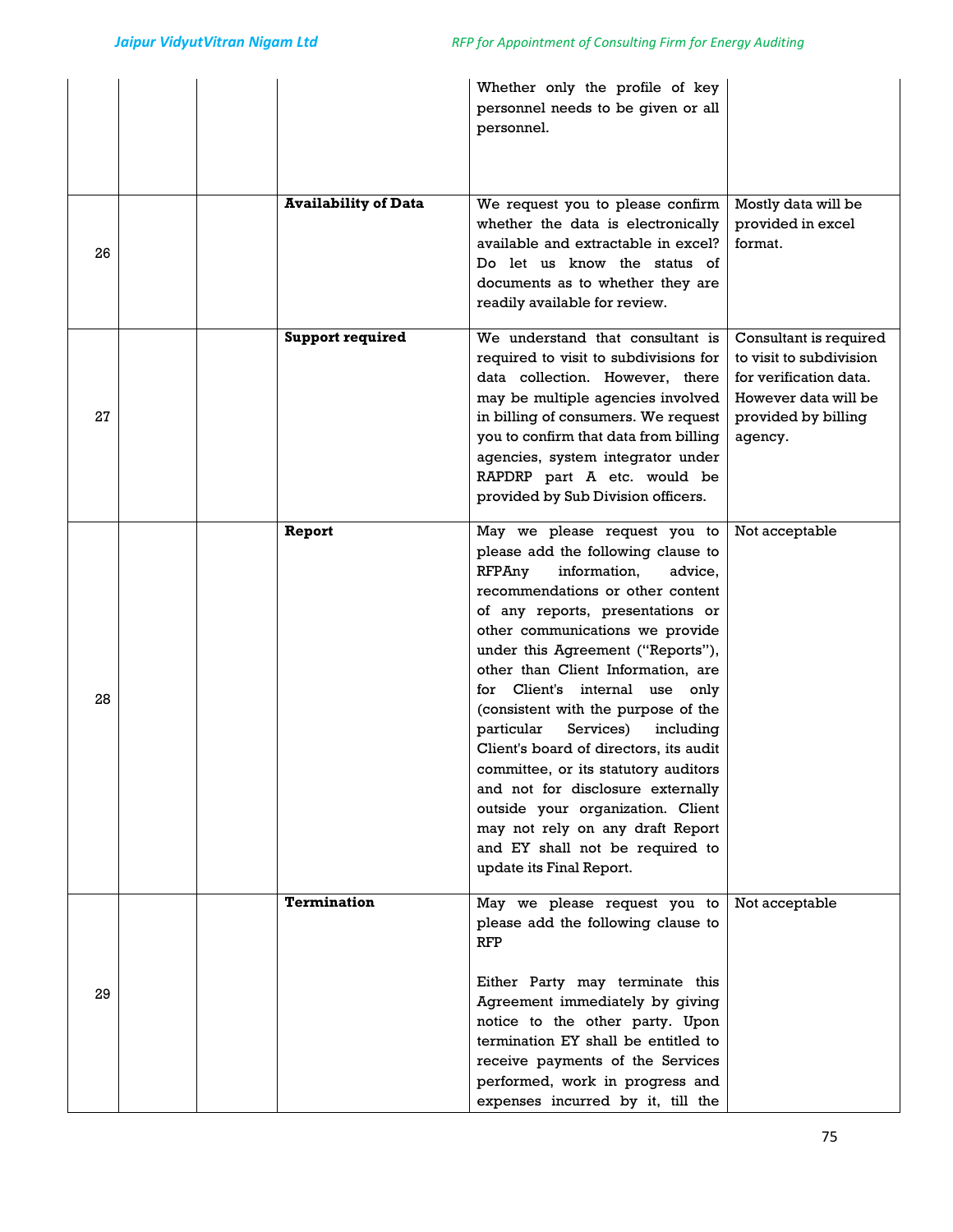|    |                             | Whether only the profile of key<br>personnel needs to be given or all<br>personnel.                                                                                                                                                                                                                                                                                                                                                                                                                                                                                                                                                                                           |                                                                                                                                       |
|----|-----------------------------|-------------------------------------------------------------------------------------------------------------------------------------------------------------------------------------------------------------------------------------------------------------------------------------------------------------------------------------------------------------------------------------------------------------------------------------------------------------------------------------------------------------------------------------------------------------------------------------------------------------------------------------------------------------------------------|---------------------------------------------------------------------------------------------------------------------------------------|
| 26 | <b>Availability of Data</b> | We request you to please confirm<br>whether the data is electronically<br>available and extractable in excel?<br>Do let us know the status of<br>documents as to whether they are<br>readily available for review.                                                                                                                                                                                                                                                                                                                                                                                                                                                            | Mostly data will be<br>provided in excel<br>format.                                                                                   |
| 27 | <b>Support required</b>     | We understand that consultant is<br>required to visit to subdivisions for<br>data collection. However, there<br>may be multiple agencies involved<br>in billing of consumers. We request<br>you to confirm that data from billing<br>agencies, system integrator under<br>RAPDRP part A etc. would be<br>provided by Sub Division officers.                                                                                                                                                                                                                                                                                                                                   | Consultant is required<br>to visit to subdivision<br>for verification data.<br>However data will be<br>provided by billing<br>agency. |
| 28 | Report                      | May we please request you to<br>please add the following clause to<br>RFPAny<br>information.<br>advice,<br>recommendations or other content<br>of any reports, presentations or<br>other communications we provide<br>under this Agreement ("Reports"),<br>other than Client Information, are<br>for Client's internal use only<br>(consistent with the purpose of the<br>particular<br>Services)<br>including<br>Client's board of directors, its audit<br>committee, or its statutory auditors<br>and not for disclosure externally<br>outside your organization. Client<br>may not rely on any draft Report<br>and EY shall not be required to<br>update its Final Report. | Not acceptable                                                                                                                        |
| 29 | <b>Termination</b>          | May we please request you to<br>please add the following clause to<br><b>RFP</b><br>Either Party may terminate this<br>Agreement immediately by giving<br>notice to the other party. Upon<br>termination EY shall be entitled to<br>receive payments of the Services<br>performed, work in progress and<br>expenses incurred by it, till the                                                                                                                                                                                                                                                                                                                                  | Not acceptable                                                                                                                        |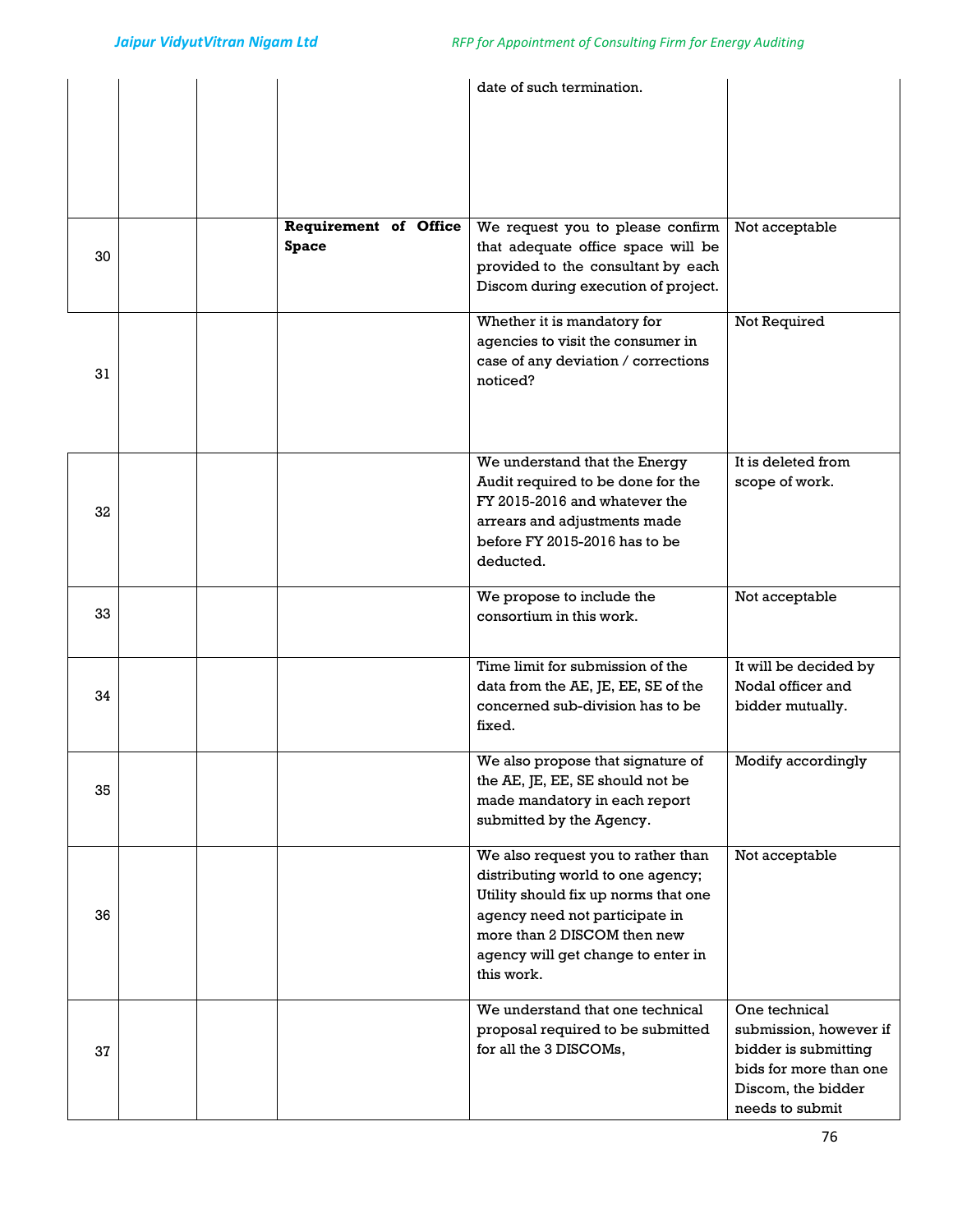|    |  |                              | date of such termination.                                                |                        |
|----|--|------------------------------|--------------------------------------------------------------------------|------------------------|
|    |  |                              |                                                                          |                        |
|    |  |                              |                                                                          |                        |
|    |  |                              |                                                                          |                        |
|    |  |                              |                                                                          |                        |
|    |  |                              |                                                                          |                        |
|    |  | <b>Requirement of Office</b> | We request you to please confirm                                         | Not acceptable         |
| 30 |  | <b>Space</b>                 | that adequate office space will be<br>provided to the consultant by each |                        |
|    |  |                              | Discom during execution of project.                                      |                        |
|    |  |                              |                                                                          |                        |
|    |  |                              | Whether it is mandatory for                                              | Not Required           |
|    |  |                              | agencies to visit the consumer in                                        |                        |
| 31 |  |                              | case of any deviation / corrections<br>noticed?                          |                        |
|    |  |                              |                                                                          |                        |
|    |  |                              |                                                                          |                        |
|    |  |                              |                                                                          |                        |
|    |  |                              | We understand that the Energy                                            | It is deleted from     |
|    |  |                              | Audit required to be done for the<br>FY 2015-2016 and whatever the       | scope of work.         |
| 32 |  |                              | arrears and adjustments made                                             |                        |
|    |  |                              | before FY 2015-2016 has to be                                            |                        |
|    |  |                              | deducted.                                                                |                        |
|    |  |                              | We propose to include the                                                | Not acceptable         |
| 33 |  |                              | consortium in this work.                                                 |                        |
|    |  |                              |                                                                          |                        |
|    |  |                              | Time limit for submission of the                                         | It will be decided by  |
| 34 |  |                              | data from the AE, JE, EE, SE of the                                      | Nodal officer and      |
|    |  |                              | concerned sub-division has to be                                         | bidder mutually.       |
|    |  |                              | fixed.                                                                   |                        |
|    |  |                              | We also propose that signature of                                        | Modify accordingly     |
| 35 |  |                              | the AE, JE, EE, SE should not be                                         |                        |
|    |  |                              | made mandatory in each report                                            |                        |
|    |  |                              | submitted by the Agency.                                                 |                        |
|    |  |                              | We also request you to rather than                                       | Not acceptable         |
|    |  |                              | distributing world to one agency;                                        |                        |
|    |  |                              | Utility should fix up norms that one                                     |                        |
| 36 |  |                              | agency need not participate in<br>more than 2 DISCOM then new            |                        |
|    |  |                              | agency will get change to enter in                                       |                        |
|    |  |                              | this work.                                                               |                        |
|    |  |                              | We understand that one technical                                         | One technical          |
|    |  |                              | proposal required to be submitted                                        | submission, however if |
| 37 |  |                              | for all the 3 DISCOMs,                                                   | bidder is submitting   |
|    |  |                              |                                                                          | bids for more than one |
|    |  |                              |                                                                          | Discom, the bidder     |
|    |  |                              |                                                                          | needs to submit        |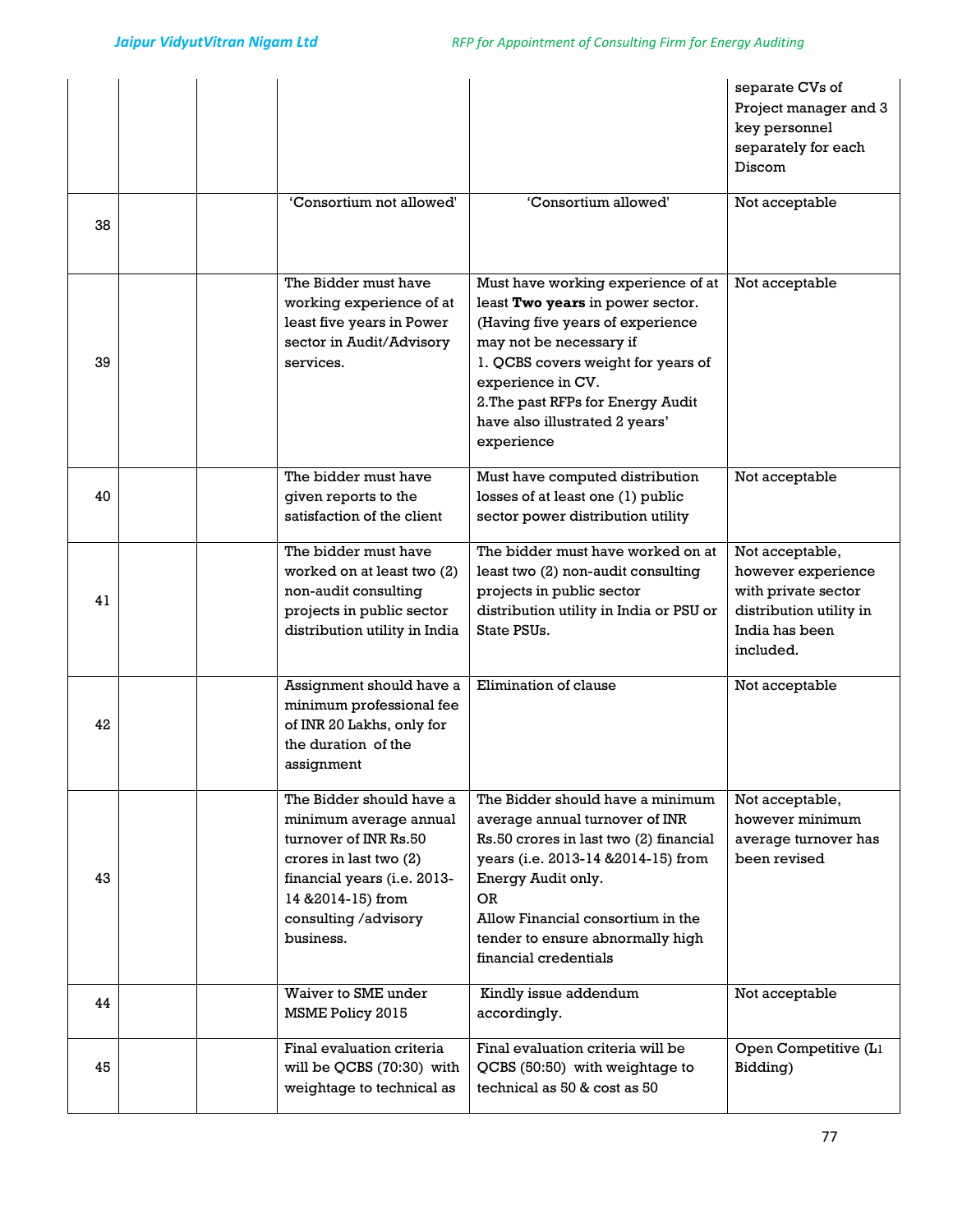|    |                                                                                                                                                                                                 |                                                                                                                                                                                                                                                                                          | separate CVs of<br>Project manager and 3<br>key personnel<br>separately for each<br>Discom                             |
|----|-------------------------------------------------------------------------------------------------------------------------------------------------------------------------------------------------|------------------------------------------------------------------------------------------------------------------------------------------------------------------------------------------------------------------------------------------------------------------------------------------|------------------------------------------------------------------------------------------------------------------------|
| 38 | 'Consortium not allowed'                                                                                                                                                                        | 'Consortium allowed'                                                                                                                                                                                                                                                                     | Not acceptable                                                                                                         |
| 39 | The Bidder must have<br>working experience of at<br>least five years in Power<br>sector in Audit/Advisory<br>services.                                                                          | Must have working experience of at<br>least Two years in power sector.<br>(Having five years of experience<br>may not be necessary if<br>1. QCBS covers weight for years of<br>experience in CV.<br>2. The past RFPs for Energy Audit<br>have also illustrated 2 years'<br>experience    | Not acceptable                                                                                                         |
| 40 | The bidder must have<br>given reports to the<br>satisfaction of the client                                                                                                                      | Must have computed distribution<br>losses of at least one (1) public<br>sector power distribution utility                                                                                                                                                                                | Not acceptable                                                                                                         |
| 41 | The bidder must have<br>worked on at least two (2)<br>non-audit consulting<br>projects in public sector<br>distribution utility in India                                                        | The bidder must have worked on at<br>least two (2) non-audit consulting<br>projects in public sector<br>distribution utility in India or PSU or<br>State PSUs.                                                                                                                           | Not acceptable,<br>however experience<br>with private sector<br>distribution utility in<br>India has been<br>included. |
| 42 | Assignment should have a<br>minimum professional fee<br>of INR 20 Lakhs, only for<br>the duration of the<br>assignment                                                                          | Elimination of clause                                                                                                                                                                                                                                                                    | Not acceptable                                                                                                         |
| 43 | The Bidder should have a<br>minimum average annual<br>turnover of INR Rs.50<br>crores in last two (2)<br>financial years (i.e. 2013-<br>14 & 2014-15) from<br>consulting /advisory<br>business. | The Bidder should have a minimum<br>average annual turnover of INR<br>Rs.50 crores in last two (2) financial<br>years (i.e. 2013-14 & 2014-15) from<br>Energy Audit only.<br><b>OR</b><br>Allow Financial consortium in the<br>tender to ensure abnormally high<br>financial credentials | Not acceptable,<br>however minimum<br>average turnover has<br>been revised                                             |
| 44 | Waiver to SME under<br>MSME Policy 2015                                                                                                                                                         | Kindly issue addendum<br>accordingly.                                                                                                                                                                                                                                                    | Not acceptable                                                                                                         |
| 45 | Final evaluation criteria<br>will be QCBS (70:30) with<br>weightage to technical as                                                                                                             | Final evaluation criteria will be<br>QCBS (50:50) with weightage to<br>technical as 50 & cost as 50                                                                                                                                                                                      | Open Competitive (L1<br>Bidding)                                                                                       |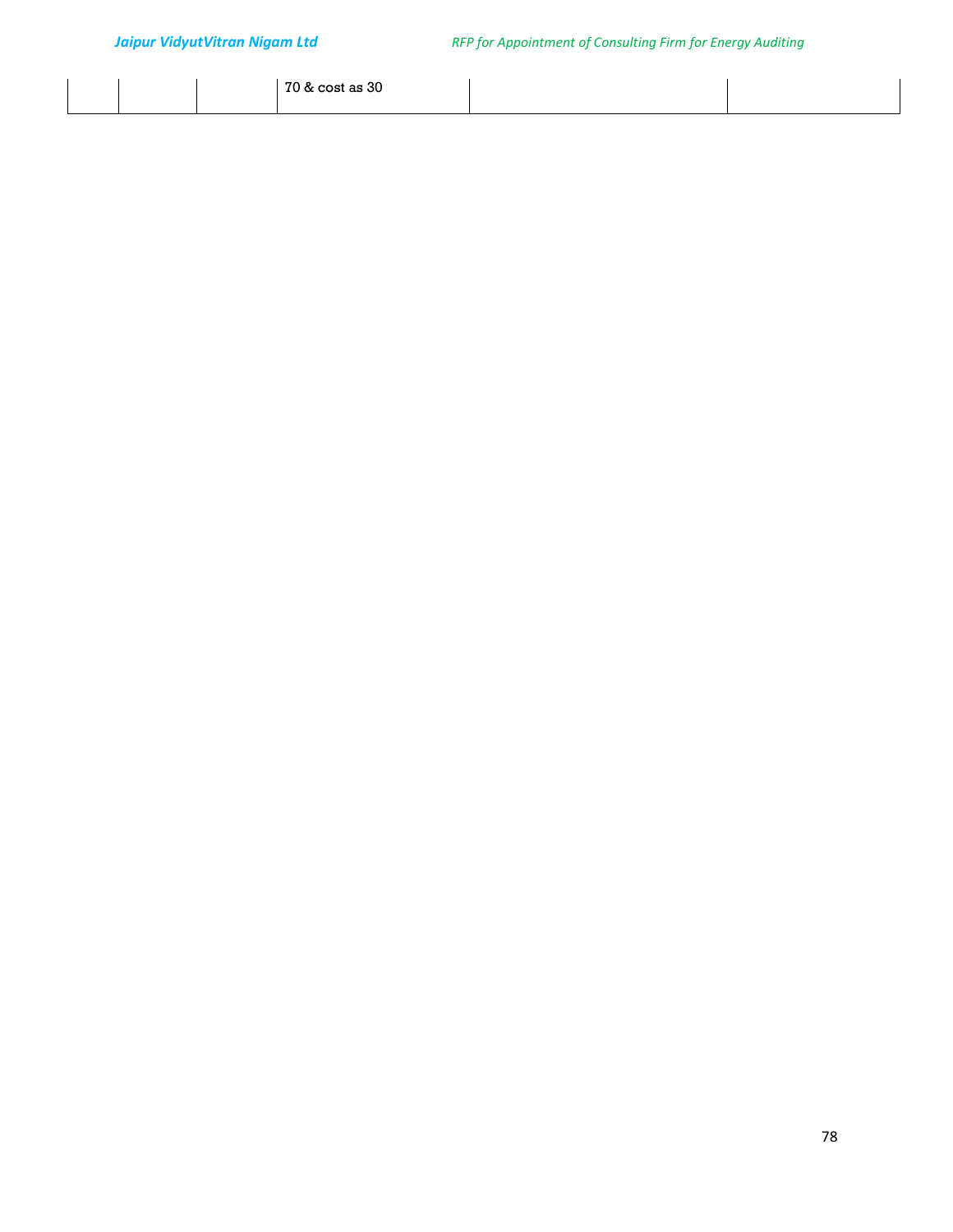|  | 70 & cost as 30<br>.<br>$\sim$ |  |
|--|--------------------------------|--|
|  |                                |  |